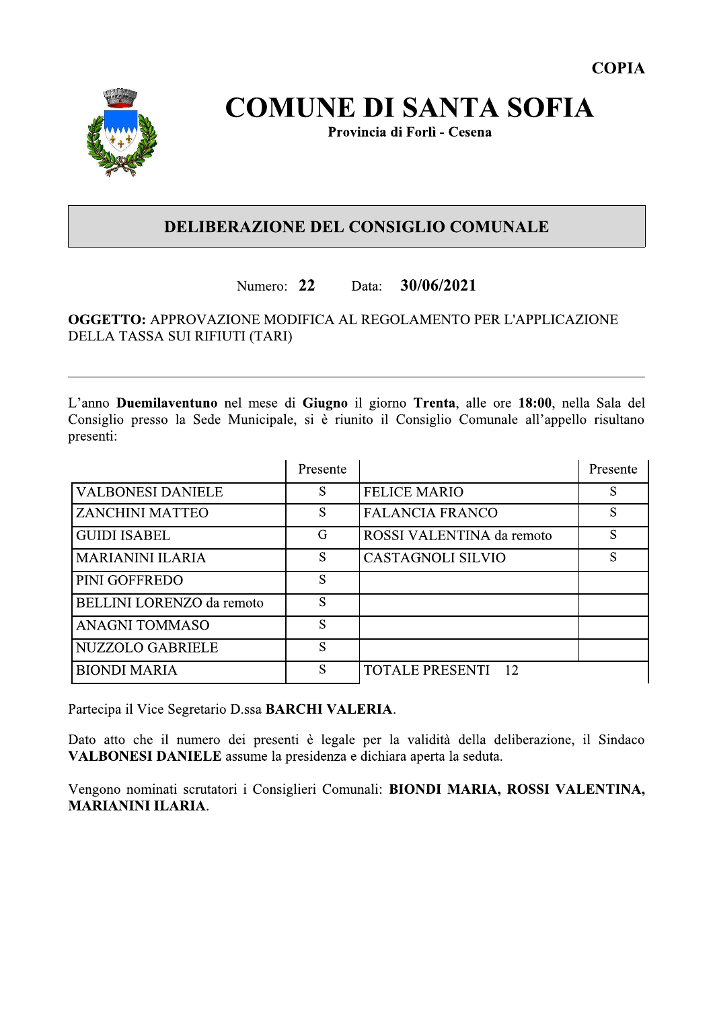

# **COMUNE DI SANTA SOFIA**

Provincia di Forlì - Cesena

### DELIBERAZIONE DEL CONSIGLIO COMUNALE

#### Numero: 22 30/06/2021 Data:

#### OGGETTO: APPROVAZIONE MODIFICA AL REGOLAMENTO PER L'APPLICAZIONE DELLA TASSA SUI RIFIUTI (TARI)

L'anno Duemilaventuno nel mese di Giugno il giorno Trenta, alle ore 18:00, nella Sala del Consiglio presso la Sede Municipale, si è riunito il Consiglio Comunale all'appello risultano presenti:

|                                  | Presente |                           | Presente |
|----------------------------------|----------|---------------------------|----------|
| <b>VALBONESI DANIELE</b>         | S        | <b>FELICE MARIO</b>       | S        |
| <b>ZANCHINI MATTEO</b>           | S        | <b>FALANCIA FRANCO</b>    | S        |
| <b>GUIDI ISABEL</b>              | G        | ROSSI VALENTINA da remoto | S        |
| <b>MARIANINI ILARIA</b>          | S        | <b>CASTAGNOLI SILVIO</b>  | S        |
| PINI GOFFREDO                    | S        |                           |          |
| <b>BELLINI LORENZO</b> da remoto | S        |                           |          |
| <b>ANAGNI TOMMASO</b>            | S        |                           |          |
| <b>NUZZOLO GABRIELE</b>          | S        |                           |          |
| <b>BIONDI MARIA</b>              | S        | <b>TOTALE PRESENTI 12</b> |          |

Partecipa il Vice Segretario D.ssa BARCHI VALERIA.

Dato atto che il numero dei presenti è legale per la validità della deliberazione, il Sindaco VALBONESI DANIELE assume la presidenza e dichiara aperta la seduta.

Vengono nominati scrutatori i Consiglieri Comunali: BIONDI MARIA, ROSSI VALENTINA, **MARIANINI ILARIA.**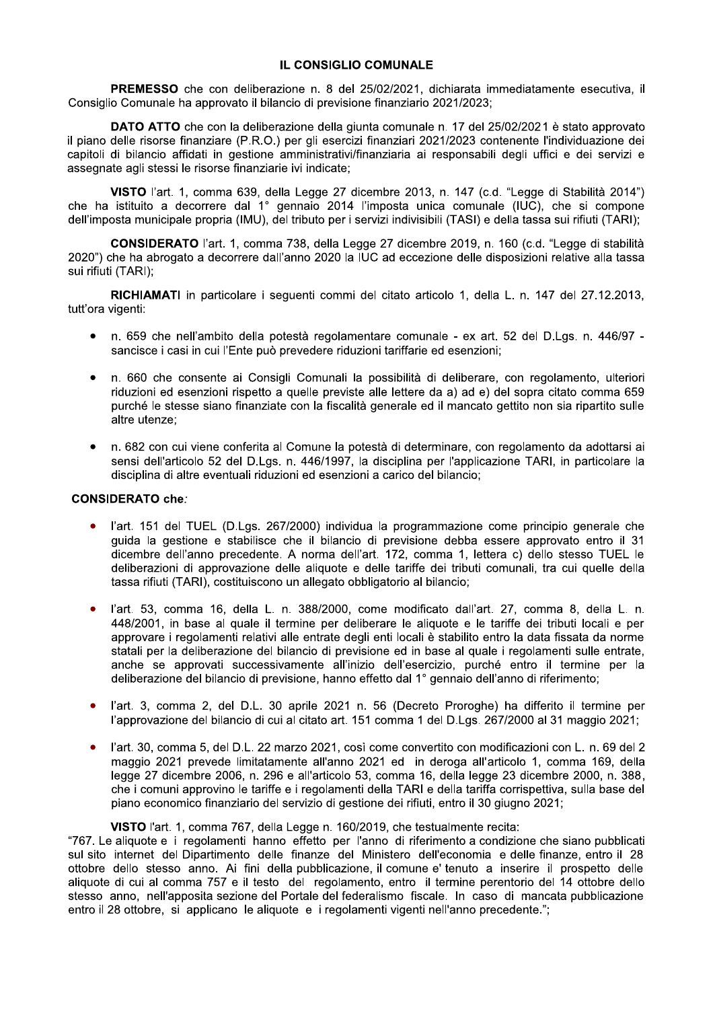#### **IL CONSIGLIO COMUNALE**

PREMESSO che con deliberazione n. 8 del 25/02/2021, dichiarata immediatamente esecutiva, il Consiglio Comunale ha approvato il bilancio di previsione finanziario 2021/2023;

DATO ATTO che con la deliberazione della giunta comunale n. 17 del 25/02/2021 è stato approvato il piano delle risorse finanziare (P.R.O.) per gli esercizi finanziari 2021/2023 contenente l'individuazione dei capitoli di bilancio affidati in gestione amministrativi/finanziaria ai responsabili degli uffici e dei servizi e assegnate agli stessi le risorse finanziarie ivi indicate:

VISTO l'art. 1, comma 639, della Legge 27 dicembre 2013, n. 147 (c.d. "Legge di Stabilità 2014") che ha istituito a decorrere dal 1° gennaio 2014 l'imposta unica comunale (IUC), che si compone dell'imposta municipale propria (IMU), del tributo per i servizi indivisibili (TASI) e della tassa sui rifiuti (TARI);

CONSIDERATO l'art. 1, comma 738, della Legge 27 dicembre 2019, n. 160 (c.d. "Legge di stabilità 2020") che ha abrogato a decorrere dall'anno 2020 la IUC ad eccezione delle disposizioni relative alla tassa sui rifiuti (TARI);

RICHIAMATI in particolare i seguenti commi del citato articolo 1, della L. n. 147 del 27.12.2013, tutt'ora vigenti:

- $\bullet$ n. 659 che nell'ambito della potestà regolamentare comunale - ex art. 52 del D.Lgs. n. 446/97 sancisce i casi in cui l'Ente può prevedere riduzioni tariffarie ed esenzioni:
- n. 660 che consente ai Consigli Comunali la possibilità di deliberare, con regolamento, ulteriori riduzioni ed esenzioni rispetto a quelle previste alle lettere da a) ad e) del sopra citato comma 659 purché le stesse siano finanziate con la fiscalità generale ed il mancato gettito non sia ripartito sulle altre utenze:
- n. 682 con cui viene conferita al Comune la potestà di determinare, con regolamento da adottarsi ai  $\bullet$ sensi dell'articolo 52 del D.Lgs. n. 446/1997, la disciplina per l'applicazione TARI, in particolare la disciplina di altre eventuali riduzioni ed esenzioni a carico del bilancio;

#### **CONSIDERATO che:**

- l'art. 151 del TUEL (D.Lgs. 267/2000) individua la programmazione come principio generale che guida la gestione e stabilisce che il bilancio di previsione debba essere approvato entro il 31 dicembre dell'anno precedente. A norma dell'art. 172, comma 1, lettera c) dello stesso TUEL le deliberazioni di approvazione delle aliguote e delle tariffe dei tributi comunali, tra cui quelle della tassa rifiuti (TARI), costituiscono un allegato obbligatorio al bilancio;
- l'art. 53. comma 16. della L. n. 388/2000, come modificato dall'art. 27. comma 8. della L. n. 448/2001, in base al quale il termine per deliberare le aliquote e le tariffe dei tributi locali e per approvare i regolamenti relativi alle entrate degli enti locali è stabilito entro la data fissata da norme statali per la deliberazione del bilancio di previsione ed in base al quale i regolamenti sulle entrate, anche se approvati successivamente all'inizio dell'esercizio, purché entro il termine per la deliberazione del bilancio di previsione, hanno effetto dal 1° gennaio dell'anno di riferimento;
- l'art. 3, comma 2, del D.L. 30 aprile 2021 n. 56 (Decreto Proroghe) ha differito il termine per  $\bullet$ l'approvazione del bilancio di cui al citato art. 151 comma 1 del D.Lgs. 267/2000 al 31 maggio 2021;
- l'art. 30, comma 5, del D.L. 22 marzo 2021, così come convertito con modificazioni con L. n. 69 del 2  $\bullet$ maggio 2021 prevede limitatamente all'anno 2021 ed in deroga all'articolo 1, comma 169, della legge 27 dicembre 2006, n. 296 e all'articolo 53, comma 16, della legge 23 dicembre 2000, n. 388, che i comuni approvino le tariffe e i regolamenti della TARI e della tariffa corrispettiva, sulla base del piano economico finanziario del servizio di gestione dei rifiuti, entro il 30 giugno 2021;

#### VISTO l'art. 1, comma 767, della Legge n. 160/2019, che testualmente recita:

"767. Le aliquote e i regolamenti hanno effetto per l'anno di riferimento a condizione che siano pubblicati sul sito internet del Dipartimento delle finanze del Ministero dell'economia e delle finanze, entro il 28 ottobre dello stesso anno. Ai fini della pubblicazione, il comune e' tenuto a inserire il prospetto delle aliquote di cui al comma 757 e il testo del regolamento, entro il termine perentorio del 14 ottobre dello stesso anno, nell'apposita sezione del Portale del federalismo fiscale. In caso di mancata pubblicazione entro il 28 ottobre, si applicano le aliquote e i regolamenti vigenti nell'anno precedente.";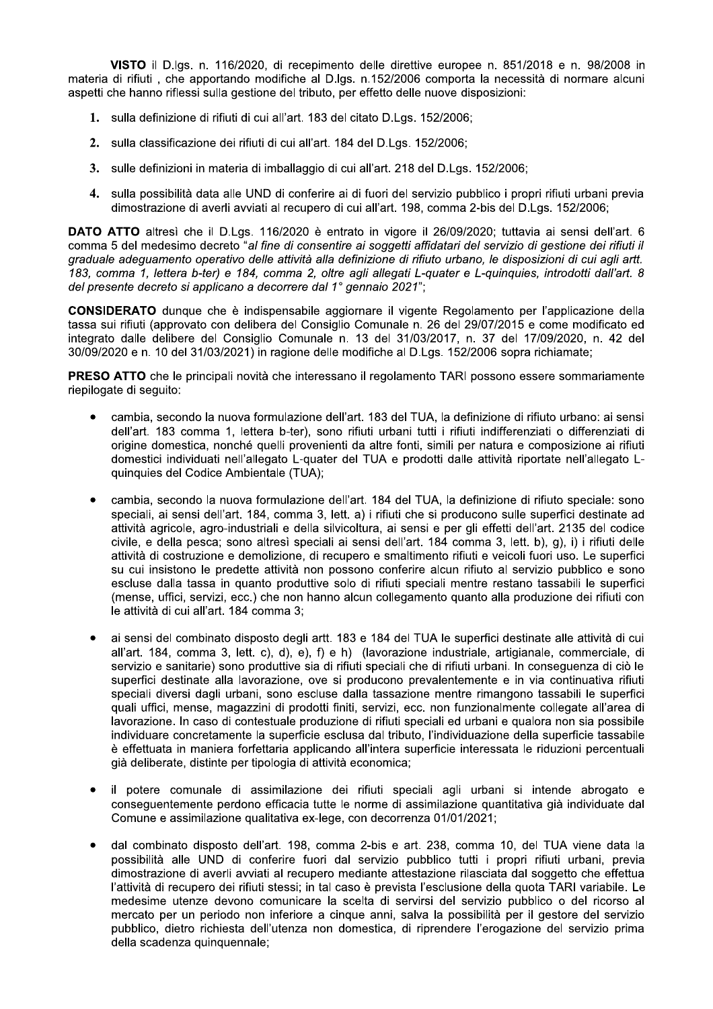VISTO il D.lgs. n. 116/2020, di recepimento delle direttive europee n. 851/2018 e n. 98/2008 in materia di rifiuti, che apportando modifiche al D.lgs. n.152/2006 comporta la necessità di normare alcuni aspetti che hanno riflessi sulla gestione del tributo, per effetto delle nuove disposizioni:

- 1. sulla definizione di rifiuti di cui all'art. 183 del citato D.Lgs. 152/2006:
- 2. sulla classificazione dei rifiuti di cui all'art. 184 del D.Lgs. 152/2006;
- 3. sulle definizioni in materia di imballaggio di cui all'art. 218 del D.Lgs. 152/2006;
- 4. sulla possibilità data alle UND di conferire ai di fuori del servizio pubblico i propri rifiuti urbani previa dimostrazione di averli avviati al recupero di cui all'art. 198, comma 2-bis del D.Lgs. 152/2006;

DATO ATTO altresì che il D.Lgs. 116/2020 è entrato in vigore il 26/09/2020; tuttavia ai sensi dell'art. 6 comma 5 del medesimo decreto "al fine di consentire ai soggetti affidatari del servizio di gestione dei rifiuti il graduale adeguamento operativo delle attività alla definizione di rifiuto urbano. le disposizioni di cui agli artt. 183, comma 1, lettera b-ter) e 184, comma 2, oltre agli allegati L-quater e L-quinguies, introdotti dall'art. 8 del presente decreto si applicano a decorrere dal 1º gennaio 2021";

CONSIDERATO dunque che è indispensabile aggiornare il vigente Regolamento per l'applicazione della tassa sui rifiuti (approvato con delibera del Consiglio Comunale n. 26 del 29/07/2015 e come modificato ed integrato dalle delibere del Consiglio Comunale n. 13 del 31/03/2017, n. 37 del 17/09/2020, n. 42 del 30/09/2020 e n. 10 del 31/03/2021) in ragione delle modifiche al D.Lgs. 152/2006 sopra richiamate;

**PRESO ATTO** che le principali novità che interessano il regolamento TARI possono essere sommariamente riepilogate di seguito:

- cambia, secondo la nuova formulazione dell'art. 183 del TUA, la definizione di rifiuto urbano: ai sensi dell'art. 183 comma 1, lettera b-ter), sono rifiuti urbani tutti i rifiuti indifferenziati o differenziati di origine domestica, nonché quelli provenienti da altre fonti, simili per natura e composizione ai rifiuti domestici individuati nell'allegato L-quater del TUA e prodotti dalle attività riportate nell'allegato Lquinquies del Codice Ambientale (TUA);
- cambia, secondo la nuova formulazione dell'art. 184 del TUA, la definizione di rifiuto speciale: sono  $\bullet$ speciali, ai sensi dell'art. 184, comma 3, lett. a) i rifiuti che si producono sulle superfici destinate ad attività agricole, agro-industriali e della silvicoltura, ai sensi e per gli effetti dell'art. 2135 del codice civile, e della pesca; sono altresì speciali ai sensi dell'art. 184 comma 3, lett. b), g), i) i rifiuti delle attività di costruzione e demolizione, di recupero e smaltimento rifiuti e veicoli fuori uso. Le superfici su cui insistono le predette attività non possono conferire alcun rifiuto al servizio pubblico e sono escluse dalla tassa in quanto produttive solo di rifiuti speciali mentre restano tassabili le superfici (mense, uffici, servizi, ecc.) che non hanno alcun collegamento quanto alla produzione dei rifiuti con le attività di cui all'art. 184 comma 3:
- ai sensi del combinato disposto degli artt. 183 e 184 del TUA le superfici destinate alle attività di cui  $\bullet$ all'art. 184. comma 3. lett. c), d), e), f) e h) (lavorazione industriale, artigianale, commerciale, di servizio e sanitarie) sono produttive sia di rifiuti speciali che di rifiuti urbani. In conseguenza di ciò le superfici destinate alla lavorazione, ove si producono prevalentemente e in via continuativa rifiuti speciali diversi dagli urbani, sono escluse dalla tassazione mentre rimangono tassabili le superfici quali uffici, mense, magazzini di prodotti finiti, servizi, ecc. non funzionalmente collegate all'area di lavorazione. In caso di contestuale produzione di rifiuti speciali ed urbani e qualora non sia possibile individuare concretamente la superficie esclusa dal tributo, l'individuazione della superficie tassabile è effettuata in maniera forfettaria applicando all'intera superficie interessata le riduzioni percentuali già deliberate, distinte per tipologia di attività economica;
- il potere comunale di assimilazione dei rifiuti speciali agli urbani si intende abrogato e consequentemente perdono efficacia tutte le norme di assimilazione quantitativa già individuate dal Comune e assimilazione qualitativa ex-lege, con decorrenza 01/01/2021;
- dal combinato disposto dell'art. 198, comma 2-bis e art. 238, comma 10, del TUA viene data la possibilità alle UND di conferire fuori dal servizio pubblico tutti i propri rifiuti urbani, previa dimostrazione di averli avviati al recupero mediante attestazione rilasciata dal soggetto che effettua l'attività di recupero dei rifiuti stessi; in tal caso è prevista l'esclusione della quota TARI variabile. Le medesime utenze devono comunicare la scelta di servirsi del servizio pubblico o del ricorso al mercato per un periodo non inferiore a cinque anni, salva la possibilità per il gestore del servizio pubblico, dietro richiesta dell'utenza non domestica, di riprendere l'erogazione del servizio prima della scadenza quinquennale: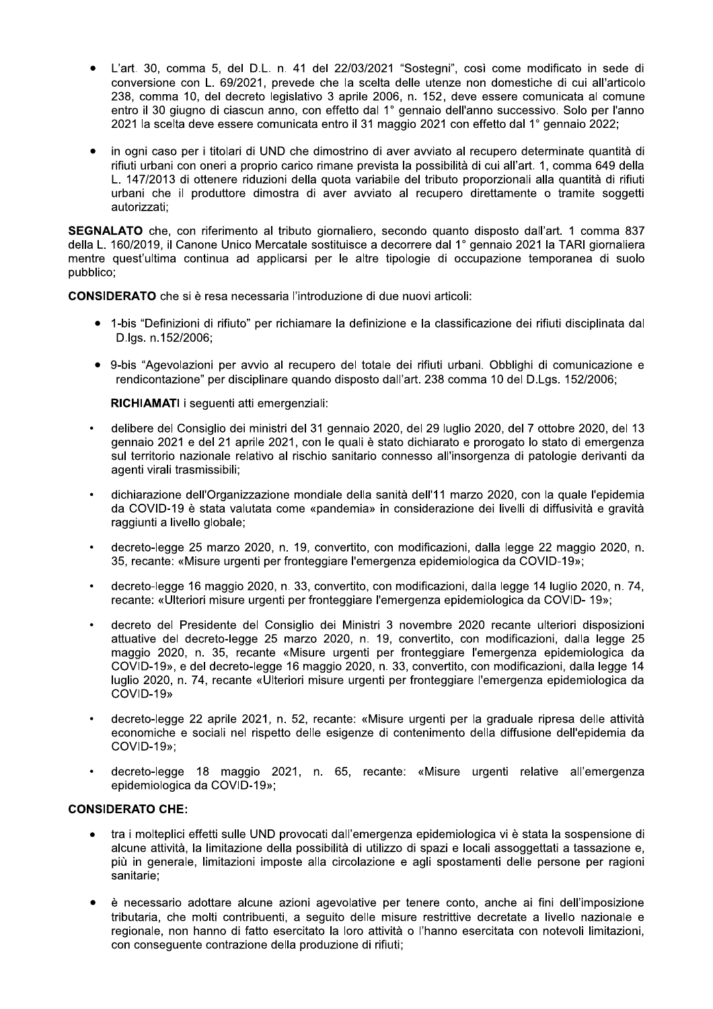- L'art. 30, comma 5, del D.L. n. 41 del 22/03/2021 "Sostegni", così come modificato in sede di conversione con L. 69/2021, prevede che la scelta delle utenze non domestiche di cui all'articolo 238, comma 10, del decreto legislativo 3 aprile 2006, n. 152, deve essere comunicata al comune entro il 30 giugno di ciascun anno, con effetto dal 1° gennaio dell'anno successivo. Solo per l'anno 2021 la scelta deve essere comunicata entro il 31 maggio 2021 con effetto dal 1° gennaio 2022;
- in ogni caso per i titolari di UND che dimostrino di aver avviato al recupero determinate quantità di  $\bullet$ rifiuti urbani con oneri a proprio carico rimane prevista la possibilità di cui all'art. 1, comma 649 della L. 147/2013 di ottenere riduzioni della quota variabile del tributo proporzionali alla quantità di rifiuti urbani che il produttore dimostra di aver avviato al recupero direttamente o tramite soggetti autorizzati:

SEGNALATO che, con riferimento al tributo giornaliero, secondo quanto disposto dall'art. 1 comma 837 della L. 160/2019, il Canone Unico Mercatale sostituisce a decorrere dal 1° gennaio 2021 la TARI giornaliera mentre quest'ultima continua ad applicarsi per le altre tipologie di occupazione temporanea di suolo pubblico:

CONSIDERATO che si è resa necessaria l'introduzione di due nuovi articoli:

- 1-bis "Definizioni di rifiuto" per richiamare la definizione e la classificazione dei rifiuti disciplinata dal D.las. n.152/2006:
- 9-bis "Agevolazioni per avvio al recupero del totale dei rifiuti urbani. Obblighi di comunicazione e rendicontazione" per disciplinare quando disposto dall'art. 238 comma 10 del D.Lgs. 152/2006;

RICHIAMATI i sequenti atti emergenziali:

- delibere del Consiglio dei ministri del 31 gennaio 2020, del 29 luglio 2020, del 7 ottobre 2020, del 13 gennaio 2021 e del 21 aprile 2021, con le quali è stato dichiarato e prorogato lo stato di emergenza sul territorio nazionale relativo al rischio sanitario connesso all'insorgenza di patologie derivanti da agenti virali trasmissibili;
- dichiarazione dell'Organizzazione mondiale della sanità dell'11 marzo 2020, con la quale l'epidemia da COVID-19 è stata valutata come «pandemia» in considerazione dei livelli di diffusività e gravità raggiunti a livello globale;
- decreto-legge 25 marzo 2020, n. 19, convertito, con modificazioni, dalla legge 22 maggio 2020, n. 35, recante: «Misure urgenti per fronteggiare l'emergenza epidemiologica da COVID-19»;
- decreto-legge 16 maggio 2020, n. 33, convertito, con modificazioni, dalla legge 14 luglio 2020, n. 74, recante: «Ulteriori misure urgenti per fronteggiare l'emergenza epidemiologica da COVID-19»;
- decreto del Presidente del Consiglio dei Ministri 3 novembre 2020 recante ulteriori disposizioni attuative del decreto-legge 25 marzo 2020, n. 19, convertito, con modificazioni, dalla legge 25 maggio 2020, n. 35, recante «Misure urgenti per fronteggiare l'emergenza epidemiologica da COVID-19», e del decreto-legge 16 maggio 2020, n. 33, convertito, con modificazioni, dalla legge 14 luglio 2020, n. 74, recante «Ulteriori misure urgenti per fronteggiare l'emergenza epidemiologica da COVID-19»
- decreto-legge 22 aprile 2021, n. 52, recante: «Misure urgenti per la graduale ripresa delle attività economiche e sociali nel rispetto delle esigenze di contenimento della diffusione dell'epidemia da COVID-19»:
- decreto-legge 18 maggio 2021, n. 65, recante: «Misure urgenti relative all'emergenza epidemiologica da COVID-19»;

#### **CONSIDERATO CHE:**

- tra i molteplici effetti sulle UND provocati dall'emergenza epidemiologica vi è stata la sospensione di alcune attività, la limitazione della possibilità di utilizzo di spazi e locali assoggettati a tassazione e, più in generale, limitazioni imposte alla circolazione e agli spostamenti delle persone per ragioni sanitarie:
- $\bullet$ è necessario adottare alcune azioni agevolative per tenere conto, anche ai fini dell'imposizione tributaria, che molti contribuenti, a sequito delle misure restrittive decretate a livello nazionale e regionale, non hanno di fatto esercitato la loro attività o l'hanno esercitata con notevoli limitazioni, con consequente contrazione della produzione di rifiuti;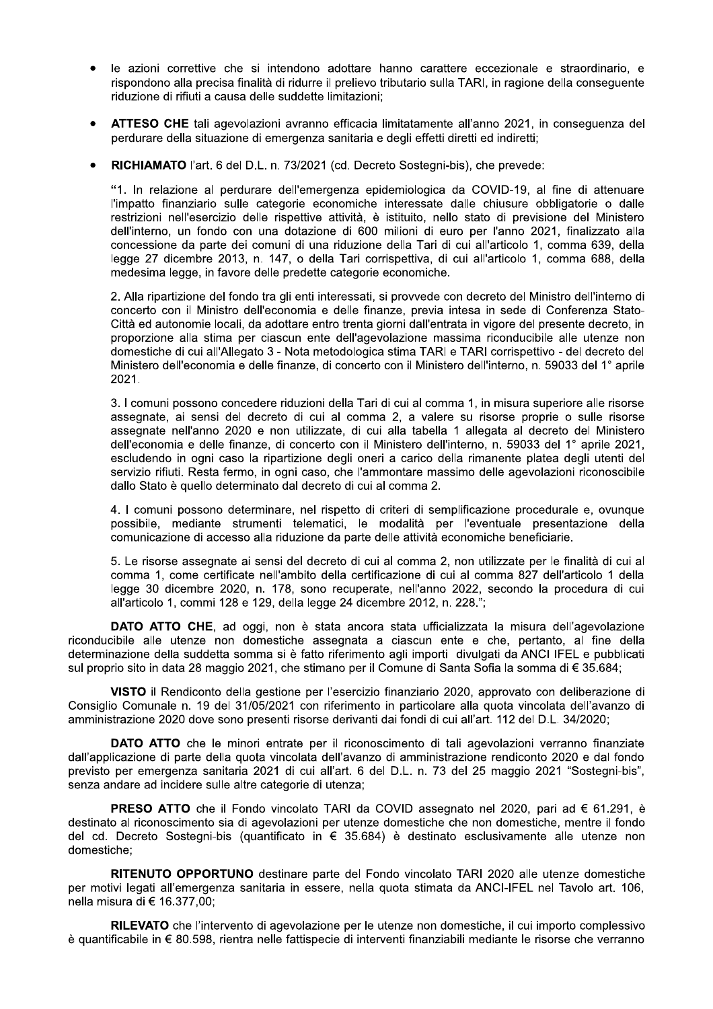- le azioni correttive che si intendono adottare hanno carattere eccezionale e straordinario, e rispondono alla precisa finalità di ridurre il prelievo tributario sulla TARI, in ragione della conseguente riduzione di rifiuti a causa delle suddette limitazioni;
- ATTESO CHE tali agevolazioni avranno efficacia limitatamente all'anno 2021, in conseguenza del perdurare della situazione di emergenza sanitaria e degli effetti diretti ed indiretti;
- RICHIAMATO l'art. 6 del D.L. n. 73/2021 (cd. Decreto Sostegni-bis), che prevede:

"1. In relazione al perdurare dell'emergenza epidemiologica da COVID-19, al fine di attenuare l'impatto finanziario sulle categorie economiche interessate dalle chiusure obbligatorie o dalle restrizioni nell'esercizio delle rispettive attività, è istituito, nello stato di previsione del Ministero dell'interno, un fondo con una dotazione di 600 milioni di euro per l'anno 2021, finalizzato alla concessione da parte dei comuni di una riduzione della Tari di cui all'articolo 1, comma 639, della legge 27 dicembre 2013, n. 147, o della Tari corrispettiva, di cui all'articolo 1, comma 688, della medesima legge, in favore delle predette categorie economiche.

2. Alla ripartizione del fondo tra gli enti interessati, si provvede con decreto del Ministro dell'interno di concerto con il Ministro dell'economia e delle finanze, previa intesa in sede di Conferenza Stato-Città ed autonomie locali, da adottare entro trenta giorni dall'entrata in vigore del presente decreto, in proporzione alla stima per ciascun ente dell'agevolazione massima riconducibile alle utenze non domestiche di cui all'Allegato 3 - Nota metodologica stima TARI e TARI corrispettivo - del decreto del Ministero dell'economia e delle finanze, di concerto con il Ministero dell'interno, n. 59033 del 1° aprile 2021.

3. I comuni possono concedere riduzioni della Tari di cui al comma 1, in misura superiore alle risorse assegnate, ai sensi del decreto di cui al comma 2, a valere su risorse proprie o sulle risorse assegnate nell'anno 2020 e non utilizzate, di cui alla tabella 1 allegata al decreto del Ministero dell'economia e delle finanze, di concerto con il Ministero dell'interno, n. 59033 del 1° aprile 2021, escludendo in ogni caso la ripartizione degli oneri a carico della rimanente platea degli utenti del servizio rifiuti. Resta fermo, in ogni caso, che l'ammontare massimo delle agevolazioni riconoscibile dallo Stato è quello determinato dal decreto di cui al comma 2.

4. I comuni possono determinare, nel rispetto di criteri di semplificazione procedurale e, ovunque possibile, mediante strumenti telematici, le modalità per l'eventuale presentazione della comunicazione di accesso alla riduzione da parte delle attività economiche beneficiarie.

5. Le risorse assegnate ai sensi del decreto di cui al comma 2, non utilizzate per le finalità di cui al comma 1, come certificate nell'ambito della certificazione di cui al comma 827 dell'articolo 1 della legge 30 dicembre 2020, n. 178, sono recuperate, nell'anno 2022, secondo la procedura di cui all'articolo 1, commi 128 e 129, della legge 24 dicembre 2012, n. 228.";

DATO ATTO CHE, ad oggi, non è stata ancora stata ufficializzata la misura dell'agevolazione riconducibile alle utenze non domestiche assegnata a ciascun ente e che, pertanto, al fine della determinazione della suddetta somma si è fatto riferimento agli importi divulgati da ANCI IFEL e pubblicati sul proprio sito in data 28 maggio 2021, che stimano per il Comune di Santa Sofia la somma di € 35.684;

VISTO il Rendiconto della gestione per l'esercizio finanziario 2020, approvato con deliberazione di Consiglio Comunale n. 19 del 31/05/2021 con riferimento in particolare alla guota vincolata dell'avanzo di amministrazione 2020 dove sono presenti risorse derivanti dai fondi di cui all'art. 112 del D.L. 34/2020;

**DATO ATTO** che le minori entrate per il riconoscimento di tali agevolazioni verranno finanziate dall'applicazione di parte della quota vincolata dell'avanzo di amministrazione rendiconto 2020 e dal fondo previsto per emergenza sanitaria 2021 di cui all'art. 6 del D.L. n. 73 del 25 maggio 2021 "Sostegni-bis". senza andare ad incidere sulle altre categorie di utenza;

PRESO ATTO che il Fondo vincolato TARI da COVID assegnato nel 2020, pari ad € 61.291, è destinato al riconoscimento sia di agevolazioni per utenze domestiche che non domestiche, mentre il fondo del cd. Decreto Sostegni-bis (quantificato in € 35.684) è destinato esclusivamente alle utenze non domestiche;

RITENUTO OPPORTUNO destinare parte del Fondo vincolato TARI 2020 alle utenze domestiche per motivi legati all'emergenza sanitaria in essere, nella guota stimata da ANCI-IFEL nel Tavolo art. 106. nella misura di € 16.377.00:

RILEVATO che l'intervento di agevolazione per le utenze non domestiche, il cui importo complessivo è quantificabile in € 80.598, rientra nelle fattispecie di interventi finanziabili mediante le risorse che verranno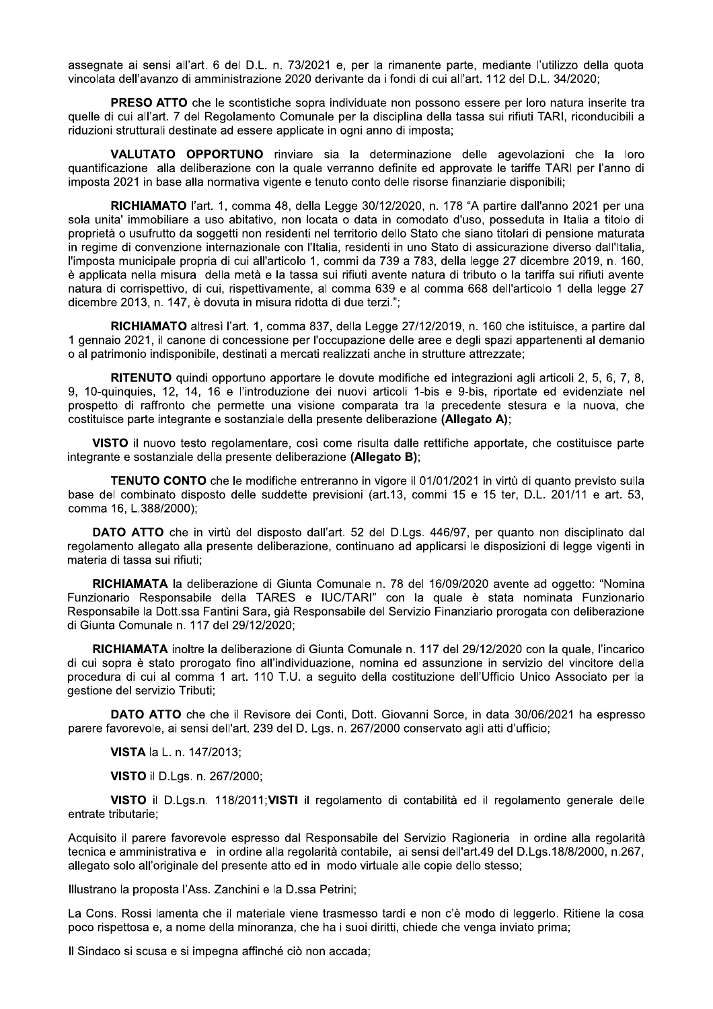assegnate ai sensi all'art. 6 del D.L. n. 73/2021 e, per la rimanente parte, mediante l'utilizzo della quota vincolata dell'avanzo di amministrazione 2020 derivante da i fondi di cui all'art. 112 del D.L. 34/2020;

PRESO ATTO che le scontistiche sopra individuate non possono essere per loro natura inserite tra quelle di cui all'art. 7 del Regolamento Comunale per la disciplina della tassa sui rifiuti TARI, riconducibili a riduzioni strutturali destinate ad essere applicate in ogni anno di imposta;

VALUTATO OPPORTUNO rinviare sia la determinazione delle agevolazioni che la loro quantificazione alla deliberazione con la quale verranno definite ed approvate le tariffe TARI per l'anno di imposta 2021 in base alla normativa vigente e tenuto conto delle risorse finanziarie disponibili;

RICHIAMATO l'art. 1, comma 48, della Legge 30/12/2020, n. 178 "A partire dall'anno 2021 per una sola unita' immobiliare a uso abitativo, non locata o data in comodato d'uso, posseduta in Italia a titolo di proprietà o usufrutto da soggetti non residenti nel territorio dello Stato che siano titolari di pensione maturata in regime di convenzione internazionale con l'Italia, residenti in uno Stato di assicurazione diverso dall'Italia, l'imposta municipale propria di cui all'articolo 1, commi da 739 a 783, della legge 27 dicembre 2019, n. 160, è applicata nella misura della metà e la tassa sui rifiuti avente natura di tributo o la tariffa sui rifiuti avente natura di corrispettivo, di cui, rispettivamente, al comma 639 e al comma 668 dell'articolo 1 della legge 27 dicembre 2013, n. 147, è dovuta in misura ridotta di due terzi.";

RICHIAMATO altresì l'art. 1. comma 837, della Legge 27/12/2019, n. 160 che istituisce, a partire dal 1 gennaio 2021, il canone di concessione per l'occupazione delle aree e degli spazi appartenenti al demanio o al patrimonio indisponibile, destinati a mercati realizzati anche in strutture attrezzate:

RITENUTO quindi opportuno apportare le dovute modifiche ed integrazioni agli articoli 2, 5, 6, 7, 8, 9, 10-quinquies, 12, 14, 16 e l'introduzione dei nuovi articoli 1-bis e 9-bis, riportate ed evidenziate nel prospetto di raffronto che permette una visione comparata tra la precedente stesura e la nuova, che costituisce parte integrante e sostanziale della presente deliberazione (Allegato A);

VISTO il nuovo testo regolamentare, così come risulta dalle rettifiche apportate, che costituisce parte integrante e sostanziale della presente deliberazione (Allegato B);

**TENUTO CONTO** che le modifiche entreranno in vigore il 01/01/2021 in virtù di quanto previsto sulla base del combinato disposto delle suddette previsioni (art.13, commi 15 e 15 ter, D.L. 201/11 e art. 53, comma 16, L.388/2000);

DATO ATTO che in virtù del disposto dall'art. 52 del D.Lgs. 446/97, per quanto non disciplinato dal regolamento allegato alla presente deliberazione, continuano ad applicarsi le disposizioni di legge vigenti in materia di tassa sui rifiuti;

RICHIAMATA la deliberazione di Giunta Comunale n. 78 del 16/09/2020 avente ad oggetto: "Nomina Funzionario Responsabile della TARES e IUC/TARI" con la quale è stata nominata Funzionario Responsabile la Dott.ssa Fantini Sara, già Responsabile del Servizio Finanziario prorogata con deliberazione di Giunta Comunale n. 117 del 29/12/2020;

RICHIAMATA inoltre la deliberazione di Giunta Comunale n. 117 del 29/12/2020 con la quale, l'incarico di cui sopra è stato prorogato fino all'individuazione, nomina ed assunzione in servizio del vincitore della procedura di cui al comma 1 art. 110 T.U. a seguito della costituzione dell'Ufficio Unico Associato per la gestione del servizio Tributi:

DATO ATTO che che il Revisore dei Conti, Dott. Giovanni Sorce, in data 30/06/2021 ha espresso parere favorevole, ai sensi dell'art. 239 del D. Lgs. n. 267/2000 conservato agli atti d'ufficio;

VISTA la L. n. 147/2013;

VISTO il D.Lgs. n. 267/2000;

VISTO il D.Lgs.n. 118/2011; VISTI il regolamento di contabilità ed il regolamento generale delle entrate tributarie:

Acquisito il parere favorevole espresso dal Responsabile del Servizio Ragioneria in ordine alla regolarità tecnica e amministrativa e in ordine alla regolarità contabile, ai sensi dell'art.49 del D.Lgs.18/8/2000, n.267, allegato solo all'originale del presente atto ed in modo virtuale alle copie dello stesso;

Illustrano la proposta l'Ass. Zanchini e la D.ssa Petrini;

La Cons. Rossi lamenta che il materiale viene trasmesso tardi e non c'è modo di leggerlo. Ritiene la cosa poco rispettosa e, a nome della minoranza, che ha i suoi diritti, chiede che venga inviato prima;

Il Sindaco si scusa e si impegna affinché ciò non accada;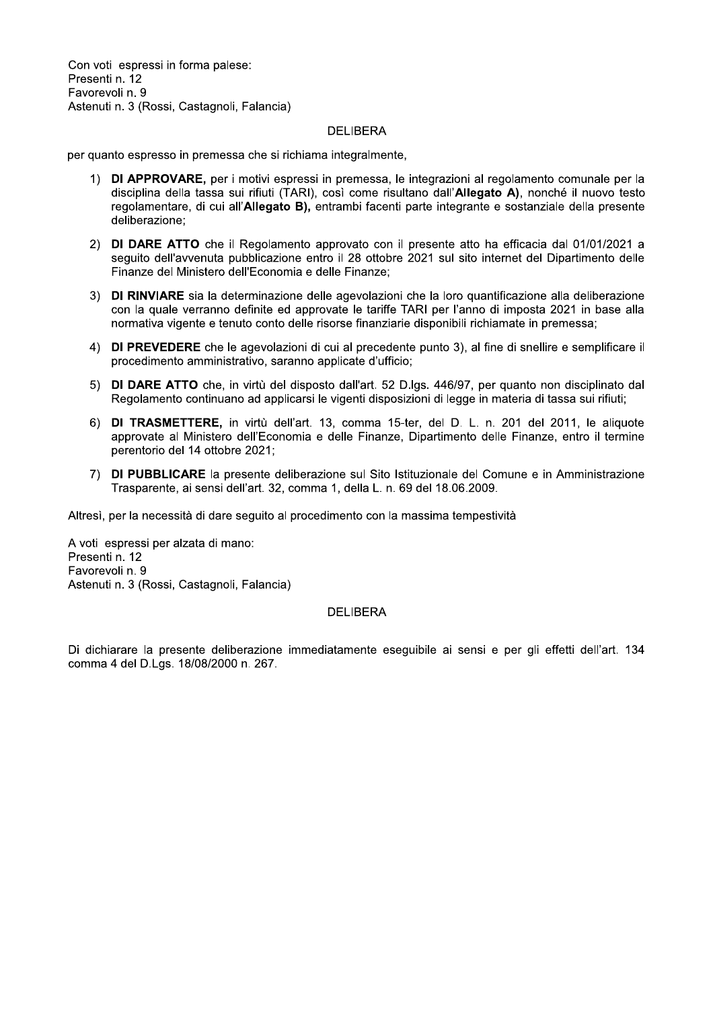Con voti espressi in forma palese: Presenti n. 12 Favorevoli n. 9 Astenuti n. 3 (Rossi, Castagnoli, Falancia)

#### DELIBERA

per quanto espresso in premessa che si richiama integralmente

- Con voti espressi in forma paiese:<br>
Presenti n. 12<br>
Favorevoli n. 9<br>
Astenuti n. 3 (Rossi, Castagnoli, Falancia)<br>
DELIBERA<br>
per quanto espresso in premessa che si richiama integralmente,<br>
1) **DI APPROVARE**, per i motivi es i motivi espressi in premessa, le integrazioni al regolamento comunale per la disciplina della tassa sui rifiuti (TARI), così come risultano dall'Allegato A), nonché il nuovo testo regolamentare, di cui all'Allegato B), entrambi facenti parte integrante e sostanziale della presente deliberazione per quanto espresso in premessa che si richi.<br>
1) **DI APPROVARE**, per i motivi espres<br>
disciplina della tassa sui rifiuti (TAR<br>
regolamentare, di cui all'Allegato B)<br>
deliberazione;<br>
2) **DI DARE ATTO** che il Regolament<br>
se France Contract Contract Contract Contract Contract Contract Contract Contract Contract Contract Contract Control Control Control Control Control Control Control Control Control Control Control Control Control Control Cont
	- to approvato con il presente atto ha efficacia dal 01/01/2021 a seguito dell'avvenuta pubblicazione entro il 28 ottobre 2021 sul sito internet del Dipartimento delle Finanze del Ministero dell'Economia e delle Finanze:
- minazione delle agevolazioni che la loro quantificazione alla deliberazione con la quale verranno definite ed approvate le tariffe TARI per l'anno di imposta 2021 in base alla normativa vigente e tenuto conto delle risorse finanziarie disponibili richiamate in pre 2) **DI DARE ATTO** che il Regolamento approvato con il presente atto ha efficacia dal 01/01/<br>
seguito dell'avvenuta pubblicazione entro il 28 ottobre 2021 sul sito internet del Dipartimen<br>
Finanze del Ministero dell'Economi Finanze del Ministero dell'Economia e delle Finanze;<br>
3) **DI RINVIARE** sia la determinazione delle agevolazioni chi<br>
con la quale verranno definite ed approvate le tariffe TAR<br>
normativa vigente e tenuto conto delle risors
	- i di cui al precedente punto 3), al fine di snellire e semplificare il procedimento amministrativo. saranno
	- virtù del disposto dall'art. 52 D. lgs. 446/97, per quanto non disciplinato dal Regolamento continuano ad applicarsi le vigenti disposizioni di legge in materia di tassa sui rifi
- con la quale verranno derinte ed approvate le tarifie IARN per l'anno di imposta 2021 in base al<br>
1) DI PREVEDERE che le agevolazioni di cui al precedente punto 3), al fine di snellire e semplificare<br>
1) DI PREVEDERE che l virtù dell'art. 13. comma 15-ter. del D. L. n. 201 del 2011. le aliguote approvate al Ministero dell'Economia e delle Finanze. Dipartimento delle Finanze, entro il termine perentorio del 14 ottobre
	- esente deliberazione sul Sito Istituzionale del Comune e in Amministrazione Trasparente, ai sensi dell'art. 32. comma 1. della L. n. 69 del 18.06.2009.

Altresì, per la necessità di dare seguito al procedimento con la massima tempestività

procedimento amministrativo, sara<br>
5) **DI DARE ATTO** che, in virtù del<br>
Regolamento continuano ad appli<br>
6) **DI TRASMETTERE**, in virtù del<br>
approvate al Ministero dell'Econo<br>
perentorio del 14 ottobre 2021;<br>
7) **DI PUBBLIC** A voti espressi per alzata di mano: Presenti n. 12 Favorevoli n. 9 Astenuti n. 3 (Rossi, Castagnoli, Falancia)

#### DELIBERA

Di dichiarare la presente deliberazione immediatamente eseguibile ai sensi e per gli effetti dell'art. 134 comma 4 del D.Lgs. 18/08/2000 n. 267.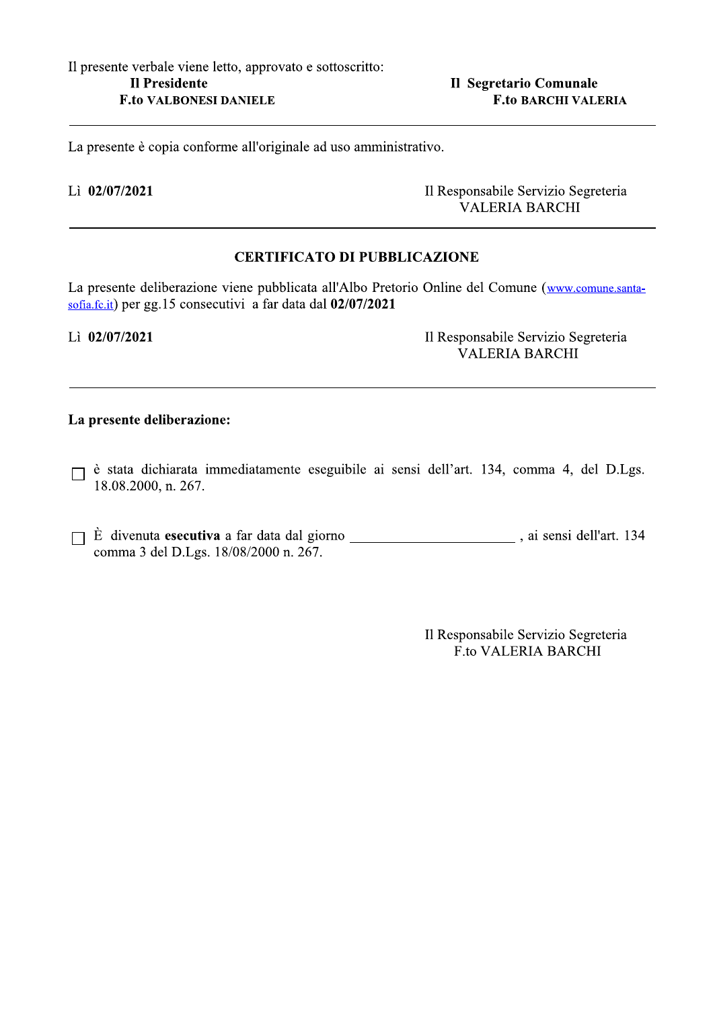Il Segretario Comunale

La presente è copia conforme all'originale ad uso amministrativo.

#### $\rm L$ i 02/07/2021 Il R

Responsabile Servizio Segreteria VALERIA B

La presente è copia conforme all'originale ad uso amministrativo.<br>
Li 02/07/2021<br>
DBBLICAZIONE<br>
CERTIFICATO DI PUBBLICAZIONE<br>
La presente deliberazione viene pubblicata all'Albo Pretorio Online del Comune (www.cor<br>
sofia.f presente deliberazione viene pubblicata all'Albo Pretorio Online del Comune (www.comune.santasofia.fc.it) per gg.15 consecutivi a far data dal  $02/07/2021$ La presente deliberazione viene pubblicata all'Albo Pretorio Online del Comune (www.comentità) per gg. 15 consecutivi a far data dal **02/07/2021**<br>
Il Responsabile Servizio Seguente deliberazione:<br> **D** è stata dichiarata i

 $\rm L$ i 02/07/2021 Il R

Responsabile Servizio Segreteria VALERIA B

- stata dichiarata immediatamente eseguibile ai sensi dell'art. 134, comma 4, del D.Lgs.  $18.08.2000$ , n. 267.
- $\dot{E}$  divenuta esecutiva a far data dal giorno  $\dot{E}$  ai sensi dell'art. 134 comma 3 del D.Lgs.  $18/08/2000$  n.  $267$ .

Il Responsabile Servizio Segreteria F.to VALERIA BARCHI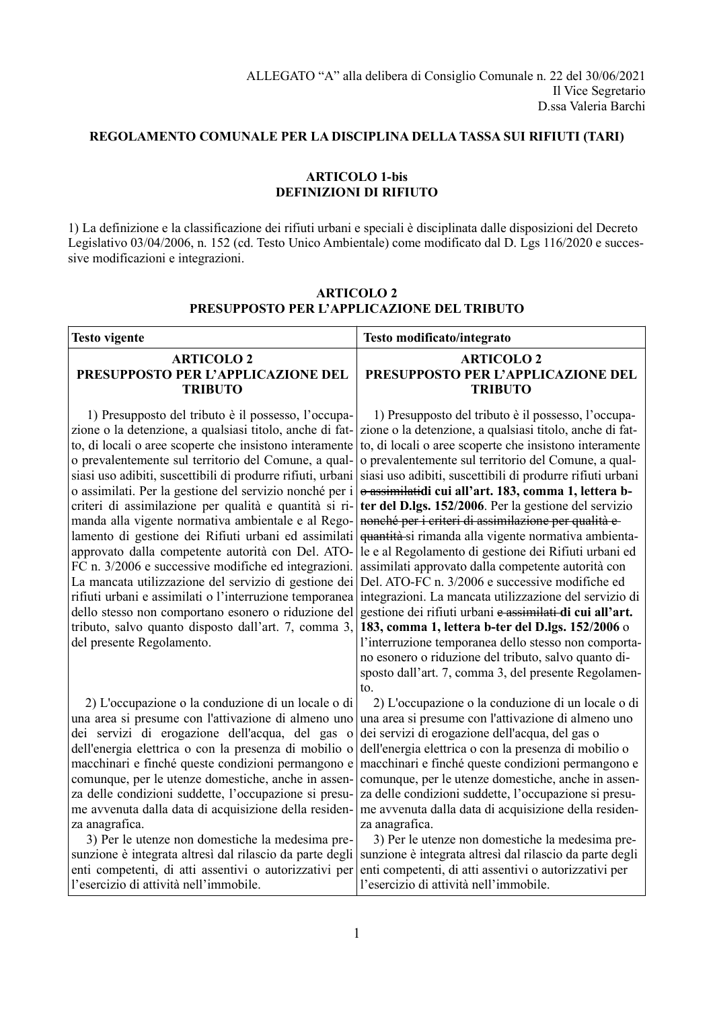#### **REGOLAMENTO COMUNALE PER LA DISCIPLINA DELLA TASSA SUI RIFIUTI (TARI)**

#### **ARTICOLO 1-bis DEFINIZIONI DI RIFIUTO**

1) La definizione e la classificazione dei rifiuti urbani e speciali è disciplinata dalle disposizioni del Decreto Legislativo 03/04/2006, n. 152 (cd. Testo Unico Ambientale) come modificato dal D. Lgs 116/2020 e successive modificazioni e integrazioni.

| <b>Testo vigente</b>                                                                                                                                                                                                                                                                                                                                                                                                                                                                                                                                                                                                                                                                                                                                                                                                                                                                                              | Testo modificato/integrato                                                                                                                                                                                                                                                                                                                                                                                                                                                                                                                                                                                                                                                                                                                                                                                                                                                                                                                                                                                                                                   |
|-------------------------------------------------------------------------------------------------------------------------------------------------------------------------------------------------------------------------------------------------------------------------------------------------------------------------------------------------------------------------------------------------------------------------------------------------------------------------------------------------------------------------------------------------------------------------------------------------------------------------------------------------------------------------------------------------------------------------------------------------------------------------------------------------------------------------------------------------------------------------------------------------------------------|--------------------------------------------------------------------------------------------------------------------------------------------------------------------------------------------------------------------------------------------------------------------------------------------------------------------------------------------------------------------------------------------------------------------------------------------------------------------------------------------------------------------------------------------------------------------------------------------------------------------------------------------------------------------------------------------------------------------------------------------------------------------------------------------------------------------------------------------------------------------------------------------------------------------------------------------------------------------------------------------------------------------------------------------------------------|
| <b>ARTICOLO 2</b><br>PRESUPPOSTO PER L'APPLICAZIONE DEL<br><b>TRIBUTO</b>                                                                                                                                                                                                                                                                                                                                                                                                                                                                                                                                                                                                                                                                                                                                                                                                                                         | <b>ARTICOLO 2</b><br>PRESUPPOSTO PER L'APPLICAZIONE DEL<br><b>TRIBUTO</b>                                                                                                                                                                                                                                                                                                                                                                                                                                                                                                                                                                                                                                                                                                                                                                                                                                                                                                                                                                                    |
| 1) Presupposto del tributo è il possesso, l'occupa-<br>zione o la detenzione, a qualsiasi titolo, anche di fat-<br>to, di locali o aree scoperte che insistono interamente<br>o prevalentemente sul territorio del Comune, a qual-<br>siasi uso adibiti, suscettibili di produrre rifiuti, urbani<br>o assimilati. Per la gestione del servizio nonché per i<br>criteri di assimilazione per qualità e quantità si ri-<br>manda alla vigente normativa ambientale e al Rego-<br>lamento di gestione dei Rifiuti urbani ed assimilati<br>approvato dalla competente autorità con Del. ATO-<br>FC n. 3/2006 e successive modifiche ed integrazioni.<br>La mancata utilizzazione del servizio di gestione dei<br>rifiuti urbani e assimilati o l'interruzione temporanea<br>dello stesso non comportano esonero o riduzione del<br>tributo, salvo quanto disposto dall'art. 7, comma 3,<br>del presente Regolamento. | 1) Presupposto del tributo è il possesso, l'occupa-<br>zione o la detenzione, a qualsiasi titolo, anche di fat-<br>to, di locali o aree scoperte che insistono interamente<br>o prevalentemente sul territorio del Comune, a qual-<br>siasi uso adibiti, suscettibili di produrre rifiuti urbani<br>o assimilatidi cui all'art. 183, comma 1, lettera b-<br>ter del D.lgs. 152/2006. Per la gestione del servizio<br>nonché per i criteri di assimilazione per qualità e<br>quantità si rimanda alla vigente normativa ambienta-<br>le e al Regolamento di gestione dei Rifiuti urbani ed<br>assimilati approvato dalla competente autorità con<br>Del. ATO-FC n. 3/2006 e successive modifiche ed<br>integrazioni. La mancata utilizzazione del servizio di<br>gestione dei rifiuti urbani e assimilati di cui all'art.<br>183, comma 1, lettera b-ter del D.lgs. 152/2006 o<br>l'interruzione temporanea dello stesso non comporta-<br>no esonero o riduzione del tributo, salvo quanto di-<br>sposto dall'art. 7, comma 3, del presente Regolamen-<br>to. |
| 2) L'occupazione o la conduzione di un locale o di<br>una area si presume con l'attivazione di almeno uno<br>dei servizi di erogazione dell'acqua, del gas<br>$\mathbf{o}$<br>dell'energia elettrica o con la presenza di mobilio o<br>macchinari e finché queste condizioni permangono e<br>comunque, per le utenze domestiche, anche in assen-<br>za delle condizioni suddette, l'occupazione si presu-<br>me avvenuta dalla data di acquisizione della residen-<br>za anagrafica.                                                                                                                                                                                                                                                                                                                                                                                                                              | 2) L'occupazione o la conduzione di un locale o di<br>una area si presume con l'attivazione di almeno uno<br>dei servizi di erogazione dell'acqua, del gas o<br>dell'energia elettrica o con la presenza di mobilio o<br>macchinari e finché queste condizioni permangono e<br>comunque, per le utenze domestiche, anche in assen-<br>za delle condizioni suddette, l'occupazione si presu-<br>me avvenuta dalla data di acquisizione della residen-<br>za anagrafica.                                                                                                                                                                                                                                                                                                                                                                                                                                                                                                                                                                                       |
| 3) Per le utenze non domestiche la medesima pre-<br>sunzione è integrata altresì dal rilascio da parte degli<br>enti competenti, di atti assentivi o autorizzativi per<br>l'esercizio di attività nell'immobile.                                                                                                                                                                                                                                                                                                                                                                                                                                                                                                                                                                                                                                                                                                  | 3) Per le utenze non domestiche la medesima pre-<br>sunzione è integrata altresì dal rilascio da parte degli<br>enti competenti, di atti assentivi o autorizzativi per<br>l'esercizio di attività nell'immobile.                                                                                                                                                                                                                                                                                                                                                                                                                                                                                                                                                                                                                                                                                                                                                                                                                                             |

#### **ARTICOLO 2 PRESUPPOSTO PER L'APPLICAZIONE DEL TRIBUTO**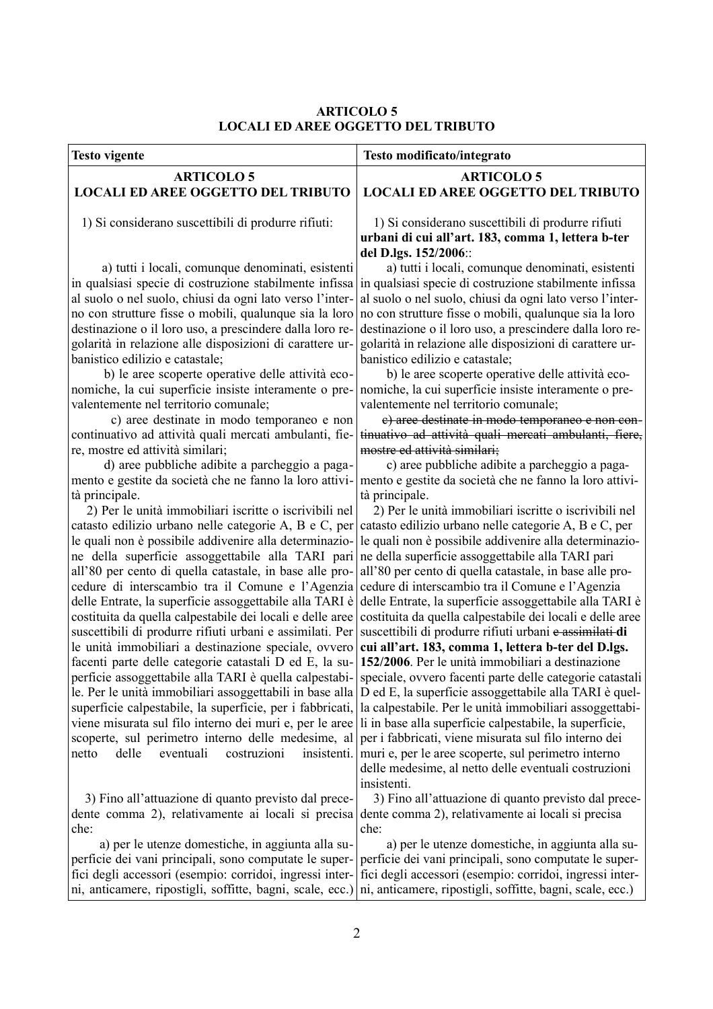#### **ARTICOLO 5 LOCALI ED AREE OGGETTO DEL TRIBUTO**

| <b>Testo vigente</b>                                                                                                                                                                                                                                                                                                                                                                                                                                                                                                                                                                                                                                                                                                                                                                                                                                                                                                                                                                                                                                                                                                                                                                                                                                                                                                                                                                                                                                                                                                                                                                                    | Testo modificato/integrato                                                                                                                                                                                                                                                                                                                                                                                                                                                                                                                                                                                                                                                                                                                                                                                                                                                                                                                                                                                                                                                                                                                                                                                                                                                                                                                                                                                                                                                                                                                                                                                                                                                                                                                                                                                                                                                                                                                                      |
|---------------------------------------------------------------------------------------------------------------------------------------------------------------------------------------------------------------------------------------------------------------------------------------------------------------------------------------------------------------------------------------------------------------------------------------------------------------------------------------------------------------------------------------------------------------------------------------------------------------------------------------------------------------------------------------------------------------------------------------------------------------------------------------------------------------------------------------------------------------------------------------------------------------------------------------------------------------------------------------------------------------------------------------------------------------------------------------------------------------------------------------------------------------------------------------------------------------------------------------------------------------------------------------------------------------------------------------------------------------------------------------------------------------------------------------------------------------------------------------------------------------------------------------------------------------------------------------------------------|-----------------------------------------------------------------------------------------------------------------------------------------------------------------------------------------------------------------------------------------------------------------------------------------------------------------------------------------------------------------------------------------------------------------------------------------------------------------------------------------------------------------------------------------------------------------------------------------------------------------------------------------------------------------------------------------------------------------------------------------------------------------------------------------------------------------------------------------------------------------------------------------------------------------------------------------------------------------------------------------------------------------------------------------------------------------------------------------------------------------------------------------------------------------------------------------------------------------------------------------------------------------------------------------------------------------------------------------------------------------------------------------------------------------------------------------------------------------------------------------------------------------------------------------------------------------------------------------------------------------------------------------------------------------------------------------------------------------------------------------------------------------------------------------------------------------------------------------------------------------------------------------------------------------------------------------------------------------|
| <b>ARTICOLO 5</b>                                                                                                                                                                                                                                                                                                                                                                                                                                                                                                                                                                                                                                                                                                                                                                                                                                                                                                                                                                                                                                                                                                                                                                                                                                                                                                                                                                                                                                                                                                                                                                                       | <b>ARTICOLO 5</b>                                                                                                                                                                                                                                                                                                                                                                                                                                                                                                                                                                                                                                                                                                                                                                                                                                                                                                                                                                                                                                                                                                                                                                                                                                                                                                                                                                                                                                                                                                                                                                                                                                                                                                                                                                                                                                                                                                                                               |
| <b>LOCALI ED AREE OGGETTO DEL TRIBUTO</b>                                                                                                                                                                                                                                                                                                                                                                                                                                                                                                                                                                                                                                                                                                                                                                                                                                                                                                                                                                                                                                                                                                                                                                                                                                                                                                                                                                                                                                                                                                                                                               | <b>LOCALI ED AREE OGGETTO DEL TRIBUTO</b>                                                                                                                                                                                                                                                                                                                                                                                                                                                                                                                                                                                                                                                                                                                                                                                                                                                                                                                                                                                                                                                                                                                                                                                                                                                                                                                                                                                                                                                                                                                                                                                                                                                                                                                                                                                                                                                                                                                       |
| 1) Si considerano suscettibili di produrre rifiuti:                                                                                                                                                                                                                                                                                                                                                                                                                                                                                                                                                                                                                                                                                                                                                                                                                                                                                                                                                                                                                                                                                                                                                                                                                                                                                                                                                                                                                                                                                                                                                     | 1) Si considerano suscettibili di produrre rifiuti<br>urbani di cui all'art. 183, comma 1, lettera b-ter<br>del D.lgs. 152/2006::                                                                                                                                                                                                                                                                                                                                                                                                                                                                                                                                                                                                                                                                                                                                                                                                                                                                                                                                                                                                                                                                                                                                                                                                                                                                                                                                                                                                                                                                                                                                                                                                                                                                                                                                                                                                                               |
| a) tutti i locali, comunque denominati, esistenti<br>in qualsiasi specie di costruzione stabilmente infissa<br>al suolo o nel suolo, chiusi da ogni lato verso l'inter-<br>no con strutture fisse o mobili, qualunque sia la loro<br>destinazione o il loro uso, a prescindere dalla loro re-<br>golarità in relazione alle disposizioni di carattere ur-<br>banistico edilizio e catastale;<br>b) le aree scoperte operative delle attività eco-<br>nomiche, la cui superficie insiste interamente o pre-<br>valentemente nel territorio comunale;<br>c) aree destinate in modo temporaneo e non<br>continuativo ad attività quali mercati ambulanti, fie-<br>re, mostre ed attività similari;<br>d) aree pubbliche adibite a parcheggio a paga-<br>mento e gestite da società che ne fanno la loro attivi-<br>tà principale.<br>2) Per le unità immobiliari iscritte o iscrivibili nel<br>catasto edilizio urbano nelle categorie A, B e C, per<br>le quali non è possibile addivenire alla determinazio-<br>ne della superficie assoggettabile alla TARI pari<br>all'80 per cento di quella catastale, in base alle pro-<br>cedure di interscambio tra il Comune e l'Agenzia<br>delle Entrate, la superficie assoggettabile alla TARI è<br>costituita da quella calpestabile dei locali e delle aree<br>suscettibili di produrre rifiuti urbani e assimilati. Per<br>le unità immobiliari a destinazione speciale, ovvero<br>facenti parte delle categorie catastali D ed E, la su-<br>viene misurata sul filo interno dei muri e, per le aree<br>scoperte, sul perimetro interno delle medesime, al | a) tutti i locali, comunque denominati, esistenti<br>in qualsiasi specie di costruzione stabilmente infissa<br>al suolo o nel suolo, chiusi da ogni lato verso l'inter-<br>no con strutture fisse o mobili, qualunque sia la loro<br>destinazione o il loro uso, a prescindere dalla loro re-<br>golarità in relazione alle disposizioni di carattere ur-<br>banistico edilizio e catastale;<br>b) le aree scoperte operative delle attività eco-<br>nomiche, la cui superficie insiste interamente o pre-<br>valentemente nel territorio comunale;<br>e) aree destinate in modo temporaneo e non con-<br>tinuativo ad attività quali mereati ambulanti, fiere,<br>mostre ed attività similari;<br>c) aree pubbliche adibite a parcheggio a paga-<br>mento e gestite da società che ne fanno la loro attivi-<br>tà principale.<br>2) Per le unità immobiliari iscritte o iscrivibili nel<br>catasto edilizio urbano nelle categorie A, B e C, per<br>le quali non è possibile addivenire alla determinazio-<br>ne della superficie assoggettabile alla TARI pari<br>all'80 per cento di quella catastale, in base alle pro-<br>cedure di interscambio tra il Comune e l'Agenzia<br>delle Entrate, la superficie assoggettabile alla TARI è<br>costituita da quella calpestabile dei locali e delle aree<br>suscettibili di produrre rifiuti urbani e assimilati di<br>cui all'art. 183, comma 1, lettera b-ter del D.lgs.<br>152/2006. Per le unità immobiliari a destinazione<br>perficie assoggettabile alla TARI è quella calpestabi- speciale, ovvero facenti parte delle categorie catastali<br>le. Per le unità immobiliari assoggettabili in base alla $D$ ed E, la superficie assoggettabile alla TARI è quel-<br>superficie calpestabile, la superficie, per i fabbricati, la calpestabile. Per le unità immobiliari assoggettabi-<br>li in base alla superficie calpestabile, la superficie,<br>per i fabbricati, viene misurata sul filo interno dei |
| eventuali<br>delle<br>costruzioni<br>insistenti.<br>netto                                                                                                                                                                                                                                                                                                                                                                                                                                                                                                                                                                                                                                                                                                                                                                                                                                                                                                                                                                                                                                                                                                                                                                                                                                                                                                                                                                                                                                                                                                                                               | muri e, per le aree scoperte, sul perimetro interno<br>delle medesime, al netto delle eventuali costruzioni<br>insistenti.                                                                                                                                                                                                                                                                                                                                                                                                                                                                                                                                                                                                                                                                                                                                                                                                                                                                                                                                                                                                                                                                                                                                                                                                                                                                                                                                                                                                                                                                                                                                                                                                                                                                                                                                                                                                                                      |
| 3) Fino all'attuazione di quanto previsto dal prece-<br>dente comma 2), relativamente ai locali si precisa dente comma 2), relativamente ai locali si precisa<br>che:                                                                                                                                                                                                                                                                                                                                                                                                                                                                                                                                                                                                                                                                                                                                                                                                                                                                                                                                                                                                                                                                                                                                                                                                                                                                                                                                                                                                                                   | 3) Fino all'attuazione di quanto previsto dal prece-<br>che:                                                                                                                                                                                                                                                                                                                                                                                                                                                                                                                                                                                                                                                                                                                                                                                                                                                                                                                                                                                                                                                                                                                                                                                                                                                                                                                                                                                                                                                                                                                                                                                                                                                                                                                                                                                                                                                                                                    |
| a) per le utenze domestiche, in aggiunta alla su-<br>perficie dei vani principali, sono computate le super-<br>fici degli accessori (esempio: corridoi, ingressi inter-<br>ni, anticamere, ripostigli, soffitte, bagni, scale, ecc.)                                                                                                                                                                                                                                                                                                                                                                                                                                                                                                                                                                                                                                                                                                                                                                                                                                                                                                                                                                                                                                                                                                                                                                                                                                                                                                                                                                    | a) per le utenze domestiche, in aggiunta alla su-<br>perficie dei vani principali, sono computate le super-<br>fici degli accessori (esempio: corridoi, ingressi inter-<br>ni, anticamere, ripostigli, soffitte, bagni, scale, ecc.)                                                                                                                                                                                                                                                                                                                                                                                                                                                                                                                                                                                                                                                                                                                                                                                                                                                                                                                                                                                                                                                                                                                                                                                                                                                                                                                                                                                                                                                                                                                                                                                                                                                                                                                            |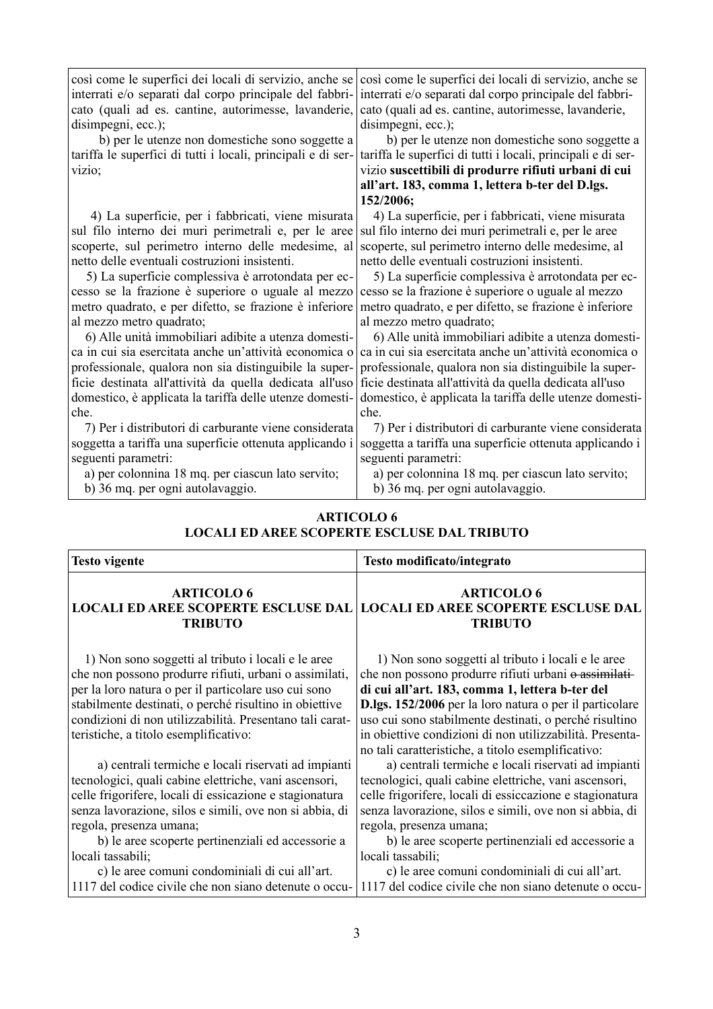così come le superfici dei locali di servizio, anche se interrati e/o separati dal corpo principale del fabbricato (quali ad es. cantine, autorimesse, lavanderie, disimpegni, ecc.);

 b) per le utenze non domestiche sono soggette a tariffa le superfici di tutti i locali, principali e di servizio;

 4) La superficie, per i fabbricati, viene misurata sul filo interno dei muri perimetrali e, per le aree scoperte, sul perimetro interno delle medesime, al netto delle eventuali costruzioni insistenti.

 5) La superficie complessiva è arrotondata per eccesso se la frazione è superiore o uguale al mezzo metro quadrato, e per difetto, se frazione è inferiore al mezzo metro quadrato;

 6) Alle unità immobiliari adibite a utenza domestica in cui sia esercitata anche un'attività economica o professionale, qualora non sia distinguibile la superficie destinata all'attività da quella dedicata all'uso domestico, è applicata la tariffa delle utenze domestiche.

 7) Per i distributori di carburante viene considerata soggetta a tariffa una superficie ottenuta applicando i seguenti parametri:

a) per colonnina 18 mq. per ciascun lato servito;

b) 36 mq. per ogni autolavaggio.

così come le superfici dei locali di servizio, anche se interrati e/o separati dal corpo principale del fabbricato (quali ad es. cantine, autorimesse, lavanderie, disimpegni, ecc.);

 b) per le utenze non domestiche sono soggette a tariffa le superfici di tutti i locali, principali e di servizio **suscettibili di produrre rifiuti urbani di cui all'art. 183, comma 1, lettera b-ter del D.lgs. 152/2006;**

 4) La superficie, per i fabbricati, viene misurata sul filo interno dei muri perimetrali e, per le aree scoperte, sul perimetro interno delle medesime, al netto delle eventuali costruzioni insistenti.

 5) La superficie complessiva è arrotondata per eccesso se la frazione è superiore o uguale al mezzo metro quadrato, e per difetto, se frazione è inferiore al mezzo metro quadrato;

 6) Alle unità immobiliari adibite a utenza domestica in cui sia esercitata anche un'attività economica o professionale, qualora non sia distinguibile la superficie destinata all'attività da quella dedicata all'uso domestico, è applicata la tariffa delle utenze domestiche.

 7) Per i distributori di carburante viene considerata soggetta a tariffa una superficie ottenuta applicando i seguenti parametri:

 a) per colonnina 18 mq. per ciascun lato servito; b) 36 mq. per ogni autolavaggio.

#### **ARTICOLO 6 LOCALI ED AREE SCOPERTE ESCLUSE DAL TRIBUTO**

| <b>Testo vigente</b>                                                                              | Testo modificato/integrato                                                                                                                                               |  |
|---------------------------------------------------------------------------------------------------|--------------------------------------------------------------------------------------------------------------------------------------------------------------------------|--|
| <b>ARTICOLO 6</b><br><b>TRIBUTO</b>                                                               | <b>ARTICOLO 6</b><br><b>LOCALI ED AREE SCOPERTE ESCLUSE DAL   LOCALI ED AREE SCOPERTE ESCLUSE DAL</b><br><b>TRIBUTO</b>                                                  |  |
| 1) Non sono soggetti al tributo i locali e le aree                                                | 1) Non sono soggetti al tributo i locali e le aree                                                                                                                       |  |
| che non possono produrre rifiuti, urbani o assimilati,                                            | che non possono produrre rifiuti urbani o assimilati-                                                                                                                    |  |
| per la loro natura o per il particolare uso cui sono                                              | di cui all'art. 183, comma 1, lettera b-ter del                                                                                                                          |  |
| stabilmente destinati, o perché risultino in obiettive                                            | D.lgs. 152/2006 per la loro natura o per il particolare                                                                                                                  |  |
| condizioni di non utilizzabilità. Presentano tali carat-<br>teristiche, a titolo esemplificativo: | uso cui sono stabilmente destinati, o perché risultino<br>in obiettive condizioni di non utilizzabilità. Presenta-<br>no tali caratteristiche, a titolo esemplificativo: |  |
| a) centrali termiche e locali riservati ad impianti                                               | a) centrali termiche e locali riservati ad impianti                                                                                                                      |  |
| tecnologici, quali cabine elettriche, vani ascensori,                                             | tecnologici, quali cabine elettriche, vani ascensori,                                                                                                                    |  |
| celle frigorifere, locali di essicazione e stagionatura                                           | celle frigorifere, locali di essiccazione e stagionatura                                                                                                                 |  |
| senza lavorazione, silos e simili, ove non si abbia, di                                           | senza lavorazione, silos e simili, ove non si abbia, di                                                                                                                  |  |
| regola, presenza umana;                                                                           | regola, presenza umana;                                                                                                                                                  |  |
| b) le aree scoperte pertinenziali ed accessorie a                                                 | b) le aree scoperte pertinenziali ed accessorie a                                                                                                                        |  |
| locali tassabili;                                                                                 | locali tassabili;                                                                                                                                                        |  |
| c) le aree comuni condominiali di cui all'art.                                                    | c) le aree comuni condominiali di cui all'art.                                                                                                                           |  |
| 1117 del codice civile che non siano detenute o occu-                                             | 1117 del codice civile che non siano detenute o occu-                                                                                                                    |  |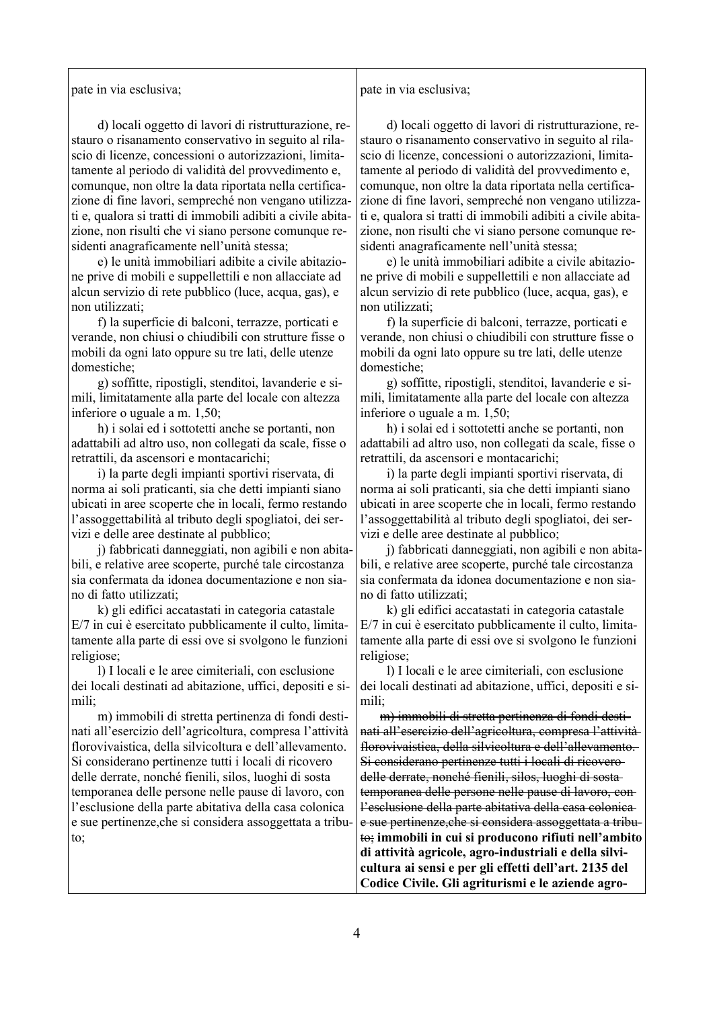pate in via esclusiva;

pate in via esclusiva;

 d) locali oggetto di lavori di ristrutturazione, restauro o risanamento conservativo in seguito al rilascio di licenze, concessioni o autorizzazioni, limitatamente al periodo di validità del provvedimento e, comunque, non oltre la data riportata nella certificazione di fine lavori, sempreché non vengano utilizzati e, qualora si tratti di immobili adibiti a civile abitazione, non risulti che vi siano persone comunque residenti anagraficamente nell'unità stessa;

 e) le unità immobiliari adibite a civile abitazione prive di mobili e suppellettili e non allacciate ad alcun servizio di rete pubblico (luce, acqua, gas), e non utilizzati;

 f) la superficie di balconi, terrazze, porticati e verande, non chiusi o chiudibili con strutture fisse o mobili da ogni lato oppure su tre lati, delle utenze domestiche;

 g) soffitte, ripostigli, stenditoi, lavanderie e simili, limitatamente alla parte del locale con altezza inferiore o uguale a m. 1,50;

 h) i solai ed i sottotetti anche se portanti, non adattabili ad altro uso, non collegati da scale, fisse o retrattili, da ascensori e montacarichi;

 i) la parte degli impianti sportivi riservata, di norma ai soli praticanti, sia che detti impianti siano ubicati in aree scoperte che in locali, fermo restando l'assoggettabilità al tributo degli spogliatoi, dei servizi e delle aree destinate al pubblico;

 j) fabbricati danneggiati, non agibili e non abitabili, e relative aree scoperte, purché tale circostanza sia confermata da idonea documentazione e non siano di fatto utilizzati;

 k) gli edifici accatastati in categoria catastale E/7 in cui è esercitato pubblicamente il culto, limitatamente alla parte di essi ove si svolgono le funzioni religiose;

 l) I locali e le aree cimiteriali, con esclusione dei locali destinati ad abitazione, uffici, depositi e simili;

 m) immobili di stretta pertinenza di fondi destinati all'esercizio dell'agricoltura, compresa l'attività florovivaistica, della silvicoltura e dell'allevamento. Si considerano pertinenze tutti i locali di ricovero delle derrate, nonché fienili, silos, luoghi di sosta temporanea delle persone nelle pause di lavoro, con l'esclusione della parte abitativa della casa colonica e sue pertinenze,che si considera assoggettata a tributo;

 d) locali oggetto di lavori di ristrutturazione, restauro o risanamento conservativo in seguito al rilascio di licenze, concessioni o autorizzazioni, limitatamente al periodo di validità del provvedimento e, comunque, non oltre la data riportata nella certificazione di fine lavori, sempreché non vengano utilizzati e, qualora si tratti di immobili adibiti a civile abitazione, non risulti che vi siano persone comunque residenti anagraficamente nell'unità stessa;

 e) le unità immobiliari adibite a civile abitazione prive di mobili e suppellettili e non allacciate ad alcun servizio di rete pubblico (luce, acqua, gas), e non utilizzati;

 f) la superficie di balconi, terrazze, porticati e verande, non chiusi o chiudibili con strutture fisse o mobili da ogni lato oppure su tre lati, delle utenze domestiche;

 g) soffitte, ripostigli, stenditoi, lavanderie e simili, limitatamente alla parte del locale con altezza inferiore o uguale a m. 1,50;

 h) i solai ed i sottotetti anche se portanti, non adattabili ad altro uso, non collegati da scale, fisse o retrattili, da ascensori e montacarichi;

 i) la parte degli impianti sportivi riservata, di norma ai soli praticanti, sia che detti impianti siano ubicati in aree scoperte che in locali, fermo restando l'assoggettabilità al tributo degli spogliatoi, dei servizi e delle aree destinate al pubblico;

 j) fabbricati danneggiati, non agibili e non abitabili, e relative aree scoperte, purché tale circostanza sia confermata da idonea documentazione e non siano di fatto utilizzati;

 k) gli edifici accatastati in categoria catastale E/7 in cui è esercitato pubblicamente il culto, limitatamente alla parte di essi ove si svolgono le funzioni religiose;

 l) I locali e le aree cimiteriali, con esclusione dei locali destinati ad abitazione, uffici, depositi e simili;

 m) immobili di stretta pertinenza di fondi destinati all'esercizio dell'agricoltura, compresa l'attività florovivaistica, della silvicoltura e dell'allevamento. Si considerano pertinenze tutti i locali di ricovero delle derrate, nonché fienili, silos, luoghi di sosta temporanea delle persone nelle pause di lavoro, con l'esclusione della parte abitativa della casa colonica e sue pertinenze,che si considera assoggettata a tributo; **immobili in cui si producono rifiuti nell'ambito di attività agricole, agro-industriali e della silvicultura ai sensi e per gli effetti dell'art. 2135 del Codice Civile. Gli agriturismi e le aziende agro-**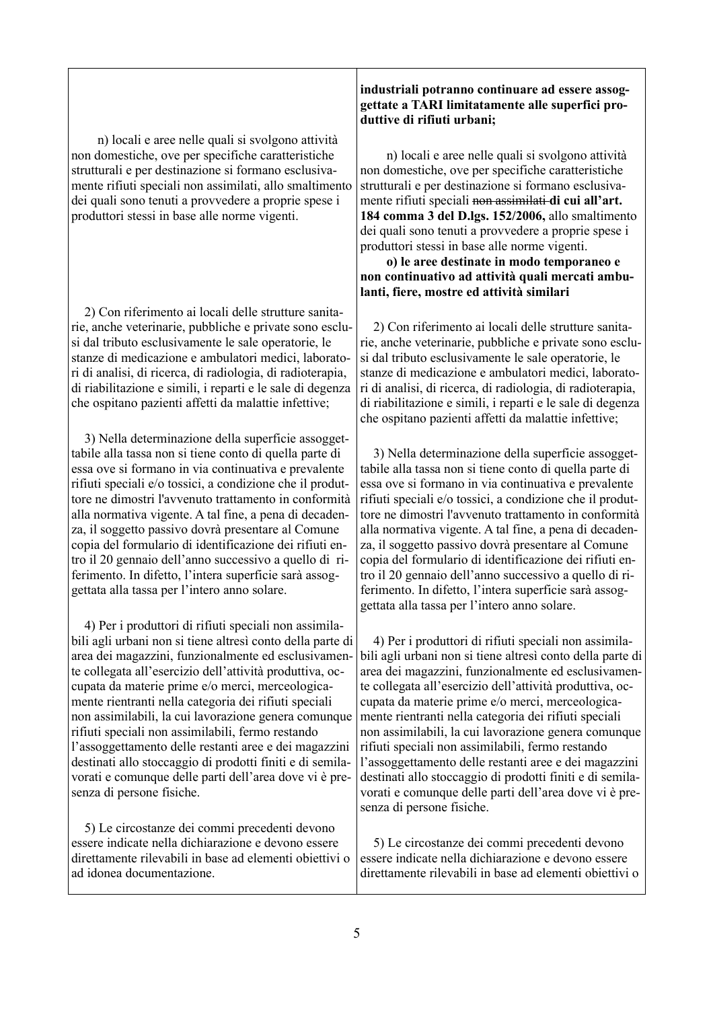n) locali e aree nelle quali si svolgono attività non domestiche, ove per specifiche caratteristiche strutturali e per destinazione si formano esclusivamente rifiuti speciali non assimilati, allo smaltimento dei quali sono tenuti a provvedere a proprie spese i produttori stessi in base alle norme vigenti.

 2) Con riferimento ai locali delle strutture sanitarie, anche veterinarie, pubbliche e private sono esclusi dal tributo esclusivamente le sale operatorie, le stanze di medicazione e ambulatori medici, laboratori di analisi, di ricerca, di radiologia, di radioterapia, di riabilitazione e simili, i reparti e le sale di degenza che ospitano pazienti affetti da malattie infettive;

 3) Nella determinazione della superficie assoggettabile alla tassa non si tiene conto di quella parte di essa ove si formano in via continuativa e prevalente rifiuti speciali e/o tossici, a condizione che il produttore ne dimostri l'avvenuto trattamento in conformità alla normativa vigente. A tal fine, a pena di decadenza, il soggetto passivo dovrà presentare al Comune copia del formulario di identificazione dei rifiuti entro il 20 gennaio dell'anno successivo a quello di riferimento. In difetto, l'intera superficie sarà assoggettata alla tassa per l'intero anno solare.

 4) Per i produttori di rifiuti speciali non assimilabili agli urbani non si tiene altresì conto della parte di area dei magazzini, funzionalmente ed esclusivamente collegata all'esercizio dell'attività produttiva, occupata da materie prime e/o merci, merceologicamente rientranti nella categoria dei rifiuti speciali non assimilabili, la cui lavorazione genera comunque rifiuti speciali non assimilabili, fermo restando l'assoggettamento delle restanti aree e dei magazzini destinati allo stoccaggio di prodotti finiti e di semilavorati e comunque delle parti dell'area dove vi è presenza di persone fisiche.

 5) Le circostanze dei commi precedenti devono essere indicate nella dichiarazione e devono essere direttamente rilevabili in base ad elementi obiettivi o ad idonea documentazione.

#### **industriali potranno continuare ad essere assoggettate a TARI limitatamente alle superfici produttive di rifiuti urbani;**

 n) locali e aree nelle quali si svolgono attività non domestiche, ove per specifiche caratteristiche strutturali e per destinazione si formano esclusivamente rifiuti speciali non assimilati **di cui all'art. 184 comma 3 del D.lgs. 152/2006,** allo smaltimento dei quali sono tenuti a provvedere a proprie spese i produttori stessi in base alle norme vigenti.

#### **o) le aree destinate in modo temporaneo e non continuativo ad attività quali mercati ambulanti, fiere, mostre ed attività similari**

 2) Con riferimento ai locali delle strutture sanitarie, anche veterinarie, pubbliche e private sono esclusi dal tributo esclusivamente le sale operatorie, le stanze di medicazione e ambulatori medici, laboratori di analisi, di ricerca, di radiologia, di radioterapia, di riabilitazione e simili, i reparti e le sale di degenza che ospitano pazienti affetti da malattie infettive;

 3) Nella determinazione della superficie assoggettabile alla tassa non si tiene conto di quella parte di essa ove si formano in via continuativa e prevalente rifiuti speciali e/o tossici, a condizione che il produttore ne dimostri l'avvenuto trattamento in conformità alla normativa vigente. A tal fine, a pena di decadenza, il soggetto passivo dovrà presentare al Comune copia del formulario di identificazione dei rifiuti entro il 20 gennaio dell'anno successivo a quello di riferimento. In difetto, l'intera superficie sarà assoggettata alla tassa per l'intero anno solare.

 4) Per i produttori di rifiuti speciali non assimilabili agli urbani non si tiene altresì conto della parte di area dei magazzini, funzionalmente ed esclusivamente collegata all'esercizio dell'attività produttiva, occupata da materie prime e/o merci, merceologicamente rientranti nella categoria dei rifiuti speciali non assimilabili, la cui lavorazione genera comunque rifiuti speciali non assimilabili, fermo restando l'assoggettamento delle restanti aree e dei magazzini destinati allo stoccaggio di prodotti finiti e di semilavorati e comunque delle parti dell'area dove vi è presenza di persone fisiche.

 5) Le circostanze dei commi precedenti devono essere indicate nella dichiarazione e devono essere direttamente rilevabili in base ad elementi obiettivi o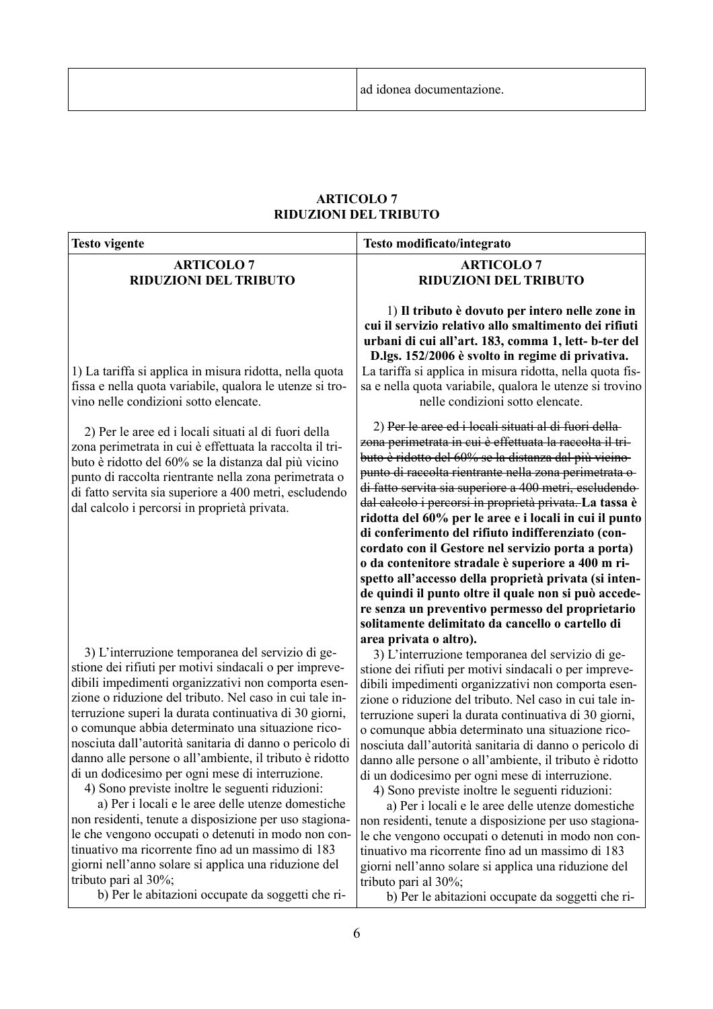#### **ARTICOLO 7 RIDUZIONI DEL TRIBUTO**

| <b>Testo vigente</b>                                                                                                                                                                                                                                                                                                                                                                                                                                                                                                                                                                                                                                                                                                                                                                                                                                                                                                                    | Testo modificato/integrato                                                                                                                                                                                                                                                                                                                                                                                                                                                                                                                                                                                                                                                                                                                                                                                                                                                                                                                                        |
|-----------------------------------------------------------------------------------------------------------------------------------------------------------------------------------------------------------------------------------------------------------------------------------------------------------------------------------------------------------------------------------------------------------------------------------------------------------------------------------------------------------------------------------------------------------------------------------------------------------------------------------------------------------------------------------------------------------------------------------------------------------------------------------------------------------------------------------------------------------------------------------------------------------------------------------------|-------------------------------------------------------------------------------------------------------------------------------------------------------------------------------------------------------------------------------------------------------------------------------------------------------------------------------------------------------------------------------------------------------------------------------------------------------------------------------------------------------------------------------------------------------------------------------------------------------------------------------------------------------------------------------------------------------------------------------------------------------------------------------------------------------------------------------------------------------------------------------------------------------------------------------------------------------------------|
| <b>ARTICOLO 7</b><br><b>RIDUZIONI DEL TRIBUTO</b>                                                                                                                                                                                                                                                                                                                                                                                                                                                                                                                                                                                                                                                                                                                                                                                                                                                                                       | <b>ARTICOLO 7</b><br><b>RIDUZIONI DEL TRIBUTO</b>                                                                                                                                                                                                                                                                                                                                                                                                                                                                                                                                                                                                                                                                                                                                                                                                                                                                                                                 |
| 1) La tariffa si applica in misura ridotta, nella quota<br>fissa e nella quota variabile, qualora le utenze si tro-<br>vino nelle condizioni sotto elencate.                                                                                                                                                                                                                                                                                                                                                                                                                                                                                                                                                                                                                                                                                                                                                                            | 1) Il tributo è dovuto per intero nelle zone in<br>cui il servizio relativo allo smaltimento dei rifiuti<br>urbani di cui all'art. 183, comma 1, lett-b-ter del<br>D.lgs. 152/2006 è svolto in regime di privativa.<br>La tariffa si applica in misura ridotta, nella quota fis-<br>sa e nella quota variabile, qualora le utenze si trovino<br>nelle condizioni sotto elencate.                                                                                                                                                                                                                                                                                                                                                                                                                                                                                                                                                                                  |
| 2) Per le aree ed i locali situati al di fuori della<br>zona perimetrata in cui è effettuata la raccolta il tri-<br>buto è ridotto del 60% se la distanza dal più vicino<br>punto di raccolta rientrante nella zona perimetrata o<br>di fatto servita sia superiore a 400 metri, escludendo<br>dal calcolo i percorsi in proprietà privata.                                                                                                                                                                                                                                                                                                                                                                                                                                                                                                                                                                                             | 2) Per le aree ed i locali situati al di fuori della-<br>zona perimetrata in cui è effettuata la raccolta il tri-<br>buto è ridotto del 60% se la distanza dal più vicino-<br>punto di raccolta rientrante nella zona perimetrata o-<br>di fatto servita sia superiore a 400 metri, escludendo-<br>dal calcolo i percorsi in proprietà privata. La tassa è<br>ridotta del 60% per le aree e i locali in cui il punto<br>di conferimento del rifiuto indifferenziato (con-<br>cordato con il Gestore nel servizio porta a porta)<br>o da contenitore stradale è superiore a 400 m ri-<br>spetto all'accesso della proprietà privata (si inten-<br>de quindi il punto oltre il quale non si può accede-<br>re senza un preventivo permesso del proprietario<br>solitamente delimitato da cancello o cartello di                                                                                                                                                     |
| 3) L'interruzione temporanea del servizio di ge-<br>stione dei rifiuti per motivi sindacali o per impreve-<br>dibili impedimenti organizzativi non comporta esen-<br>zione o riduzione del tributo. Nel caso in cui tale in-<br>terruzione superi la durata continuativa di 30 giorni,<br>o comunque abbia determinato una situazione rico-<br>nosciuta dall'autorità sanitaria di danno o pericolo di<br>danno alle persone o all'ambiente, il tributo è ridotto<br>di un dodicesimo per ogni mese di interruzione.<br>4) Sono previste inoltre le seguenti riduzioni:<br>a) Per i locali e le aree delle utenze domestiche<br>non residenti, tenute a disposizione per uso stagiona-<br>le che vengono occupati o detenuti in modo non con-<br>tinuativo ma ricorrente fino ad un massimo di 183<br>giorni nell'anno solare si applica una riduzione del<br>tributo pari al 30%;<br>b) Per le abitazioni occupate da soggetti che ri- | area privata o altro).<br>3) L'interruzione temporanea del servizio di ge-<br>stione dei rifiuti per motivi sindacali o per impreve-<br>dibili impedimenti organizzativi non comporta esen-<br>zione o riduzione del tributo. Nel caso in cui tale in-<br>terruzione superi la durata continuativa di 30 giorni,<br>o comunque abbia determinato una situazione rico-<br>nosciuta dall'autorità sanitaria di danno o pericolo di<br>danno alle persone o all'ambiente, il tributo è ridotto<br>di un dodicesimo per ogni mese di interruzione.<br>4) Sono previste inoltre le seguenti riduzioni:<br>a) Per i locali e le aree delle utenze domestiche<br>non residenti, tenute a disposizione per uso stagiona-<br>le che vengono occupati o detenuti in modo non con-<br>tinuativo ma ricorrente fino ad un massimo di 183<br>giorni nell'anno solare si applica una riduzione del<br>tributo pari al 30%;<br>b) Per le abitazioni occupate da soggetti che ri- |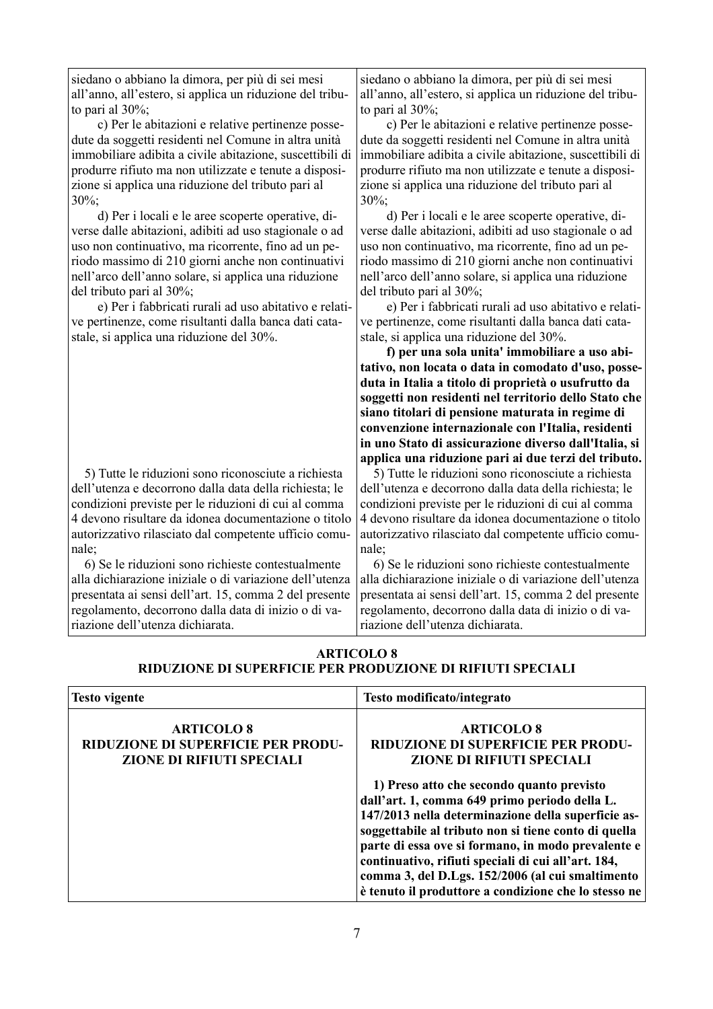siedano o abbiano la dimora, per più di sei mesi all'anno, all'estero, si applica un riduzione del tributo pari al 30%;

 c) Per le abitazioni e relative pertinenze possedute da soggetti residenti nel Comune in altra unità immobiliare adibita a civile abitazione, suscettibili di produrre rifiuto ma non utilizzate e tenute a disposizione si applica una riduzione del tributo pari al 30%;

 d) Per i locali e le aree scoperte operative, diverse dalle abitazioni, adibiti ad uso stagionale o ad uso non continuativo, ma ricorrente, fino ad un periodo massimo di 210 giorni anche non continuativi nell'arco dell'anno solare, si applica una riduzione del tributo pari al 30%;

 e) Per i fabbricati rurali ad uso abitativo e relative pertinenze, come risultanti dalla banca dati catastale, si applica una riduzione del 30%.

 5) Tutte le riduzioni sono riconosciute a richiesta dell'utenza e decorrono dalla data della richiesta; le condizioni previste per le riduzioni di cui al comma 4 devono risultare da idonea documentazione o titolo autorizzativo rilasciato dal competente ufficio comunale;

 6) Se le riduzioni sono richieste contestualmente alla dichiarazione iniziale o di variazione dell'utenza presentata ai sensi dell'art. 15, comma 2 del presente regolamento, decorrono dalla data di inizio o di variazione dell'utenza dichiarata.

siedano o abbiano la dimora, per più di sei mesi all'anno, all'estero, si applica un riduzione del tributo pari al 30%;

 c) Per le abitazioni e relative pertinenze possedute da soggetti residenti nel Comune in altra unità immobiliare adibita a civile abitazione, suscettibili di produrre rifiuto ma non utilizzate e tenute a disposizione si applica una riduzione del tributo pari al 30%;

 d) Per i locali e le aree scoperte operative, diverse dalle abitazioni, adibiti ad uso stagionale o ad uso non continuativo, ma ricorrente, fino ad un periodo massimo di 210 giorni anche non continuativi nell'arco dell'anno solare, si applica una riduzione del tributo pari al 30%;

 e) Per i fabbricati rurali ad uso abitativo e relative pertinenze, come risultanti dalla banca dati catastale, si applica una riduzione del 30%.

 **f) per una sola unita' immobiliare a uso abitativo, non locata o data in comodato d'uso, posseduta in Italia a titolo di proprietà o usufrutto da soggetti non residenti nel territorio dello Stato che siano titolari di pensione maturata in regime di convenzione internazionale con l'Italia, residenti in uno Stato di assicurazione diverso dall'Italia, si applica una riduzione pari ai due terzi del tributo.**

 5) Tutte le riduzioni sono riconosciute a richiesta dell'utenza e decorrono dalla data della richiesta; le condizioni previste per le riduzioni di cui al comma 4 devono risultare da idonea documentazione o titolo autorizzativo rilasciato dal competente ufficio comunale;

 6) Se le riduzioni sono richieste contestualmente alla dichiarazione iniziale o di variazione dell'utenza presentata ai sensi dell'art. 15, comma 2 del presente regolamento, decorrono dalla data di inizio o di variazione dell'utenza dichiarata.

| <b>ARTICOLO 8</b>                                          |
|------------------------------------------------------------|
| RIDUZIONE DI SUPERFICIE PER PRODUZIONE DI RIFIUTI SPECIALI |

| <b>Testo vigente</b>                                                                        | Testo modificato/integrato                                                                                                                                                                                                                                                                                                                                                                                                                                                                                                              |
|---------------------------------------------------------------------------------------------|-----------------------------------------------------------------------------------------------------------------------------------------------------------------------------------------------------------------------------------------------------------------------------------------------------------------------------------------------------------------------------------------------------------------------------------------------------------------------------------------------------------------------------------------|
| <b>ARTICOLO 8</b><br>RIDUZIONE DI SUPERFICIE PER PRODU-<br><b>ZIONE DI RIFIUTI SPECIALI</b> | <b>ARTICOLO 8</b><br><b>RIDUZIONE DI SUPERFICIE PER PRODU-</b><br><b>ZIONE DI RIFIUTI SPECIALI</b><br>1) Preso atto che secondo quanto previsto<br>dall'art. 1, comma 649 primo periodo della L.<br>147/2013 nella determinazione della superficie as-<br>soggettabile al tributo non si tiene conto di quella<br>parte di essa ove si formano, in modo prevalente e<br>continuativo, rifiuti speciali di cui all'art. 184,<br>comma 3, del D.Lgs. 152/2006 (al cui smaltimento<br>è tenuto il produttore a condizione che lo stesso ne |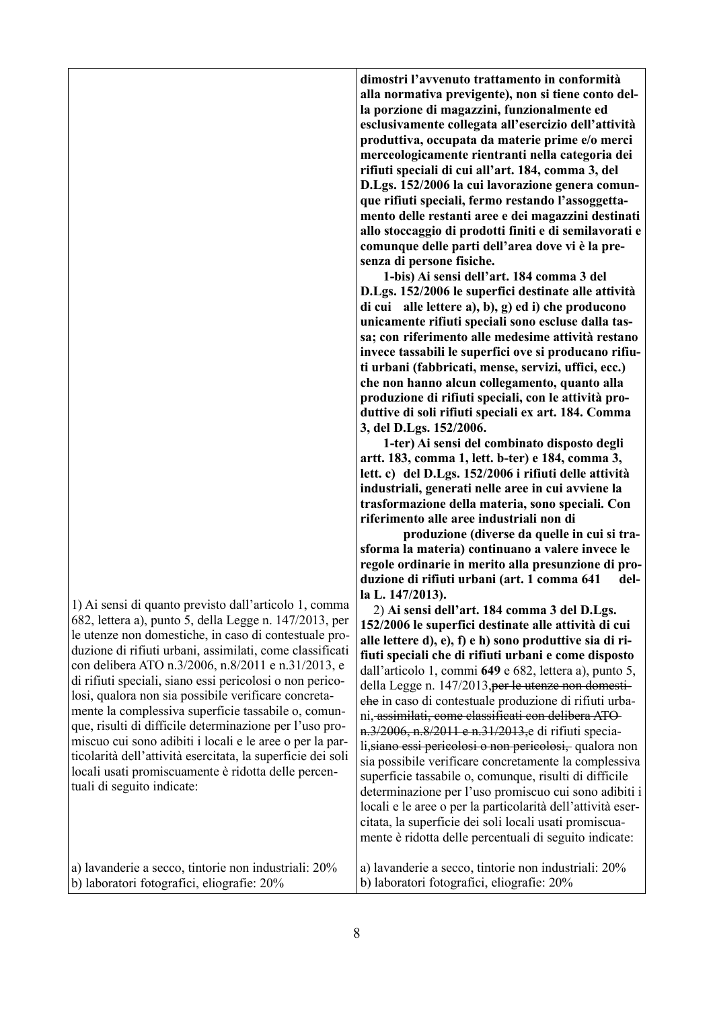| 1) Ai sensi di quanto previsto dall'articolo 1, comma<br>682, lettera a), punto 5, della Legge n. 147/2013, per<br>le utenze non domestiche, in caso di contestuale pro-<br>duzione di rifiuti urbani, assimilati, come classificati<br>con delibera ATO n.3/2006, n.8/2011 e n.31/2013, e<br>di rifiuti speciali, siano essi pericolosi o non perico-<br>losi, qualora non sia possibile verificare concreta-<br>mente la complessiva superficie tassabile o, comun-<br>que, risulti di difficile determinazione per l'uso pro-<br>miscuo cui sono adibiti i locali e le aree o per la par-<br>ticolarità dell'attività esercitata, la superficie dei soli<br>locali usati promiscuamente è ridotta delle percen-<br>tuali di seguito indicate: | la L. 147/2013).<br>2) Ai sensi dell'art. 184 comma 3 del D.Lgs.<br>152/2006 le superfici destinate alle attività di cui<br>alle lettere d), e), f) e h) sono produttive sia di ri-<br>fiuti speciali che di rifiuti urbani e come disposto<br>dall'articolo 1, commi 649 e 682, lettera a), punto 5,<br>della Legge n. 147/2013, per le utenze non domesti-<br>che in caso di contestuale produzione di rifiuti urba-<br>ni, assimilati, come classificati con delibera ATO-<br>n. 3/2006, n. 8/2011 e n. 31/2013, e di rifiuti specia-<br>li, siano essi pericolosi o non pericolosi, qualora non<br>sia possibile verificare concretamente la complessiva<br>superficie tassabile o, comunque, risulti di difficile<br>determinazione per l'uso promiscuo cui sono adibiti i<br>locali e le aree o per la particolarità dell'attività eser-<br>citata, la superficie dei soli locali usati promiscua-<br>mente è ridotta delle percentuali di seguito indicate: |
|--------------------------------------------------------------------------------------------------------------------------------------------------------------------------------------------------------------------------------------------------------------------------------------------------------------------------------------------------------------------------------------------------------------------------------------------------------------------------------------------------------------------------------------------------------------------------------------------------------------------------------------------------------------------------------------------------------------------------------------------------|--------------------------------------------------------------------------------------------------------------------------------------------------------------------------------------------------------------------------------------------------------------------------------------------------------------------------------------------------------------------------------------------------------------------------------------------------------------------------------------------------------------------------------------------------------------------------------------------------------------------------------------------------------------------------------------------------------------------------------------------------------------------------------------------------------------------------------------------------------------------------------------------------------------------------------------------------------------------|
| a) lavanderie a secco, tintorie non industriali: 20%                                                                                                                                                                                                                                                                                                                                                                                                                                                                                                                                                                                                                                                                                             | a) lavanderie a secco, tintorie non industriali: 20%                                                                                                                                                                                                                                                                                                                                                                                                                                                                                                                                                                                                                                                                                                                                                                                                                                                                                                               |

b) laboratori fotografici, eliografie: 20%

**riferimento alle aree industriali non di produzione (diverse da quelle in cui si trasforma la materia) continuano a valere invece le regole ordinarie in merito alla presunzione di produzione di rifiuti urbani (art. 1 comma 641 della** 13. 2) **Ai sensi dell'art. 184 comma 3 del D.Lgs.** 

b) laboratori fotografici, eliografie: 20%

**artt. 183, comma 1, lett. b-ter) e 184, comma 3, lett. c) del D.Lgs. 152/2006 i rifiuti delle attività industriali, generati nelle aree in cui avviene la trasformazione della materia, sono speciali. Con** 

8

**dimostri l'avvenuto trattamento in conformità alla normativa previgente), non si tiene conto della porzione di magazzini, funzionalmente ed esclusivamente collegata all'esercizio dell'attività produttiva, occupata da materie prime e/o merci merceologicamente rientranti nella categoria dei rifiuti speciali di cui all'art. 184, comma 3, del D.Lgs. 152/2006 la cui lavorazione genera comunque rifiuti speciali, fermo restando l'assoggettamento delle restanti aree e dei magazzini destinati allo stoccaggio di prodotti finiti e di semilavorati e comunque delle parti dell'area dove vi è la presenza di persone fisiche.**

 **1-bis) Ai sensi dell'art. 184 comma 3 del D.Lgs. 152/2006 le superfici destinate alle attività di cui alle lettere a), b), g) ed i) che producono unicamente rifiuti speciali sono escluse dalla tassa; con riferimento alle medesime attività restano invece tassabili le superfici ove si producano rifiuti urbani (fabbricati, mense, servizi, uffici, ecc.) che non hanno alcun collegamento, quanto alla produzione di rifiuti speciali, con le attività produttive di soli rifiuti speciali ex art. 184. Comma 3, del D.Lgs. 152/2006. 1-ter) Ai sensi del combinato disposto degli**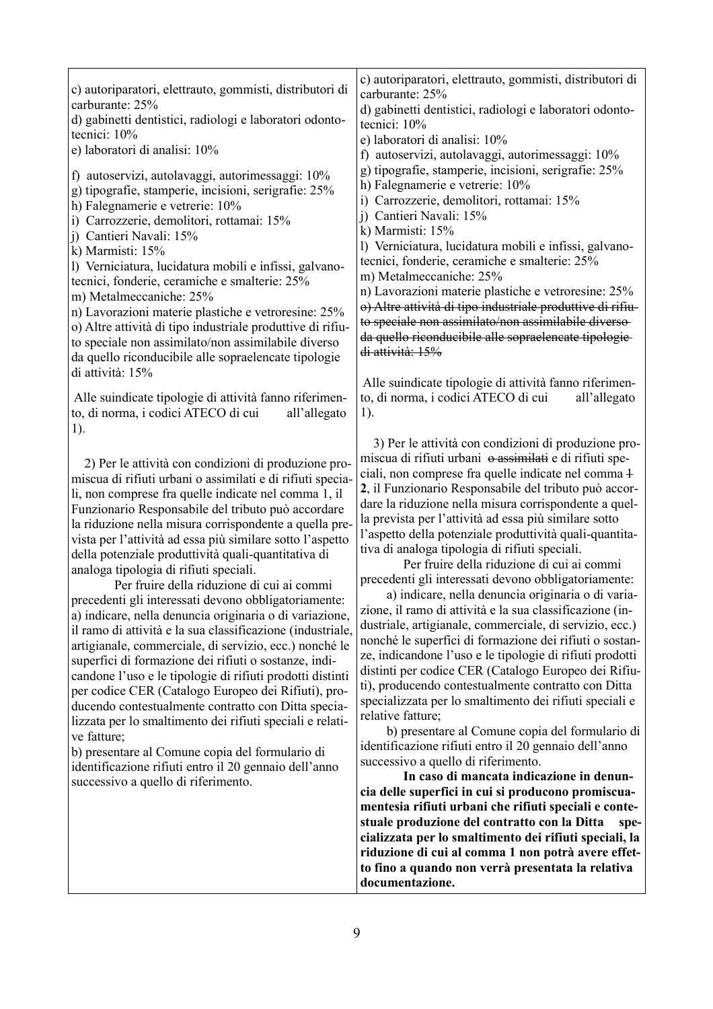**documentazione.**

**to fino a quando non verrà presentata la relativa**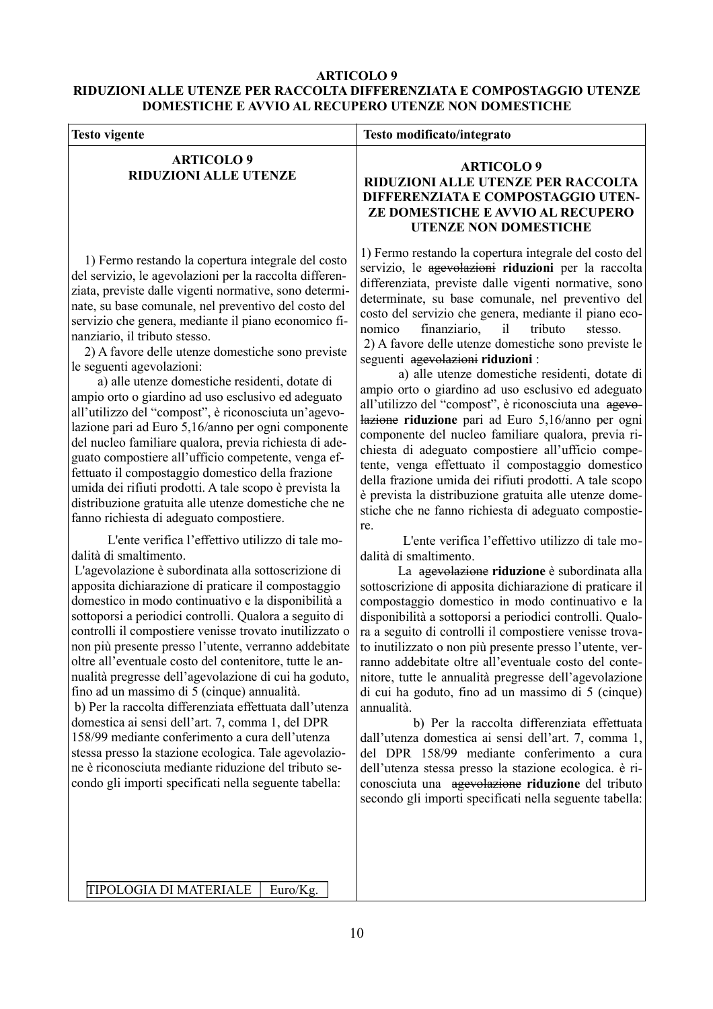#### **ARTICOLO 9 RIDUZIONI ALLE UTENZE PER RACCOLTA DIFFERENZIATA E COMPOSTAGGIO UTENZE DOMESTICHE E AVVIO AL RECUPERO UTENZE NON DOMESTICHE**

| <b>Testo vigente</b>                                                                                                                                                                                                                                                                                                                                                                                                                                                                                                                                                                                                                                                                                                                                                                                                                                                                                                                                                                                                                                                                                                                                                                                                                                                                                                                                                                                                                                                                                                                                                                                                                                                                                                                                                                                                                                                                                                 | Testo modificato/integrato                                                                                                                                                                                                                                                                                                                                                                                                                                                                                                                                                                                                                                                                                                                                                                                                                                                                                                                                                                                                                                                                                                                                                                                                                                                                                                                                                                                                                                                                                                                                                                                                                                                                                                                                                                                                                                                                                                                                                 |
|----------------------------------------------------------------------------------------------------------------------------------------------------------------------------------------------------------------------------------------------------------------------------------------------------------------------------------------------------------------------------------------------------------------------------------------------------------------------------------------------------------------------------------------------------------------------------------------------------------------------------------------------------------------------------------------------------------------------------------------------------------------------------------------------------------------------------------------------------------------------------------------------------------------------------------------------------------------------------------------------------------------------------------------------------------------------------------------------------------------------------------------------------------------------------------------------------------------------------------------------------------------------------------------------------------------------------------------------------------------------------------------------------------------------------------------------------------------------------------------------------------------------------------------------------------------------------------------------------------------------------------------------------------------------------------------------------------------------------------------------------------------------------------------------------------------------------------------------------------------------------------------------------------------------|----------------------------------------------------------------------------------------------------------------------------------------------------------------------------------------------------------------------------------------------------------------------------------------------------------------------------------------------------------------------------------------------------------------------------------------------------------------------------------------------------------------------------------------------------------------------------------------------------------------------------------------------------------------------------------------------------------------------------------------------------------------------------------------------------------------------------------------------------------------------------------------------------------------------------------------------------------------------------------------------------------------------------------------------------------------------------------------------------------------------------------------------------------------------------------------------------------------------------------------------------------------------------------------------------------------------------------------------------------------------------------------------------------------------------------------------------------------------------------------------------------------------------------------------------------------------------------------------------------------------------------------------------------------------------------------------------------------------------------------------------------------------------------------------------------------------------------------------------------------------------------------------------------------------------------------------------------------------------|
| <b>ARTICOLO 9</b><br><b>RIDUZIONI ALLE UTENZE</b>                                                                                                                                                                                                                                                                                                                                                                                                                                                                                                                                                                                                                                                                                                                                                                                                                                                                                                                                                                                                                                                                                                                                                                                                                                                                                                                                                                                                                                                                                                                                                                                                                                                                                                                                                                                                                                                                    | <b>ARTICOLO 9</b><br>RIDUZIONI ALLE UTENZE PER RACCOLTA<br>DIFFERENZIATA E COMPOSTAGGIO UTEN-<br>ZE DOMESTICHE E AVVIO AL RECUPERO<br><b>UTENZE NON DOMESTICHE</b>                                                                                                                                                                                                                                                                                                                                                                                                                                                                                                                                                                                                                                                                                                                                                                                                                                                                                                                                                                                                                                                                                                                                                                                                                                                                                                                                                                                                                                                                                                                                                                                                                                                                                                                                                                                                         |
| 1) Fermo restando la copertura integrale del costo<br>del servizio, le agevolazioni per la raccolta differen-<br>ziata, previste dalle vigenti normative, sono determi-<br>nate, su base comunale, nel preventivo del costo del<br>servizio che genera, mediante il piano economico fi-<br>nanziario, il tributo stesso.<br>2) A favore delle utenze domestiche sono previste<br>le seguenti agevolazioni:<br>a) alle utenze domestiche residenti, dotate di<br>ampio orto o giardino ad uso esclusivo ed adeguato<br>all'utilizzo del "compost", è riconosciuta un'agevo-<br>lazione pari ad Euro 5,16/anno per ogni componente<br>del nucleo familiare qualora, previa richiesta di ade-<br>guato compostiere all'ufficio competente, venga ef-<br>fettuato il compostaggio domestico della frazione<br>umida dei rifiuti prodotti. A tale scopo è prevista la<br>distribuzione gratuita alle utenze domestiche che ne<br>fanno richiesta di adeguato compostiere.<br>L'ente verifica l'effettivo utilizzo di tale mo-<br>dalità di smaltimento.<br>L'agevolazione è subordinata alla sottoscrizione di<br>apposita dichiarazione di praticare il compostaggio<br>domestico in modo continuativo e la disponibilità a<br>sottoporsi a periodici controlli. Qualora a seguito di<br>controlli il compostiere venisse trovato inutilizzato o<br>non più presente presso l'utente, verranno addebitate<br>oltre all'eventuale costo del contenitore, tutte le an-<br>nualità pregresse dell'agevolazione di cui ha goduto,<br>fino ad un massimo di 5 (cinque) annualità.<br>b) Per la raccolta differenziata effettuata dall'utenza<br>domestica ai sensi dell'art. 7, comma 1, del DPR<br>158/99 mediante conferimento a cura dell'utenza<br>stessa presso la stazione ecologica. Tale agevolazio-<br>ne è riconosciuta mediante riduzione del tributo se-<br>condo gli importi specificati nella seguente tabella: | 1) Fermo restando la copertura integrale del costo del<br>servizio, le agevolazioni riduzioni per la raccolta<br>differenziata, previste dalle vigenti normative, sono<br>determinate, su base comunale, nel preventivo del<br>costo del servizio che genera, mediante il piano eco-<br>tributo<br>nomico<br>finanziario,<br>il<br>stesso.<br>2) A favore delle utenze domestiche sono previste le<br>seguenti agevolazioni riduzioni:<br>a) alle utenze domestiche residenti, dotate di<br>ampio orto o giardino ad uso esclusivo ed adeguato<br>all'utilizzo del "compost", è riconosciuta una agevo-<br>lazione riduzione pari ad Euro 5,16/anno per ogni<br>componente del nucleo familiare qualora, previa ri-<br>chiesta di adeguato compostiere all'ufficio compe-<br>tente, venga effettuato il compostaggio domestico<br>della frazione umida dei rifiuti prodotti. A tale scopo<br>è prevista la distribuzione gratuita alle utenze dome-<br>stiche che ne fanno richiesta di adeguato compostie-<br>re.<br>L'ente verifica l'effettivo utilizzo di tale mo-<br>dalità di smaltimento.<br>La agevolazione riduzione è subordinata alla<br>sottoscrizione di apposita dichiarazione di praticare il<br>compostaggio domestico in modo continuativo e la<br>disponibilità a sottoporsi a periodici controlli. Qualo-<br>ra a seguito di controlli il compostiere venisse trova-<br>to inutilizzato o non più presente presso l'utente, ver-<br>ranno addebitate oltre all'eventuale costo del conte-<br>nitore, tutte le annualità pregresse dell'agevolazione<br>di cui ha goduto, fino ad un massimo di 5 (cinque)<br>annualità.<br>b) Per la raccolta differenziata effettuata<br>dall'utenza domestica ai sensi dell'art. 7, comma 1,<br>del DPR 158/99 mediante conferimento a cura<br>dell'utenza stessa presso la stazione ecologica. è ri-<br>conosciuta una agevolazione riduzione del tributo<br>secondo gli importi specificati nella seguente tabella: |
| TIPOLOGIA DI MATERIALE<br>Euro/Kg.                                                                                                                                                                                                                                                                                                                                                                                                                                                                                                                                                                                                                                                                                                                                                                                                                                                                                                                                                                                                                                                                                                                                                                                                                                                                                                                                                                                                                                                                                                                                                                                                                                                                                                                                                                                                                                                                                   |                                                                                                                                                                                                                                                                                                                                                                                                                                                                                                                                                                                                                                                                                                                                                                                                                                                                                                                                                                                                                                                                                                                                                                                                                                                                                                                                                                                                                                                                                                                                                                                                                                                                                                                                                                                                                                                                                                                                                                            |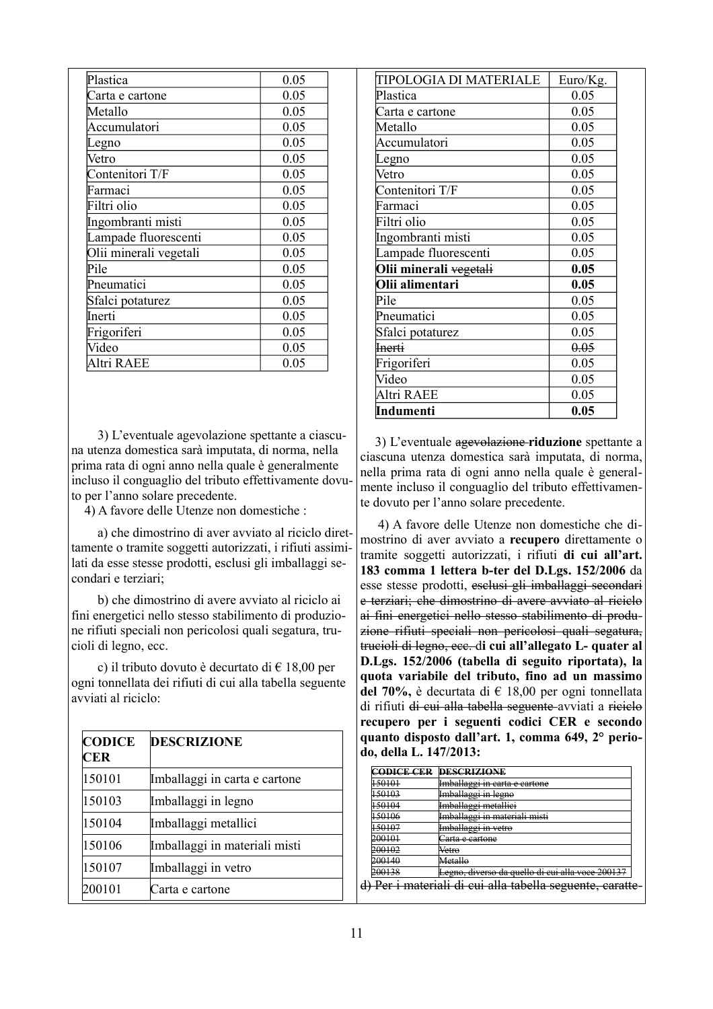| Plastica               | 0.05 |
|------------------------|------|
| Carta e cartone        | 0.05 |
| Metallo                | 0.05 |
| Accumulatori           | 0.05 |
| egno                   | 0.05 |
| Vetro                  | 0.05 |
| Contenitori T/F        | 0.05 |
| Farmaci                | 0.05 |
| Filtri olio            | 0.05 |
| Ingombranti misti      | 0.05 |
| ampade fluorescenti    | 0.05 |
| Olii minerali vegetali | 0.05 |
| Pile                   | 0.05 |
| Pneumatici             | 0.05 |
| Sfalci potaturez       | 0.05 |
| Inerti                 | 0.05 |
| Frigoriferi            | 0.05 |
| Video                  | 0.05 |
| Altri RAEE             | 0.05 |

 3) L'eventuale agevolazione spettante a ciascuna utenza domestica sarà imputata, di norma, nella prima rata di ogni anno nella quale è generalmente incluso il conguaglio del tributo effettivamente dovuto per l'anno solare precedente.

4) A favore delle Utenze non domestiche :

 a) che dimostrino di aver avviato al riciclo direttamente o tramite soggetti autorizzati, i rifiuti assimilati da esse stesse prodotti, esclusi gli imballaggi secondari e terziari;

 b) che dimostrino di avere avviato al riciclo ai fini energetici nello stesso stabilimento di produzione rifiuti speciali non pericolosi quali segatura, trucioli di legno, ecc.

 c) il tributo dovuto è decurtato di € 18,00 per ogni tonnellata dei rifiuti di cui alla tabella seguente avviati al riciclo:

| <b>CODICE</b><br>CER | <b>DESCRIZIONE</b>            |
|----------------------|-------------------------------|
| 150101               | Imballaggi in carta e cartone |
| 150103               | Imballaggi in legno           |
| 150104               | Imballaggi metallici          |
| 150106               | Imballaggi in materiali misti |
| 150107               | Imballaggi in vetro           |
| 200101               | Carta e cartone               |

| TIPOLOGIA DI MATERIALE | Euro/Kg. |
|------------------------|----------|
| Plastica               | 0.05     |
| Carta e cartone        | 0.05     |
| Metallo                | 0.05     |
| Accumulatori           | 0.05     |
| Legno                  | 0.05     |
| Vetro                  | 0.05     |
| Contenitori T/F        | 0.05     |
| Farmaci                | 0.05     |
| Filtri olio            | 0.05     |
| Ingombranti misti      | 0.05     |
| Lampade fluorescenti   | 0.05     |
| Olii minerali vegetali | 0.05     |
| Olii alimentari        | 0.05     |
| Pile                   | 0.05     |
| Pneumatici             | 0.05     |
| Sfalci potaturez       | 0.05     |
| <del>Inerti</del>      | 0.05     |
| Frigoriferi            | 0.05     |
| Video                  | 0.05     |
| Altri RAEE             | 0.05     |
| Indumenti              | 0.05     |

 3) L'eventuale agevolazione **riduzione** spettante a ciascuna utenza domestica sarà imputata, di norma, nella prima rata di ogni anno nella quale è generalmente incluso il conguaglio del tributo effettivamente dovuto per l'anno solare precedente.

 4) A favore delle Utenze non domestiche che dimostrino di aver avviato a **recupero** direttamente o tramite soggetti autorizzati, i rifiuti **di cui all'art. 183 comma 1 lettera b-ter del D.Lgs. 152/2006** da esse stesse prodotti, esclusi gli imballaggi secondari e terziari; che dimostrino di avere avviato al riciclo ai fini energetici nello stesso stabilimento di produzione rifiuti speciali non pericolosi quali segatura, trucioli di legno, ecc. d**i cui all'allegato L- quater al D.Lgs. 152/2006 (tabella di seguito riportata), la quota variabile del tributo, fino ad un massimo del 70%,** è decurtata di € 18,00 per ogni tonnellata di rifiuti di cui alla tabella seguente avviati a riciclo **recupero per i seguenti codici CER e secondo quanto disposto dall'art. 1, comma 649, 2° periodo, della L. 147/2013:**

| CODICE CER             | <b>DESCRIZIONE</b>                            |
|------------------------|-----------------------------------------------|
| 150101<br>120101       | Imballaggi in carta e cartone                 |
| 150102                 | مممط مزغممللمطعيا                             |
| $+30103$               | mnoanaggi in iugno                            |
| 150104                 | Imbollaggi metalligi                          |
| 190101                 | mnounugg <del>i ilietumer</del>               |
| 150106                 | whallagai in matariali misti                  |
| 120100                 | mwanaggi in mawnan misu                       |
| 150107                 | mbollaggi in vatro                            |
| 1.00107                | <del>mwanaggi in veuo</del>                   |
| 200101<br>200101       | <del>Carta e cartone</del>                    |
| 200102<br>zwuoz        | Vetro                                         |
| 200140<br>200140       | Metallo                                       |
| 200128                 | <del>cui alla voce 200137</del>               |
| 200136                 | <del>Legno, diverso da quello di</del>        |
| Der i motoriali di cui | <del>cui alla tabella seguente, caratte</del> |
| <del>mateman</del>     | ur                                            |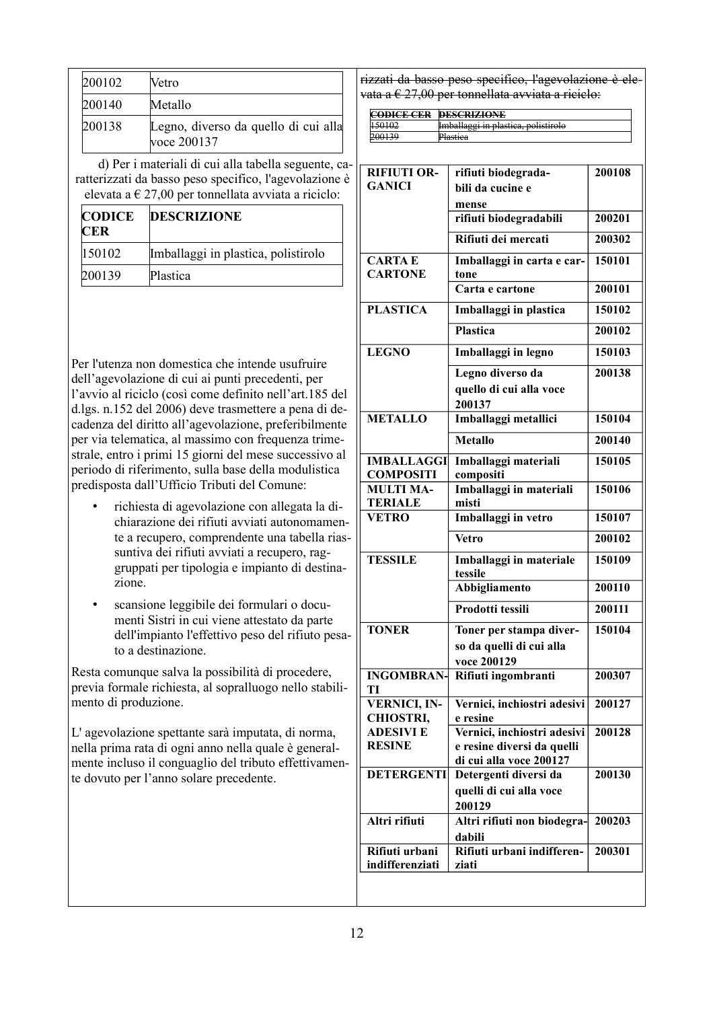| 200102 | Vetro                                               |
|--------|-----------------------------------------------------|
| 200140 | Metallo                                             |
| 200138 | Legno, diverso da quello di cui alla<br>voce 200137 |

 d) Per i materiali di cui alla tabella seguente, caratterizzati da basso peso specifico, l'agevolazione è elevata a  $\in$  27,00 per tonnellata avviata a riciclo:

| <b>CODICE</b><br><b>CER</b> | <b>DESCRIZIONE</b>                  |
|-----------------------------|-------------------------------------|
| 150102                      | Imballaggi in plastica, polistirolo |
| 200139                      | Plastica                            |

Per l'utenza non domestica che intende usufruire dell'agevolazione di cui ai punti precedenti, per l'avvio al riciclo (così come definito nell'art.185 del d.lgs. n.152 del 2006) deve trasmettere a pena di decadenza del diritto all'agevolazione, preferibilmente per via telematica, al massimo con frequenza trimestrale, entro i primi 15 giorni del mese successivo al periodo di riferimento, sulla base della modulistica predisposta dall'Ufficio Tributi del Comune:

- richiesta di agevolazione con allegata la dichiarazione dei rifiuti avviati autonomamente a recupero, comprendente una tabella riassuntiva dei rifiuti avviati a recupero, raggruppati per tipologia e impianto di destinazione.
- scansione leggibile dei formulari o documenti Sistri in cui viene attestato da parte dell'impianto l'effettivo peso del rifiuto pesato a destinazione.

Resta comunque salva la possibilità di procedere, previa formale richiesta, al sopralluogo nello stabilimento di produzione.

L' agevolazione spettante sarà imputata, di norma, nella prima rata di ogni anno nella quale è generalmente incluso il conguaglio del tributo effettivamente dovuto per l'anno solare precedente.

rizzati da basso peso specifico, l'agevolazione è elevata a  $\epsilon$  27,00 per tonnellata avviata a riciclo:

| <b>СОРІСЕ СЕР</b> | DESCRIZIONE                         |
|-------------------|-------------------------------------|
| еоргер ерк        | DB <del>ockilond</del>              |
| 150102            | Imballaggi in plastica, polistirolo |
| hoo120            | D <sub>left</sub>                   |
| 200137            | -назиса                             |

| <b>RIFIUTI OR-</b>               | rifiuti biodegrada-                                   | 200108 |
|----------------------------------|-------------------------------------------------------|--------|
| <b>GANICI</b>                    | bili da cucine e                                      |        |
|                                  | mense                                                 |        |
|                                  | rifiuti biodegradabili                                | 200201 |
|                                  | Rifiuti dei mercati                                   | 200302 |
| <b>CARTAE</b>                    | Imballaggi in carta e car-                            | 150101 |
| <b>CARTONE</b>                   | tone                                                  |        |
|                                  | Carta e cartone                                       | 200101 |
| <b>PLASTICA</b>                  | Imballaggi in plastica                                | 150102 |
|                                  | <b>Plastica</b>                                       | 200102 |
| <b>LEGNO</b>                     | Imballaggi in legno                                   | 150103 |
|                                  | Legno diverso da                                      | 200138 |
|                                  | quello di cui alla voce                               |        |
|                                  | 200137                                                |        |
| <b>METALLO</b>                   | Imballaggi metallici                                  | 150104 |
|                                  | <b>Metallo</b>                                        | 200140 |
| <b>IMBALLAGGI</b>                | Imballaggi materiali                                  | 150105 |
| <b>COMPOSITI</b>                 | compositi                                             |        |
| <b>MULTI MA-</b>                 | Imballaggi in materiali                               | 150106 |
| <b>TERIALE</b>                   | misti                                                 |        |
| <b>VETRO</b>                     | Imballaggi in vetro                                   | 150107 |
|                                  | <b>Vetro</b>                                          | 200102 |
| <b>TESSILE</b>                   | Imballaggi in materiale<br>tessile                    | 150109 |
|                                  | <b>Abbigliamento</b>                                  | 200110 |
|                                  |                                                       |        |
|                                  | Prodotti tessili                                      | 200111 |
| <b>TONER</b>                     | Toner per stampa diver-                               | 150104 |
|                                  | so da quelli di cui alla                              |        |
|                                  | voce 200129                                           |        |
| <b>INGOMBRAN</b>                 | Rifiuti ingombranti                                   | 200307 |
| ТI                               |                                                       |        |
| <b>VERNICI, IN-</b>              | Vernici, inchiostri adesivi                           | 200127 |
| CHIOSTRI,                        | e resine                                              |        |
| <b>ADESIVIE</b><br><b>RESINE</b> | Vernici, inchiostri adesivi                           | 200128 |
|                                  | e resine diversi da quelli<br>di cui alla voce 200127 |        |
| <b>DETERGENTI</b>                | Detergenti diversi da                                 | 200130 |
|                                  | quelli di cui alla voce                               |        |
|                                  | 200129                                                |        |
| Altri rifiuti                    | Altri rifiuti non biodegra-                           | 200203 |
|                                  | dabili                                                |        |
| Rifiuti urbani                   | Rifiuti urbani indifferen-                            | 200301 |
| indifferenziati                  | ziati                                                 |        |
|                                  |                                                       |        |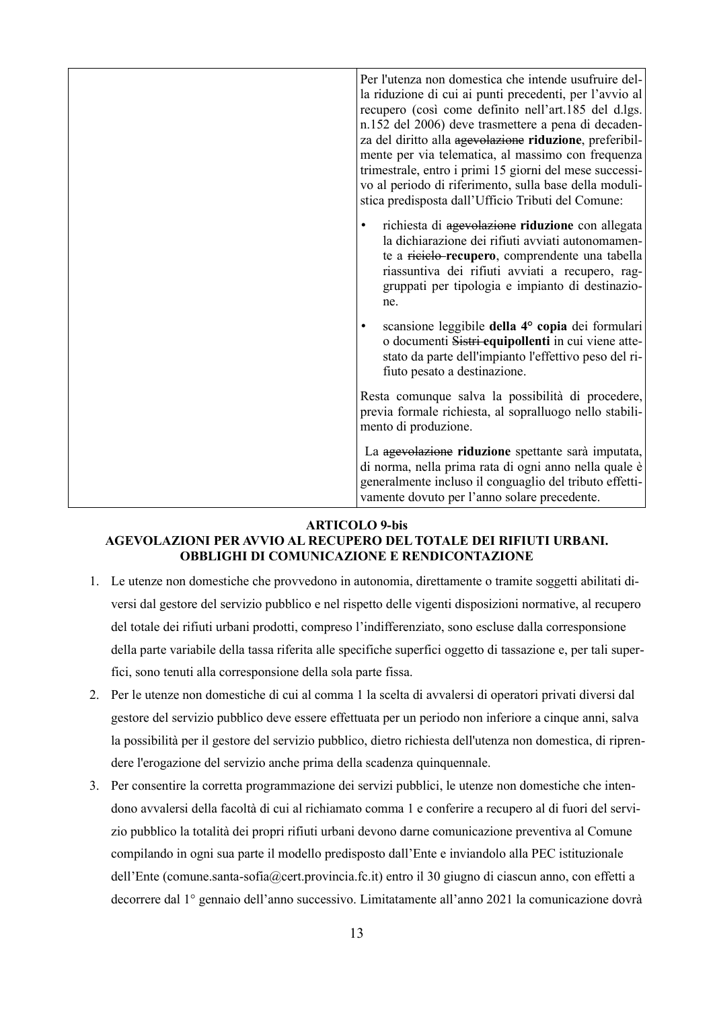| Per l'utenza non domestica che intende usufruire del-<br>la riduzione di cui ai punti precedenti, per l'avvio al<br>recupero (così come definito nell'art.185 del d.lgs.<br>n.152 del 2006) deve trasmettere a pena di decaden-<br>za del diritto alla agevolazione riduzione, preferibil-<br>mente per via telematica, al massimo con frequenza<br>trimestrale, entro i primi 15 giorni del mese successi-<br>vo al periodo di riferimento, sulla base della moduli-<br>stica predisposta dall'Ufficio Tributi del Comune: |
|-----------------------------------------------------------------------------------------------------------------------------------------------------------------------------------------------------------------------------------------------------------------------------------------------------------------------------------------------------------------------------------------------------------------------------------------------------------------------------------------------------------------------------|
| richiesta di agevolazione riduzione con allegata<br>la dichiarazione dei rifiuti avviati autonomamen-<br>te a ricielo-recupero, comprendente una tabella<br>riassuntiva dei rifiuti avviati a recupero, rag-<br>gruppati per tipologia e impianto di destinazio-<br>ne.                                                                                                                                                                                                                                                     |
| scansione leggibile della 4° copia dei formulari<br>o documenti Sistri equipollenti in cui viene atte-<br>stato da parte dell'impianto l'effettivo peso del ri-<br>fiuto pesato a destinazione.                                                                                                                                                                                                                                                                                                                             |
| Resta comunque salva la possibilità di procedere,<br>previa formale richiesta, al sopralluogo nello stabili-<br>mento di produzione.                                                                                                                                                                                                                                                                                                                                                                                        |
| La agevolazione riduzione spettante sarà imputata,<br>di norma, nella prima rata di ogni anno nella quale è<br>generalmente incluso il conguaglio del tributo effetti-<br>vamente dovuto per l'anno solare precedente.                                                                                                                                                                                                                                                                                                      |

#### **ARTICOLO 9-bis**

#### **AGEVOLAZIONI PER AVVIO AL RECUPERO DEL TOTALE DEI RIFIUTI URBANI. OBBLIGHI DI COMUNICAZIONE E RENDICONTAZIONE**

- 1. Le utenze non domestiche che provvedono in autonomia, direttamente o tramite soggetti abilitati diversi dal gestore del servizio pubblico e nel rispetto delle vigenti disposizioni normative, al recupero del totale dei rifiuti urbani prodotti, compreso l'indifferenziato, sono escluse dalla corresponsione della parte variabile della tassa riferita alle specifiche superfici oggetto di tassazione e, per tali superfici, sono tenuti alla corresponsione della sola parte fissa.
- 2. Per le utenze non domestiche di cui al comma 1 la scelta di avvalersi di operatori privati diversi dal gestore del servizio pubblico deve essere effettuata per un periodo non inferiore a cinque anni, salva la possibilità per il gestore del servizio pubblico, dietro richiesta dell'utenza non domestica, di riprendere l'erogazione del servizio anche prima della scadenza quinquennale.
- 3. Per consentire la corretta programmazione dei servizi pubblici, le utenze non domestiche che intendono avvalersi della facoltà di cui al richiamato comma 1 e conferire a recupero al di fuori del servizio pubblico la totalità dei propri rifiuti urbani devono darne comunicazione preventiva al Comune compilando in ogni sua parte il modello predisposto dall'Ente e inviandolo alla PEC istituzionale dell'Ente (comune.santa-sofia@cert.provincia.fc.it) entro il 30 giugno di ciascun anno, con effetti a decorrere dal 1° gennaio dell'anno successivo. Limitatamente all'anno 2021 la comunicazione dovrà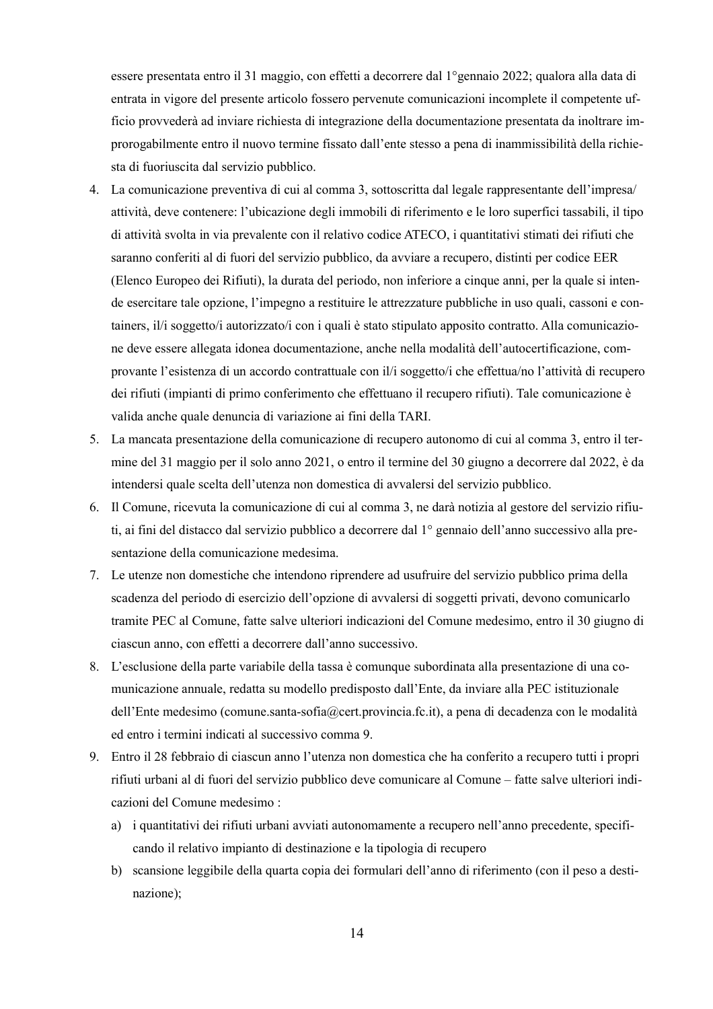essere presentata entro il 31 maggio, con effetti a decorrere dal 1°gennaio 2022; qualora alla data di entrata in vigore del presente articolo fossero pervenute comunicazioni incomplete il competente ufficio provvederà ad inviare richiesta di integrazione della documentazione presentata da inoltrare improrogabilmente entro il nuovo termine fissato dall'ente stesso a pena di inammissibilità della richiesta di fuoriuscita dal servizio pubblico.

- 4. La comunicazione preventiva di cui al comma 3, sottoscritta dal legale rappresentante dell'impresa/ attività, deve contenere: l'ubicazione degli immobili di riferimento e le loro superfici tassabili, il tipo di attività svolta in via prevalente con il relativo codice ATECO, i quantitativi stimati dei rifiuti che saranno conferiti al di fuori del servizio pubblico, da avviare a recupero, distinti per codice EER (Elenco Europeo dei Rifiuti), la durata del periodo, non inferiore a cinque anni, per la quale si intende esercitare tale opzione, l'impegno a restituire le attrezzature pubbliche in uso quali, cassoni e containers, il/i soggetto/i autorizzato/i con i quali è stato stipulato apposito contratto. Alla comunicazione deve essere allegata idonea documentazione, anche nella modalità dell'autocertificazione, comprovante l'esistenza di un accordo contrattuale con il/i soggetto/i che effettua/no l'attività di recupero dei rifiuti (impianti di primo conferimento che effettuano il recupero rifiuti). Tale comunicazione è valida anche quale denuncia di variazione ai fini della TARI.
- 5. La mancata presentazione della comunicazione di recupero autonomo di cui al comma 3, entro il termine del 31 maggio per il solo anno 2021, o entro il termine del 30 giugno a decorrere dal 2022, è da intendersi quale scelta dell'utenza non domestica di avvalersi del servizio pubblico.
- 6. Il Comune, ricevuta la comunicazione di cui al comma 3, ne darà notizia al gestore del servizio rifiuti, ai fini del distacco dal servizio pubblico a decorrere dal 1° gennaio dell'anno successivo alla presentazione della comunicazione medesima.
- 7. Le utenze non domestiche che intendono riprendere ad usufruire del servizio pubblico prima della scadenza del periodo di esercizio dell'opzione di avvalersi di soggetti privati, devono comunicarlo tramite PEC al Comune, fatte salve ulteriori indicazioni del Comune medesimo, entro il 30 giugno di ciascun anno, con effetti a decorrere dall'anno successivo.
- 8. L'esclusione della parte variabile della tassa è comunque subordinata alla presentazione di una comunicazione annuale, redatta su modello predisposto dall'Ente, da inviare alla PEC istituzionale dell'Ente medesimo (comune.santa-sofia@cert.provincia.fc.it), a pena di decadenza con le modalità ed entro i termini indicati al successivo comma 9.
- 9. Entro il 28 febbraio di ciascun anno l'utenza non domestica che ha conferito a recupero tutti i propri rifiuti urbani al di fuori del servizio pubblico deve comunicare al Comune – fatte salve ulteriori indicazioni del Comune medesimo :
	- a) i quantitativi dei rifiuti urbani avviati autonomamente a recupero nell'anno precedente, specificando il relativo impianto di destinazione e la tipologia di recupero
	- b) scansione leggibile della quarta copia dei formulari dell'anno di riferimento (con il peso a destinazione);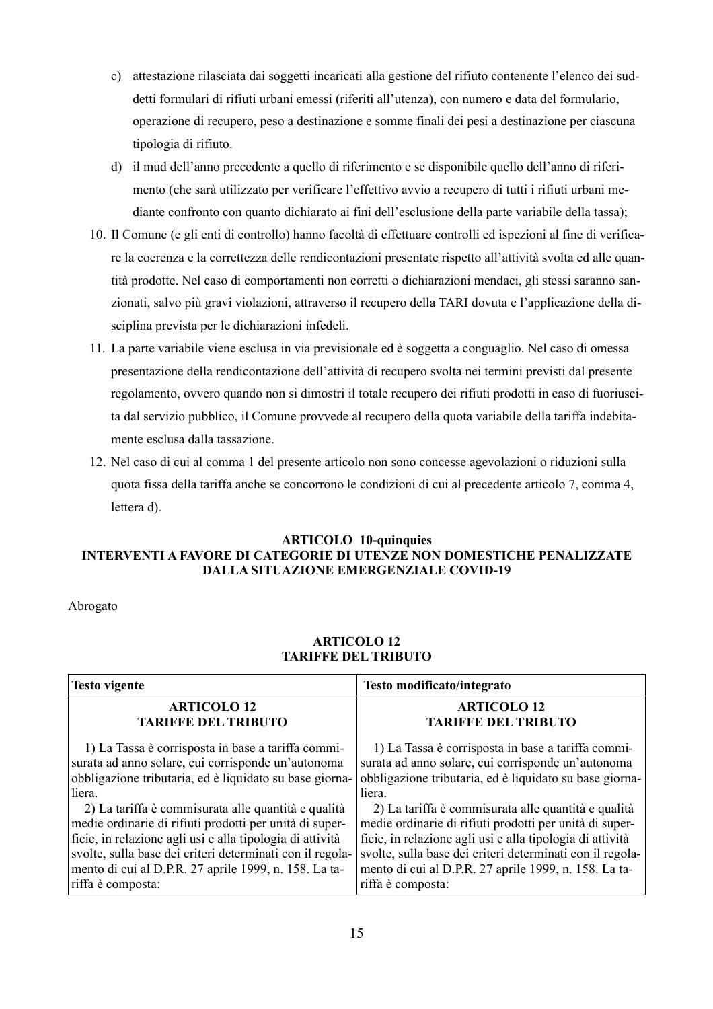- c) attestazione rilasciata dai soggetti incaricati alla gestione del rifiuto contenente l'elenco dei suddetti formulari di rifiuti urbani emessi (riferiti all'utenza), con numero e data del formulario, operazione di recupero, peso a destinazione e somme finali dei pesi a destinazione per ciascuna tipologia di rifiuto.
- d) il mud dell'anno precedente a quello di riferimento e se disponibile quello dell'anno di riferimento (che sarà utilizzato per verificare l'effettivo avvio a recupero di tutti i rifiuti urbani mediante confronto con quanto dichiarato ai fini dell'esclusione della parte variabile della tassa);
- 10. Il Comune (e gli enti di controllo) hanno facoltà di effettuare controlli ed ispezioni al fine di verificare la coerenza e la correttezza delle rendicontazioni presentate rispetto all'attività svolta ed alle quantità prodotte. Nel caso di comportamenti non corretti o dichiarazioni mendaci, gli stessi saranno sanzionati, salvo più gravi violazioni, attraverso il recupero della TARI dovuta e l'applicazione della disciplina prevista per le dichiarazioni infedeli.
- 11. La parte variabile viene esclusa in via previsionale ed è soggetta a conguaglio. Nel caso di omessa presentazione della rendicontazione dell'attività di recupero svolta nei termini previsti dal presente regolamento, ovvero quando non si dimostri il totale recupero dei rifiuti prodotti in caso di fuoriuscita dal servizio pubblico, il Comune provvede al recupero della quota variabile della tariffa indebitamente esclusa dalla tassazione.
- 12. Nel caso di cui al comma 1 del presente articolo non sono concesse agevolazioni o riduzioni sulla quota fissa della tariffa anche se concorrono le condizioni di cui al precedente articolo 7, comma 4, lettera d).

#### **ARTICOLO 10-quinquies INTERVENTI A FAVORE DI CATEGORIE DI UTENZE NON DOMESTICHE PENALIZZATE DALLA SITUAZIONE EMERGENZIALE COVID-19**

Abrogato

#### **ARTICOLO 12 TARIFFE DEL TRIBUTO**

| <b>Testo vigente</b>                                      | Testo modificato/integrato                                |  |
|-----------------------------------------------------------|-----------------------------------------------------------|--|
| <b>ARTICOLO 12</b>                                        | <b>ARTICOLO 12</b>                                        |  |
| <b>TARIFFE DEL TRIBUTO</b>                                | <b>TARIFFE DEL TRIBUTO</b>                                |  |
| 1) La Tassa è corrisposta in base a tariffa commi-        | 1) La Tassa è corrisposta in base a tariffa commi-        |  |
| surata ad anno solare, cui corrisponde un'autonoma        | surata ad anno solare, cui corrisponde un'autonoma        |  |
| obbligazione tributaria, ed è liquidato su base giorna-   | obbligazione tributaria, ed è liquidato su base giorna-   |  |
| liera.                                                    | liera.                                                    |  |
| 2) La tariffa è commisurata alle quantità e qualità       | 2) La tariffa è commisurata alle quantità e qualità       |  |
| medie ordinarie di rifiuti prodotti per unità di super-   | medie ordinarie di rifiuti prodotti per unità di super-   |  |
| ficie, in relazione agli usi e alla tipologia di attività | ficie, in relazione agli usi e alla tipologia di attività |  |
| svolte, sulla base dei criteri determinati con il regola- | svolte, sulla base dei criteri determinati con il regola- |  |
| mento di cui al D.P.R. 27 aprile 1999, n. 158. La ta-     | mento di cui al D.P.R. 27 aprile 1999, n. 158. La ta-     |  |
| riffa è composta:                                         | riffa è composta:                                         |  |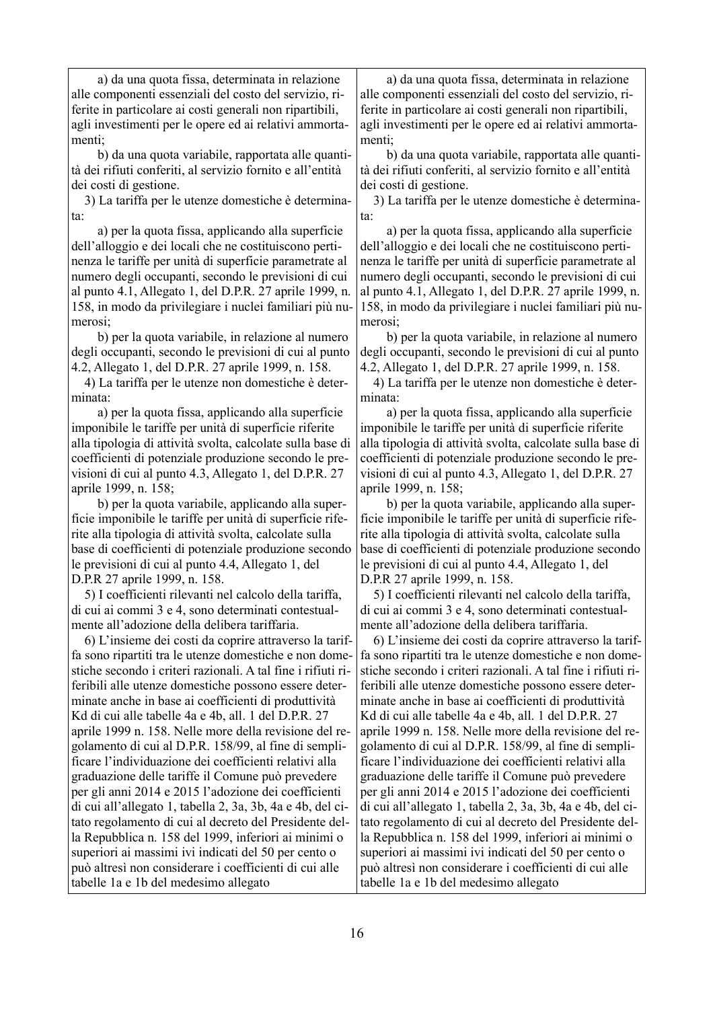a) da una quota fissa, determinata in relazione alle componenti essenziali del costo del servizio, riferite in particolare ai costi generali non ripartibili, agli investimenti per le opere ed ai relativi ammortamenti;

 b) da una quota variabile, rapportata alle quantità dei rifiuti conferiti, al servizio fornito e all'entità dei costi di gestione.

 3) La tariffa per le utenze domestiche è determinata:

 a) per la quota fissa, applicando alla superficie dell'alloggio e dei locali che ne costituiscono pertinenza le tariffe per unità di superficie parametrate al numero degli occupanti, secondo le previsioni di cui al punto 4.1, Allegato 1, del D.P.R. 27 aprile 1999, n. 158, in modo da privilegiare i nuclei familiari più numerosi;

 b) per la quota variabile, in relazione al numero degli occupanti, secondo le previsioni di cui al punto 4.2, Allegato 1, del D.P.R. 27 aprile 1999, n. 158.

 4) La tariffa per le utenze non domestiche è determinata:

 a) per la quota fissa, applicando alla superficie imponibile le tariffe per unità di superficie riferite alla tipologia di attività svolta, calcolate sulla base di coefficienti di potenziale produzione secondo le previsioni di cui al punto 4.3, Allegato 1, del D.P.R. 27 aprile 1999, n. 158;

 b) per la quota variabile, applicando alla superficie imponibile le tariffe per unità di superficie riferite alla tipologia di attività svolta, calcolate sulla base di coefficienti di potenziale produzione secondo le previsioni di cui al punto 4.4, Allegato 1, del D.P.R 27 aprile 1999, n. 158.

 5) I coefficienti rilevanti nel calcolo della tariffa, di cui ai commi 3 e 4, sono determinati contestualmente all'adozione della delibera tariffaria.

 6) L'insieme dei costi da coprire attraverso la tariffa sono ripartiti tra le utenze domestiche e non domestiche secondo i criteri razionali. A tal fine i rifiuti riferibili alle utenze domestiche possono essere determinate anche in base ai coefficienti di produttività Kd di cui alle tabelle 4a e 4b, all. 1 del D.P.R. 27 aprile 1999 n. 158. Nelle more della revisione del regolamento di cui al D.P.R. 158/99, al fine di semplificare l'individuazione dei coefficienti relativi alla graduazione delle tariffe il Comune può prevedere per gli anni 2014 e 2015 l'adozione dei coefficienti di cui all'allegato 1, tabella 2, 3a, 3b, 4a e 4b, del citato regolamento di cui al decreto del Presidente della Repubblica n. 158 del 1999, inferiori ai minimi o superiori ai massimi ivi indicati del 50 per cento o può altresì non considerare i coefficienti di cui alle tabelle 1a e 1b del medesimo allegato

 a) da una quota fissa, determinata in relazione alle componenti essenziali del costo del servizio, riferite in particolare ai costi generali non ripartibili, agli investimenti per le opere ed ai relativi ammortamenti;

 b) da una quota variabile, rapportata alle quantità dei rifiuti conferiti, al servizio fornito e all'entità dei costi di gestione.

 3) La tariffa per le utenze domestiche è determinata:

 a) per la quota fissa, applicando alla superficie dell'alloggio e dei locali che ne costituiscono pertinenza le tariffe per unità di superficie parametrate al numero degli occupanti, secondo le previsioni di cui al punto 4.1, Allegato 1, del D.P.R. 27 aprile 1999, n. 158, in modo da privilegiare i nuclei familiari più numerosi;

 b) per la quota variabile, in relazione al numero degli occupanti, secondo le previsioni di cui al punto 4.2, Allegato 1, del D.P.R. 27 aprile 1999, n. 158.

 4) La tariffa per le utenze non domestiche è determinata:

 a) per la quota fissa, applicando alla superficie imponibile le tariffe per unità di superficie riferite alla tipologia di attività svolta, calcolate sulla base di coefficienti di potenziale produzione secondo le previsioni di cui al punto 4.3, Allegato 1, del D.P.R. 27 aprile 1999, n. 158;

 b) per la quota variabile, applicando alla superficie imponibile le tariffe per unità di superficie riferite alla tipologia di attività svolta, calcolate sulla base di coefficienti di potenziale produzione secondo le previsioni di cui al punto 4.4, Allegato 1, del D.P.R 27 aprile 1999, n. 158.

 5) I coefficienti rilevanti nel calcolo della tariffa, di cui ai commi 3 e 4, sono determinati contestualmente all'adozione della delibera tariffaria.

 6) L'insieme dei costi da coprire attraverso la tariffa sono ripartiti tra le utenze domestiche e non domestiche secondo i criteri razionali. A tal fine i rifiuti riferibili alle utenze domestiche possono essere determinate anche in base ai coefficienti di produttività Kd di cui alle tabelle 4a e 4b, all. 1 del D.P.R. 27 aprile 1999 n. 158. Nelle more della revisione del regolamento di cui al D.P.R. 158/99, al fine di semplificare l'individuazione dei coefficienti relativi alla graduazione delle tariffe il Comune può prevedere per gli anni 2014 e 2015 l'adozione dei coefficienti di cui all'allegato 1, tabella 2, 3a, 3b, 4a e 4b, del citato regolamento di cui al decreto del Presidente della Repubblica n. 158 del 1999, inferiori ai minimi o superiori ai massimi ivi indicati del 50 per cento o può altresì non considerare i coefficienti di cui alle tabelle 1a e 1b del medesimo allegato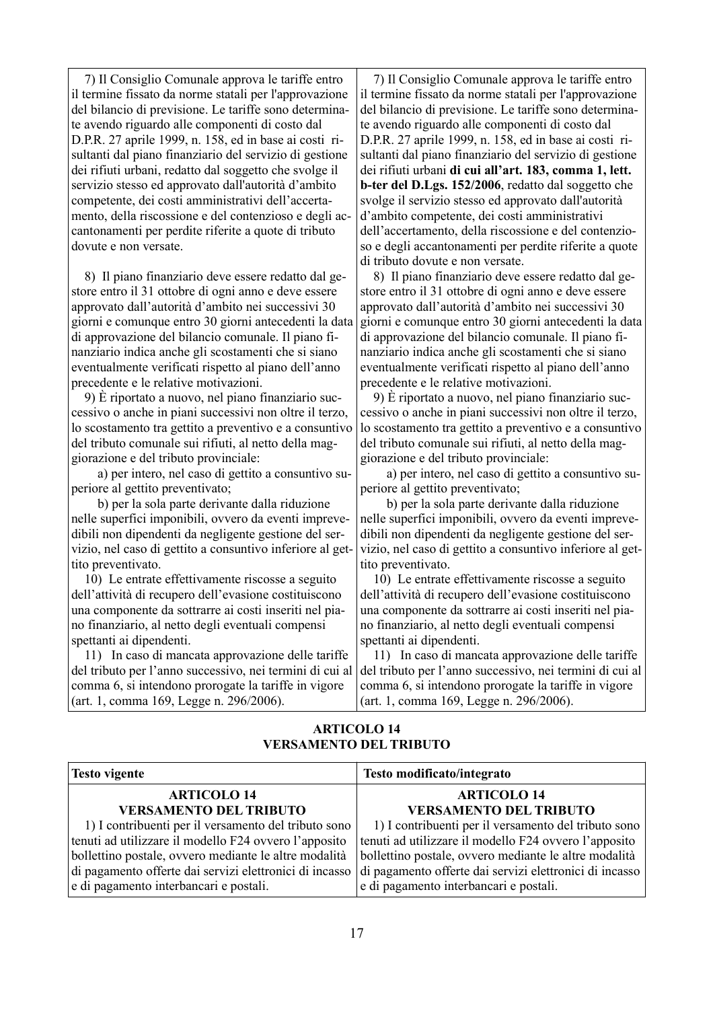7) Il Consiglio Comunale approva le tariffe entro il termine fissato da norme statali per l'approvazione del bilancio di previsione. Le tariffe sono determinate avendo riguardo alle componenti di costo dal D.P.R. 27 aprile 1999, n. 158, ed in base ai costi risultanti dal piano finanziario del servizio di gestione dei rifiuti urbani, redatto dal soggetto che svolge il servizio stesso ed approvato dall'autorità d'ambito competente, dei costi amministrativi dell'accertamento, della riscossione e del contenzioso e degli accantonamenti per perdite riferite a quote di tributo dovute e non versate.

 8) Il piano finanziario deve essere redatto dal gestore entro il 31 ottobre di ogni anno e deve essere approvato dall'autorità d'ambito nei successivi 30 giorni e comunque entro 30 giorni antecedenti la data di approvazione del bilancio comunale. Il piano finanziario indica anche gli scostamenti che si siano eventualmente verificati rispetto al piano dell'anno precedente e le relative motivazioni.

 9) È riportato a nuovo, nel piano finanziario successivo o anche in piani successivi non oltre il terzo, lo scostamento tra gettito a preventivo e a consuntivo del tributo comunale sui rifiuti, al netto della maggiorazione e del tributo provinciale:

 a) per intero, nel caso di gettito a consuntivo superiore al gettito preventivato;

 b) per la sola parte derivante dalla riduzione nelle superfici imponibili, ovvero da eventi imprevedibili non dipendenti da negligente gestione del servizio, nel caso di gettito a consuntivo inferiore al gettito preventivato.

 10) Le entrate effettivamente riscosse a seguito dell'attività di recupero dell'evasione costituiscono una componente da sottrarre ai costi inseriti nel piano finanziario, al netto degli eventuali compensi spettanti ai dipendenti.

 11) In caso di mancata approvazione delle tariffe del tributo per l'anno successivo, nei termini di cui al comma 6, si intendono prorogate la tariffe in vigore (art. 1, comma 169, Legge n. 296/2006).

 7) Il Consiglio Comunale approva le tariffe entro il termine fissato da norme statali per l'approvazione del bilancio di previsione. Le tariffe sono determinate avendo riguardo alle componenti di costo dal D.P.R. 27 aprile 1999, n. 158, ed in base ai costi risultanti dal piano finanziario del servizio di gestione dei rifiuti urbani **di cui all'art. 183, comma 1, lett. b-ter del D.Lgs. 152/2006**, redatto dal soggetto che svolge il servizio stesso ed approvato dall'autorità d'ambito competente, dei costi amministrativi dell'accertamento, della riscossione e del contenzioso e degli accantonamenti per perdite riferite a quote di tributo dovute e non versate.

 8) Il piano finanziario deve essere redatto dal gestore entro il 31 ottobre di ogni anno e deve essere approvato dall'autorità d'ambito nei successivi 30 giorni e comunque entro 30 giorni antecedenti la data di approvazione del bilancio comunale. Il piano finanziario indica anche gli scostamenti che si siano eventualmente verificati rispetto al piano dell'anno precedente e le relative motivazioni.

 9) È riportato a nuovo, nel piano finanziario successivo o anche in piani successivi non oltre il terzo, lo scostamento tra gettito a preventivo e a consuntivo del tributo comunale sui rifiuti, al netto della maggiorazione e del tributo provinciale:

 a) per intero, nel caso di gettito a consuntivo superiore al gettito preventivato;

 b) per la sola parte derivante dalla riduzione nelle superfici imponibili, ovvero da eventi imprevedibili non dipendenti da negligente gestione del servizio, nel caso di gettito a consuntivo inferiore al gettito preventivato.

 10) Le entrate effettivamente riscosse a seguito dell'attività di recupero dell'evasione costituiscono una componente da sottrarre ai costi inseriti nel piano finanziario, al netto degli eventuali compensi spettanti ai dipendenti.

 11) In caso di mancata approvazione delle tariffe del tributo per l'anno successivo, nei termini di cui al comma 6, si intendono prorogate la tariffe in vigore (art. 1, comma 169, Legge n. 296/2006).

#### **ARTICOLO 14 VERSAMENTO DEL TRIBUTO**

| <b>Testo vigente</b>                                    | Testo modificato/integrato                              |  |
|---------------------------------------------------------|---------------------------------------------------------|--|
| <b>ARTICOLO 14</b><br><b>VERSAMENTO DEL TRIBUTO</b>     | <b>ARTICOLO 14</b><br><b>VERSAMENTO DEL TRIBUTO</b>     |  |
| 1) I contribuenti per il versamento del tributo sono    | 1) I contribuenti per il versamento del tributo sono    |  |
| tenuti ad utilizzare il modello F24 ovvero l'apposito   | tenuti ad utilizzare il modello F24 ovvero l'apposito   |  |
| bollettino postale, ovvero mediante le altre modalità   | bollettino postale, ovvero mediante le altre modalità   |  |
| di pagamento offerte dai servizi elettronici di incasso | di pagamento offerte dai servizi elettronici di incasso |  |
| e di pagamento interbancari e postali.                  | e di pagamento interbancari e postali.                  |  |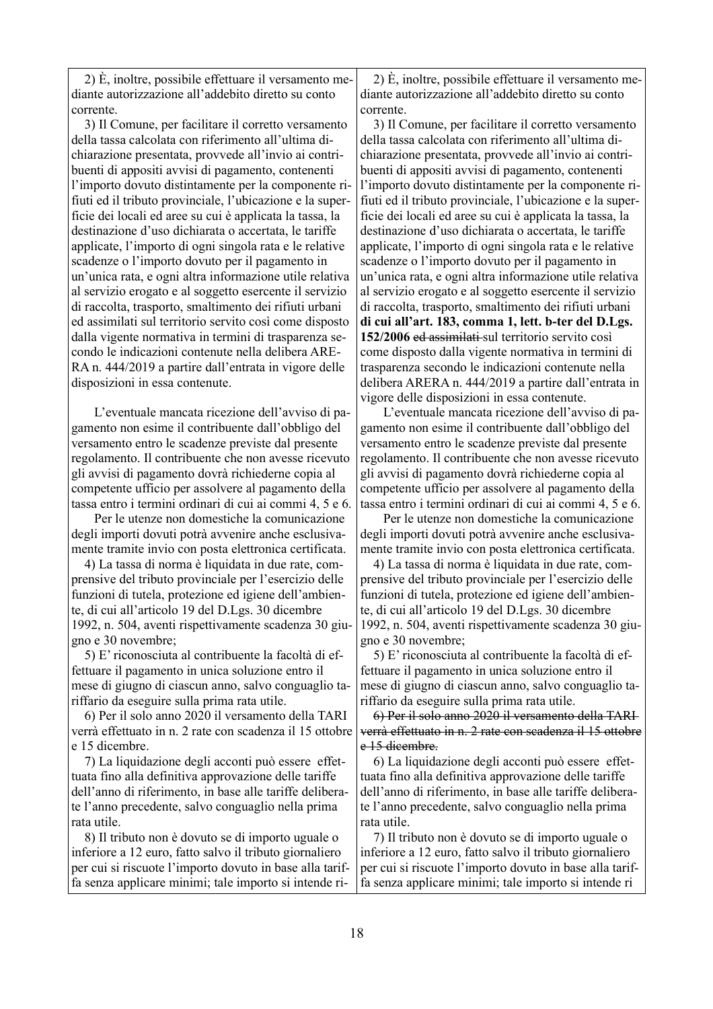2) È, inoltre, possibile effettuare il versamento mediante autorizzazione all'addebito diretto su conto corrente.

 3) Il Comune, per facilitare il corretto versamento della tassa calcolata con riferimento all'ultima dichiarazione presentata, provvede all'invio ai contribuenti di appositi avvisi di pagamento, contenenti l'importo dovuto distintamente per la componente rifiuti ed il tributo provinciale, l'ubicazione e la superficie dei locali ed aree su cui è applicata la tassa, la destinazione d'uso dichiarata o accertata, le tariffe applicate, l'importo di ogni singola rata e le relative scadenze o l'importo dovuto per il pagamento in un'unica rata, e ogni altra informazione utile relativa al servizio erogato e al soggetto esercente il servizio di raccolta, trasporto, smaltimento dei rifiuti urbani ed assimilati sul territorio servito così come disposto dalla vigente normativa in termini di trasparenza secondo le indicazioni contenute nella delibera ARE-RA n. 444/2019 a partire dall'entrata in vigore delle disposizioni in essa contenute.

 L'eventuale mancata ricezione dell'avviso di pagamento non esime il contribuente dall'obbligo del versamento entro le scadenze previste dal presente regolamento. Il contribuente che non avesse ricevuto gli avvisi di pagamento dovrà richiederne copia al competente ufficio per assolvere al pagamento della tassa entro i termini ordinari di cui ai commi 4, 5 e 6.

 Per le utenze non domestiche la comunicazione degli importi dovuti potrà avvenire anche esclusivamente tramite invio con posta elettronica certificata.

 4) La tassa di norma è liquidata in due rate, comprensive del tributo provinciale per l'esercizio delle funzioni di tutela, protezione ed igiene dell'ambiente, di cui all'articolo 19 del D.Lgs. 30 dicembre 1992, n. 504, aventi rispettivamente scadenza 30 giugno e 30 novembre;

 5) E' riconosciuta al contribuente la facoltà di effettuare il pagamento in unica soluzione entro il mese di giugno di ciascun anno, salvo conguaglio tariffario da eseguire sulla prima rata utile.

 6) Per il solo anno 2020 il versamento della TARI verrà effettuato in n. 2 rate con scadenza il 15 ottobre e 15 dicembre.

 7) La liquidazione degli acconti può essere effettuata fino alla definitiva approvazione delle tariffe dell'anno di riferimento, in base alle tariffe deliberate l'anno precedente, salvo conguaglio nella prima rata utile.

 8) Il tributo non è dovuto se di importo uguale o inferiore a 12 euro, fatto salvo il tributo giornaliero per cui si riscuote l'importo dovuto in base alla tariffa senza applicare minimi; tale importo si intende ri-

 2) È, inoltre, possibile effettuare il versamento mediante autorizzazione all'addebito diretto su conto corrente.

 3) Il Comune, per facilitare il corretto versamento della tassa calcolata con riferimento all'ultima dichiarazione presentata, provvede all'invio ai contribuenti di appositi avvisi di pagamento, contenenti l'importo dovuto distintamente per la componente rifiuti ed il tributo provinciale, l'ubicazione e la superficie dei locali ed aree su cui è applicata la tassa, la destinazione d'uso dichiarata o accertata, le tariffe applicate, l'importo di ogni singola rata e le relative scadenze o l'importo dovuto per il pagamento in un'unica rata, e ogni altra informazione utile relativa al servizio erogato e al soggetto esercente il servizio di raccolta, trasporto, smaltimento dei rifiuti urbani **di cui all'art. 183, comma 1, lett. b-ter del D.Lgs. 152/2006** ed assimilati sul territorio servito così come disposto dalla vigente normativa in termini di trasparenza secondo le indicazioni contenute nella delibera ARERA n. 444/2019 a partire dall'entrata in vigore delle disposizioni in essa contenute.

 L'eventuale mancata ricezione dell'avviso di pagamento non esime il contribuente dall'obbligo del versamento entro le scadenze previste dal presente regolamento. Il contribuente che non avesse ricevuto gli avvisi di pagamento dovrà richiederne copia al competente ufficio per assolvere al pagamento della tassa entro i termini ordinari di cui ai commi 4, 5 e 6.

 Per le utenze non domestiche la comunicazione degli importi dovuti potrà avvenire anche esclusivamente tramite invio con posta elettronica certificata.

 4) La tassa di norma è liquidata in due rate, comprensive del tributo provinciale per l'esercizio delle funzioni di tutela, protezione ed igiene dell'ambiente, di cui all'articolo 19 del D.Lgs. 30 dicembre 1992, n. 504, aventi rispettivamente scadenza 30 giugno e 30 novembre;

 5) E' riconosciuta al contribuente la facoltà di effettuare il pagamento in unica soluzione entro il mese di giugno di ciascun anno, salvo conguaglio tariffario da eseguire sulla prima rata utile.

 6) Per il solo anno 2020 il versamento della TARI verrà effettuato in n. 2 rate con scadenza il 15 ottobre e 15 dieembre.

 6) La liquidazione degli acconti può essere effettuata fino alla definitiva approvazione delle tariffe dell'anno di riferimento, in base alle tariffe deliberate l'anno precedente, salvo conguaglio nella prima rata utile.

 7) Il tributo non è dovuto se di importo uguale o inferiore a 12 euro, fatto salvo il tributo giornaliero per cui si riscuote l'importo dovuto in base alla tariffa senza applicare minimi; tale importo si intende ri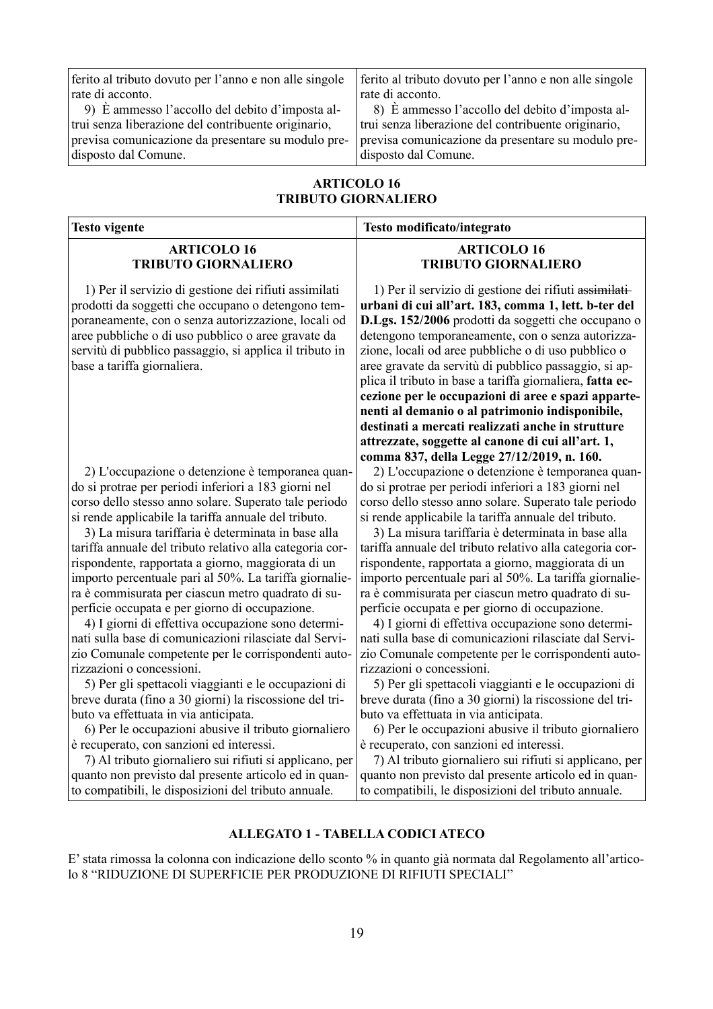| ferito al tributo dovuto per l'anno e non alle singole | ferito al tributo dovuto per l'anno e non alle singole |
|--------------------------------------------------------|--------------------------------------------------------|
| rate di acconto.                                       | rate di acconto.                                       |
| 9) È ammesso l'accollo del debito d'imposta al-        | 8) È ammesso l'accollo del debito d'imposta al-        |
| trui senza liberazione del contribuente originario,    | trui senza liberazione del contribuente originario,    |
| previsa comunicazione da presentare su modulo pre-     | previsa comunicazione da presentare su modulo pre-     |
| disposto dal Comune.                                   | disposto dal Comune.                                   |

#### **ARTICOLO 16 TRIBUTO GIORNALIERO**

| <b>Testo vigente</b>                                                                                                                                                                                                                                                                                               | Testo modificato/integrato                                                                                                                                                                                                                                                                                                                                                                                                                                                                                                                                                                                                                                                |
|--------------------------------------------------------------------------------------------------------------------------------------------------------------------------------------------------------------------------------------------------------------------------------------------------------------------|---------------------------------------------------------------------------------------------------------------------------------------------------------------------------------------------------------------------------------------------------------------------------------------------------------------------------------------------------------------------------------------------------------------------------------------------------------------------------------------------------------------------------------------------------------------------------------------------------------------------------------------------------------------------------|
| <b>ARTICOLO 16</b>                                                                                                                                                                                                                                                                                                 | <b>ARTICOLO 16</b>                                                                                                                                                                                                                                                                                                                                                                                                                                                                                                                                                                                                                                                        |
| <b>TRIBUTO GIORNALIERO</b>                                                                                                                                                                                                                                                                                         | <b>TRIBUTO GIORNALIERO</b>                                                                                                                                                                                                                                                                                                                                                                                                                                                                                                                                                                                                                                                |
| 1) Per il servizio di gestione dei rifiuti assimilati<br>prodotti da soggetti che occupano o detengono tem-<br>poraneamente, con o senza autorizzazione, locali od<br>aree pubbliche o di uso pubblico o aree gravate da<br>servitù di pubblico passaggio, si applica il tributo in<br>base a tariffa giornaliera. | 1) Per il servizio di gestione dei rifiuti assimilati-<br>urbani di cui all'art. 183, comma 1, lett. b-ter del<br>D.Lgs. 152/2006 prodotti da soggetti che occupano o<br>detengono temporaneamente, con o senza autorizza-<br>zione, locali od aree pubbliche o di uso pubblico o<br>aree gravate da servitù di pubblico passaggio, si ap-<br>plica il tributo in base a tariffa giornaliera, fatta ec-<br>cezione per le occupazioni di aree e spazi apparte-<br>nenti al demanio o al patrimonio indisponibile,<br>destinati a mercati realizzati anche in strutture<br>attrezzate, soggette al canone di cui all'art. 1,<br>comma 837, della Legge 27/12/2019, n. 160. |
| 2) L'occupazione o detenzione è temporanea quan-                                                                                                                                                                                                                                                                   | 2) L'occupazione o detenzione è temporanea quan-                                                                                                                                                                                                                                                                                                                                                                                                                                                                                                                                                                                                                          |
| do si protrae per periodi inferiori a 183 giorni nel                                                                                                                                                                                                                                                               | do si protrae per periodi inferiori a 183 giorni nel                                                                                                                                                                                                                                                                                                                                                                                                                                                                                                                                                                                                                      |
| corso dello stesso anno solare. Superato tale periodo                                                                                                                                                                                                                                                              | corso dello stesso anno solare. Superato tale periodo                                                                                                                                                                                                                                                                                                                                                                                                                                                                                                                                                                                                                     |
| si rende applicabile la tariffa annuale del tributo.                                                                                                                                                                                                                                                               | si rende applicabile la tariffa annuale del tributo.                                                                                                                                                                                                                                                                                                                                                                                                                                                                                                                                                                                                                      |
| 3) La misura tariffaria è determinata in base alla                                                                                                                                                                                                                                                                 | 3) La misura tariffaria è determinata in base alla                                                                                                                                                                                                                                                                                                                                                                                                                                                                                                                                                                                                                        |
| tariffa annuale del tributo relativo alla categoria cor-                                                                                                                                                                                                                                                           | tariffa annuale del tributo relativo alla categoria cor-                                                                                                                                                                                                                                                                                                                                                                                                                                                                                                                                                                                                                  |
| rispondente, rapportata a giorno, maggiorata di un                                                                                                                                                                                                                                                                 | rispondente, rapportata a giorno, maggiorata di un                                                                                                                                                                                                                                                                                                                                                                                                                                                                                                                                                                                                                        |
| importo percentuale pari al 50%. La tariffa giornalie-                                                                                                                                                                                                                                                             | importo percentuale pari al 50%. La tariffa giornalie-                                                                                                                                                                                                                                                                                                                                                                                                                                                                                                                                                                                                                    |
| ra è commisurata per ciascun metro quadrato di su-                                                                                                                                                                                                                                                                 | ra è commisurata per ciascun metro quadrato di su-                                                                                                                                                                                                                                                                                                                                                                                                                                                                                                                                                                                                                        |
| perficie occupata e per giorno di occupazione.                                                                                                                                                                                                                                                                     | perficie occupata e per giorno di occupazione.                                                                                                                                                                                                                                                                                                                                                                                                                                                                                                                                                                                                                            |
| 4) I giorni di effettiva occupazione sono determi-                                                                                                                                                                                                                                                                 | 4) I giorni di effettiva occupazione sono determi-                                                                                                                                                                                                                                                                                                                                                                                                                                                                                                                                                                                                                        |
| nati sulla base di comunicazioni rilasciate dal Servi-                                                                                                                                                                                                                                                             | nati sulla base di comunicazioni rilasciate dal Servi-                                                                                                                                                                                                                                                                                                                                                                                                                                                                                                                                                                                                                    |
| zio Comunale competente per le corrispondenti auto-                                                                                                                                                                                                                                                                | zio Comunale competente per le corrispondenti auto-                                                                                                                                                                                                                                                                                                                                                                                                                                                                                                                                                                                                                       |
| rizzazioni o concessioni.                                                                                                                                                                                                                                                                                          | rizzazioni o concessioni.                                                                                                                                                                                                                                                                                                                                                                                                                                                                                                                                                                                                                                                 |
| 5) Per gli spettacoli viaggianti e le occupazioni di                                                                                                                                                                                                                                                               | 5) Per gli spettacoli viaggianti e le occupazioni di                                                                                                                                                                                                                                                                                                                                                                                                                                                                                                                                                                                                                      |
| breve durata (fino a 30 giorni) la riscossione del tri-                                                                                                                                                                                                                                                            | breve durata (fino a 30 giorni) la riscossione del tri-                                                                                                                                                                                                                                                                                                                                                                                                                                                                                                                                                                                                                   |
| buto va effettuata in via anticipata.                                                                                                                                                                                                                                                                              | buto va effettuata in via anticipata.                                                                                                                                                                                                                                                                                                                                                                                                                                                                                                                                                                                                                                     |
| 6) Per le occupazioni abusive il tributo giornaliero                                                                                                                                                                                                                                                               | 6) Per le occupazioni abusive il tributo giornaliero                                                                                                                                                                                                                                                                                                                                                                                                                                                                                                                                                                                                                      |
| è recuperato, con sanzioni ed interessi.                                                                                                                                                                                                                                                                           | è recuperato, con sanzioni ed interessi.                                                                                                                                                                                                                                                                                                                                                                                                                                                                                                                                                                                                                                  |
| 7) Al tributo giornaliero sui rifiuti si applicano, per                                                                                                                                                                                                                                                            | 7) Al tributo giornaliero sui rifiuti si applicano, per                                                                                                                                                                                                                                                                                                                                                                                                                                                                                                                                                                                                                   |
| quanto non previsto dal presente articolo ed in quan-                                                                                                                                                                                                                                                              | quanto non previsto dal presente articolo ed in quan-                                                                                                                                                                                                                                                                                                                                                                                                                                                                                                                                                                                                                     |

#### **ALLEGATO 1 - TABELLA CODICI ATECO**

to compatibili, le disposizioni del tributo annuale.

to compatibili, le disposizioni del tributo annuale.

E' stata rimossa la colonna con indicazione dello sconto % in quanto già normata dal Regolamento all'articolo 8 "RIDUZIONE DI SUPERFICIE PER PRODUZIONE DI RIFIUTI SPECIALI"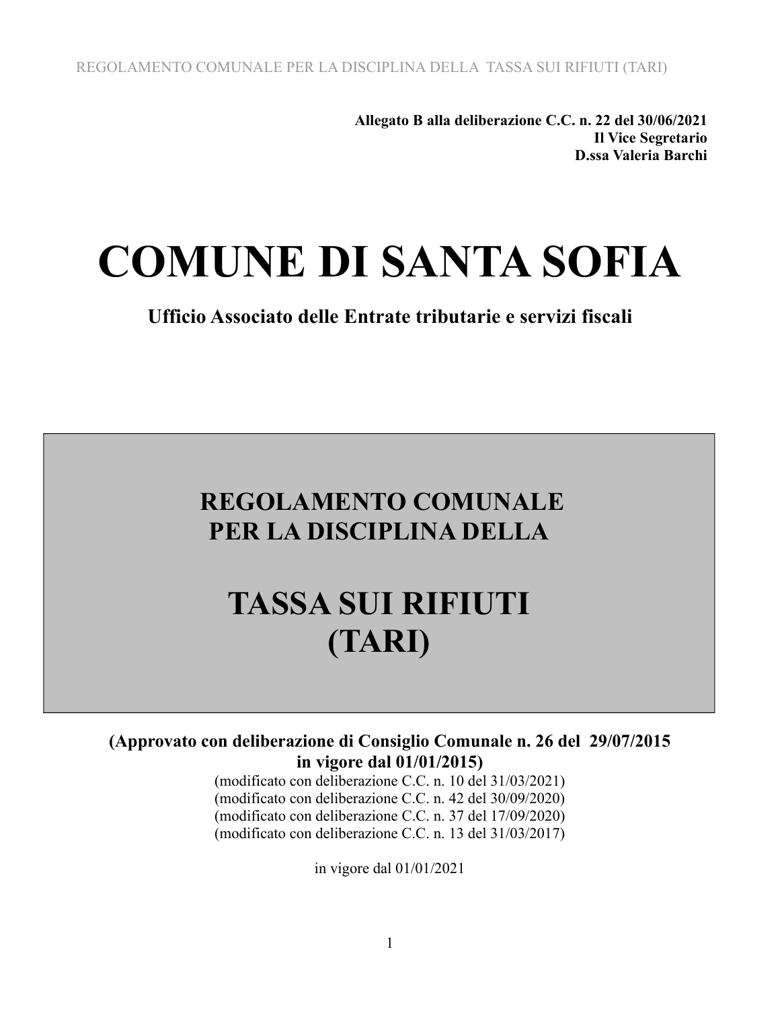**Allegato B alla deliberazione C.C. n. 22 del 30/06/2021 Il Vice Segretario D.ssa Valeria Barchi**

# **COMUNE DI SANTA SOFIA**

**Ufficio Associato delle Entrate tributarie e servizi fiscali**

## **REGOLAMENTO COMUNALE PER LA DISCIPLINA DELLA**

# **TASSA SUI RIFIUTI (TARI)**

#### **(Approvato con deliberazione di Consiglio Comunale n. 26 del 29/07/2015 in vigore dal 01/01/2015)**

(modificato con deliberazione C.C. n. 10 del 31/03/2021) (modificato con deliberazione C.C. n. 42 del 30/09/2020) (modificato con deliberazione C.C. n. 37 del 17/09/2020) (modificato con deliberazione C.C. n. 13 del 31/03/2017)

in vigore dal 01/01/2021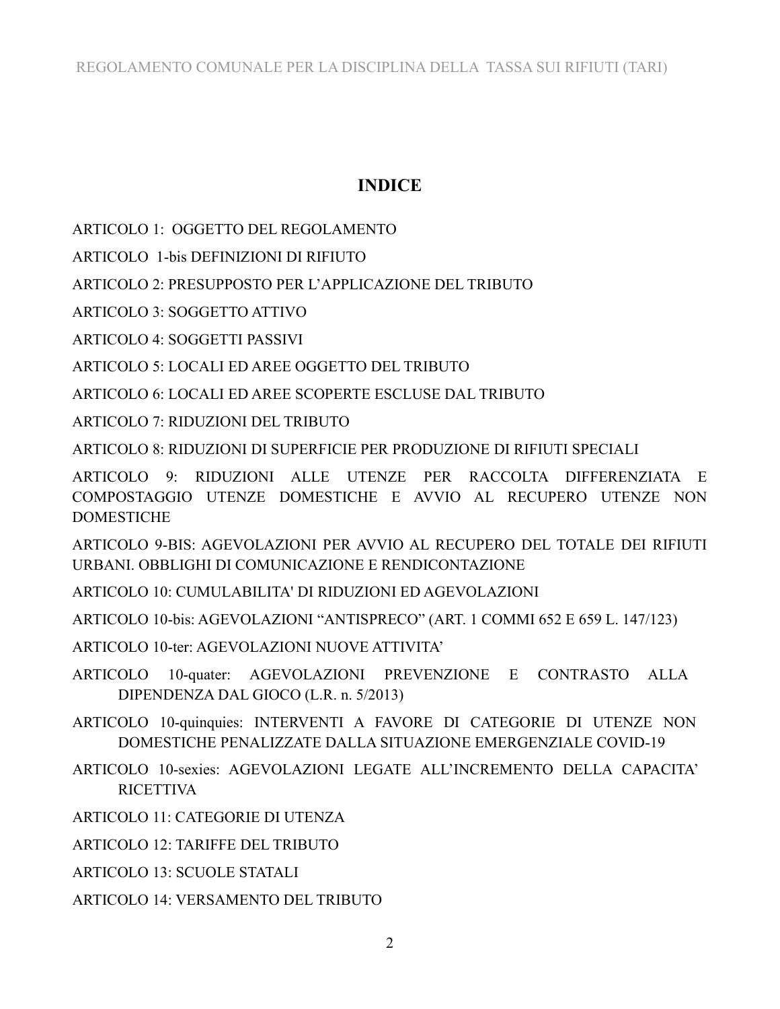### **INDICE**

ARTICOLO 1: OGGETTO DEL REGOLAMENTO

ARTICOLO 1-bis DEFINIZIONI DI RIFIUTO

ARTICOLO 2: PRESUPPOSTO PER L'APPLICAZIONE DEL TRIBUTO

ARTICOLO 3: SOGGETTO ATTIVO

ARTICOLO 4: SOGGETTI PASSIVI

ARTICOLO 5: LOCALI ED AREE OGGETTO DEL TRIBUTO

ARTICOLO 6: LOCALI ED AREE SCOPERTE ESCLUSE DAL TRIBUTO

ARTICOLO 7: RIDUZIONI DEL TRIBUTO

ARTICOLO 8: RIDUZIONI DI SUPERFICIE PER PRODUZIONE DI RIFIUTI SPECIALI

ARTICOLO 9: RIDUZIONI ALLE UTENZE PER RACCOLTA DIFFERENZIATA E COMPOSTAGGIO UTENZE DOMESTICHE E AVVIO AL RECUPERO UTENZE NON **DOMESTICHE** 

ARTICOLO 9-BIS: AGEVOLAZIONI PER AVVIO AL RECUPERO DEL TOTALE DEI RIFIUTI URBANI. OBBLIGHI DI COMUNICAZIONE E RENDICONTAZIONE

ARTICOLO 10: CUMULABILITA' DI RIDUZIONI ED AGEVOLAZIONI

ARTICOLO 10-bis: AGEVOLAZIONI "ANTISPRECO" (ART. 1 COMMI 652 E 659 L. 147/123)

ARTICOLO 10-ter: AGEVOLAZIONI NUOVE ATTIVITA'

- ARTICOLO 10-quater: AGEVOLAZIONI PREVENZIONE E CONTRASTO ALLA DIPENDENZA DAL GIOCO (L.R. n. 5/2013)
- ARTICOLO 10-quinquies: INTERVENTI A FAVORE DI CATEGORIE DI UTENZE NON DOMESTICHE PENALIZZATE DALLA SITUAZIONE EMERGENZIALE COVID-19
- ARTICOLO 10-sexies: AGEVOLAZIONI LEGATE ALL'INCREMENTO DELLA CAPACITA' **RICETTIVA**
- ARTICOLO 11: CATEGORIE DI UTENZA
- **ARTICOLO 12: TARIFFE DEL TRIBUTO**

ARTICOLO 13: SCUOLE STATALI

ARTICOLO 14: VERSAMENTO DEL TRIBUTO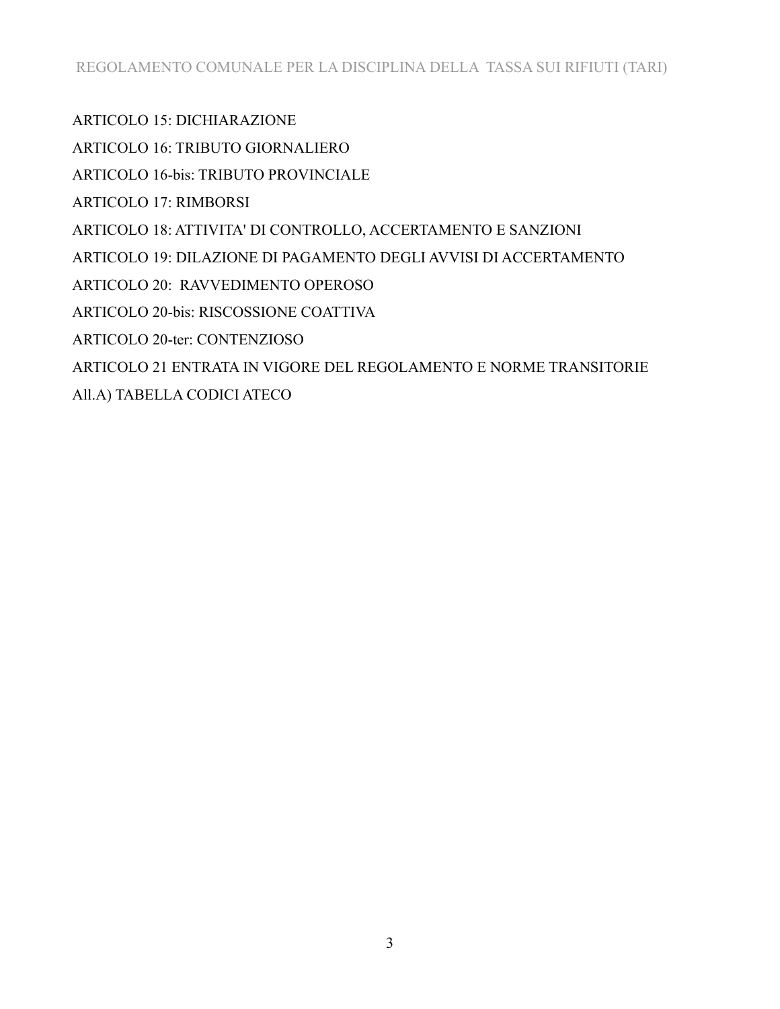ARTICOLO 15: DICHIARAZIONE

ARTICOLO 16: TRIBUTO GIORNALIERO

ARTICOLO 16-bis: TRIBUTO PROVINCIALE

ARTICOLO 17: RIMBORSI

ARTICOLO 18: ATTIVITA' DI CONTROLLO, ACCERTAMENTO E SANZIONI

ARTICOLO 19: DILAZIONE DI PAGAMENTO DEGLI AVVISI DI ACCERTAMENTO

ARTICOLO 20: RAVVEDIMENTO OPEROSO

ARTICOLO 20-bis: RISCOSSIONE COATTIVA

ARTICOLO 20-ter: CONTENZIOSO

ARTICOLO 21 ENTRATA IN VIGORE DEL REGOLAMENTO E NORME TRANSITORIE

All.A) TABELLA CODICI ATECO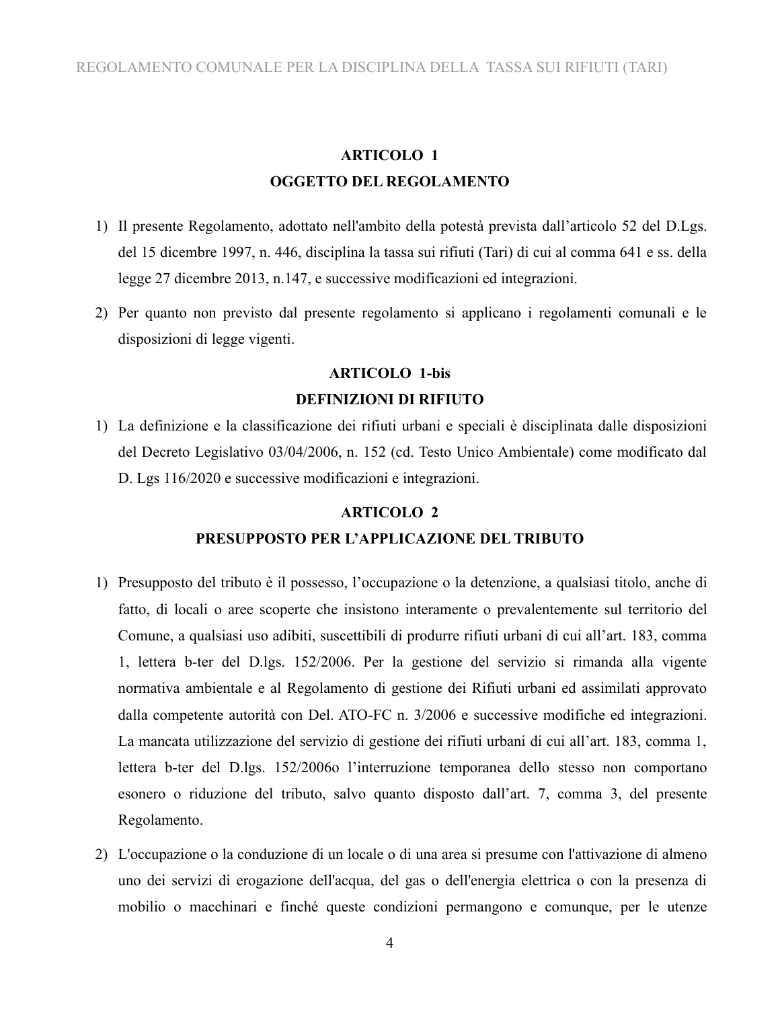### **ARTICOLO 1 OGGETTO DEL REGOLAMENTO**

- 1) Il presente Regolamento, adottato nell'ambito della potestà prevista dall'articolo 52 del D.Lgs. del 15 dicembre 1997, n. 446, disciplina la tassa sui rifiuti (Tari) di cui al comma 641 e ss. della legge 27 dicembre 2013, n.147, e successive modificazioni ed integrazioni.
- 2) Per quanto non previsto dal presente regolamento si applicano i regolamenti comunali e le disposizioni di legge vigenti.

### **ARTICOLO 1-bis DEFINIZIONI DI RIFIUTO**

1) La definizione e la classificazione dei rifiuti urbani e speciali è disciplinata dalle disposizioni del Decreto Legislativo 03/04/2006, n. 152 (cd. Testo Unico Ambientale) come modificato dal D. Lgs 116/2020 e successive modificazioni e integrazioni.

#### **ARTICOLO 2**

#### **PRESUPPOSTO PER L'APPLICAZIONE DEL TRIBUTO**

- 1) Presupposto del tributo è il possesso, l'occupazione o la detenzione, a qualsiasi titolo, anche di fatto, di locali o aree scoperte che insistono interamente o prevalentemente sul territorio del Comune, a qualsiasi uso adibiti, suscettibili di produrre rifiuti urbani di cui all'art. 183, comma 1, lettera b-ter del D.lgs. 152/2006. Per la gestione del servizio si rimanda alla vigente normativa ambientale e al Regolamento di gestione dei Rifiuti urbani ed assimilati approvato dalla competente autorità con Del. ATO-FC n. 3/2006 e successive modifiche ed integrazioni. La mancata utilizzazione del servizio di gestione dei rifiuti urbani di cui all'art. 183, comma 1, lettera b-ter del D.lgs. 152/2006o l'interruzione temporanea dello stesso non comportano esonero o riduzione del tributo, salvo quanto disposto dall'art. 7, comma 3, del presente Regolamento.
- 2) L'occupazione o la conduzione di un locale o di una area si presume con l'attivazione di almeno uno dei servizi di erogazione dell'acqua, del gas o dell'energia elettrica o con la presenza di mobilio o macchinari e finché queste condizioni permangono e comunque, per le utenze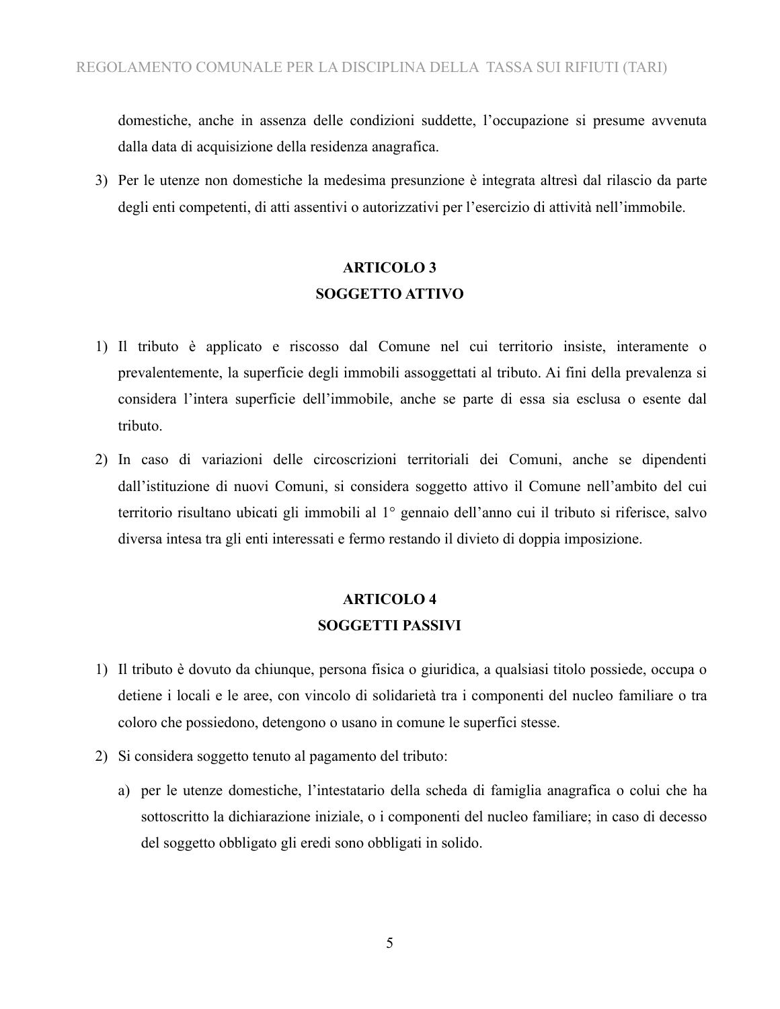domestiche, anche in assenza delle condizioni suddette, l'occupazione si presume avvenuta dalla data di acquisizione della residenza anagrafica.

3) Per le utenze non domestiche la medesima presunzione è integrata altresì dal rilascio da parte degli enti competenti, di atti assentivi o autorizzativi per l'esercizio di attività nell'immobile.

## **ARTICOLO 3 SOGGETTO ATTIVO**

- 1) Il tributo è applicato e riscosso dal Comune nel cui territorio insiste, interamente o prevalentemente, la superficie degli immobili assoggettati al tributo. Ai fini della prevalenza si considera l'intera superficie dell'immobile, anche se parte di essa sia esclusa o esente dal tributo.
- 2) In caso di variazioni delle circoscrizioni territoriali dei Comuni, anche se dipendenti dall'istituzione di nuovi Comuni, si considera soggetto attivo il Comune nell'ambito del cui territorio risultano ubicati gli immobili al 1° gennaio dell'anno cui il tributo si riferisce, salvo diversa intesa tra gli enti interessati e fermo restando il divieto di doppia imposizione.

## **ARTICOLO 4 SOGGETTI PASSIVI**

- 1) Il tributo è dovuto da chiunque, persona fisica o giuridica, a qualsiasi titolo possiede, occupa o detiene i locali e le aree, con vincolo di solidarietà tra i componenti del nucleo familiare o tra coloro che possiedono, detengono o usano in comune le superfici stesse.
- 2) Si considera soggetto tenuto al pagamento del tributo:
	- a) per le utenze domestiche, l'intestatario della scheda di famiglia anagrafica o colui che ha sottoscritto la dichiarazione iniziale, o i componenti del nucleo familiare; in caso di decesso del soggetto obbligato gli eredi sono obbligati in solido.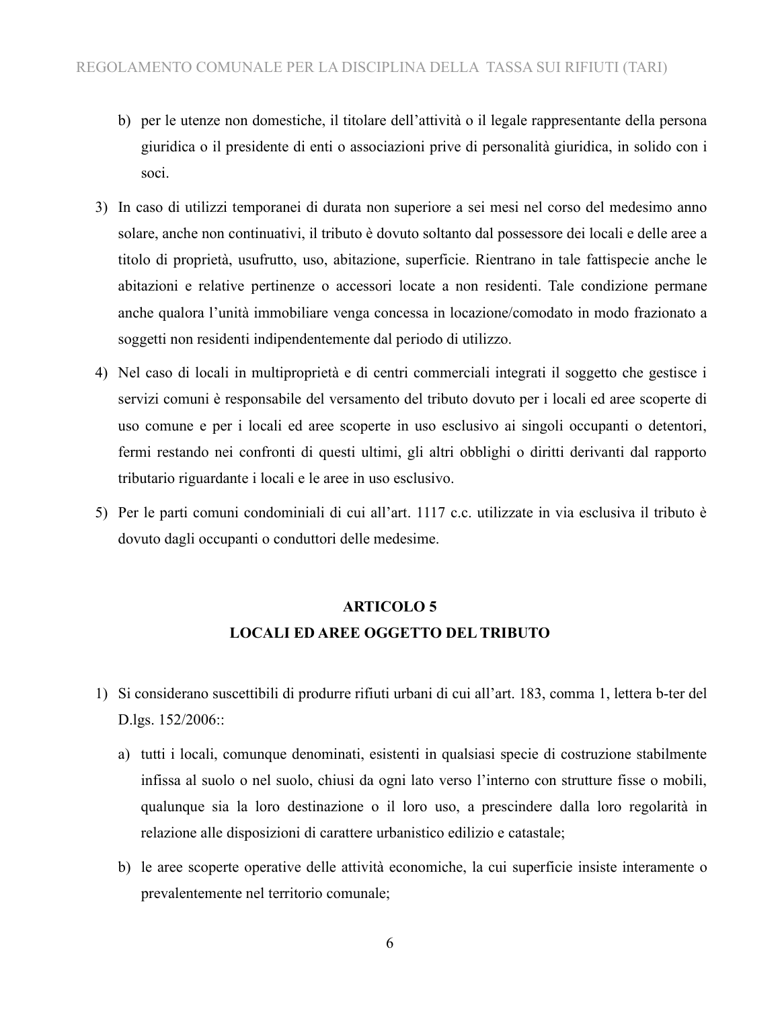- b) per le utenze non domestiche, il titolare dell'attività o il legale rappresentante della persona giuridica o il presidente di enti o associazioni prive di personalità giuridica, in solido con i soci.
- 3) In caso di utilizzi temporanei di durata non superiore a sei mesi nel corso del medesimo anno solare, anche non continuativi, il tributo è dovuto soltanto dal possessore dei locali e delle aree a titolo di proprietà, usufrutto, uso, abitazione, superficie. Rientrano in tale fattispecie anche le abitazioni e relative pertinenze o accessori locate a non residenti. Tale condizione permane anche qualora l'unità immobiliare venga concessa in locazione/comodato in modo frazionato a soggetti non residenti indipendentemente dal periodo di utilizzo.
- 4) Nel caso di locali in multiproprietà e di centri commerciali integrati il soggetto che gestisce i servizi comuni è responsabile del versamento del tributo dovuto per i locali ed aree scoperte di uso comune e per i locali ed aree scoperte in uso esclusivo ai singoli occupanti o detentori, fermi restando nei confronti di questi ultimi, gli altri obblighi o diritti derivanti dal rapporto tributario riguardante i locali e le aree in uso esclusivo.
- 5) Per le parti comuni condominiali di cui all'art. 1117 c.c. utilizzate in via esclusiva il tributo è dovuto dagli occupanti o conduttori delle medesime.

## **ARTICOLO 5**

#### **LOCALI ED AREE OGGETTO DEL TRIBUTO**

- 1) Si considerano suscettibili di produrre rifiuti urbani di cui all'art. 183, comma 1, lettera b-ter del D.lgs. 152/2006::
	- a) tutti i locali, comunque denominati, esistenti in qualsiasi specie di costruzione stabilmente infissa al suolo o nel suolo, chiusi da ogni lato verso l'interno con strutture fisse o mobili, qualunque sia la loro destinazione o il loro uso, a prescindere dalla loro regolarità in relazione alle disposizioni di carattere urbanistico edilizio e catastale;
	- b) le aree scoperte operative delle attività economiche, la cui superficie insiste interamente o prevalentemente nel territorio comunale;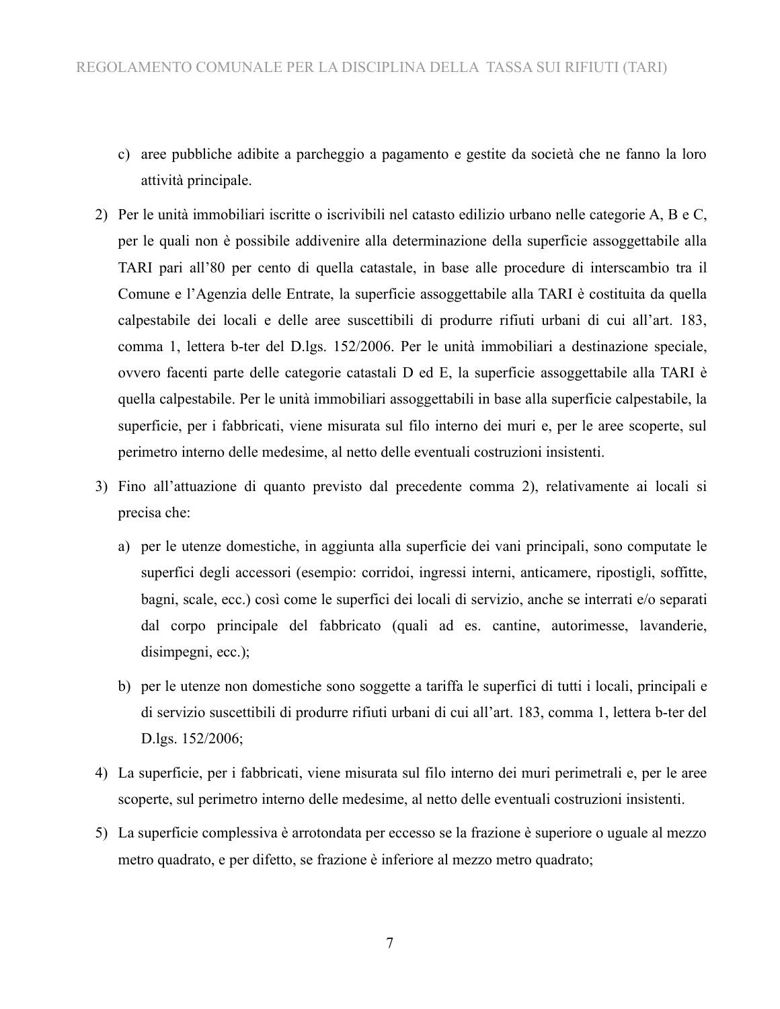- c) aree pubbliche adibite a parcheggio a pagamento e gestite da società che ne fanno la loro attività principale.
- 2) Per le unità immobiliari iscritte o iscrivibili nel catasto edilizio urbano nelle categorie A, B e C, per le quali non è possibile addivenire alla determinazione della superficie assoggettabile alla TARI pari all'80 per cento di quella catastale, in base alle procedure di interscambio tra il Comune e l'Agenzia delle Entrate, la superficie assoggettabile alla TARI è costituita da quella calpestabile dei locali e delle aree suscettibili di produrre rifiuti urbani di cui all'art. 183, comma 1, lettera b-ter del D.lgs. 152/2006. Per le unità immobiliari a destinazione speciale, ovvero facenti parte delle categorie catastali D ed E, la superficie assoggettabile alla TARI è quella calpestabile. Per le unità immobiliari assoggettabili in base alla superficie calpestabile, la superficie, per i fabbricati, viene misurata sul filo interno dei muri e, per le aree scoperte, sul perimetro interno delle medesime, al netto delle eventuali costruzioni insistenti.
- 3) Fino all'attuazione di quanto previsto dal precedente comma 2), relativamente ai locali si precisa che:
	- a) per le utenze domestiche, in aggiunta alla superficie dei vani principali, sono computate le superfici degli accessori (esempio: corridoi, ingressi interni, anticamere, ripostigli, soffitte, bagni, scale, ecc.) così come le superfici dei locali di servizio, anche se interrati e/o separati dal corpo principale del fabbricato (quali ad es. cantine, autorimesse, lavanderie, disimpegni, ecc.);
	- b) per le utenze non domestiche sono soggette a tariffa le superfici di tutti i locali, principali e di servizio suscettibili di produrre rifiuti urbani di cui all'art. 183, comma 1, lettera b-ter del D.lgs. 152/2006;
- 4) La superficie, per i fabbricati, viene misurata sul filo interno dei muri perimetrali e, per le aree scoperte, sul perimetro interno delle medesime, al netto delle eventuali costruzioni insistenti.
- 5) La superficie complessiva è arrotondata per eccesso se la frazione è superiore o uguale al mezzo metro quadrato, e per difetto, se frazione è inferiore al mezzo metro quadrato;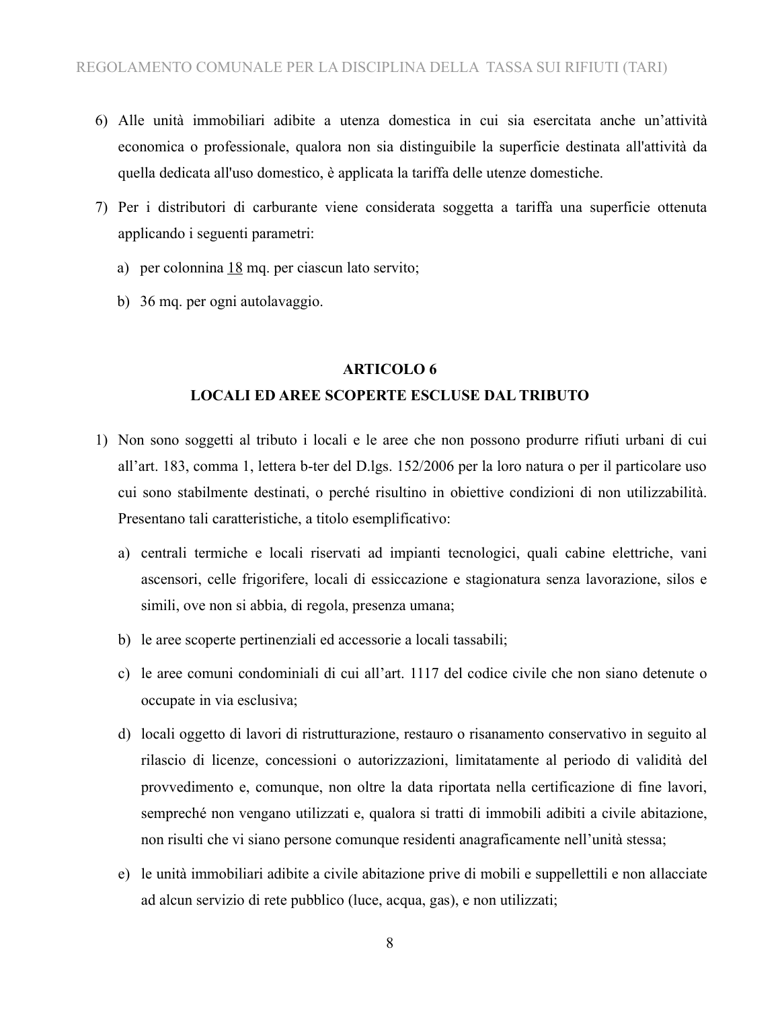- 6) Alle unità immobiliari adibite a utenza domestica in cui sia esercitata anche un'attività economica o professionale, qualora non sia distinguibile la superficie destinata all'attività da quella dedicata all'uso domestico, è applicata la tariffa delle utenze domestiche.
- 7) Per i distributori di carburante viene considerata soggetta a tariffa una superficie ottenuta applicando i seguenti parametri:
	- a) per colonnina  $18$  mq. per ciascun lato servito;
	- b) 36 mq. per ogni autolavaggio.

#### **ARTICOLO 6**

#### **LOCALI ED AREE SCOPERTE ESCLUSE DAL TRIBUTO**

- 1) Non sono soggetti al tributo i locali e le aree che non possono produrre rifiuti urbani di cui all'art. 183, comma 1, lettera b-ter del D.lgs. 152/2006 per la loro natura o per il particolare uso cui sono stabilmente destinati, o perché risultino in obiettive condizioni di non utilizzabilità. Presentano tali caratteristiche, a titolo esemplificativo:
	- a) centrali termiche e locali riservati ad impianti tecnologici, quali cabine elettriche, vani ascensori, celle frigorifere, locali di essiccazione e stagionatura senza lavorazione, silos e simili, ove non si abbia, di regola, presenza umana;
	- b) le aree scoperte pertinenziali ed accessorie a locali tassabili;
	- c) le aree comuni condominiali di cui all'art. 1117 del codice civile che non siano detenute o occupate in via esclusiva;
	- d) locali oggetto di lavori di ristrutturazione, restauro o risanamento conservativo in seguito al rilascio di licenze, concessioni o autorizzazioni, limitatamente al periodo di validità del provvedimento e, comunque, non oltre la data riportata nella certificazione di fine lavori, sempreché non vengano utilizzati e, qualora si tratti di immobili adibiti a civile abitazione, non risulti che vi siano persone comunque residenti anagraficamente nell'unità stessa;
	- e) le unità immobiliari adibite a civile abitazione prive di mobili e suppellettili e non allacciate ad alcun servizio di rete pubblico (luce, acqua, gas), e non utilizzati;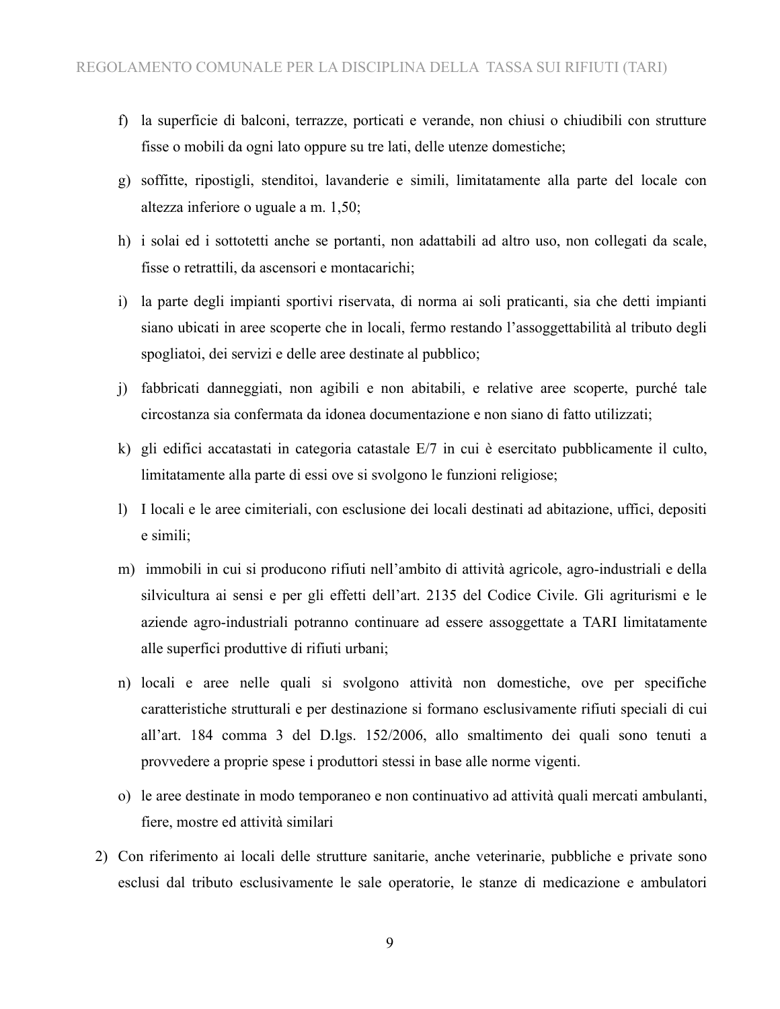- f) la superficie di balconi, terrazze, porticati e verande, non chiusi o chiudibili con strutture fisse o mobili da ogni lato oppure su tre lati, delle utenze domestiche;
- g) soffitte, ripostigli, stenditoi, lavanderie e simili, limitatamente alla parte del locale con altezza inferiore o uguale a m. 1,50;
- h) i solai ed i sottotetti anche se portanti, non adattabili ad altro uso, non collegati da scale, fisse o retrattili, da ascensori e montacarichi;
- i) la parte degli impianti sportivi riservata, di norma ai soli praticanti, sia che detti impianti siano ubicati in aree scoperte che in locali, fermo restando l'assoggettabilità al tributo degli spogliatoi, dei servizi e delle aree destinate al pubblico;
- j) fabbricati danneggiati, non agibili e non abitabili, e relative aree scoperte, purché tale circostanza sia confermata da idonea documentazione e non siano di fatto utilizzati;
- k) gli edifici accatastati in categoria catastale E/7 in cui è esercitato pubblicamente il culto, limitatamente alla parte di essi ove si svolgono le funzioni religiose;
- l) I locali e le aree cimiteriali, con esclusione dei locali destinati ad abitazione, uffici, depositi e simili;
- m) immobili in cui si producono rifiuti nell'ambito di attività agricole, agro-industriali e della silvicultura ai sensi e per gli effetti dell'art. 2135 del Codice Civile. Gli agriturismi e le aziende agro-industriali potranno continuare ad essere assoggettate a TARI limitatamente alle superfici produttive di rifiuti urbani;
- n) locali e aree nelle quali si svolgono attività non domestiche, ove per specifiche caratteristiche strutturali e per destinazione si formano esclusivamente rifiuti speciali di cui all'art. 184 comma 3 del D.lgs. 152/2006, allo smaltimento dei quali sono tenuti a provvedere a proprie spese i produttori stessi in base alle norme vigenti.
- o) le aree destinate in modo temporaneo e non continuativo ad attività quali mercati ambulanti, fiere, mostre ed attività similari
- 2) Con riferimento ai locali delle strutture sanitarie, anche veterinarie, pubbliche e private sono esclusi dal tributo esclusivamente le sale operatorie, le stanze di medicazione e ambulatori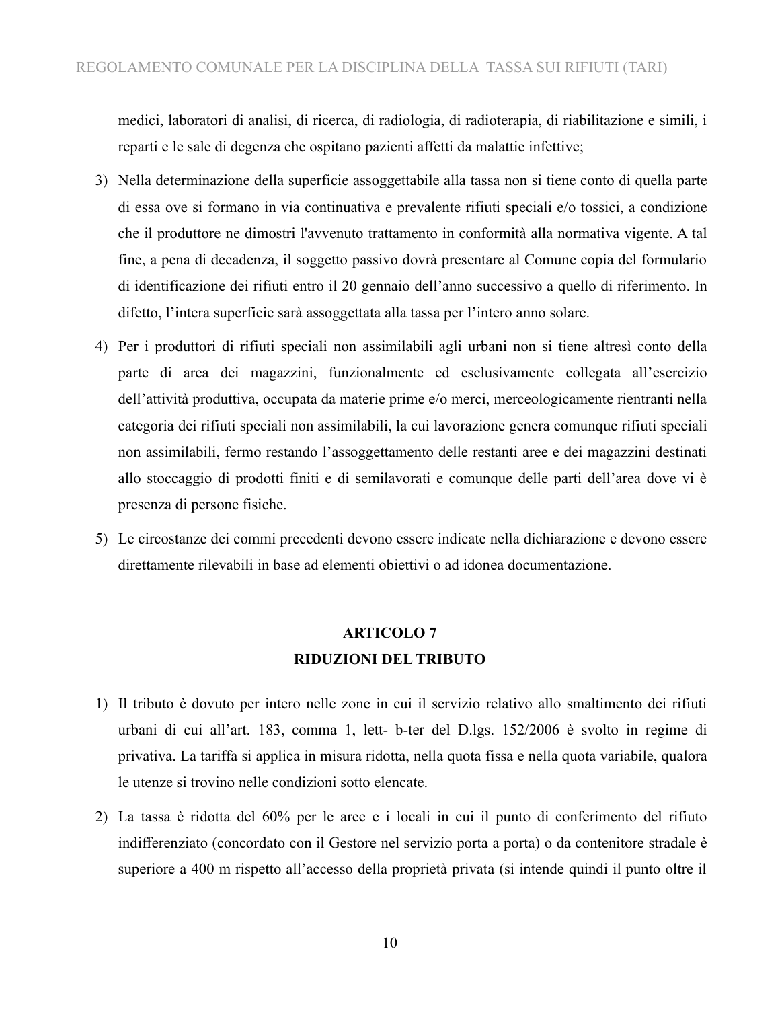medici, laboratori di analisi, di ricerca, di radiologia, di radioterapia, di riabilitazione e simili, i reparti e le sale di degenza che ospitano pazienti affetti da malattie infettive;

- 3) Nella determinazione della superficie assoggettabile alla tassa non si tiene conto di quella parte di essa ove si formano in via continuativa e prevalente rifiuti speciali e/o tossici, a condizione che il produttore ne dimostri l'avvenuto trattamento in conformità alla normativa vigente. A tal fine, a pena di decadenza, il soggetto passivo dovrà presentare al Comune copia del formulario di identificazione dei rifiuti entro il 20 gennaio dell'anno successivo a quello di riferimento. In difetto, l'intera superficie sarà assoggettata alla tassa per l'intero anno solare.
- 4) Per i produttori di rifiuti speciali non assimilabili agli urbani non si tiene altresì conto della parte di area dei magazzini, funzionalmente ed esclusivamente collegata all'esercizio dell'attività produttiva, occupata da materie prime e/o merci, merceologicamente rientranti nella categoria dei rifiuti speciali non assimilabili, la cui lavorazione genera comunque rifiuti speciali non assimilabili, fermo restando l'assoggettamento delle restanti aree e dei magazzini destinati allo stoccaggio di prodotti finiti e di semilavorati e comunque delle parti dell'area dove vi è presenza di persone fisiche.
- 5) Le circostanze dei commi precedenti devono essere indicate nella dichiarazione e devono essere direttamente rilevabili in base ad elementi obiettivi o ad idonea documentazione.

### **ARTICOLO 7 RIDUZIONI DEL TRIBUTO**

- 1) Il tributo è dovuto per intero nelle zone in cui il servizio relativo allo smaltimento dei rifiuti urbani di cui all'art. 183, comma 1, lett- b-ter del D.lgs. 152/2006 è svolto in regime di privativa. La tariffa si applica in misura ridotta, nella quota fissa e nella quota variabile, qualora le utenze si trovino nelle condizioni sotto elencate.
- 2) La tassa è ridotta del 60% per le aree e i locali in cui il punto di conferimento del rifiuto indifferenziato (concordato con il Gestore nel servizio porta a porta) o da contenitore stradale è superiore a 400 m rispetto all'accesso della proprietà privata (si intende quindi il punto oltre il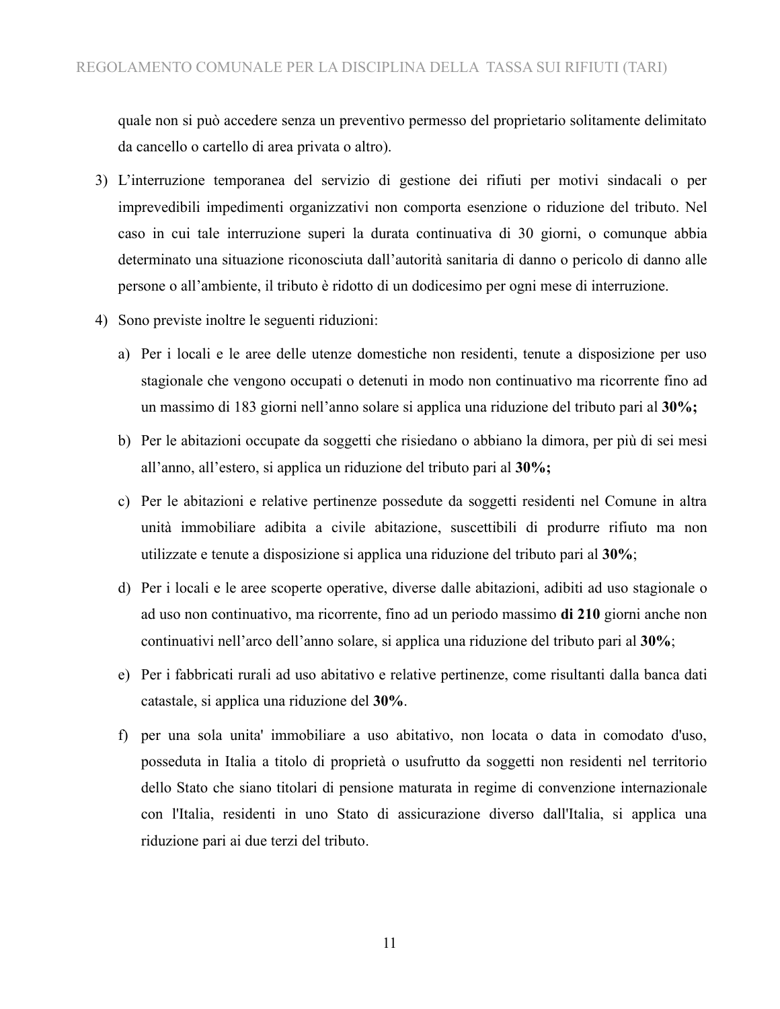quale non si può accedere senza un preventivo permesso del proprietario solitamente delimitato da cancello o cartello di area privata o altro).

- 3) L'interruzione temporanea del servizio di gestione dei rifiuti per motivi sindacali o per imprevedibili impedimenti organizzativi non comporta esenzione o riduzione del tributo. Nel caso in cui tale interruzione superi la durata continuativa di 30 giorni, o comunque abbia determinato una situazione riconosciuta dall'autorità sanitaria di danno o pericolo di danno alle persone o all'ambiente, il tributo è ridotto di un dodicesimo per ogni mese di interruzione.
- 4) Sono previste inoltre le seguenti riduzioni:
	- a) Per i locali e le aree delle utenze domestiche non residenti, tenute a disposizione per uso stagionale che vengono occupati o detenuti in modo non continuativo ma ricorrente fino ad un massimo di 183 giorni nell'anno solare si applica una riduzione del tributo pari al **30%;**
	- b) Per le abitazioni occupate da soggetti che risiedano o abbiano la dimora, per più di sei mesi all'anno, all'estero, si applica un riduzione del tributo pari al **30%;**
	- c) Per le abitazioni e relative pertinenze possedute da soggetti residenti nel Comune in altra unità immobiliare adibita a civile abitazione, suscettibili di produrre rifiuto ma non utilizzate e tenute a disposizione si applica una riduzione del tributo pari al **30%**;
	- d) Per i locali e le aree scoperte operative, diverse dalle abitazioni, adibiti ad uso stagionale o ad uso non continuativo, ma ricorrente, fino ad un periodo massimo **di 210** giorni anche non continuativi nell'arco dell'anno solare, si applica una riduzione del tributo pari al **30%**;
	- e) Per i fabbricati rurali ad uso abitativo e relative pertinenze, come risultanti dalla banca dati catastale, si applica una riduzione del **30%**.
	- f) per una sola unita' immobiliare a uso abitativo, non locata o data in comodato d'uso, posseduta in Italia a titolo di proprietà o usufrutto da soggetti non residenti nel territorio dello Stato che siano titolari di pensione maturata in regime di convenzione internazionale con l'Italia, residenti in uno Stato di assicurazione diverso dall'Italia, si applica una riduzione pari ai due terzi del tributo.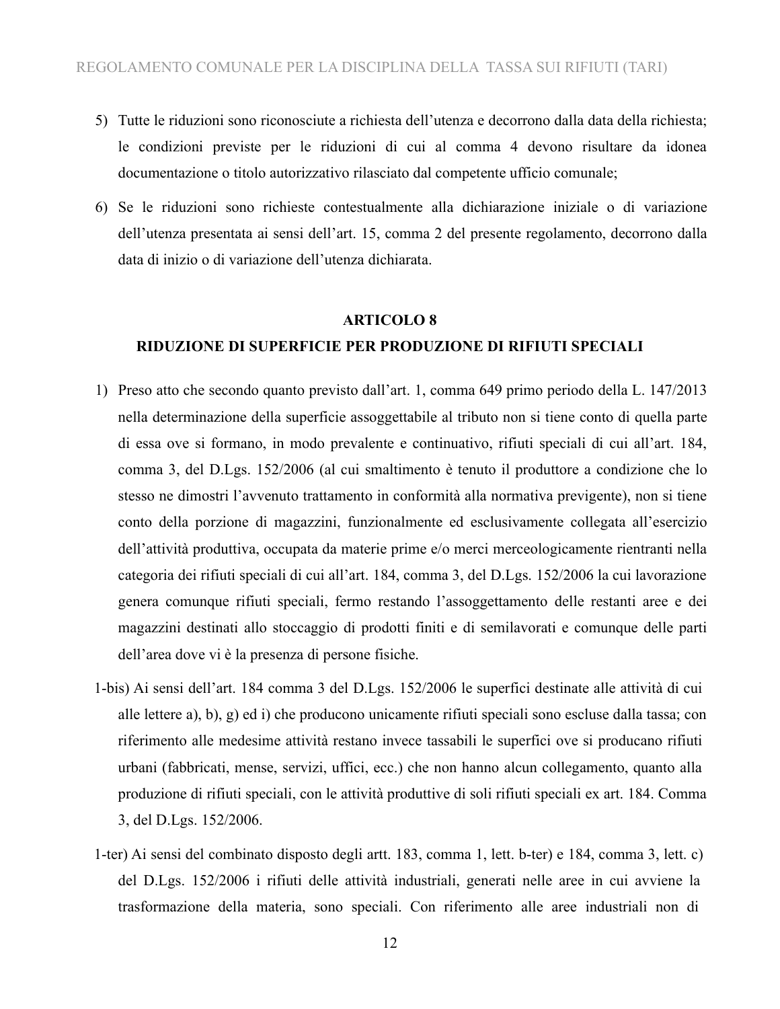- 5) Tutte le riduzioni sono riconosciute a richiesta dell'utenza e decorrono dalla data della richiesta; le condizioni previste per le riduzioni di cui al comma 4 devono risultare da idonea documentazione o titolo autorizzativo rilasciato dal competente ufficio comunale;
- 6) Se le riduzioni sono richieste contestualmente alla dichiarazione iniziale o di variazione dell'utenza presentata ai sensi dell'art. 15, comma 2 del presente regolamento, decorrono dalla data di inizio o di variazione dell'utenza dichiarata.

#### **ARTICOLO 8**

#### **RIDUZIONE DI SUPERFICIE PER PRODUZIONE DI RIFIUTI SPECIALI**

- 1) Preso atto che secondo quanto previsto dall'art. 1, comma 649 primo periodo della L. 147/2013 nella determinazione della superficie assoggettabile al tributo non si tiene conto di quella parte di essa ove si formano, in modo prevalente e continuativo, rifiuti speciali di cui all'art. 184, comma 3, del D.Lgs. 152/2006 (al cui smaltimento è tenuto il produttore a condizione che lo stesso ne dimostri l'avvenuto trattamento in conformità alla normativa previgente), non si tiene conto della porzione di magazzini, funzionalmente ed esclusivamente collegata all'esercizio dell'attività produttiva, occupata da materie prime e/o merci merceologicamente rientranti nella categoria dei rifiuti speciali di cui all'art. 184, comma 3, del D.Lgs. 152/2006 la cui lavorazione genera comunque rifiuti speciali, fermo restando l'assoggettamento delle restanti aree e dei magazzini destinati allo stoccaggio di prodotti finiti e di semilavorati e comunque delle parti dell'area dove vi è la presenza di persone fisiche.
- 1-bis) Ai sensi dell'art. 184 comma 3 del D.Lgs. 152/2006 le superfici destinate alle attività di cui alle lettere a), b), g) ed i) che producono unicamente rifiuti speciali sono escluse dalla tassa; con riferimento alle medesime attività restano invece tassabili le superfici ove si producano rifiuti urbani (fabbricati, mense, servizi, uffici, ecc.) che non hanno alcun collegamento, quanto alla produzione di rifiuti speciali, con le attività produttive di soli rifiuti speciali ex art. 184. Comma 3, del D.Lgs. 152/2006.
- 1-ter) Ai sensi del combinato disposto degli artt. 183, comma 1, lett. b-ter) e 184, comma 3, lett. c) del D.Lgs. 152/2006 i rifiuti delle attività industriali, generati nelle aree in cui avviene la trasformazione della materia, sono speciali. Con riferimento alle aree industriali non di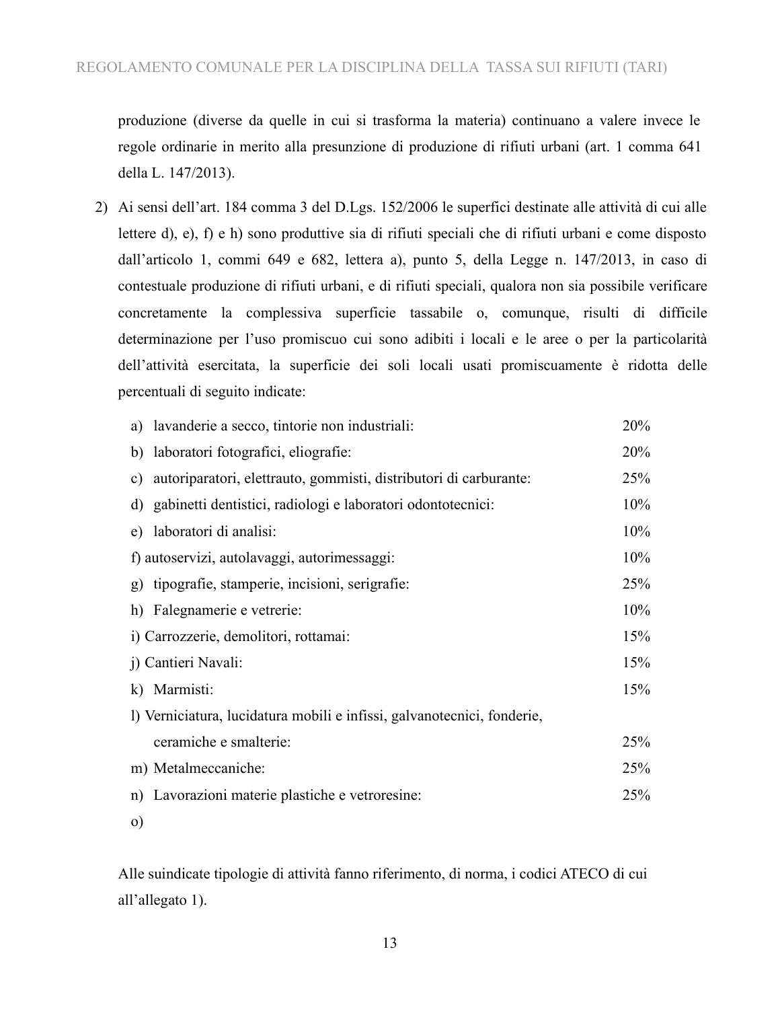produzione (diverse da quelle in cui si trasforma la materia) continuano a valere invece le regole ordinarie in merito alla presunzione di produzione di rifiuti urbani (art. 1 comma 641 della L. 147/2013).

2) Ai sensi dell'art. 184 comma 3 del D.Lgs. 152/2006 le superfici destinate alle attività di cui alle lettere d), e), f) e h) sono produttive sia di rifiuti speciali che di rifiuti urbani e come disposto dall'articolo 1, commi 649 e 682, lettera a), punto 5, della Legge n. 147/2013, in caso di contestuale produzione di rifiuti urbani, e di rifiuti speciali, qualora non sia possibile verificare concretamente la complessiva superficie tassabile o, comunque, risulti di difficile determinazione per l'uso promiscuo cui sono adibiti i locali e le aree o per la particolarità dell'attività esercitata, la superficie dei soli locali usati promiscuamente è ridotta delle percentuali di seguito indicate:

| a) lavanderie a secco, tintorie non industriali:                        | 20% |  |  |
|-------------------------------------------------------------------------|-----|--|--|
| b) laboratori fotografici, eliografie:                                  | 20% |  |  |
| autoriparatori, elettrauto, gommisti, distributori di carburante:<br>c) | 25% |  |  |
| d) gabinetti dentistici, radiologi e laboratori odontotecnici:          | 10% |  |  |
| laboratori di analisi:<br>e)                                            | 10% |  |  |
| f) autoservizi, autolavaggi, autorimessaggi:                            | 10% |  |  |
| tipografie, stamperie, incisioni, serigrafie:<br>$\mathfrak{g}$ )       | 25% |  |  |
| h) Falegnamerie e vetrerie:                                             | 10% |  |  |
| i) Carrozzerie, demolitori, rottamai:                                   |     |  |  |
| j) Cantieri Navali:                                                     | 15% |  |  |
| k) Marmisti:                                                            | 15% |  |  |
| l) Verniciatura, lucidatura mobili e infissi, galvanotecnici, fonderie, |     |  |  |
| ceramiche e smalterie:                                                  | 25% |  |  |
| m) Metalmeccaniche:                                                     | 25% |  |  |
| n) Lavorazioni materie plastiche e vetroresine:                         | 25% |  |  |
| $\circ$ )                                                               |     |  |  |

Alle suindicate tipologie di attività fanno riferimento, di norma, i codici ATECO di cui all'allegato 1).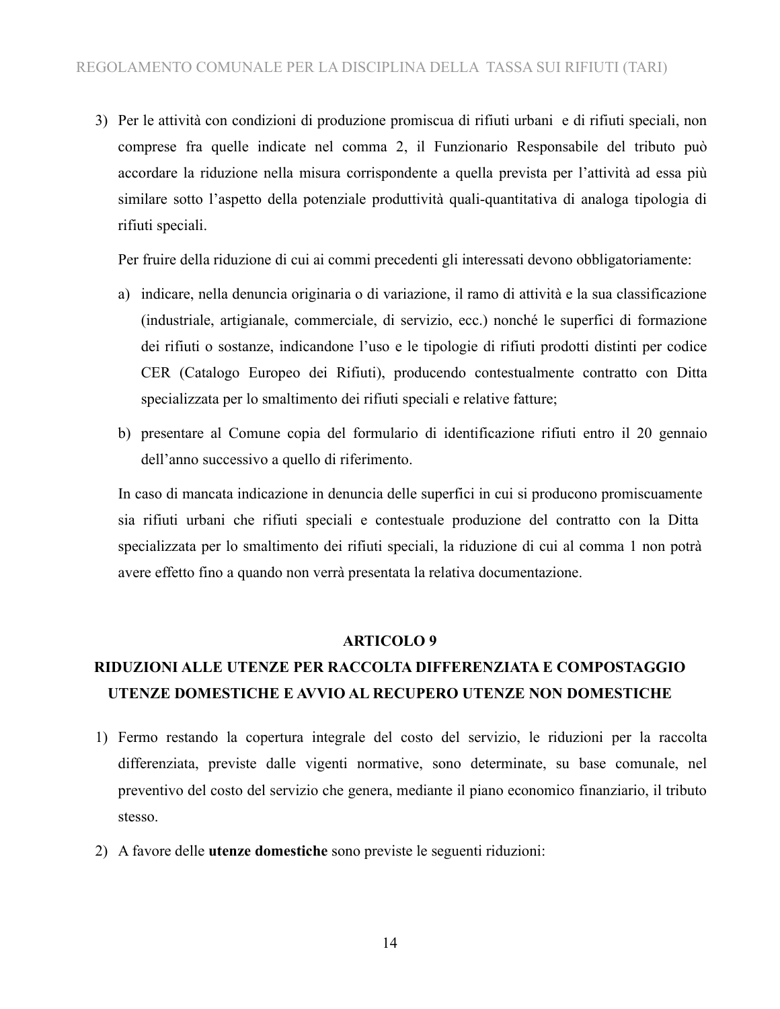3) Per le attività con condizioni di produzione promiscua di rifiuti urbani e di rifiuti speciali, non comprese fra quelle indicate nel comma 2, il Funzionario Responsabile del tributo può accordare la riduzione nella misura corrispondente a quella prevista per l'attività ad essa più similare sotto l'aspetto della potenziale produttività quali-quantitativa di analoga tipologia di rifiuti speciali.

Per fruire della riduzione di cui ai commi precedenti gli interessati devono obbligatoriamente:

- a) indicare, nella denuncia originaria o di variazione, il ramo di attività e la sua classificazione (industriale, artigianale, commerciale, di servizio, ecc.) nonché le superfici di formazione dei rifiuti o sostanze, indicandone l'uso e le tipologie di rifiuti prodotti distinti per codice CER (Catalogo Europeo dei Rifiuti), producendo contestualmente contratto con Ditta specializzata per lo smaltimento dei rifiuti speciali e relative fatture;
- b) presentare al Comune copia del formulario di identificazione rifiuti entro il 20 gennaio dell'anno successivo a quello di riferimento.

In caso di mancata indicazione in denuncia delle superfici in cui si producono promiscuamente sia rifiuti urbani che rifiuti speciali e contestuale produzione del contratto con la Ditta specializzata per lo smaltimento dei rifiuti speciali, la riduzione di cui al comma 1 non potrà avere effetto fino a quando non verrà presentata la relativa documentazione.

#### **ARTICOLO 9**

## **RIDUZIONI ALLE UTENZE PER RACCOLTA DIFFERENZIATA E COMPOSTAGGIO UTENZE DOMESTICHE E AVVIO AL RECUPERO UTENZE NON DOMESTICHE**

- 1) Fermo restando la copertura integrale del costo del servizio, le riduzioni per la raccolta differenziata, previste dalle vigenti normative, sono determinate, su base comunale, nel preventivo del costo del servizio che genera, mediante il piano economico finanziario, il tributo stesso.
- 2) A favore delle **utenze domestiche** sono previste le seguenti riduzioni: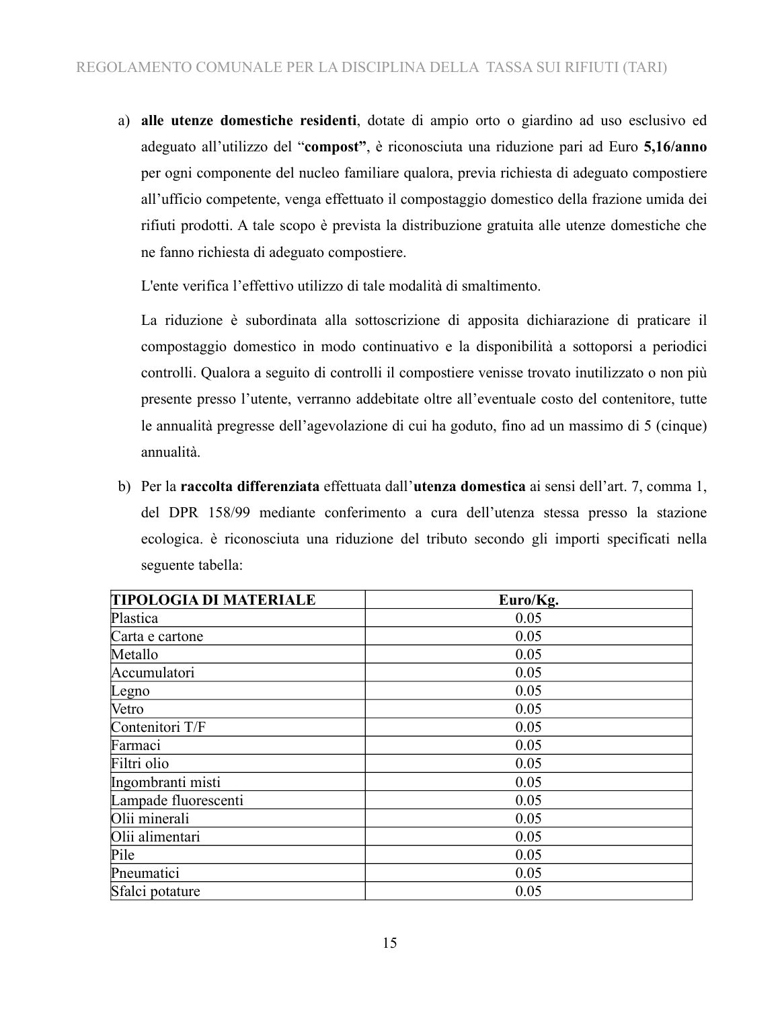a) **alle utenze domestiche residenti**, dotate di ampio orto o giardino ad uso esclusivo ed adeguato all'utilizzo del "**compost"**, è riconosciuta una riduzione pari ad Euro **5,16/anno** per ogni componente del nucleo familiare qualora, previa richiesta di adeguato compostiere all'ufficio competente, venga effettuato il compostaggio domestico della frazione umida dei rifiuti prodotti. A tale scopo è prevista la distribuzione gratuita alle utenze domestiche che ne fanno richiesta di adeguato compostiere.

L'ente verifica l'effettivo utilizzo di tale modalità di smaltimento.

La riduzione è subordinata alla sottoscrizione di apposita dichiarazione di praticare il compostaggio domestico in modo continuativo e la disponibilità a sottoporsi a periodici controlli. Qualora a seguito di controlli il compostiere venisse trovato inutilizzato o non più presente presso l'utente, verranno addebitate oltre all'eventuale costo del contenitore, tutte le annualità pregresse dell'agevolazione di cui ha goduto, fino ad un massimo di 5 (cinque) annualità.

b) Per la **raccolta differenziata** effettuata dall'**utenza domestica** ai sensi dell'art. 7, comma 1, del DPR 158/99 mediante conferimento a cura dell'utenza stessa presso la stazione ecologica. è riconosciuta una riduzione del tributo secondo gli importi specificati nella seguente tabella:

| <b>TIPOLOGIA DI MATERIALE</b> | Euro/Kg. |
|-------------------------------|----------|
| Plastica                      | 0.05     |
| Carta e cartone               | 0.05     |
| Metallo                       | 0.05     |
| Accumulatori                  | 0.05     |
| Legno                         | 0.05     |
| Vetro                         | 0.05     |
| Contenitori T/F               | 0.05     |
| Farmaci                       | 0.05     |
| Filtri olio                   | 0.05     |
| Ingombranti misti             | 0.05     |
| Lampade fluorescenti          | 0.05     |
| Olii minerali                 | 0.05     |
| Olii alimentari               | 0.05     |
| Pile                          | 0.05     |
| Pneumatici                    | 0.05     |
| Sfalci potature               | 0.05     |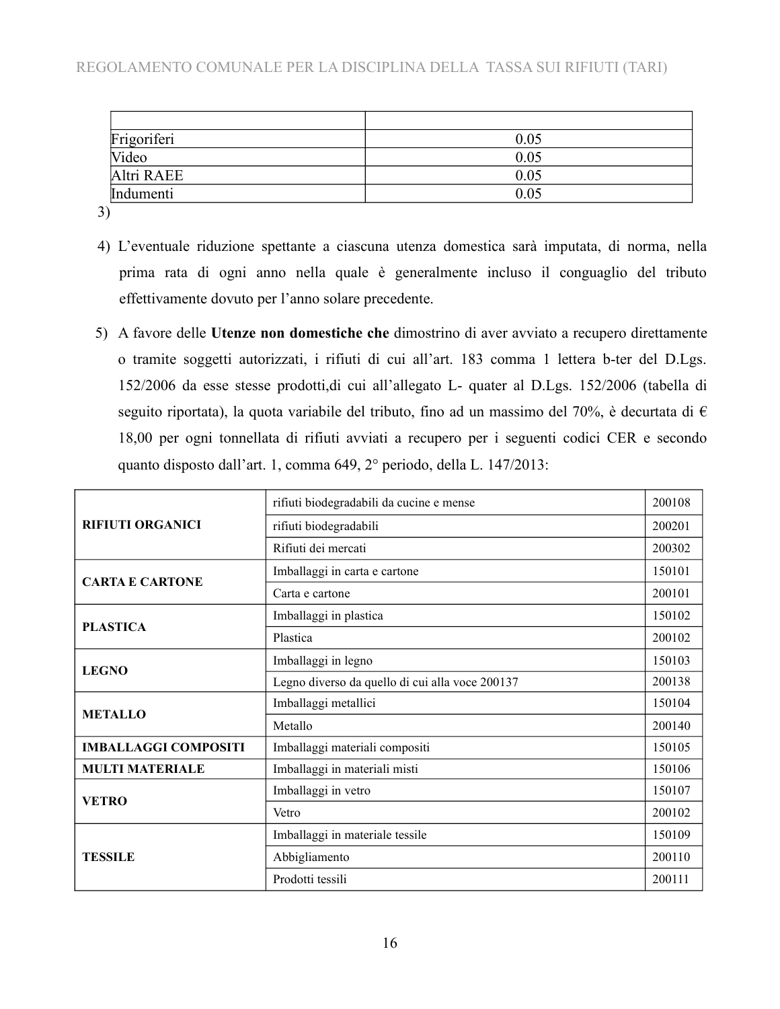| Frigoriferi | 0.05 |
|-------------|------|
| Video       | 0.05 |
| Altri RAEE  | 0.05 |
| Indumenti   | 0.05 |

3)

- 4) L'eventuale riduzione spettante a ciascuna utenza domestica sarà imputata, di norma, nella prima rata di ogni anno nella quale è generalmente incluso il conguaglio del tributo effettivamente dovuto per l'anno solare precedente.
- 5) A favore delle **Utenze non domestiche che** dimostrino di aver avviato a recupero direttamente o tramite soggetti autorizzati, i rifiuti di cui all'art. 183 comma 1 lettera b-ter del D.Lgs. 152/2006 da esse stesse prodotti,di cui all'allegato L- quater al D.Lgs. 152/2006 (tabella di seguito riportata), la quota variabile del tributo, fino ad un massimo del 70%, è decurtata di  $\epsilon$ 18,00 per ogni tonnellata di rifiuti avviati a recupero per i seguenti codici CER e secondo quanto disposto dall'art. 1, comma 649, 2° periodo, della L. 147/2013:

|                             | rifiuti biodegradabili da cucine e mense        | 200108 |
|-----------------------------|-------------------------------------------------|--------|
| <b>RIFIUTI ORGANICI</b>     | rifiuti biodegradabili                          | 200201 |
|                             | Rifiuti dei mercati                             | 200302 |
| <b>CARTA E CARTONE</b>      | Imballaggi in carta e cartone                   | 150101 |
|                             | Carta e cartone                                 | 200101 |
| <b>PLASTICA</b>             | Imballaggi in plastica                          | 150102 |
|                             | Plastica                                        | 200102 |
| <b>LEGNO</b>                | Imballaggi in legno                             | 150103 |
|                             | Legno diverso da quello di cui alla voce 200137 | 200138 |
| <b>METALLO</b>              | Imballaggi metallici                            | 150104 |
|                             | Metallo                                         | 200140 |
| <b>IMBALLAGGI COMPOSITI</b> | Imballaggi materiali compositi                  | 150105 |
| <b>MULTI MATERIALE</b>      | Imballaggi in materiali misti                   | 150106 |
| <b>VETRO</b>                | Imballaggi in vetro                             | 150107 |
|                             | Vetro                                           | 200102 |
|                             | Imballaggi in materiale tessile                 | 150109 |
| <b>TESSILE</b>              | Abbigliamento                                   | 200110 |
|                             | Prodotti tessili                                | 200111 |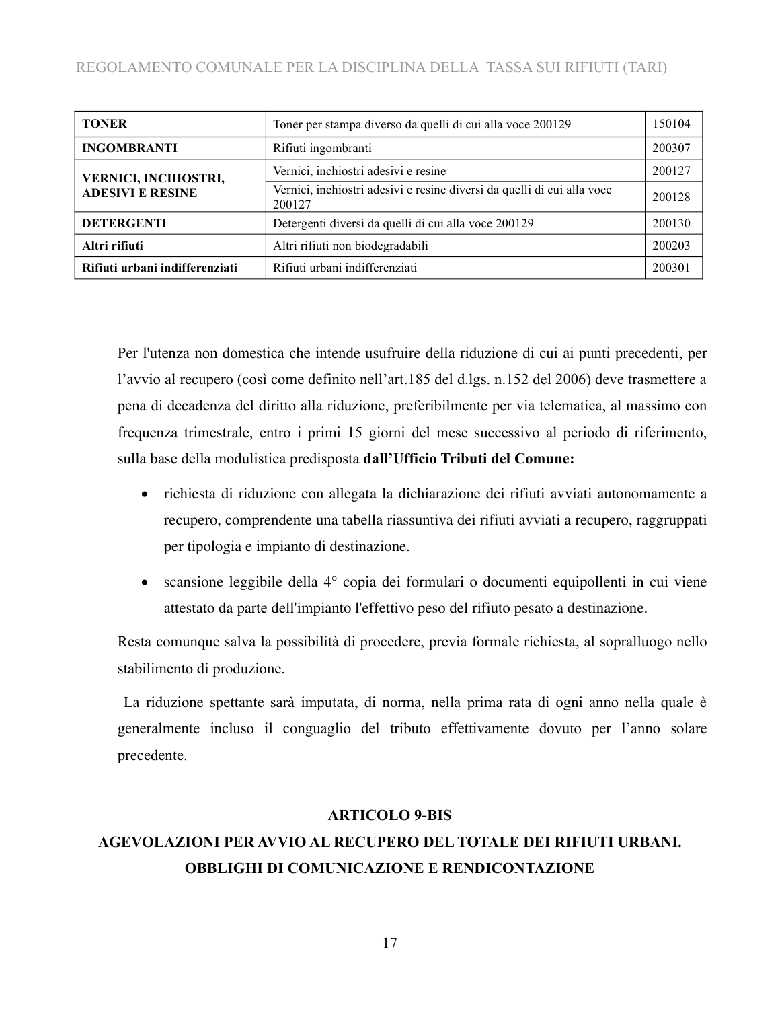| <b>TONER</b>                   | Toner per stampa diverso da quelli di cui alla voce 200129                        | 150104 |
|--------------------------------|-----------------------------------------------------------------------------------|--------|
| <b>INGOMBRANTI</b>             | Rifiuti ingombranti                                                               | 200307 |
| VERNICI, INCHIOSTRI,           | Vernici, inchiostri adesivi e resine                                              | 200127 |
| <b>ADESIVI E RESINE</b>        | Vernici, inchiostri adesivi e resine diversi da quelli di cui alla voce<br>200127 | 200128 |
| <b>DETERGENTI</b>              | Detergenti diversi da quelli di cui alla voce 200129                              | 200130 |
| Altri rifiuti                  | Altri rifiuti non biodegradabili                                                  | 200203 |
| Rifiuti urbani indifferenziati | Rifiuti urbani indifferenziati                                                    | 200301 |

Per l'utenza non domestica che intende usufruire della riduzione di cui ai punti precedenti, per l'avvio al recupero (così come definito nell'art.185 del d.lgs. n.152 del 2006) deve trasmettere a pena di decadenza del diritto alla riduzione, preferibilmente per via telematica, al massimo con frequenza trimestrale, entro i primi 15 giorni del mese successivo al periodo di riferimento, sulla base della modulistica predisposta **dall'Ufficio Tributi del Comune:**

- richiesta di riduzione con allegata la dichiarazione dei rifiuti avviati autonomamente a recupero, comprendente una tabella riassuntiva dei rifiuti avviati a recupero, raggruppati per tipologia e impianto di destinazione.
- scansione leggibile della 4° copia dei formulari o documenti equipollenti in cui viene attestato da parte dell'impianto l'effettivo peso del rifiuto pesato a destinazione.

Resta comunque salva la possibilità di procedere, previa formale richiesta, al sopralluogo nello stabilimento di produzione.

 La riduzione spettante sarà imputata, di norma, nella prima rata di ogni anno nella quale è generalmente incluso il conguaglio del tributo effettivamente dovuto per l'anno solare precedente.

### **ARTICOLO 9-BIS**

# **AGEVOLAZIONI PER AVVIO AL RECUPERO DEL TOTALE DEI RIFIUTI URBANI. OBBLIGHI DI COMUNICAZIONE E RENDICONTAZIONE**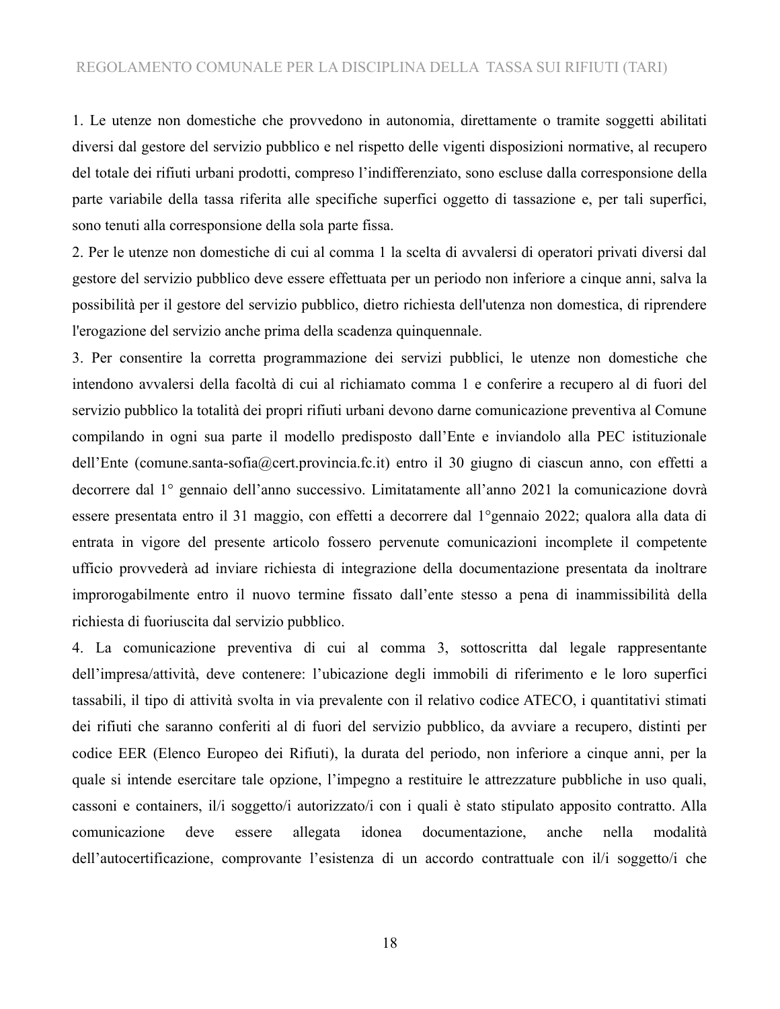1. Le utenze non domestiche che provvedono in autonomia, direttamente o tramite soggetti abilitati diversi dal gestore del servizio pubblico e nel rispetto delle vigenti disposizioni normative, al recupero del totale dei rifiuti urbani prodotti, compreso l'indifferenziato, sono escluse dalla corresponsione della parte variabile della tassa riferita alle specifiche superfici oggetto di tassazione e, per tali superfici, sono tenuti alla corresponsione della sola parte fissa.

2. Per le utenze non domestiche di cui al comma 1 la scelta di avvalersi di operatori privati diversi dal gestore del servizio pubblico deve essere effettuata per un periodo non inferiore a cinque anni, salva la possibilità per il gestore del servizio pubblico, dietro richiesta dell'utenza non domestica, di riprendere l'erogazione del servizio anche prima della scadenza quinquennale.

3. Per consentire la corretta programmazione dei servizi pubblici, le utenze non domestiche che intendono avvalersi della facoltà di cui al richiamato comma 1 e conferire a recupero al di fuori del servizio pubblico la totalità dei propri rifiuti urbani devono darne comunicazione preventiva al Comune compilando in ogni sua parte il modello predisposto dall'Ente e inviandolo alla PEC istituzionale dell'Ente (comune.santa-sofia@cert.provincia.fc.it) entro il 30 giugno di ciascun anno, con effetti a decorrere dal 1° gennaio dell'anno successivo. Limitatamente all'anno 2021 la comunicazione dovrà essere presentata entro il 31 maggio, con effetti a decorrere dal 1°gennaio 2022; qualora alla data di entrata in vigore del presente articolo fossero pervenute comunicazioni incomplete il competente ufficio provvederà ad inviare richiesta di integrazione della documentazione presentata da inoltrare improrogabilmente entro il nuovo termine fissato dall'ente stesso a pena di inammissibilità della richiesta di fuoriuscita dal servizio pubblico.

4. La comunicazione preventiva di cui al comma 3, sottoscritta dal legale rappresentante dell'impresa/attività, deve contenere: l'ubicazione degli immobili di riferimento e le loro superfici tassabili, il tipo di attività svolta in via prevalente con il relativo codice ATECO, i quantitativi stimati dei rifiuti che saranno conferiti al di fuori del servizio pubblico, da avviare a recupero, distinti per codice EER (Elenco Europeo dei Rifiuti), la durata del periodo, non inferiore a cinque anni, per la quale si intende esercitare tale opzione, l'impegno a restituire le attrezzature pubbliche in uso quali, cassoni e containers, il/i soggetto/i autorizzato/i con i quali è stato stipulato apposito contratto. Alla comunicazione deve essere allegata idonea documentazione, anche nella modalità dell'autocertificazione, comprovante l'esistenza di un accordo contrattuale con il/i soggetto/i che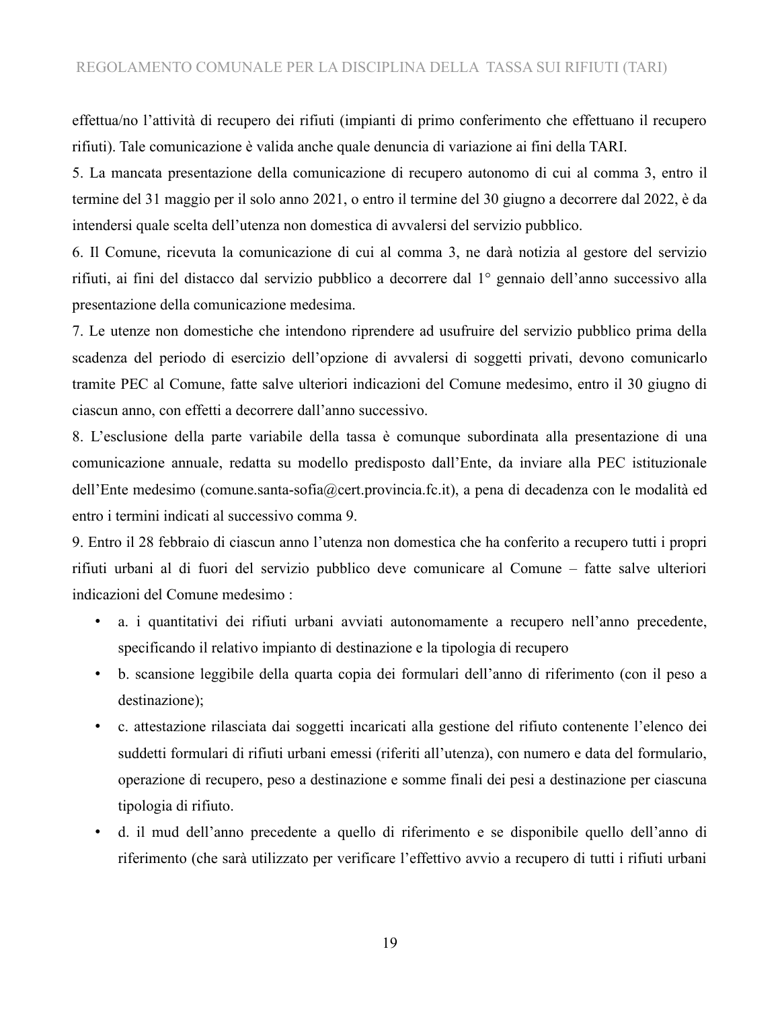effettua/no l'attività di recupero dei rifiuti (impianti di primo conferimento che effettuano il recupero rifiuti). Tale comunicazione è valida anche quale denuncia di variazione ai fini della TARI.

5. La mancata presentazione della comunicazione di recupero autonomo di cui al comma 3, entro il termine del 31 maggio per il solo anno 2021, o entro il termine del 30 giugno a decorrere dal 2022, è da intendersi quale scelta dell'utenza non domestica di avvalersi del servizio pubblico.

6. Il Comune, ricevuta la comunicazione di cui al comma 3, ne darà notizia al gestore del servizio rifiuti, ai fini del distacco dal servizio pubblico a decorrere dal 1° gennaio dell'anno successivo alla presentazione della comunicazione medesima.

7. Le utenze non domestiche che intendono riprendere ad usufruire del servizio pubblico prima della scadenza del periodo di esercizio dell'opzione di avvalersi di soggetti privati, devono comunicarlo tramite PEC al Comune, fatte salve ulteriori indicazioni del Comune medesimo, entro il 30 giugno di ciascun anno, con effetti a decorrere dall'anno successivo.

8. L'esclusione della parte variabile della tassa è comunque subordinata alla presentazione di una comunicazione annuale, redatta su modello predisposto dall'Ente, da inviare alla PEC istituzionale dell'Ente medesimo (comune.santa-sofia@cert.provincia.fc.it), a pena di decadenza con le modalità ed entro i termini indicati al successivo comma 9.

9. Entro il 28 febbraio di ciascun anno l'utenza non domestica che ha conferito a recupero tutti i propri rifiuti urbani al di fuori del servizio pubblico deve comunicare al Comune – fatte salve ulteriori indicazioni del Comune medesimo :

- a. i quantitativi dei rifiuti urbani avviati autonomamente a recupero nell'anno precedente, specificando il relativo impianto di destinazione e la tipologia di recupero
- b. scansione leggibile della quarta copia dei formulari dell'anno di riferimento (con il peso a destinazione);
- c. attestazione rilasciata dai soggetti incaricati alla gestione del rifiuto contenente l'elenco dei suddetti formulari di rifiuti urbani emessi (riferiti all'utenza), con numero e data del formulario, operazione di recupero, peso a destinazione e somme finali dei pesi a destinazione per ciascuna tipologia di rifiuto.
- d. il mud dell'anno precedente a quello di riferimento e se disponibile quello dell'anno di riferimento (che sarà utilizzato per verificare l'effettivo avvio a recupero di tutti i rifiuti urbani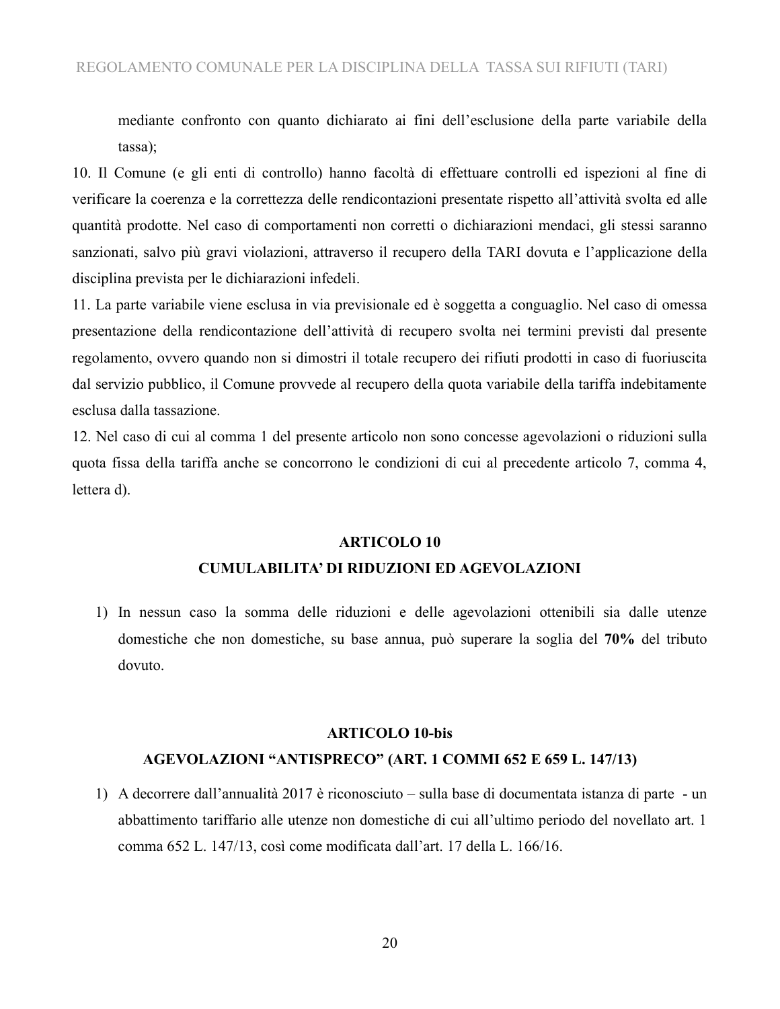mediante confronto con quanto dichiarato ai fini dell'esclusione della parte variabile della tassa);

10. Il Comune (e gli enti di controllo) hanno facoltà di effettuare controlli ed ispezioni al fine di verificare la coerenza e la correttezza delle rendicontazioni presentate rispetto all'attività svolta ed alle quantità prodotte. Nel caso di comportamenti non corretti o dichiarazioni mendaci, gli stessi saranno sanzionati, salvo più gravi violazioni, attraverso il recupero della TARI dovuta e l'applicazione della disciplina prevista per le dichiarazioni infedeli.

11. La parte variabile viene esclusa in via previsionale ed è soggetta a conguaglio. Nel caso di omessa presentazione della rendicontazione dell'attività di recupero svolta nei termini previsti dal presente regolamento, ovvero quando non si dimostri il totale recupero dei rifiuti prodotti in caso di fuoriuscita dal servizio pubblico, il Comune provvede al recupero della quota variabile della tariffa indebitamente esclusa dalla tassazione.

12. Nel caso di cui al comma 1 del presente articolo non sono concesse agevolazioni o riduzioni sulla quota fissa della tariffa anche se concorrono le condizioni di cui al precedente articolo 7, comma 4, lettera d).

#### **ARTICOLO 10**

#### **CUMULABILITA' DI RIDUZIONI ED AGEVOLAZIONI**

1) In nessun caso la somma delle riduzioni e delle agevolazioni ottenibili sia dalle utenze domestiche che non domestiche, su base annua, può superare la soglia del **70%** del tributo dovuto.

#### **ARTICOLO 10-bis**

#### **AGEVOLAZIONI "ANTISPRECO" (ART. 1 COMMI 652 E 659 L. 147/13)**

1) A decorrere dall'annualità 2017 è riconosciuto – sulla base di documentata istanza di parte - un abbattimento tariffario alle utenze non domestiche di cui all'ultimo periodo del novellato art. 1 comma 652 L. 147/13, così come modificata dall'art. 17 della L. 166/16.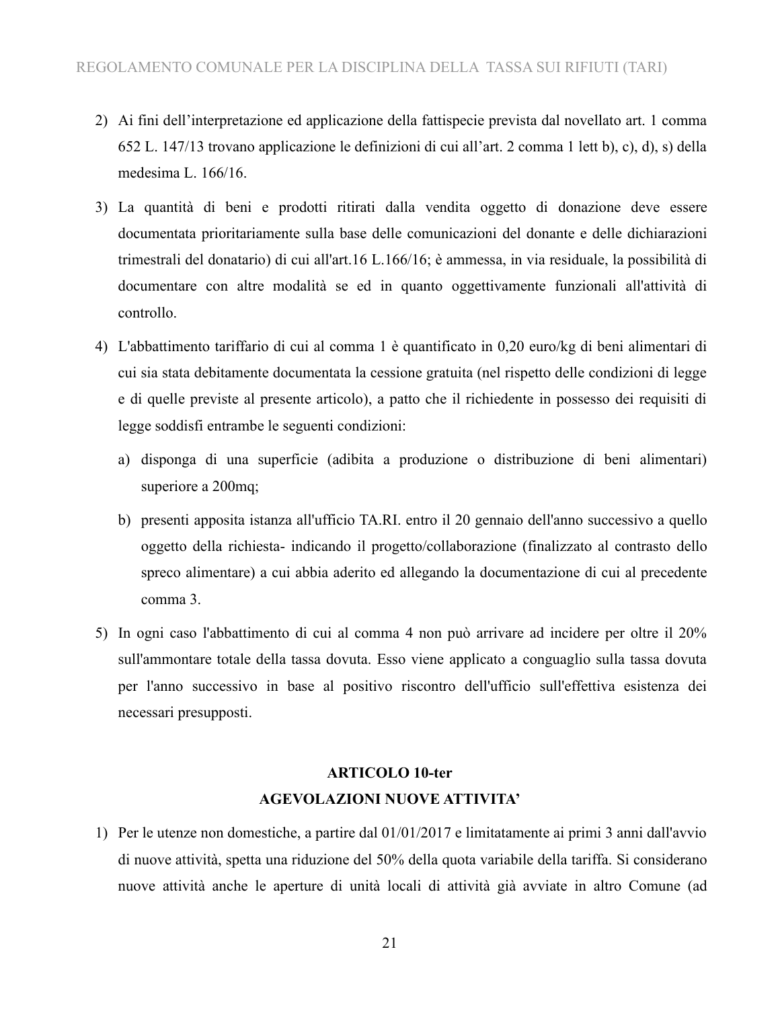- 2) Ai fini dell'interpretazione ed applicazione della fattispecie prevista dal novellato art. 1 comma 652 L. 147/13 trovano applicazione le definizioni di cui all'art. 2 comma 1 lett b), c), d), s) della medesima L. 166/16.
- 3) La quantità di beni e prodotti ritirati dalla vendita oggetto di donazione deve essere documentata prioritariamente sulla base delle comunicazioni del donante e delle dichiarazioni trimestrali del donatario) di cui all'art.16 L.166/16; è ammessa, in via residuale, la possibilità di documentare con altre modalità se ed in quanto oggettivamente funzionali all'attività di controllo.
- 4) L'abbattimento tariffario di cui al comma 1 è quantificato in 0,20 euro/kg di beni alimentari di cui sia stata debitamente documentata la cessione gratuita (nel rispetto delle condizioni di legge e di quelle previste al presente articolo), a patto che il richiedente in possesso dei requisiti di legge soddisfi entrambe le seguenti condizioni:
	- a) disponga di una superficie (adibita a produzione o distribuzione di beni alimentari) superiore a 200mq;
	- b) presenti apposita istanza all'ufficio TA.RI. entro il 20 gennaio dell'anno successivo a quello oggetto della richiesta- indicando il progetto/collaborazione (finalizzato al contrasto dello spreco alimentare) a cui abbia aderito ed allegando la documentazione di cui al precedente comma 3.
- 5) In ogni caso l'abbattimento di cui al comma 4 non può arrivare ad incidere per oltre il 20% sull'ammontare totale della tassa dovuta. Esso viene applicato a conguaglio sulla tassa dovuta per l'anno successivo in base al positivo riscontro dell'ufficio sull'effettiva esistenza dei necessari presupposti.

## **ARTICOLO 10-ter AGEVOLAZIONI NUOVE ATTIVITA'**

1) Per le utenze non domestiche, a partire dal 01/01/2017 e limitatamente ai primi 3 anni dall'avvio di nuove attività, spetta una riduzione del 50% della quota variabile della tariffa. Si considerano nuove attività anche le aperture di unità locali di attività già avviate in altro Comune (ad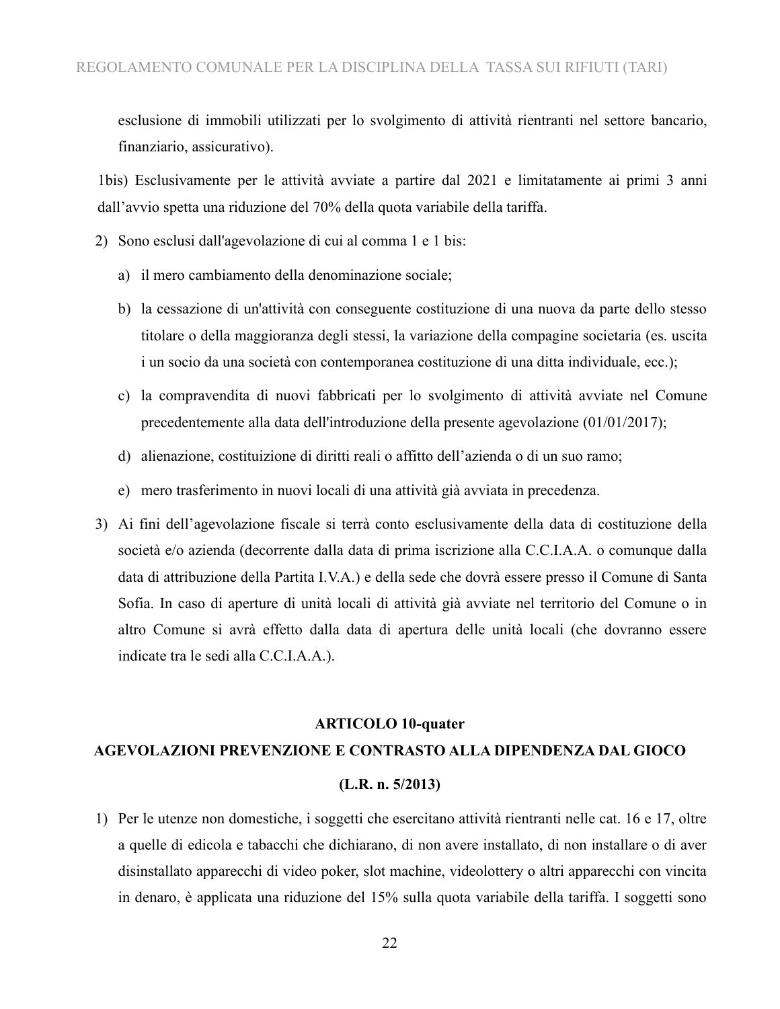esclusione di immobili utilizzati per lo svolgimento di attività rientranti nel settore bancario, finanziario, assicurativo).

1bis) Esclusivamente per le attività avviate a partire dal 2021 e limitatamente ai primi 3 anni dall'avvio spetta una riduzione del 70% della quota variabile della tariffa.

2) Sono esclusi dall'agevolazione di cui al comma 1 e 1 bis:

- a) il mero cambiamento della denominazione sociale;
- b) la cessazione di un'attività con conseguente costituzione di una nuova da parte dello stesso titolare o della maggioranza degli stessi, la variazione della compagine societaria (es. uscita i un socio da una società con contemporanea costituzione di una ditta individuale, ecc.);
- c) la compravendita di nuovi fabbricati per lo svolgimento di attività avviate nel Comune precedentemente alla data dell'introduzione della presente agevolazione (01/01/2017);
- d) alienazione, costituizione di diritti reali o affitto dell'azienda o di un suo ramo;
- e) mero trasferimento in nuovi locali di una attività già avviata in precedenza.
- 3) Ai fini dell'agevolazione fiscale si terrà conto esclusivamente della data di costituzione della società e/o azienda (decorrente dalla data di prima iscrizione alla C.C.I.A.A. o comunque dalla data di attribuzione della Partita I.V.A.) e della sede che dovrà essere presso il Comune di Santa Sofia. In caso di aperture di unità locali di attività già avviate nel territorio del Comune o in altro Comune si avrà effetto dalla data di apertura delle unità locali (che dovranno essere indicate tra le sedi alla C.C.I.A.A.).

#### **ARTICOLO 10-quater**

# **AGEVOLAZIONI PREVENZIONE E CONTRASTO ALLA DIPENDENZA DAL GIOCO (L.R. n. 5/2013)**

1) Per le utenze non domestiche, i soggetti che esercitano attività rientranti nelle cat. 16 e 17, oltre a quelle di edicola e tabacchi che dichiarano, di non avere installato, di non installare o di aver disinstallato apparecchi di video poker, slot machine, videolottery o altri apparecchi con vincita in denaro, è applicata una riduzione del 15% sulla quota variabile della tariffa. I soggetti sono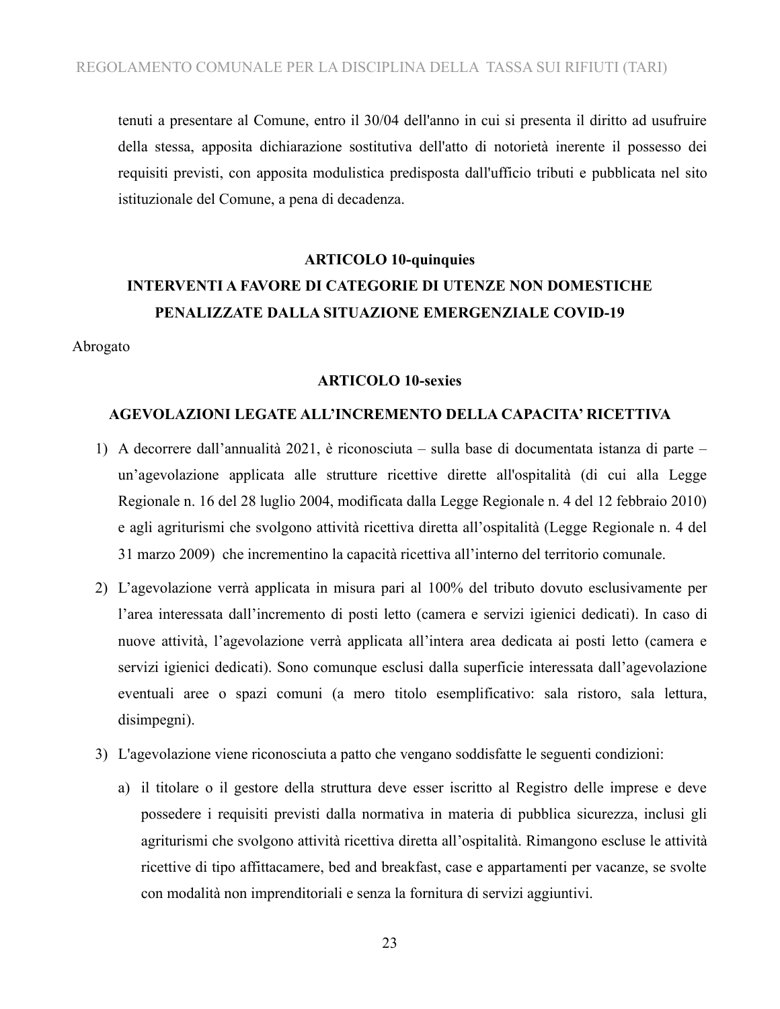tenuti a presentare al Comune, entro il 30/04 dell'anno in cui si presenta il diritto ad usufruire della stessa, apposita dichiarazione sostitutiva dell'atto di notorietà inerente il possesso dei requisiti previsti, con apposita modulistica predisposta dall'ufficio tributi e pubblicata nel sito istituzionale del Comune, a pena di decadenza.

#### **ARTICOLO 10-quinquies**

## **INTERVENTI A FAVORE DI CATEGORIE DI UTENZE NON DOMESTICHE PENALIZZATE DALLA SITUAZIONE EMERGENZIALE COVID-19**

Abrogato

#### **ARTICOLO 10-sexies**

#### **AGEVOLAZIONI LEGATE ALL'INCREMENTO DELLA CAPACITA' RICETTIVA**

- 1) A decorrere dall'annualità 2021, è riconosciuta sulla base di documentata istanza di parte un'agevolazione applicata alle strutture ricettive dirette all'ospitalità (di cui alla Legge Regionale n. 16 del 28 luglio 2004, modificata dalla Legge Regionale n. 4 del 12 febbraio 2010) e agli agriturismi che svolgono attività ricettiva diretta all'ospitalità (Legge Regionale n. 4 del 31 marzo 2009) che incrementino la capacità ricettiva all'interno del territorio comunale.
- 2) L'agevolazione verrà applicata in misura pari al 100% del tributo dovuto esclusivamente per l'area interessata dall'incremento di posti letto (camera e servizi igienici dedicati). In caso di nuove attività, l'agevolazione verrà applicata all'intera area dedicata ai posti letto (camera e servizi igienici dedicati). Sono comunque esclusi dalla superficie interessata dall'agevolazione eventuali aree o spazi comuni (a mero titolo esemplificativo: sala ristoro, sala lettura, disimpegni).
- 3) L'agevolazione viene riconosciuta a patto che vengano soddisfatte le seguenti condizioni:
	- a) il titolare o il gestore della struttura deve esser iscritto al Registro delle imprese e deve possedere i requisiti previsti dalla normativa in materia di pubblica sicurezza, inclusi gli agriturismi che svolgono attività ricettiva diretta all'ospitalità. Rimangono escluse le attività ricettive di tipo affittacamere, bed and breakfast, case e appartamenti per vacanze, se svolte con modalità non imprenditoriali e senza la fornitura di servizi aggiuntivi.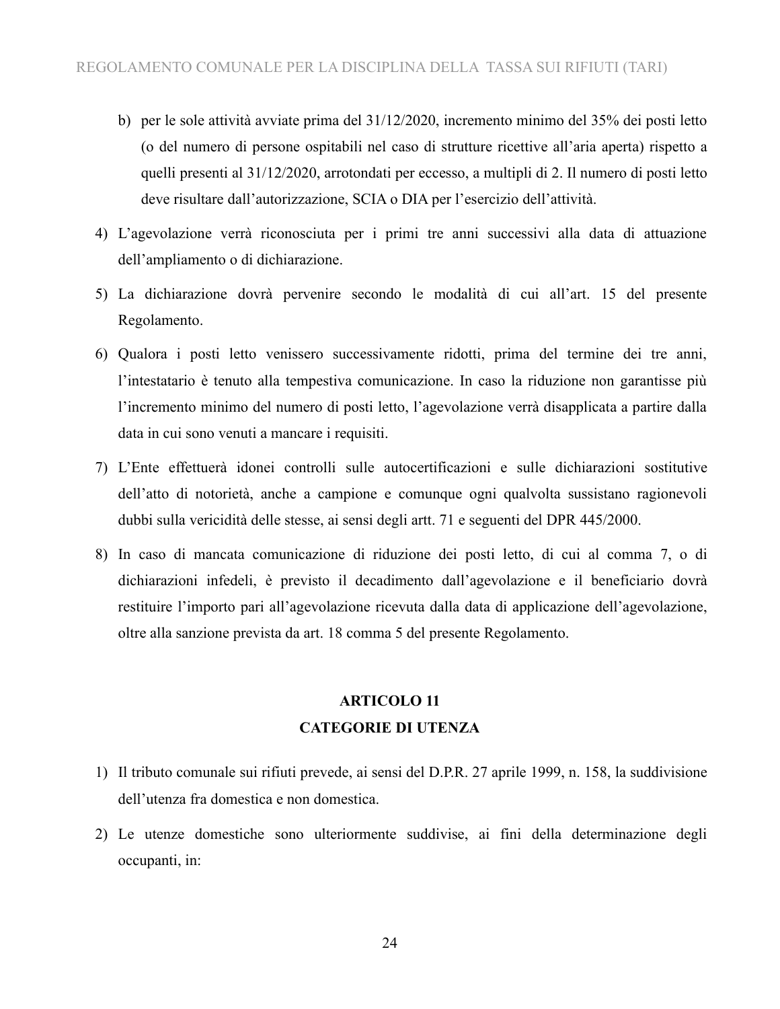- b) per le sole attività avviate prima del 31/12/2020, incremento minimo del 35% dei posti letto (o del numero di persone ospitabili nel caso di strutture ricettive all'aria aperta) rispetto a quelli presenti al 31/12/2020, arrotondati per eccesso, a multipli di 2. Il numero di posti letto deve risultare dall'autorizzazione, SCIA o DIA per l'esercizio dell'attività.
- 4) L'agevolazione verrà riconosciuta per i primi tre anni successivi alla data di attuazione dell'ampliamento o di dichiarazione.
- 5) La dichiarazione dovrà pervenire secondo le modalità di cui all'art. 15 del presente Regolamento.
- 6) Qualora i posti letto venissero successivamente ridotti, prima del termine dei tre anni, l'intestatario è tenuto alla tempestiva comunicazione. In caso la riduzione non garantisse più l'incremento minimo del numero di posti letto, l'agevolazione verrà disapplicata a partire dalla data in cui sono venuti a mancare i requisiti.
- 7) L'Ente effettuerà idonei controlli sulle autocertificazioni e sulle dichiarazioni sostitutive dell'atto di notorietà, anche a campione e comunque ogni qualvolta sussistano ragionevoli dubbi sulla vericidità delle stesse, ai sensi degli artt. 71 e seguenti del DPR 445/2000.
- 8) In caso di mancata comunicazione di riduzione dei posti letto, di cui al comma 7, o di dichiarazioni infedeli, è previsto il decadimento dall'agevolazione e il beneficiario dovrà restituire l'importo pari all'agevolazione ricevuta dalla data di applicazione dell'agevolazione, oltre alla sanzione prevista da art. 18 comma 5 del presente Regolamento.

## **ARTICOLO 11 CATEGORIE DI UTENZA**

- 1) Il tributo comunale sui rifiuti prevede, ai sensi del D.P.R. 27 aprile 1999, n. 158, la suddivisione dell'utenza fra domestica e non domestica.
- Le utenze domestiche sono ulteriormente suddivise, ai fini della determinazione degli occupanti, in: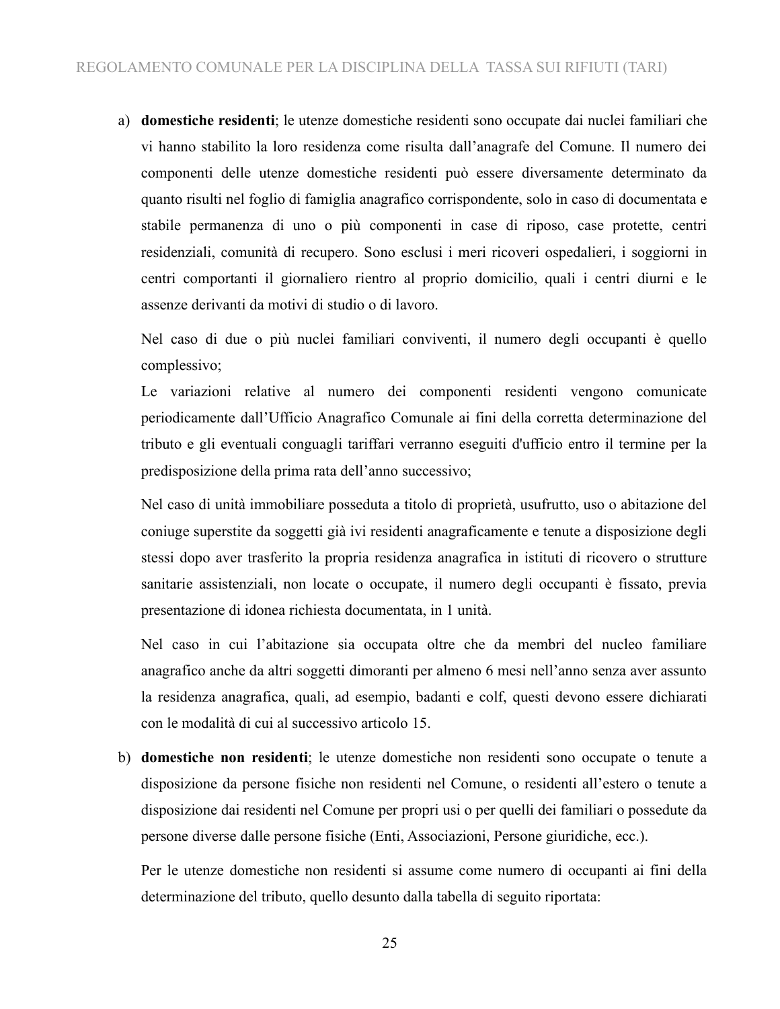a) **domestiche residenti**; le utenze domestiche residenti sono occupate dai nuclei familiari che vi hanno stabilito la loro residenza come risulta dall'anagrafe del Comune. Il numero dei componenti delle utenze domestiche residenti può essere diversamente determinato da quanto risulti nel foglio di famiglia anagrafico corrispondente, solo in caso di documentata e stabile permanenza di uno o più componenti in case di riposo, case protette, centri residenziali, comunità di recupero. Sono esclusi i meri ricoveri ospedalieri, i soggiorni in centri comportanti il giornaliero rientro al proprio domicilio, quali i centri diurni e le assenze derivanti da motivi di studio o di lavoro.

Nel caso di due o più nuclei familiari conviventi, il numero degli occupanti è quello complessivo;

Le variazioni relative al numero dei componenti residenti vengono comunicate periodicamente dall'Ufficio Anagrafico Comunale ai fini della corretta determinazione del tributo e gli eventuali conguagli tariffari verranno eseguiti d'ufficio entro il termine per la predisposizione della prima rata dell'anno successivo;

Nel caso di unità immobiliare posseduta a titolo di proprietà, usufrutto, uso o abitazione del coniuge superstite da soggetti già ivi residenti anagraficamente e tenute a disposizione degli stessi dopo aver trasferito la propria residenza anagrafica in istituti di ricovero o strutture sanitarie assistenziali, non locate o occupate, il numero degli occupanti è fissato, previa presentazione di idonea richiesta documentata, in 1 unità.

Nel caso in cui l'abitazione sia occupata oltre che da membri del nucleo familiare anagrafico anche da altri soggetti dimoranti per almeno 6 mesi nell'anno senza aver assunto la residenza anagrafica, quali, ad esempio, badanti e colf, questi devono essere dichiarati con le modalità di cui al successivo articolo 15.

b) **domestiche non residenti**; le utenze domestiche non residenti sono occupate o tenute a disposizione da persone fisiche non residenti nel Comune, o residenti all'estero o tenute a disposizione dai residenti nel Comune per propri usi o per quelli dei familiari o possedute da persone diverse dalle persone fisiche (Enti, Associazioni, Persone giuridiche, ecc.).

Per le utenze domestiche non residenti si assume come numero di occupanti ai fini della determinazione del tributo, quello desunto dalla tabella di seguito riportata: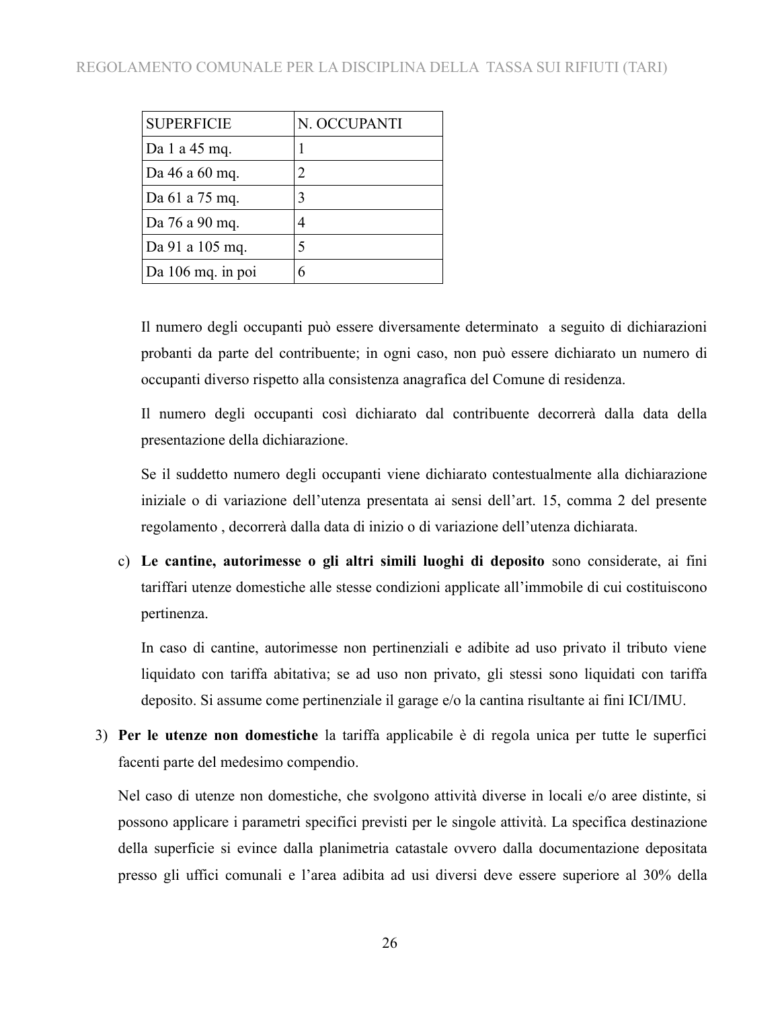| <b>SUPERFICIE</b> | N. OCCUPANTI |
|-------------------|--------------|
| Da 1 a 45 mq.     |              |
| Da 46 a 60 mq.    | 2            |
| Da 61 a 75 mq.    | 3            |
| Da 76 a 90 mq.    |              |
| Da 91 a 105 mq.   | 5            |
| Da 106 mq. in poi |              |

Il numero degli occupanti può essere diversamente determinato a seguito di dichiarazioni probanti da parte del contribuente; in ogni caso, non può essere dichiarato un numero di occupanti diverso rispetto alla consistenza anagrafica del Comune di residenza.

Il numero degli occupanti così dichiarato dal contribuente decorrerà dalla data della presentazione della dichiarazione.

Se il suddetto numero degli occupanti viene dichiarato contestualmente alla dichiarazione iniziale o di variazione dell'utenza presentata ai sensi dell'art. 15, comma 2 del presente regolamento , decorrerà dalla data di inizio o di variazione dell'utenza dichiarata.

c) **Le cantine, autorimesse o gli altri simili luoghi di deposito** sono considerate, ai fini tariffari utenze domestiche alle stesse condizioni applicate all'immobile di cui costituiscono pertinenza.

In caso di cantine, autorimesse non pertinenziali e adibite ad uso privato il tributo viene liquidato con tariffa abitativa; se ad uso non privato, gli stessi sono liquidati con tariffa deposito. Si assume come pertinenziale il garage e/o la cantina risultante ai fini ICI/IMU.

 **Per le utenze non domestiche** la tariffa applicabile è di regola unica per tutte le superfici facenti parte del medesimo compendio.

Nel caso di utenze non domestiche, che svolgono attività diverse in locali e/o aree distinte, si possono applicare i parametri specifici previsti per le singole attività. La specifica destinazione della superficie si evince dalla planimetria catastale ovvero dalla documentazione depositata presso gli uffici comunali e l'area adibita ad usi diversi deve essere superiore al 30% della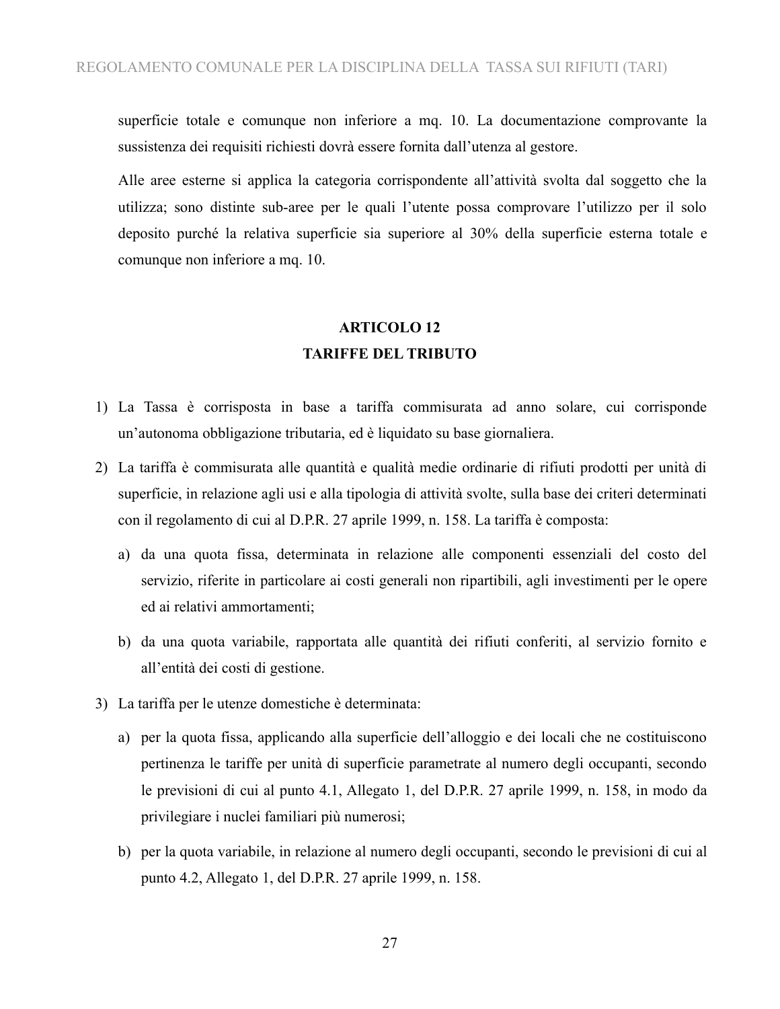superficie totale e comunque non inferiore a mq. 10. La documentazione comprovante la sussistenza dei requisiti richiesti dovrà essere fornita dall'utenza al gestore.

Alle aree esterne si applica la categoria corrispondente all'attività svolta dal soggetto che la utilizza; sono distinte sub-aree per le quali l'utente possa comprovare l'utilizzo per il solo deposito purché la relativa superficie sia superiore al 30% della superficie esterna totale e comunque non inferiore a mq. 10.

## **ARTICOLO 12 TARIFFE DEL TRIBUTO**

- 1) La Tassa è corrisposta in base a tariffa commisurata ad anno solare, cui corrisponde un'autonoma obbligazione tributaria, ed è liquidato su base giornaliera.
- 2) La tariffa è commisurata alle quantità e qualità medie ordinarie di rifiuti prodotti per unità di superficie, in relazione agli usi e alla tipologia di attività svolte, sulla base dei criteri determinati con il regolamento di cui al D.P.R. 27 aprile 1999, n. 158. La tariffa è composta:
	- a) da una quota fissa, determinata in relazione alle componenti essenziali del costo del servizio, riferite in particolare ai costi generali non ripartibili, agli investimenti per le opere ed ai relativi ammortamenti;
	- b) da una quota variabile, rapportata alle quantità dei rifiuti conferiti, al servizio fornito e all'entità dei costi di gestione.
- 3) La tariffa per le utenze domestiche è determinata:
	- a) per la quota fissa, applicando alla superficie dell'alloggio e dei locali che ne costituiscono pertinenza le tariffe per unità di superficie parametrate al numero degli occupanti, secondo le previsioni di cui al punto 4.1, Allegato 1, del D.P.R. 27 aprile 1999, n. 158, in modo da privilegiare i nuclei familiari più numerosi;
	- b) per la quota variabile, in relazione al numero degli occupanti, secondo le previsioni di cui al punto 4.2, Allegato 1, del D.P.R. 27 aprile 1999, n. 158.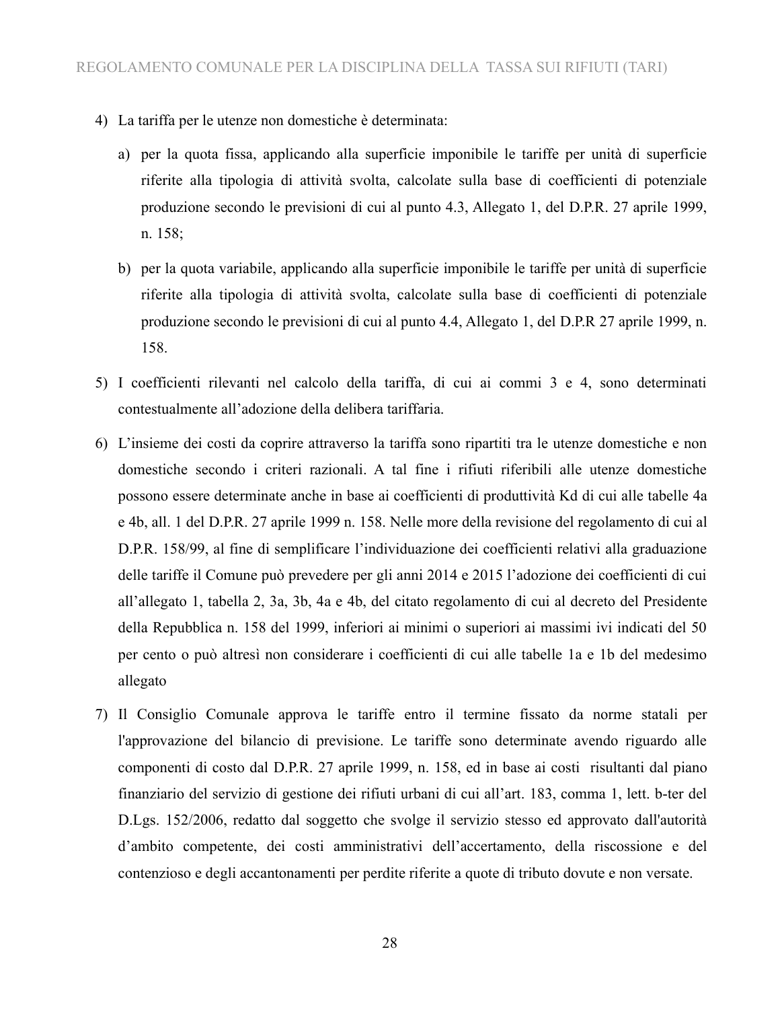- 4) La tariffa per le utenze non domestiche è determinata:
	- a) per la quota fissa, applicando alla superficie imponibile le tariffe per unità di superficie riferite alla tipologia di attività svolta, calcolate sulla base di coefficienti di potenziale produzione secondo le previsioni di cui al punto 4.3, Allegato 1, del D.P.R. 27 aprile 1999, n. 158;
	- b) per la quota variabile, applicando alla superficie imponibile le tariffe per unità di superficie riferite alla tipologia di attività svolta, calcolate sulla base di coefficienti di potenziale produzione secondo le previsioni di cui al punto 4.4, Allegato 1, del D.P.R 27 aprile 1999, n. 158.
- 5) I coefficienti rilevanti nel calcolo della tariffa, di cui ai commi 3 e 4, sono determinati contestualmente all'adozione della delibera tariffaria.
- 6) L'insieme dei costi da coprire attraverso la tariffa sono ripartiti tra le utenze domestiche e non domestiche secondo i criteri razionali. A tal fine i rifiuti riferibili alle utenze domestiche possono essere determinate anche in base ai coefficienti di produttività Kd di cui alle tabelle 4a e 4b, all. 1 del D.P.R. 27 aprile 1999 n. 158. Nelle more della revisione del regolamento di cui al D.P.R. 158/99, al fine di semplificare l'individuazione dei coefficienti relativi alla graduazione delle tariffe il Comune può prevedere per gli anni 2014 e 2015 l'adozione dei coefficienti di cui all'allegato 1, tabella 2, 3a, 3b, 4a e 4b, del citato regolamento di cui al decreto del Presidente della Repubblica n. 158 del 1999, inferiori ai minimi o superiori ai massimi ivi indicati del 50 per cento o può altresì non considerare i coefficienti di cui alle tabelle 1a e 1b del medesimo allegato
- 7) Il Consiglio Comunale approva le tariffe entro il termine fissato da norme statali per l'approvazione del bilancio di previsione. Le tariffe sono determinate avendo riguardo alle componenti di costo dal D.P.R. 27 aprile 1999, n. 158, ed in base ai costi risultanti dal piano finanziario del servizio di gestione dei rifiuti urbani di cui all'art. 183, comma 1, lett. b-ter del D.Lgs. 152/2006, redatto dal soggetto che svolge il servizio stesso ed approvato dall'autorità d'ambito competente, dei costi amministrativi dell'accertamento, della riscossione e del contenzioso e degli accantonamenti per perdite riferite a quote di tributo dovute e non versate.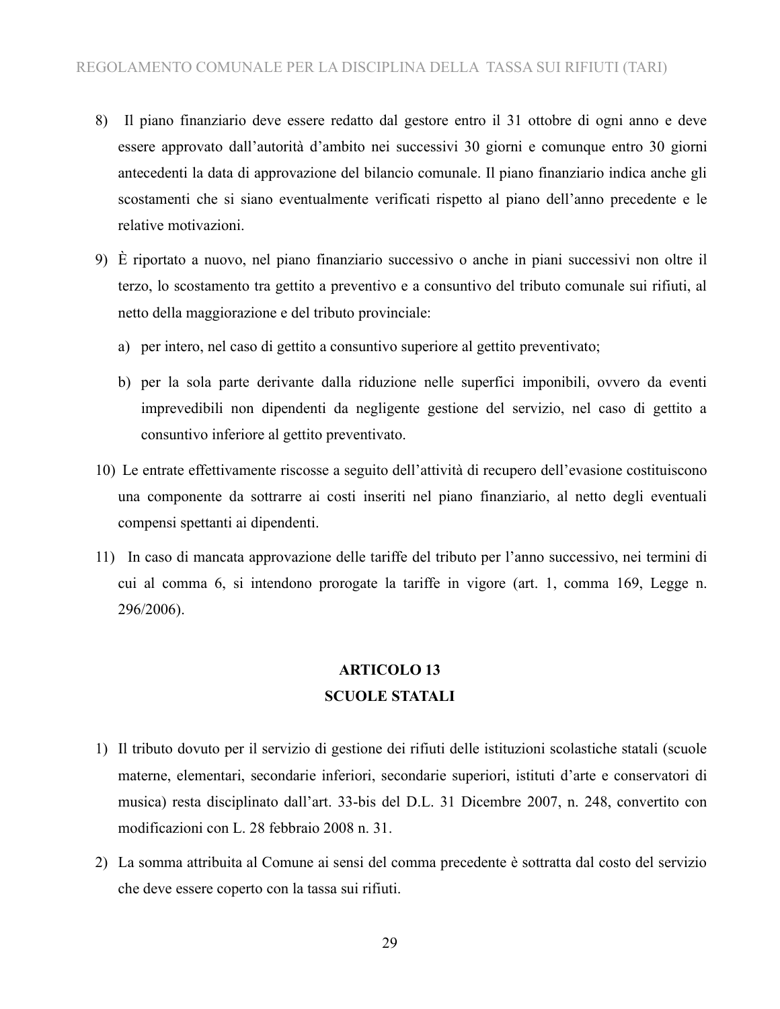- 8) Il piano finanziario deve essere redatto dal gestore entro il 31 ottobre di ogni anno e deve essere approvato dall'autorità d'ambito nei successivi 30 giorni e comunque entro 30 giorni antecedenti la data di approvazione del bilancio comunale. Il piano finanziario indica anche gli scostamenti che si siano eventualmente verificati rispetto al piano dell'anno precedente e le relative motivazioni.
- 9) È riportato a nuovo, nel piano finanziario successivo o anche in piani successivi non oltre il terzo, lo scostamento tra gettito a preventivo e a consuntivo del tributo comunale sui rifiuti, al netto della maggiorazione e del tributo provinciale:
	- a) per intero, nel caso di gettito a consuntivo superiore al gettito preventivato;
	- b) per la sola parte derivante dalla riduzione nelle superfici imponibili, ovvero da eventi imprevedibili non dipendenti da negligente gestione del servizio, nel caso di gettito a consuntivo inferiore al gettito preventivato.
- 10) Le entrate effettivamente riscosse a seguito dell'attività di recupero dell'evasione costituiscono una componente da sottrarre ai costi inseriti nel piano finanziario, al netto degli eventuali compensi spettanti ai dipendenti.
- 11) In caso di mancata approvazione delle tariffe del tributo per l'anno successivo, nei termini di cui al comma 6, si intendono prorogate la tariffe in vigore (art. 1, comma 169, Legge n. 296/2006).

### **ARTICOLO 13 SCUOLE STATALI**

- 1) Il tributo dovuto per il servizio di gestione dei rifiuti delle istituzioni scolastiche statali (scuole materne, elementari, secondarie inferiori, secondarie superiori, istituti d'arte e conservatori di musica) resta disciplinato dall'art. 33-bis del D.L. 31 Dicembre 2007, n. 248, convertito con modificazioni con L. 28 febbraio 2008 n. 31.
- 2) La somma attribuita al Comune ai sensi del comma precedente è sottratta dal costo del servizio che deve essere coperto con la tassa sui rifiuti.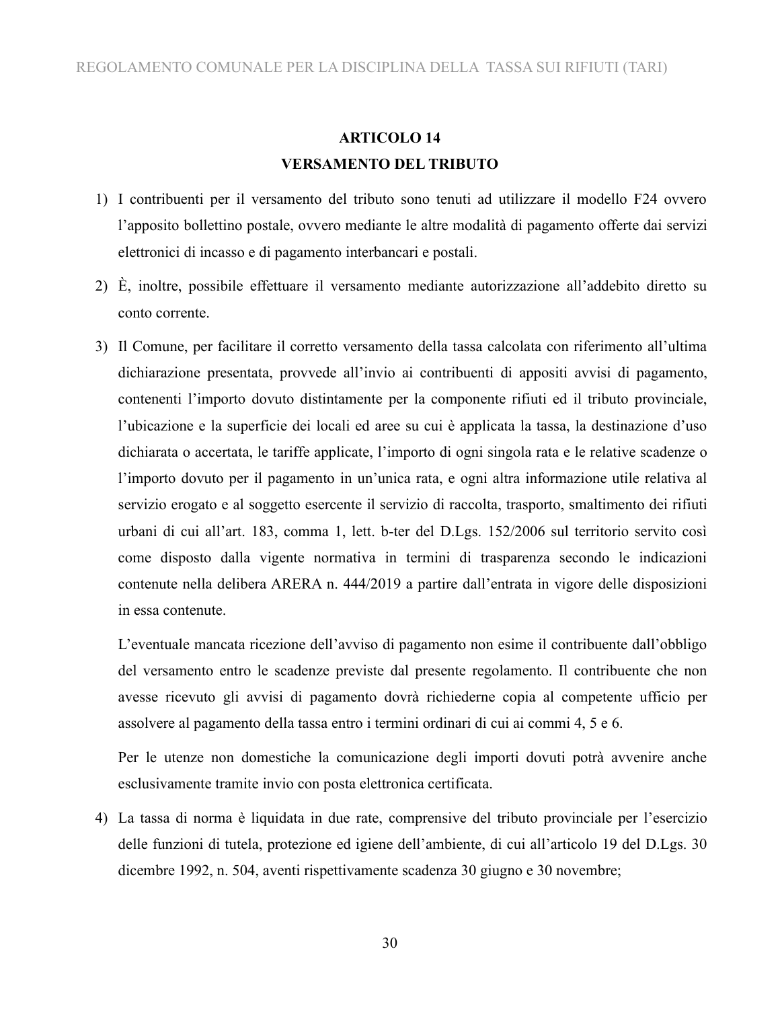### **ARTICOLO 14 VERSAMENTO DEL TRIBUTO**

- 1) I contribuenti per il versamento del tributo sono tenuti ad utilizzare il modello F24 ovvero l'apposito bollettino postale, ovvero mediante le altre modalità di pagamento offerte dai servizi elettronici di incasso e di pagamento interbancari e postali.
- 2) È, inoltre, possibile effettuare il versamento mediante autorizzazione all'addebito diretto su conto corrente.
- 3) Il Comune, per facilitare il corretto versamento della tassa calcolata con riferimento all'ultima dichiarazione presentata, provvede all'invio ai contribuenti di appositi avvisi di pagamento, contenenti l'importo dovuto distintamente per la componente rifiuti ed il tributo provinciale, l'ubicazione e la superficie dei locali ed aree su cui è applicata la tassa, la destinazione d'uso dichiarata o accertata, le tariffe applicate, l'importo di ogni singola rata e le relative scadenze o l'importo dovuto per il pagamento in un'unica rata, e ogni altra informazione utile relativa al servizio erogato e al soggetto esercente il servizio di raccolta, trasporto, smaltimento dei rifiuti urbani di cui all'art. 183, comma 1, lett. b-ter del D.Lgs. 152/2006 sul territorio servito così come disposto dalla vigente normativa in termini di trasparenza secondo le indicazioni contenute nella delibera ARERA n. 444/2019 a partire dall'entrata in vigore delle disposizioni in essa contenute.

L'eventuale mancata ricezione dell'avviso di pagamento non esime il contribuente dall'obbligo del versamento entro le scadenze previste dal presente regolamento. Il contribuente che non avesse ricevuto gli avvisi di pagamento dovrà richiederne copia al competente ufficio per assolvere al pagamento della tassa entro i termini ordinari di cui ai commi 4, 5 e 6.

Per le utenze non domestiche la comunicazione degli importi dovuti potrà avvenire anche esclusivamente tramite invio con posta elettronica certificata.

4) La tassa di norma è liquidata in due rate, comprensive del tributo provinciale per l'esercizio delle funzioni di tutela, protezione ed igiene dell'ambiente, di cui all'articolo 19 del D.Lgs. 30 dicembre 1992, n. 504, aventi rispettivamente scadenza 30 giugno e 30 novembre;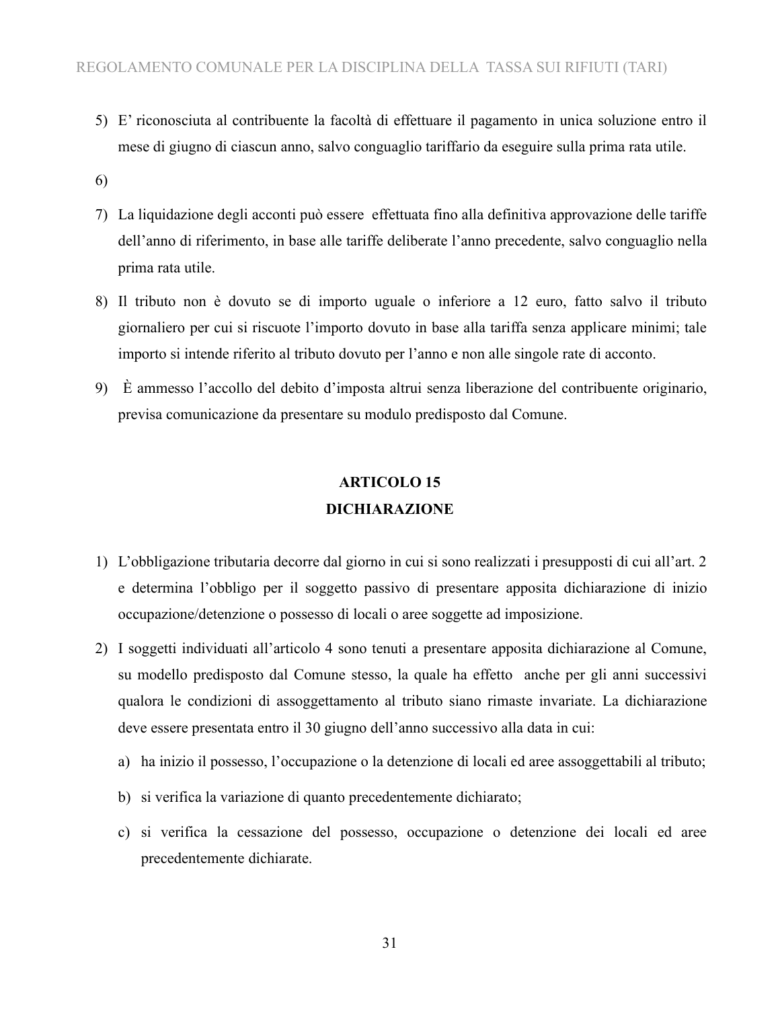- 5) E' riconosciuta al contribuente la facoltà di effettuare il pagamento in unica soluzione entro il mese di giugno di ciascun anno, salvo conguaglio tariffario da eseguire sulla prima rata utile.
- 6)
- 7) La liquidazione degli acconti può essere effettuata fino alla definitiva approvazione delle tariffe dell'anno di riferimento, in base alle tariffe deliberate l'anno precedente, salvo conguaglio nella prima rata utile.
- 8) Il tributo non è dovuto se di importo uguale o inferiore a 12 euro, fatto salvo il tributo giornaliero per cui si riscuote l'importo dovuto in base alla tariffa senza applicare minimi; tale importo si intende riferito al tributo dovuto per l'anno e non alle singole rate di acconto.
- 9) È ammesso l'accollo del debito d'imposta altrui senza liberazione del contribuente originario, previsa comunicazione da presentare su modulo predisposto dal Comune.

## **ARTICOLO 15 DICHIARAZIONE**

- 1) L'obbligazione tributaria decorre dal giorno in cui si sono realizzati i presupposti di cui all'art. 2 e determina l'obbligo per il soggetto passivo di presentare apposita dichiarazione di inizio occupazione/detenzione o possesso di locali o aree soggette ad imposizione.
- 2) I soggetti individuati all'articolo 4 sono tenuti a presentare apposita dichiarazione al Comune, su modello predisposto dal Comune stesso, la quale ha effetto anche per gli anni successivi qualora le condizioni di assoggettamento al tributo siano rimaste invariate. La dichiarazione deve essere presentata entro il 30 giugno dell'anno successivo alla data in cui:
	- a) ha inizio il possesso, l'occupazione o la detenzione di locali ed aree assoggettabili al tributo;
	- b) si verifica la variazione di quanto precedentemente dichiarato;
	- c) si verifica la cessazione del possesso, occupazione o detenzione dei locali ed aree precedentemente dichiarate.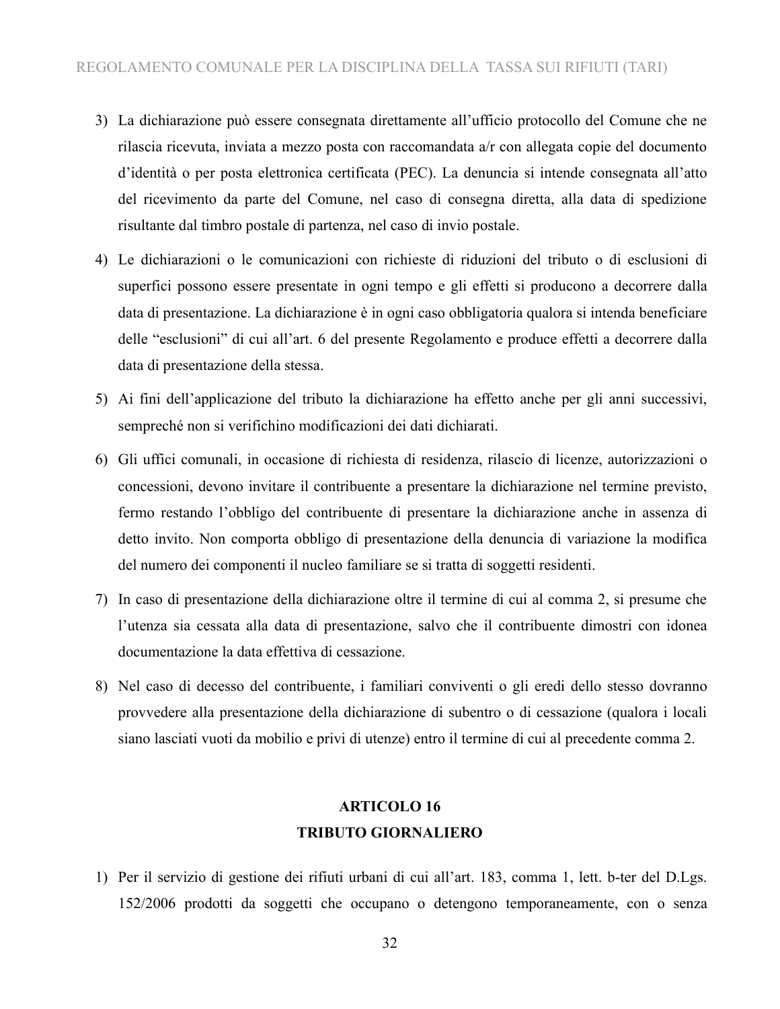- 3) La dichiarazione può essere consegnata direttamente all'ufficio protocollo del Comune che ne rilascia ricevuta, inviata a mezzo posta con raccomandata a/r con allegata copie del documento d'identità o per posta elettronica certificata (PEC). La denuncia si intende consegnata all'atto del ricevimento da parte del Comune, nel caso di consegna diretta, alla data di spedizione risultante dal timbro postale di partenza, nel caso di invio postale.
- 4) Le dichiarazioni o le comunicazioni con richieste di riduzioni del tributo o di esclusioni di superfici possono essere presentate in ogni tempo e gli effetti si producono a decorrere dalla data di presentazione. La dichiarazione è in ogni caso obbligatoria qualora si intenda beneficiare delle "esclusioni" di cui all'art. 6 del presente Regolamento e produce effetti a decorrere dalla data di presentazione della stessa.
- 5) Ai fini dell'applicazione del tributo la dichiarazione ha effetto anche per gli anni successivi, sempreché non si verifichino modificazioni dei dati dichiarati.
- 6) Gli uffici comunali, in occasione di richiesta di residenza, rilascio di licenze, autorizzazioni o concessioni, devono invitare il contribuente a presentare la dichiarazione nel termine previsto, fermo restando l'obbligo del contribuente di presentare la dichiarazione anche in assenza di detto invito. Non comporta obbligo di presentazione della denuncia di variazione la modifica del numero dei componenti il nucleo familiare se si tratta di soggetti residenti.
- 7) In caso di presentazione della dichiarazione oltre il termine di cui al comma 2, si presume che l'utenza sia cessata alla data di presentazione, salvo che il contribuente dimostri con idonea documentazione la data effettiva di cessazione.
- 8) Nel caso di decesso del contribuente, i familiari conviventi o gli eredi dello stesso dovranno provvedere alla presentazione della dichiarazione di subentro o di cessazione (qualora i locali siano lasciati vuoti da mobilio e privi di utenze) entro il termine di cui al precedente comma 2.

### **ARTICOLO 16 TRIBUTO GIORNALIERO**

1) Per il servizio di gestione dei rifiuti urbani di cui all'art. 183, comma 1, lett. b-ter del D.Lgs. 152/2006 prodotti da soggetti che occupano o detengono temporaneamente, con o senza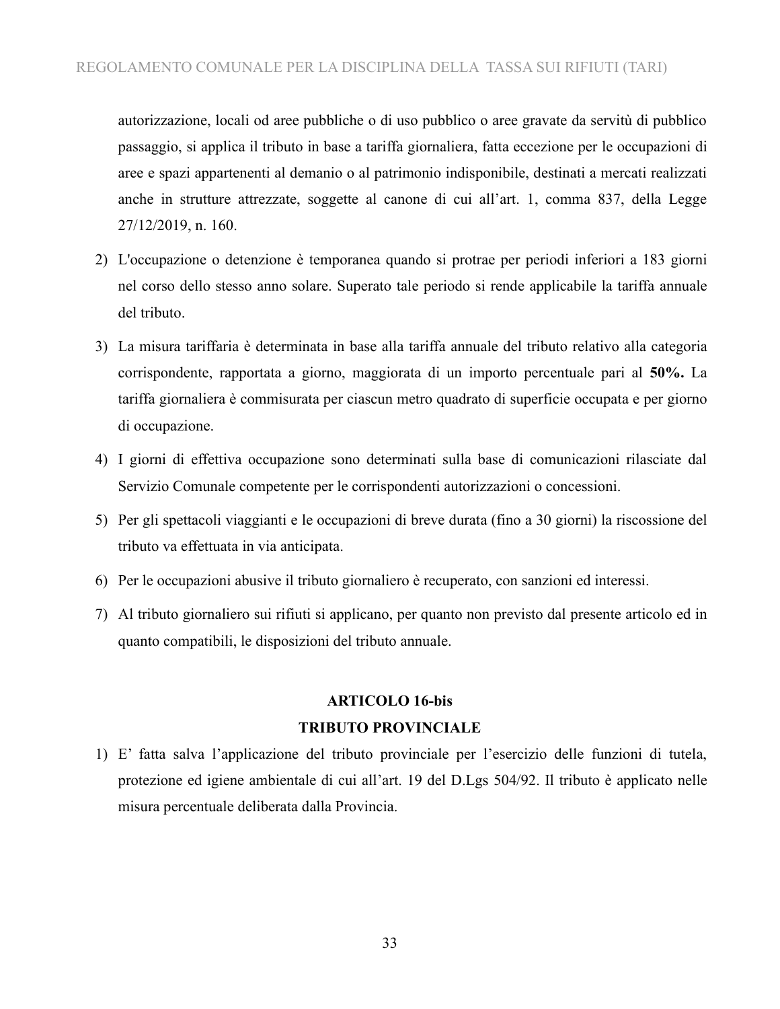autorizzazione, locali od aree pubbliche o di uso pubblico o aree gravate da servitù di pubblico passaggio, si applica il tributo in base a tariffa giornaliera, fatta eccezione per le occupazioni di aree e spazi appartenenti al demanio o al patrimonio indisponibile, destinati a mercati realizzati anche in strutture attrezzate, soggette al canone di cui all'art. 1, comma 837, della Legge 27/12/2019, n. 160.

- 2) L'occupazione o detenzione è temporanea quando si protrae per periodi inferiori a 183 giorni nel corso dello stesso anno solare. Superato tale periodo si rende applicabile la tariffa annuale del tributo.
- 3) La misura tariffaria è determinata in base alla tariffa annuale del tributo relativo alla categoria corrispondente, rapportata a giorno, maggiorata di un importo percentuale pari al **50%.** La tariffa giornaliera è commisurata per ciascun metro quadrato di superficie occupata e per giorno di occupazione.
- 4) I giorni di effettiva occupazione sono determinati sulla base di comunicazioni rilasciate dal Servizio Comunale competente per le corrispondenti autorizzazioni o concessioni.
- 5) Per gli spettacoli viaggianti e le occupazioni di breve durata (fino a 30 giorni) la riscossione del tributo va effettuata in via anticipata.
- 6) Per le occupazioni abusive il tributo giornaliero è recuperato, con sanzioni ed interessi.
- 7) Al tributo giornaliero sui rifiuti si applicano, per quanto non previsto dal presente articolo ed in quanto compatibili, le disposizioni del tributo annuale.

### **ARTICOLO 16-bis**

#### **TRIBUTO PROVINCIALE**

1) E' fatta salva l'applicazione del tributo provinciale per l'esercizio delle funzioni di tutela, protezione ed igiene ambientale di cui all'art. 19 del D.Lgs 504/92. Il tributo è applicato nelle misura percentuale deliberata dalla Provincia.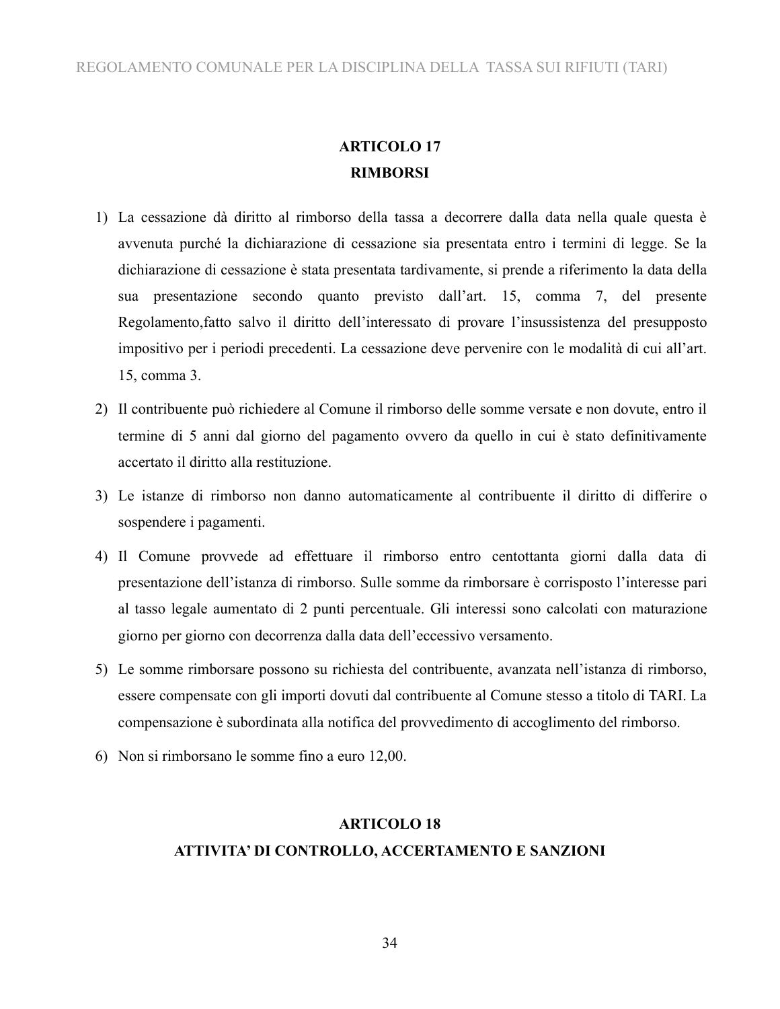### **ARTICOLO 17 RIMBORSI**

- 1) La cessazione dà diritto al rimborso della tassa a decorrere dalla data nella quale questa è avvenuta purché la dichiarazione di cessazione sia presentata entro i termini di legge. Se la dichiarazione di cessazione è stata presentata tardivamente, si prende a riferimento la data della sua presentazione secondo quanto previsto dall'art. 15, comma 7, del presente Regolamento,fatto salvo il diritto dell'interessato di provare l'insussistenza del presupposto impositivo per i periodi precedenti. La cessazione deve pervenire con le modalità di cui all'art. 15, comma 3.
- 2) Il contribuente può richiedere al Comune il rimborso delle somme versate e non dovute, entro il termine di 5 anni dal giorno del pagamento ovvero da quello in cui è stato definitivamente accertato il diritto alla restituzione.
- 3) Le istanze di rimborso non danno automaticamente al contribuente il diritto di differire o sospendere i pagamenti.
- 4) Il Comune provvede ad effettuare il rimborso entro centottanta giorni dalla data di presentazione dell'istanza di rimborso. Sulle somme da rimborsare è corrisposto l'interesse pari al tasso legale aumentato di 2 punti percentuale. Gli interessi sono calcolati con maturazione giorno per giorno con decorrenza dalla data dell'eccessivo versamento.
- 5) Le somme rimborsare possono su richiesta del contribuente, avanzata nell'istanza di rimborso, essere compensate con gli importi dovuti dal contribuente al Comune stesso a titolo di TARI. La compensazione è subordinata alla notifica del provvedimento di accoglimento del rimborso.
- 6) Non si rimborsano le somme fino a euro 12,00.

### **ARTICOLO 18 ATTIVITA' DI CONTROLLO, ACCERTAMENTO E SANZIONI**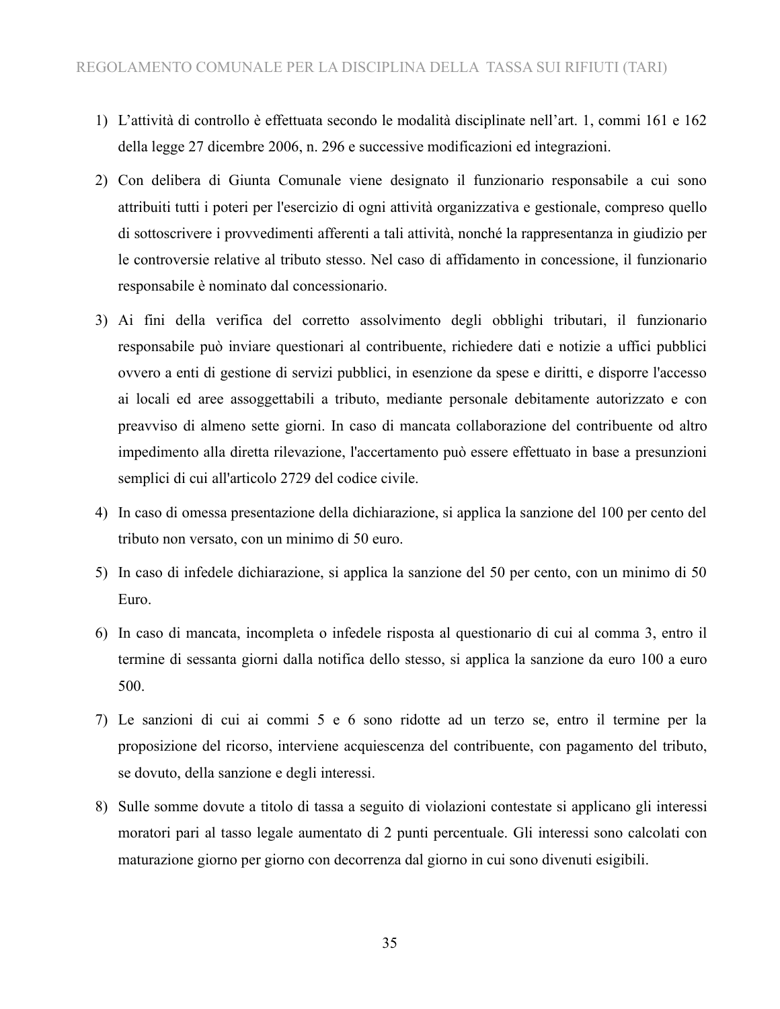- 1) L'attività di controllo è effettuata secondo le modalità disciplinate nell'art. 1, commi 161 e 162 della legge 27 dicembre 2006, n. 296 e successive modificazioni ed integrazioni.
- 2) Con delibera di Giunta Comunale viene designato il funzionario responsabile a cui sono attribuiti tutti i poteri per l'esercizio di ogni attività organizzativa e gestionale, compreso quello di sottoscrivere i provvedimenti afferenti a tali attività, nonché la rappresentanza in giudizio per le controversie relative al tributo stesso. Nel caso di affidamento in concessione, il funzionario responsabile è nominato dal concessionario.
- 3) Ai fini della verifica del corretto assolvimento degli obblighi tributari, il funzionario responsabile può inviare questionari al contribuente, richiedere dati e notizie a uffici pubblici ovvero a enti di gestione di servizi pubblici, in esenzione da spese e diritti, e disporre l'accesso ai locali ed aree assoggettabili a tributo, mediante personale debitamente autorizzato e con preavviso di almeno sette giorni. In caso di mancata collaborazione del contribuente od altro impedimento alla diretta rilevazione, l'accertamento può essere effettuato in base a presunzioni semplici di cui all'articolo 2729 del codice civile.
- 4) In caso di omessa presentazione della dichiarazione, si applica la sanzione del 100 per cento del tributo non versato, con un minimo di 50 euro.
- 5) In caso di infedele dichiarazione, si applica la sanzione del 50 per cento, con un minimo di 50 Euro.
- 6) In caso di mancata, incompleta o infedele risposta al questionario di cui al comma 3, entro il termine di sessanta giorni dalla notifica dello stesso, si applica la sanzione da euro 100 a euro 500.
- 7) Le sanzioni di cui ai commi 5 e 6 sono ridotte ad un terzo se, entro il termine per la proposizione del ricorso, interviene acquiescenza del contribuente, con pagamento del tributo, se dovuto, della sanzione e degli interessi.
- 8) Sulle somme dovute a titolo di tassa a seguito di violazioni contestate si applicano gli interessi moratori pari al tasso legale aumentato di 2 punti percentuale. Gli interessi sono calcolati con maturazione giorno per giorno con decorrenza dal giorno in cui sono divenuti esigibili.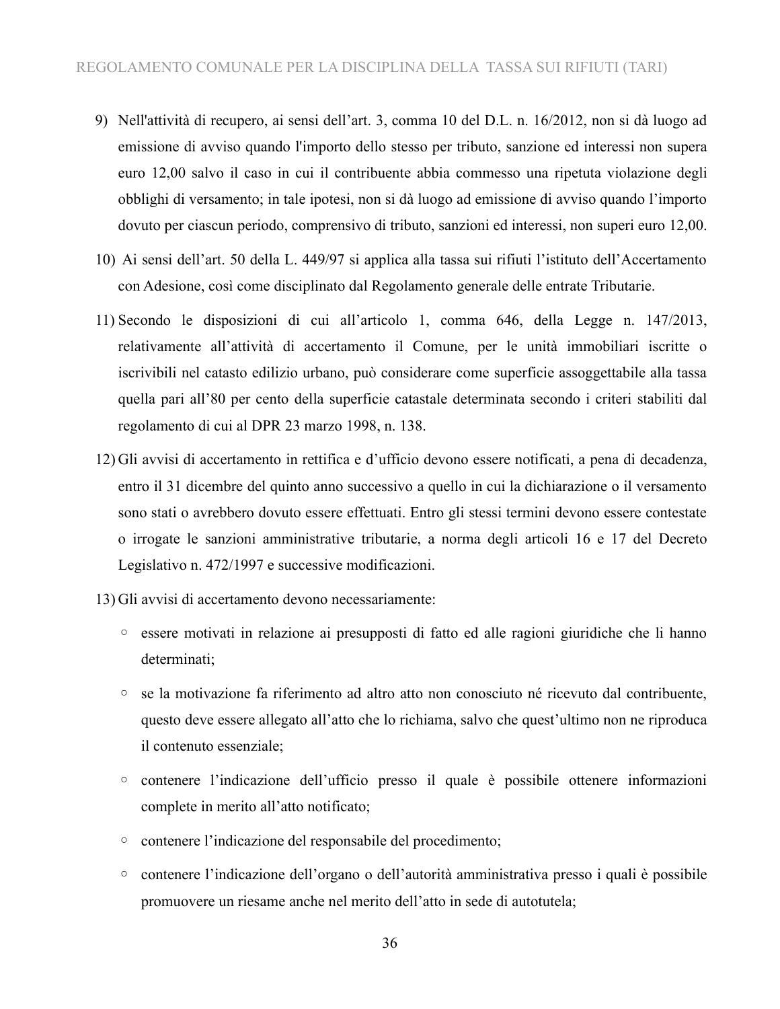- 9) Nell'attività di recupero, ai sensi dell'art. 3, comma 10 del D.L. n. 16/2012, non si dà luogo ad emissione di avviso quando l'importo dello stesso per tributo, sanzione ed interessi non supera euro 12,00 salvo il caso in cui il contribuente abbia commesso una ripetuta violazione degli obblighi di versamento; in tale ipotesi, non si dà luogo ad emissione di avviso quando l'importo dovuto per ciascun periodo, comprensivo di tributo, sanzioni ed interessi, non superi euro 12,00.
- 10) Ai sensi dell'art. 50 della L. 449/97 si applica alla tassa sui rifiuti l'istituto dell'Accertamento con Adesione, così come disciplinato dal Regolamento generale delle entrate Tributarie.
- 11) Secondo le disposizioni di cui all'articolo 1, comma 646, della Legge n. 147/2013, relativamente all'attività di accertamento il Comune, per le unità immobiliari iscritte o iscrivibili nel catasto edilizio urbano, può considerare come superficie assoggettabile alla tassa quella pari all'80 per cento della superficie catastale determinata secondo i criteri stabiliti dal regolamento di cui al DPR 23 marzo 1998, n. 138.
- 12) Gli avvisi di accertamento in rettifica e d'ufficio devono essere notificati, a pena di decadenza, entro il 31 dicembre del quinto anno successivo a quello in cui la dichiarazione o il versamento sono stati o avrebbero dovuto essere effettuati. Entro gli stessi termini devono essere contestate o irrogate le sanzioni amministrative tributarie, a norma degli articoli 16 e 17 del Decreto Legislativo n. 472/1997 e successive modificazioni.
- 13) Gli avvisi di accertamento devono necessariamente:
	- essere motivati in relazione ai presupposti di fatto ed alle ragioni giuridiche che li hanno determinati;
	- se la motivazione fa riferimento ad altro atto non conosciuto né ricevuto dal contribuente, questo deve essere allegato all'atto che lo richiama, salvo che quest'ultimo non ne riproduca il contenuto essenziale;
	- contenere l'indicazione dell'ufficio presso il quale è possibile ottenere informazioni complete in merito all'atto notificato;
	- contenere l'indicazione del responsabile del procedimento;
	- contenere l'indicazione dell'organo o dell'autorità amministrativa presso i quali è possibile promuovere un riesame anche nel merito dell'atto in sede di autotutela;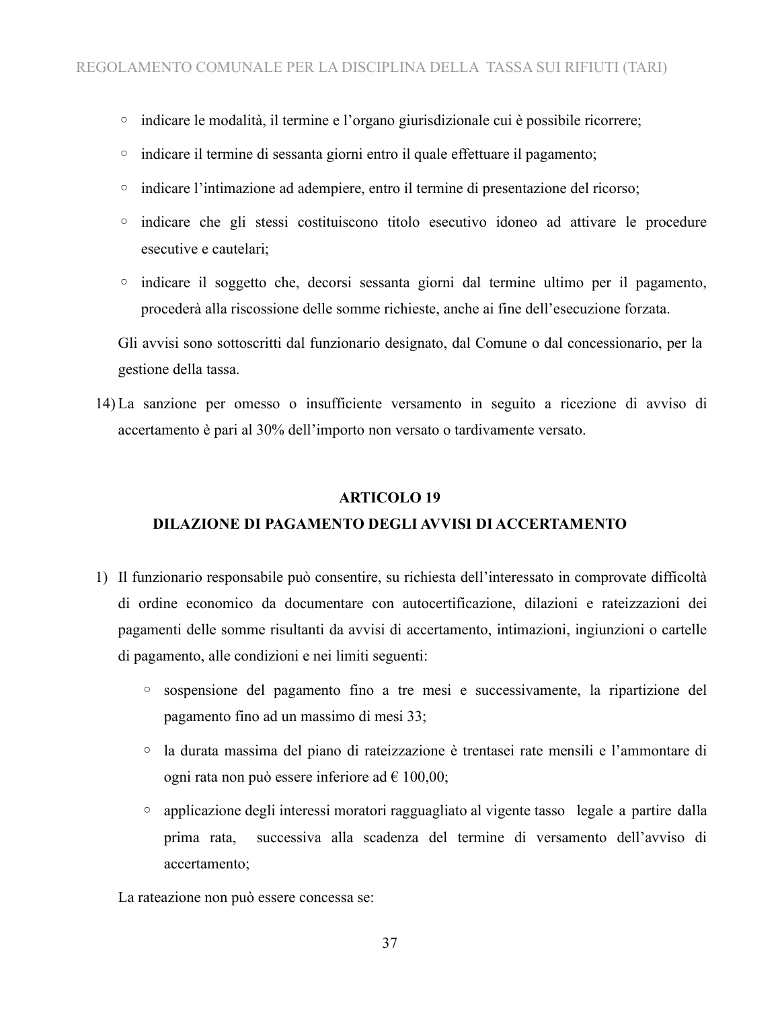- indicare le modalità, il termine e l'organo giurisdizionale cui è possibile ricorrere;
- indicare il termine di sessanta giorni entro il quale effettuare il pagamento;
- indicare l'intimazione ad adempiere, entro il termine di presentazione del ricorso;
- indicare che gli stessi costituiscono titolo esecutivo idoneo ad attivare le procedure esecutive e cautelari;
- indicare il soggetto che, decorsi sessanta giorni dal termine ultimo per il pagamento, procederà alla riscossione delle somme richieste, anche ai fine dell'esecuzione forzata.

Gli avvisi sono sottoscritti dal funzionario designato, dal Comune o dal concessionario, per la gestione della tassa.

14) La sanzione per omesso o insufficiente versamento in seguito a ricezione di avviso di accertamento è pari al 30% dell'importo non versato o tardivamente versato.

#### **ARTICOLO 19**

### **DILAZIONE DI PAGAMENTO DEGLI AVVISI DI ACCERTAMENTO**

- 1) Il funzionario responsabile può consentire, su richiesta dell'interessato in comprovate difficoltà di ordine economico da documentare con autocertificazione, dilazioni e rateizzazioni dei pagamenti delle somme risultanti da avvisi di accertamento, intimazioni, ingiunzioni o cartelle di pagamento, alle condizioni e nei limiti seguenti:
	- sospensione del pagamento fino a tre mesi e successivamente, la ripartizione del pagamento fino ad un massimo di mesi 33;
	- la durata massima del piano di rateizzazione è trentasei rate mensili e l'ammontare di ogni rata non può essere inferiore ad  $\epsilon$  100,00;
	- applicazione degli interessi moratori ragguagliato al vigente tasso legale a partire dalla prima rata, successiva alla scadenza del termine di versamento dell'avviso di accertamento;

La rateazione non può essere concessa se: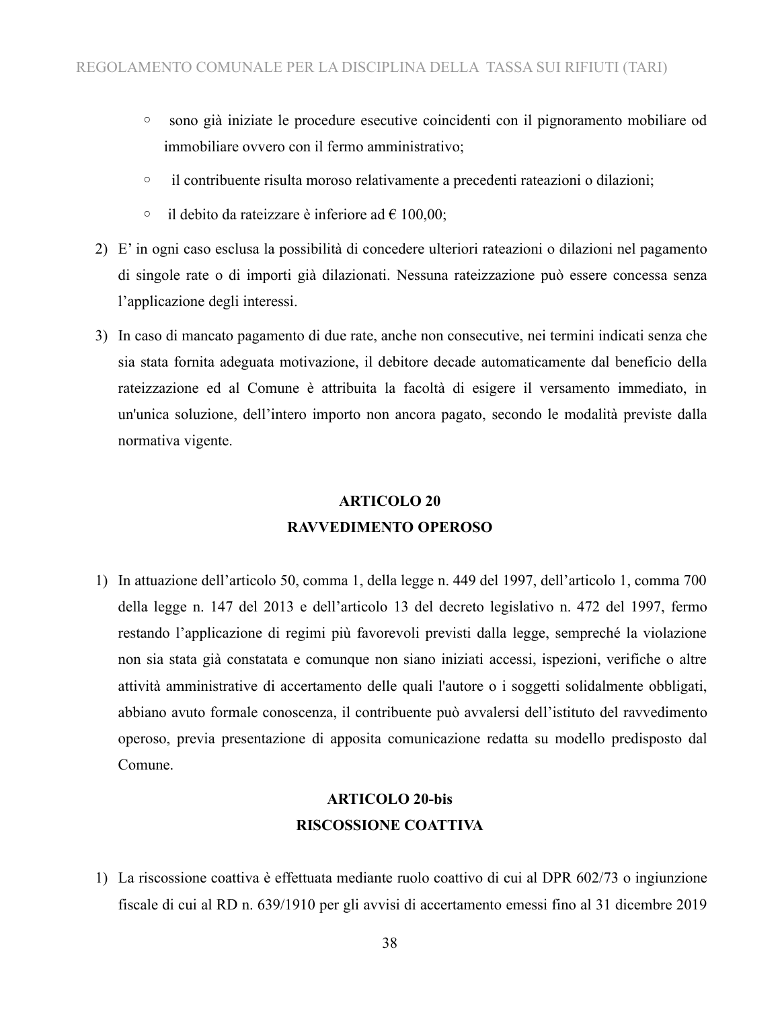- sono già iniziate le procedure esecutive coincidenti con il pignoramento mobiliare od immobiliare ovvero con il fermo amministrativo;
- il contribuente risulta moroso relativamente a precedenti rateazioni o dilazioni;
- il debito da rateizzare è inferiore ad € 100,00;
- 2) E' in ogni caso esclusa la possibilità di concedere ulteriori rateazioni o dilazioni nel pagamento di singole rate o di importi già dilazionati. Nessuna rateizzazione può essere concessa senza l'applicazione degli interessi.
- 3) In caso di mancato pagamento di due rate, anche non consecutive, nei termini indicati senza che sia stata fornita adeguata motivazione, il debitore decade automaticamente dal beneficio della rateizzazione ed al Comune è attribuita la facoltà di esigere il versamento immediato, in un'unica soluzione, dell'intero importo non ancora pagato, secondo le modalità previste dalla normativa vigente.

### **ARTICOLO 20 RAVVEDIMENTO OPEROSO**

1) In attuazione dell'articolo 50, comma 1, della legge n. 449 del 1997, dell'articolo 1, comma 700 della legge n. 147 del 2013 e dell'articolo 13 del decreto legislativo n. 472 del 1997, fermo restando l'applicazione di regimi più favorevoli previsti dalla legge, sempreché la violazione non sia stata già constatata e comunque non siano iniziati accessi, ispezioni, verifiche o altre attività amministrative di accertamento delle quali l'autore o i soggetti solidalmente obbligati, abbiano avuto formale conoscenza, il contribuente può avvalersi dell'istituto del ravvedimento operoso, previa presentazione di apposita comunicazione redatta su modello predisposto dal Comune.

## **ARTICOLO 20-bis RISCOSSIONE COATTIVA**

1) La riscossione coattiva è effettuata mediante ruolo coattivo di cui al DPR 602/73 o ingiunzione fiscale di cui al RD n. 639/1910 per gli avvisi di accertamento emessi fino al 31 dicembre 2019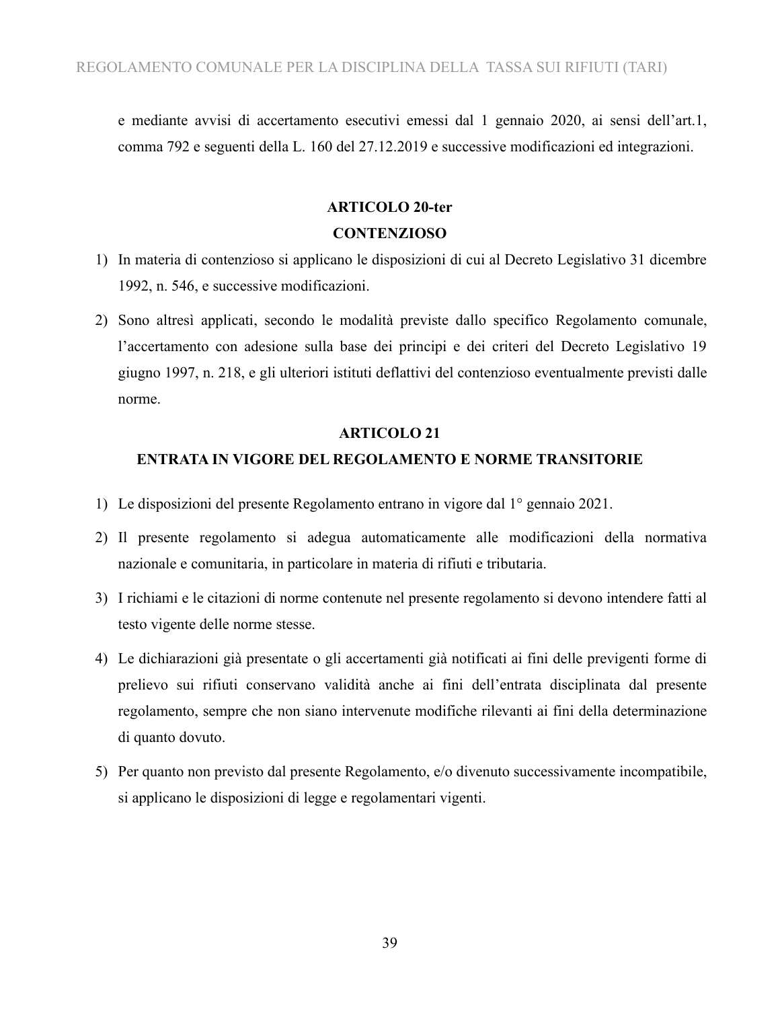e mediante avvisi di accertamento esecutivi emessi dal 1 gennaio 2020, ai sensi dell'art.1, comma 792 e seguenti della L. 160 del 27.12.2019 e successive modificazioni ed integrazioni.

## **ARTICOLO 20-ter CONTENZIOSO**

- 1) In materia di contenzioso si applicano le disposizioni di cui al Decreto Legislativo 31 dicembre 1992, n. 546, e successive modificazioni.
- 2) Sono altresì applicati, secondo le modalità previste dallo specifico Regolamento comunale, l'accertamento con adesione sulla base dei principi e dei criteri del Decreto Legislativo 19 giugno 1997, n. 218, e gli ulteriori istituti deflattivi del contenzioso eventualmente previsti dalle norme.

#### **ARTICOLO 21**

### **ENTRATA IN VIGORE DEL REGOLAMENTO E NORME TRANSITORIE**

- 1) Le disposizioni del presente Regolamento entrano in vigore dal 1° gennaio 2021.
- 2) Il presente regolamento si adegua automaticamente alle modificazioni della normativa nazionale e comunitaria, in particolare in materia di rifiuti e tributaria.
- 3) I richiami e le citazioni di norme contenute nel presente regolamento si devono intendere fatti al testo vigente delle norme stesse.
- 4) Le dichiarazioni già presentate o gli accertamenti già notificati ai fini delle previgenti forme di prelievo sui rifiuti conservano validità anche ai fini dell'entrata disciplinata dal presente regolamento, sempre che non siano intervenute modifiche rilevanti ai fini della determinazione di quanto dovuto.
- 5) Per quanto non previsto dal presente Regolamento, e/o divenuto successivamente incompatibile, si applicano le disposizioni di legge e regolamentari vigenti.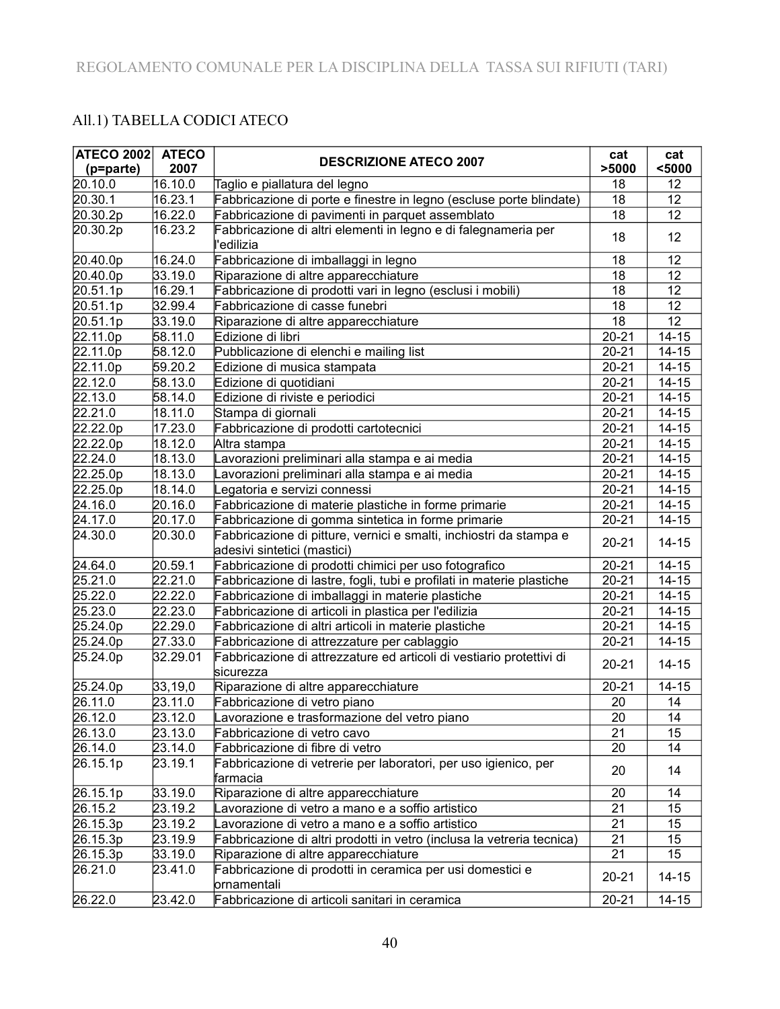### All.1) TABELLA CODICI ATECO

| ATECO 2002 ATECO |          | <b>DESCRIZIONE ATECO 2007</b>                                                                     | cat             | cat             |
|------------------|----------|---------------------------------------------------------------------------------------------------|-----------------|-----------------|
| (p=parte)        | 2007     |                                                                                                   | >5000           | $5000$          |
| 20.10.0          | 16.10.0  | Taglio e piallatura del legno                                                                     | 18              | 12              |
| 20.30.1          | 16.23.1  | Fabbricazione di porte e finestre in legno (escluse porte blindate)                               | 18              | 12              |
| 20.30.2p         | 16.22.0  | Fabbricazione di pavimenti in parquet assemblato                                                  | 18              | 12              |
| 20.30.2p         | 16.23.2  | Fabbricazione di altri elementi in legno e di falegnameria per<br>'edilizia                       | 18              | 12              |
| 20.40.0p         | 16.24.0  | Fabbricazione di imballaggi in legno                                                              | 18              | 12              |
| 20.40.0p         | 33.19.0  | Riparazione di altre apparecchiature                                                              | 18              | 12              |
| 20.51.1p         | 16.29.1  | Fabbricazione di prodotti vari in legno (esclusi i mobili)                                        | 18              | 12              |
| 20.51.1p         | 32.99.4  | Fabbricazione di casse funebri                                                                    | 18              | 12              |
| 20.51.1p         | 33.19.0  | Riparazione di altre apparecchiature                                                              | 18              | 12              |
| 22.11.0p         | 58.11.0  | Edizione di libri                                                                                 | $20 - 21$       | $14 - 15$       |
| 22.11.0p         | 58.12.0  | Pubblicazione di elenchi e mailing list                                                           | $20 - 21$       | $14 - 15$       |
| 22.11.0p         | 59.20.2  | Edizione di musica stampata                                                                       | $20 - 21$       | $14 - 15$       |
| 22.12.0          | 58.13.0  | Edizione di quotidiani                                                                            | $20 - 21$       | $14 - 15$       |
| 22.13.0          | 58.14.0  | Edizione di riviste e periodici                                                                   | $20 - 21$       | $14 - 15$       |
| 22.21.0          | 18.11.0  | Stampa di giornali                                                                                | $20 - 21$       | $14 - 15$       |
| 22.22.0p         | 17.23.0  | Fabbricazione di prodotti cartotecnici                                                            | $20 - 21$       | $14 - 15$       |
| 22.22.0p         | 18.12.0  | Altra stampa                                                                                      | $20 - 21$       | $14 - 15$       |
| 22.24.0          | 18.13.0  | Lavorazioni preliminari alla stampa e ai media                                                    | $20 - 21$       | $14 - 15$       |
| 22.25.0p         | 18.13.0  | Lavorazioni preliminari alla stampa e ai media                                                    | $20 - 21$       | $14 - 15$       |
| 22.25.0p         | 18.14.0  | Legatoria e servizi connessi                                                                      | $20 - 21$       | $14 - 15$       |
| 24.16.0          | 20.16.0  | Fabbricazione di materie plastiche in forme primarie                                              | $20 - 21$       | $14 - 15$       |
| 24.17.0          | 20.17.0  | Fabbricazione di gomma sintetica in forme primarie                                                | $20 - 21$       | $14 - 15$       |
| 24.30.0          | 20.30.0  | Fabbricazione di pitture, vernici e smalti, inchiostri da stampa e<br>adesivi sintetici (mastici) | $20 - 21$       | $14 - 15$       |
| 24.64.0          | 20.59.1  | Fabbricazione di prodotti chimici per uso fotografico                                             | $20 - 21$       | $14 - 15$       |
| 25.21.0          | 22.21.0  | Fabbricazione di lastre, fogli, tubi e profilati in materie plastiche                             | $20 - 21$       | $14 - 15$       |
| 25.22.0          | 22.22.0  | Fabbricazione di imballaggi in materie plastiche                                                  | $20 - 21$       | $14 - 15$       |
| 25.23.0          | 22.23.0  | Fabbricazione di articoli in plastica per l'edilizia                                              | $20 - 21$       | $14 - 15$       |
| 25.24.0p         | 22.29.0  | Fabbricazione di altri articoli in materie plastiche                                              | $20 - 21$       | $14 - 15$       |
| 25.24.0p         | 27.33.0  | Fabbricazione di attrezzature per cablaggio                                                       | $20 - 21$       | $14 - 15$       |
| 25.24.0p         | 32.29.01 | Fabbricazione di attrezzature ed articoli di vestiario protettivi di<br>sicurezza                 | $20 - 21$       | $14 - 15$       |
| 25.24.0p         | 33,19,0  | Riparazione di altre apparecchiature                                                              | $20 - 21$       | $14 - 15$       |
| 26.11.0          | 23.11.0  | Fabbricazione di vetro piano                                                                      | 20              | 14              |
| 26.12.0          | 23.12.0  | Lavorazione e trasformazione del vetro piano                                                      | $\overline{20}$ | $\overline{14}$ |
| 26.13.0          | 23.13.0  | Fabbricazione di vetro cavo                                                                       | 21              | 15              |
| 26.14.0          | 23.14.0  | Fabbricazione di fibre di vetro                                                                   | 20              | 14              |
| 26.15.1p         | 23.19.1  | Fabbricazione di vetrerie per laboratori, per uso igienico, per<br>farmacia                       | 20              | 14              |
| 26.15.1p         | 33.19.0  | Riparazione di altre apparecchiature                                                              | 20              | 14              |
| 26.15.2          | 23.19.2  | Lavorazione di vetro a mano e a soffio artistico                                                  | 21              | 15              |
| 26.15.3p         | 23.19.2  | Lavorazione di vetro a mano e a soffio artistico                                                  | 21              | 15              |
| 26.15.3p         | 23.19.9  | Fabbricazione di altri prodotti in vetro (inclusa la vetreria tecnica)                            | 21              | 15              |
| 26.15.3p         | 33.19.0  | Riparazione di altre apparecchiature                                                              | 21              | 15              |
| 26.21.0          | 23.41.0  | Fabbricazione di prodotti in ceramica per usi domestici e<br>ornamentali                          | $20 - 21$       | $14 - 15$       |
| 26.22.0          | 23.42.0  | Fabbricazione di articoli sanitari in ceramica                                                    | $20 - 21$       | $14 - 15$       |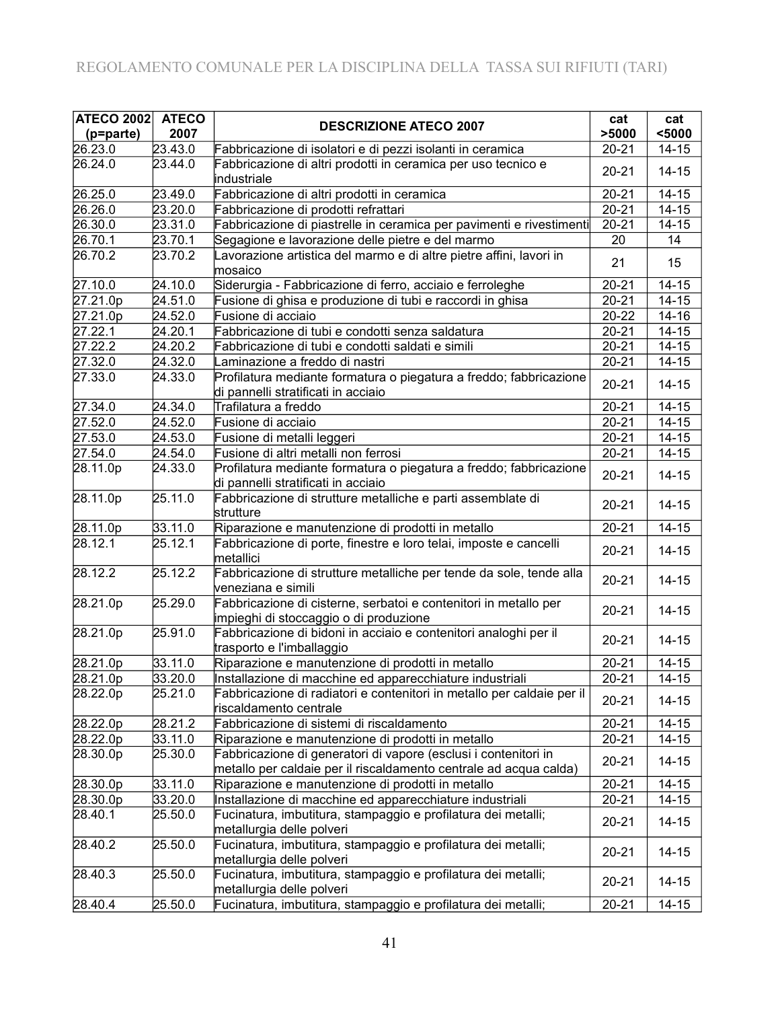| <b>ATECO 2002</b> | <b>ATECO</b> |                                                                                                                                      | cat                  | cat       |
|-------------------|--------------|--------------------------------------------------------------------------------------------------------------------------------------|----------------------|-----------|
| (p=parte)         | 2007         | <b>DESCRIZIONE ATECO 2007</b>                                                                                                        | >5000                | $5000$    |
| 26.23.0           | 23.43.0      | Fabbricazione di isolatori e di pezzi isolanti in ceramica                                                                           | $20 - 21$            | $14 - 15$ |
| 26.24.0           | 23.44.0      | Fabbricazione di altri prodotti in ceramica per uso tecnico e<br>industriale                                                         | $20 - 21$            | $14 - 15$ |
| 26.25.0           | 23.49.0      | Fabbricazione di altri prodotti in ceramica                                                                                          | $20 - 21$            | $14 - 15$ |
| 26.26.0           | 23.20.0      | Fabbricazione di prodotti refrattari                                                                                                 | $20 - 21$            | $14 - 15$ |
| 26.30.0           | 23.31.0      | Fabbricazione di piastrelle in ceramica per pavimenti e rivestimenti                                                                 | $20 - 21$            | $14 - 15$ |
| 26.70.1           | 23.70.1      | Segagione e lavorazione delle pietre e del marmo                                                                                     | 20                   | 14        |
| 26.70.2           | 23.70.2      | Lavorazione artistica del marmo e di altre pietre affini, lavori in<br>mosaico                                                       | 21                   | 15        |
| 27.10.0           | 24.10.0      | Siderurgia - Fabbricazione di ferro, acciaio e ferroleghe                                                                            | $20 - 21$            | $14 - 15$ |
| 27.21.0p          | 24.51.0      | Fusione di ghisa e produzione di tubi e raccordi in ghisa                                                                            | $20 - 21$            | $14 - 15$ |
| 27.21.0p          | 24.52.0      | Fusione di acciaio                                                                                                                   | $20 - 22$            | 14-16     |
| 27.22.1           | 24.20.1      | Fabbricazione di tubi e condotti senza saldatura                                                                                     | $20 - 21$            | $14 - 15$ |
| 27.22.2           | 24.20.2      | Fabbricazione di tubi e condotti saldati e simili                                                                                    | $20 - 21$            | $14 - 15$ |
| 27.32.0           | 24.32.0      | Laminazione a freddo di nastri                                                                                                       | $20 - 21$            | $14 - 15$ |
| 27.33.0           | 24.33.0      | Profilatura mediante formatura o piegatura a freddo; fabbricazione<br>di pannelli stratificati in acciaio                            | $20 - 21$            | $14 - 15$ |
| 27.34.0           | 24.34.0      | Trafilatura a freddo                                                                                                                 | $20 - 21$            | $14 - 15$ |
| 27.52.0           | 24.52.0      | Fusione di acciaio                                                                                                                   | $20 - 21$            | $14 - 15$ |
| 27.53.0           | 24.53.0      | Fusione di metalli leggeri                                                                                                           | $\overline{2}0 - 21$ | $14 - 15$ |
| 27.54.0           | 24.54.0      | Fusione di altri metalli non ferrosi                                                                                                 | $20 - 21$            | $14 - 15$ |
| 28.11.0p          | 24.33.0      | Profilatura mediante formatura o piegatura a freddo; fabbricazione<br>di pannelli stratificati in acciaio                            | $20 - 21$            | $14 - 15$ |
| 28.11.0p          | 25.11.0      | Fabbricazione di strutture metalliche e parti assemblate di<br>strutture                                                             | $20 - 21$            | $14 - 15$ |
| 28.11.0p          | 33.11.0      | Riparazione e manutenzione di prodotti in metallo                                                                                    | $20 - 21$            | $14 - 15$ |
| 28.12.1           | 25.12.1      | Fabbricazione di porte, finestre e loro telai, imposte e cancelli<br>metallici                                                       | $20 - 21$            | $14 - 15$ |
| 28.12.2           | 25.12.2      | Fabbricazione di strutture metalliche per tende da sole, tende alla<br>veneziana e simili                                            | $20 - 21$            | $14 - 15$ |
| 28.21.0p          | 25.29.0      | Fabbricazione di cisterne, serbatoi e contenitori in metallo per<br>impieghi di stoccaggio o di produzione                           | $20 - 21$            | $14 - 15$ |
| 28.21.0p          | 25.91.0      | Fabbricazione di bidoni in acciaio e contenitori analoghi per il<br>trasporto e l'imballaggio                                        | $20 - 21$            | $14 - 15$ |
| 28.21.0p          | 33.11.0      | Riparazione e manutenzione di prodotti in metallo                                                                                    | $20 - 21$            | $14 - 15$ |
| 28.21.0p          | 33.20.0      | Installazione di macchine ed apparecchiature industriali                                                                             | $20 - 21$            | $14 - 15$ |
| 28.22.0p          | 25.21.0      | Fabbricazione di radiatori e contenitori in metallo per caldaie per il<br>riscaldamento centrale                                     | $20 - 21$            | $14 - 15$ |
| 28.22.0p          | 28.21.2      | Fabbricazione di sistemi di riscaldamento                                                                                            | $20 - 21$            | $14 - 15$ |
| 28.22.0p          | 33.11.0      | Riparazione e manutenzione di prodotti in metallo                                                                                    | $20 - 21$            | $14 - 15$ |
| 28.30.0p          | 25.30.0      | Fabbricazione di generatori di vapore (esclusi i contenitori in<br>metallo per caldaie per il riscaldamento centrale ad acqua calda) | $20 - 21$            | $14 - 15$ |
| 28.30.0p          | 33.11.0      | Riparazione e manutenzione di prodotti in metallo                                                                                    | $20 - 21$            | $14 - 15$ |
| 28.30.0p          | 33.20.0      | Installazione di macchine ed apparecchiature industriali                                                                             | $20 - 21$            | $14 - 15$ |
| 28.40.1           | 25.50.0      | Fucinatura, imbutitura, stampaggio e profilatura dei metalli;<br>metallurgia delle polveri                                           | $20 - 21$            | $14 - 15$ |
| 28.40.2           | 25.50.0      | Fucinatura, imbutitura, stampaggio e profilatura dei metalli;<br>metallurgia delle polveri                                           | $20 - 21$            | $14 - 15$ |
| 28.40.3           | 25.50.0      | Fucinatura, imbutitura, stampaggio e profilatura dei metalli;<br>metallurgia delle polveri                                           | $20 - 21$            | $14 - 15$ |
| 28.40.4           | 25.50.0      | Fucinatura, imbutitura, stampaggio e profilatura dei metalli;                                                                        | $20 - 21$            | $14 - 15$ |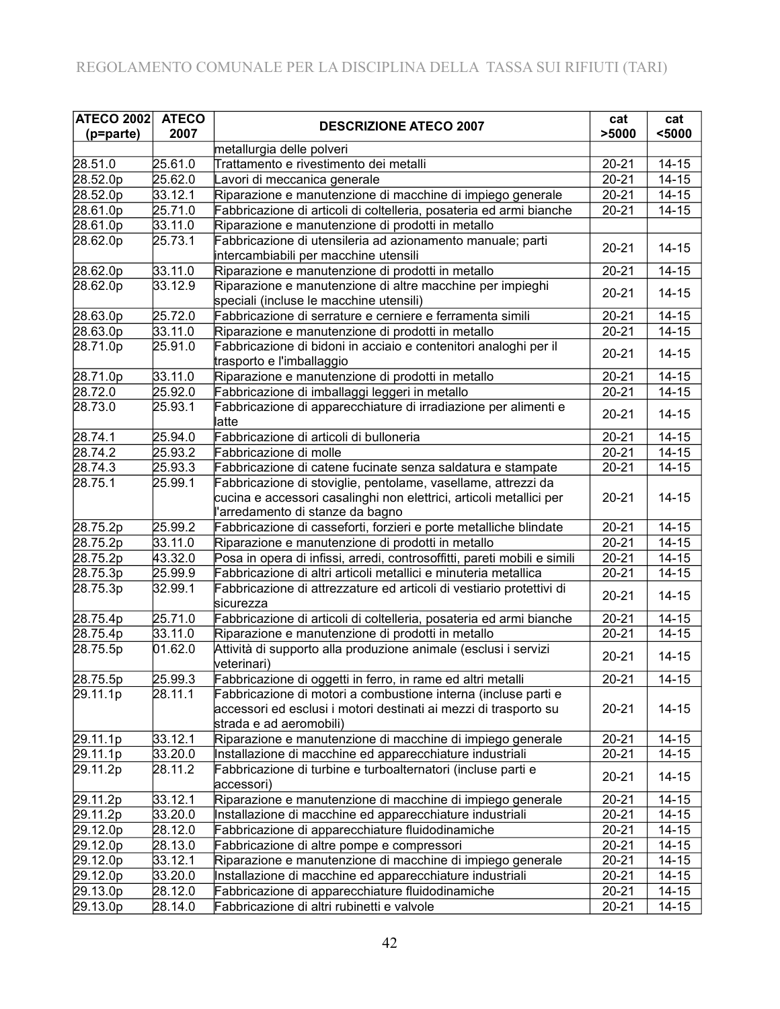| <b>ATECO 2002</b> | <b>ATECO</b> | <b>DESCRIZIONE ATECO 2007</b>                                                                                                                                            | cat       | cat       |
|-------------------|--------------|--------------------------------------------------------------------------------------------------------------------------------------------------------------------------|-----------|-----------|
| (p=parte)         | 2007         |                                                                                                                                                                          | >5000     | $5000$    |
|                   |              | metallurgia delle polveri                                                                                                                                                |           |           |
| 28.51.0           | 25.61.0      | Trattamento e rivestimento dei metalli                                                                                                                                   | $20 - 21$ | $14 - 15$ |
| 28.52.0p          | 25.62.0      | avori di meccanica generale                                                                                                                                              | $20 - 21$ | $14 - 15$ |
| 28.52.0p          | 33.12.1      | Riparazione e manutenzione di macchine di impiego generale                                                                                                               | $20 - 21$ | $14 - 15$ |
| 28.61.0p          | 25.71.0      | Fabbricazione di articoli di coltelleria, posateria ed armi bianche                                                                                                      | 20-21     | $14 - 15$ |
| 28.61.0p          | 33.11.0      | Riparazione e manutenzione di prodotti in metallo                                                                                                                        |           |           |
| 28.62.0p          | 25.73.1      | Fabbricazione di utensileria ad azionamento manuale; parti                                                                                                               | $20 - 21$ | $14 - 15$ |
|                   |              | intercambiabili per macchine utensili                                                                                                                                    |           |           |
| 28.62.0p          | 33.11.0      | Riparazione e manutenzione di prodotti in metallo                                                                                                                        | $20 - 21$ | $14 - 15$ |
| 28.62.0p          | 33.12.9      | Riparazione e manutenzione di altre macchine per impieghi<br>speciali (incluse le macchine utensili)                                                                     | $20 - 21$ | $14 - 15$ |
| 28.63.0p          | 25.72.0      | Fabbricazione di serrature e cerniere e ferramenta simili                                                                                                                | $20 - 21$ | $14 - 15$ |
| 28.63.0p          | 33.11.0      | Riparazione e manutenzione di prodotti in metallo                                                                                                                        | $20 - 21$ | $14 - 15$ |
| 28.71.0p          | 25.91.0      | Fabbricazione di bidoni in acciaio e contenitori analoghi per il<br>trasporto e l'imballaggio                                                                            | $20 - 21$ | $14 - 15$ |
| 28.71.0p          | 33.11.0      | Riparazione e manutenzione di prodotti in metallo                                                                                                                        | $20 - 21$ | $14 - 15$ |
| 28.72.0           | 25.92.0      | Fabbricazione di imballaggi leggeri in metallo                                                                                                                           | $20 - 21$ | $14 - 15$ |
| 28.73.0           | 25.93.1      | Fabbricazione di apparecchiature di irradiazione per alimenti e<br>latte                                                                                                 | $20 - 21$ | $14 - 15$ |
| 28.74.1           | 25.94.0      | Fabbricazione di articoli di bulloneria                                                                                                                                  | $20 - 21$ | $14 - 15$ |
| 28.74.2           | 25.93.2      | Fabbricazione di molle                                                                                                                                                   | $20 - 21$ | $14 - 15$ |
| 28.74.3           | 25.93.3      | Fabbricazione di catene fucinate senza saldatura e stampate                                                                                                              | $20 - 21$ | $14 - 15$ |
| 28.75.1           | 25.99.1      | Fabbricazione di stoviglie, pentolame, vasellame, attrezzi da<br>cucina e accessori casalinghi non elettrici, articoli metallici per<br>l'arredamento di stanze da bagno | $20 - 21$ | $14 - 15$ |
| 28.75.2p          | 25.99.2      | Fabbricazione di casseforti, forzieri e porte metalliche blindate                                                                                                        | $20 - 21$ | $14 - 15$ |
| 28.75.2p          | 33.11.0      | Riparazione e manutenzione di prodotti in metallo                                                                                                                        | $20 - 21$ | $14 - 15$ |
| 28.75.2p          | 43.32.0      | Posa in opera di infissi, arredi, controsoffitti, pareti mobili e simili                                                                                                 | $20 - 21$ | $14 - 15$ |
| 28.75.3p          | 25.99.9      | Fabbricazione di altri articoli metallici e minuteria metallica                                                                                                          | $20 - 21$ | $14 - 15$ |
| 28.75.3p          | 32.99.1      | Fabbricazione di attrezzature ed articoli di vestiario protettivi di<br>sicurezza                                                                                        | $20 - 21$ | $14 - 15$ |
| 28.75.4p          | 25.71.0      | Fabbricazione di articoli di coltelleria, posateria ed armi bianche                                                                                                      | $20 - 21$ | $14 - 15$ |
| 28.75.4p          | 33.11.0      | Riparazione e manutenzione di prodotti in metallo                                                                                                                        | $20 - 21$ | $14 - 15$ |
| 28.75.5p          | 01.62.0      | Attività di supporto alla produzione animale (esclusi i servizi<br>veterinari)                                                                                           | $20 - 21$ | $14 - 15$ |
| 28.75.5p          | 25.99.3      | Fabbricazione di oggetti in ferro, in rame ed altri metalli                                                                                                              | $20 - 21$ | $14 - 15$ |
| 29.11.1p          | 28.11.1      | Fabbricazione di motori a combustione interna (incluse parti e<br>accessori ed esclusi i motori destinati ai mezzi di trasporto su<br>strada e ad aeromobili)            | $20 - 21$ | $14 - 15$ |
| 29.11.1p          | 33.12.1      | Riparazione e manutenzione di macchine di impiego generale                                                                                                               | $20 - 21$ | $14 - 15$ |
| 29.11.1p          | 33.20.0      | Installazione di macchine ed apparecchiature industriali                                                                                                                 | $20 - 21$ | $14 - 15$ |
| 29.11.2p          | 28.11.2      | Fabbricazione di turbine e turboalternatori (incluse parti e<br>accessori)                                                                                               | $20 - 21$ | $14 - 15$ |
| 29.11.2p          | 33.12.1      | Riparazione e manutenzione di macchine di impiego generale                                                                                                               | 20-21     | $14 - 15$ |
| 29.11.2p          | 33.20.0      | Installazione di macchine ed apparecchiature industriali                                                                                                                 | $20 - 21$ | $14 - 15$ |
| 29.12.0p          | 28.12.0      | Fabbricazione di apparecchiature fluidodinamiche                                                                                                                         | $20 - 21$ | $14 - 15$ |
| 29.12.0p          | 28.13.0      | Fabbricazione di altre pompe e compressori                                                                                                                               | 20-21     | $14 - 15$ |
| 29.12.0p          | 33.12.1      | Riparazione e manutenzione di macchine di impiego generale                                                                                                               | 20-21     | $14 - 15$ |
| 29.12.0p          | 33.20.0      | Installazione di macchine ed apparecchiature industriali                                                                                                                 | $20 - 21$ | $14 - 15$ |
| 29.13.0p          | 28.12.0      | Fabbricazione di apparecchiature fluidodinamiche                                                                                                                         | $20 - 21$ | 14-15     |
| 29.13.0p          | 28.14.0      | Fabbricazione di altri rubinetti e valvole                                                                                                                               | $20 - 21$ | $14 - 15$ |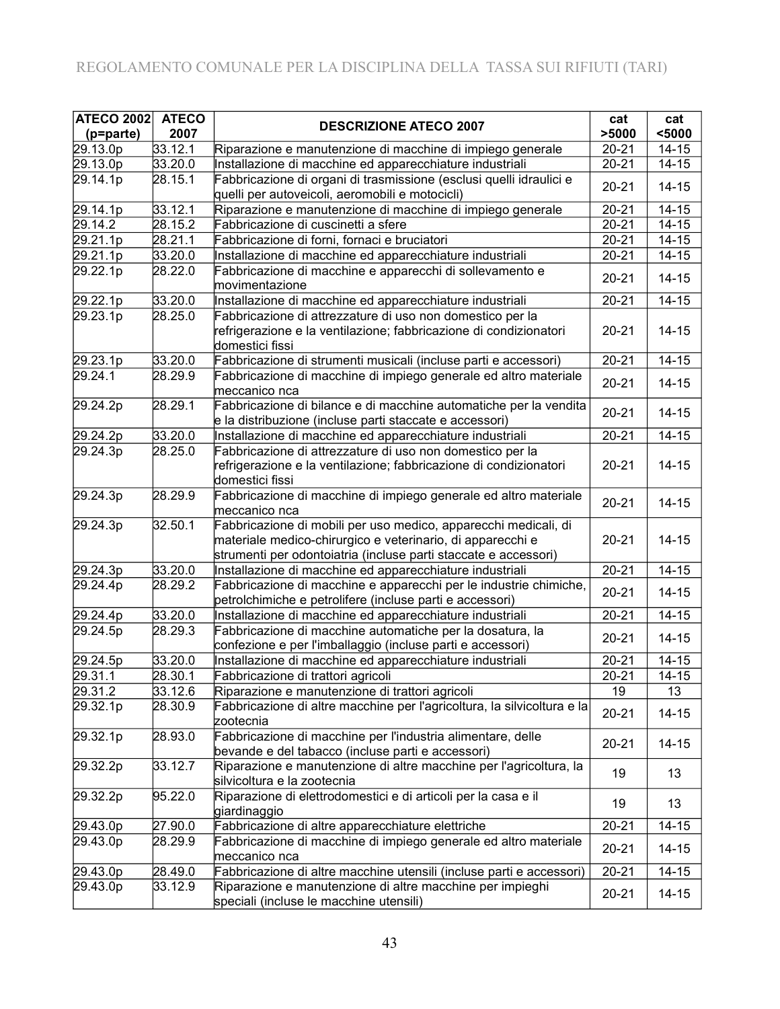| <b>ATECO 2002</b> | <b>ATECO</b> | <b>DESCRIZIONE ATECO 2007</b>                                                                                                                                                                    | cat                  | cat       |
|-------------------|--------------|--------------------------------------------------------------------------------------------------------------------------------------------------------------------------------------------------|----------------------|-----------|
| (p=parte)         | 2007         |                                                                                                                                                                                                  | >5000                | $5000$    |
| 29.13.0p          | 33.12.1      | Riparazione e manutenzione di macchine di impiego generale                                                                                                                                       | $20 - 21$            | $14 - 15$ |
| 29.13.0p          | 33.20.0      | Installazione di macchine ed apparecchiature industriali                                                                                                                                         | $20 - 21$            | $14 - 15$ |
| 29.14.1p          | 28.15.1      | Fabbricazione di organi di trasmissione (esclusi quelli idraulici e<br>quelli per autoveicoli, aeromobili e motocicli)                                                                           | $20 - 21$            | $14 - 15$ |
| 29.14.1p          | 33.12.1      | Riparazione e manutenzione di macchine di impiego generale                                                                                                                                       | $\overline{2}0 - 21$ | $14 - 15$ |
| 29.14.2           | 28.15.2      | Fabbricazione di cuscinetti a sfere                                                                                                                                                              | $20 - 21$            | $14 - 15$ |
| 29.21.1p          | 28.21.1      | Fabbricazione di forni, fornaci e bruciatori                                                                                                                                                     | $20 - 21$            | $14 - 15$ |
| 29.21.1p          | 33.20.0      | Installazione di macchine ed apparecchiature industriali                                                                                                                                         | $20 - 21$            | $14 - 15$ |
| 29.22.1p          | 28.22.0      | Fabbricazione di macchine e apparecchi di sollevamento e                                                                                                                                         | $20 - 21$            | $14 - 15$ |
|                   |              | movimentazione                                                                                                                                                                                   |                      |           |
| 29.22.1p          | 33.20.0      | Installazione di macchine ed apparecchiature industriali                                                                                                                                         | $20 - 21$            | $14 - 15$ |
| 29.23.1p          | 28.25.0      | Fabbricazione di attrezzature di uso non domestico per la<br>refrigerazione e la ventilazione; fabbricazione di condizionatori<br>domestici fissi                                                | $20 - 21$            | $14 - 15$ |
| 29.23.1p          | 33.20.0      | Fabbricazione di strumenti musicali (incluse parti e accessori)                                                                                                                                  | $20 - 21$            | $14 - 15$ |
| 29.24.1           | 28.29.9      | Fabbricazione di macchine di impiego generale ed altro materiale                                                                                                                                 |                      |           |
|                   |              | meccanico nca                                                                                                                                                                                    | $20 - 21$            | $14 - 15$ |
| 29.24.2p          | 28.29.1      | Fabbricazione di bilance e di macchine automatiche per la vendita<br>e la distribuzione (incluse parti staccate e accessori)                                                                     | $20 - 21$            | $14 - 15$ |
| 29.24.2p          | 33.20.0      | Installazione di macchine ed apparecchiature industriali                                                                                                                                         | $20 - 21$            | $14 - 15$ |
| 29.24.3p          | 28.25.0      | Fabbricazione di attrezzature di uso non domestico per la<br>refrigerazione e la ventilazione; fabbricazione di condizionatori<br>domestici fissi                                                | $20 - 21$            | $14 - 15$ |
| 29.24.3p          | 28.29.9      | Fabbricazione di macchine di impiego generale ed altro materiale<br>meccanico nca                                                                                                                | $20 - 21$            | $14 - 15$ |
| 29.24.3p          | 32.50.1      | Fabbricazione di mobili per uso medico, apparecchi medicali, di<br>materiale medico-chirurgico e veterinario, di apparecchi e<br>strumenti per odontoiatria (incluse parti staccate e accessori) | $20 - 21$            | $14 - 15$ |
| 29.24.3p          | 33.20.0      | Installazione di macchine ed apparecchiature industriali                                                                                                                                         | $20 - 21$            | $14 - 15$ |
| 29.24.4p          | 28.29.2      | Fabbricazione di macchine e apparecchi per le industrie chimiche,<br>petrolchimiche e petrolifere (incluse parti e accessori)                                                                    | $20 - 21$            | $14 - 15$ |
| 29.24.4p          | 33.20.0      | Installazione di macchine ed apparecchiature industriali                                                                                                                                         | $20 - 21$            | $14 - 15$ |
| 29.24.5p          | 28.29.3      | Fabbricazione di macchine automatiche per la dosatura, la<br>confezione e per l'imballaggio (incluse parti e accessori)                                                                          | $20 - 21$            | $14 - 15$ |
| 29.24.5p          | 33.20.0      | Installazione di macchine ed apparecchiature industriali                                                                                                                                         | $20 - 21$            | $14 - 15$ |
| 29.31.1           | 28.30.1      | Fabbricazione di trattori agricoli                                                                                                                                                               | $20 - 21$            | $14 - 15$ |
| 29.31.2           | 33.12.6      | Riparazione e manutenzione di trattori agricoli                                                                                                                                                  | 19                   | 13        |
| 29.32.1p          | 28.30.9      | Fabbricazione di altre macchine per l'agricoltura, la silvicoltura e la<br>zootecnia                                                                                                             | $20 - 21$            | $14 - 15$ |
| 29.32.1p          | 28.93.0      | Fabbricazione di macchine per l'industria alimentare, delle<br>bevande e del tabacco (incluse parti e accessori)                                                                                 | $20 - 21$            | $14 - 15$ |
| 29.32.2p          | 33.12.7      | Riparazione e manutenzione di altre macchine per l'agricoltura, la<br>silvicoltura e la zootecnia                                                                                                | 19                   | 13        |
| 29.32.2p          | 95.22.0      | Riparazione di elettrodomestici e di articoli per la casa e il<br>giardinaggio                                                                                                                   | 19                   | 13        |
| 29.43.0p          | 27.90.0      | Fabbricazione di altre apparecchiature elettriche                                                                                                                                                | $20 - 21$            | $14 - 15$ |
| 29.43.0p          | 28.29.9      | Fabbricazione di macchine di impiego generale ed altro materiale<br>meccanico nca                                                                                                                | $20 - 21$            | $14 - 15$ |
| 29.43.0p          | 28.49.0      | Fabbricazione di altre macchine utensili (incluse parti e accessori)                                                                                                                             | $20 - 21$            | $14 - 15$ |
| 29.43.0p          | 33.12.9      | Riparazione e manutenzione di altre macchine per impieghi<br>speciali (incluse le macchine utensili)                                                                                             | $20 - 21$            | $14 - 15$ |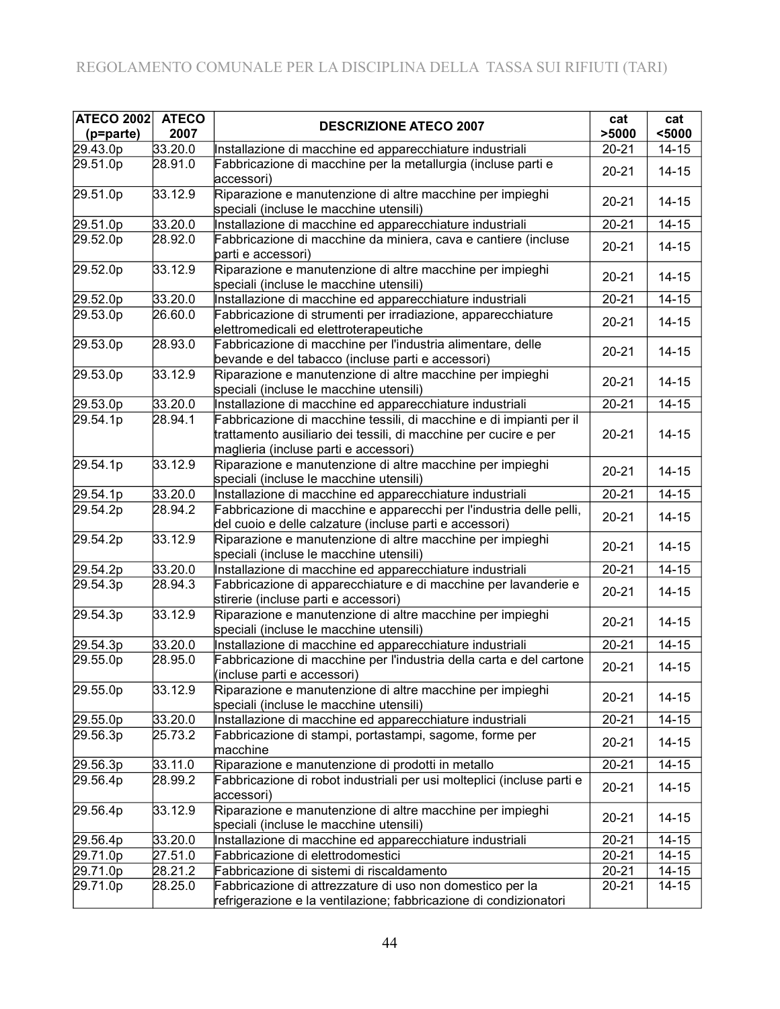| <b>ATECO 2002</b>    | <b>ATECO</b> |                                                                                                                                                                                  | cat       | cat       |
|----------------------|--------------|----------------------------------------------------------------------------------------------------------------------------------------------------------------------------------|-----------|-----------|
| (p=parte)            | 2007         | <b>DESCRIZIONE ATECO 2007</b>                                                                                                                                                    | >5000     | $5000$    |
| 29.43.0p             | 33.20.0      | Installazione di macchine ed apparecchiature industriali                                                                                                                         | $20 - 21$ | $14 - 15$ |
| 29.51.0p             | 28.91.0      | Fabbricazione di macchine per la metallurgia (incluse parti e<br>accessori)                                                                                                      | $20 - 21$ | $14 - 15$ |
| 29.51.0p             | 33.12.9      | Riparazione e manutenzione di altre macchine per impieghi<br>speciali (incluse le macchine utensili)                                                                             | $20 - 21$ | $14 - 15$ |
| 29.51.0p             | 33.20.0      | Installazione di macchine ed apparecchiature industriali                                                                                                                         | $20 - 21$ | $14 - 15$ |
| 29.52.0p             | 28.92.0      | Fabbricazione di macchine da miniera, cava e cantiere (incluse<br>parti e accessori)                                                                                             | $20 - 21$ | $14 - 15$ |
| 29.52.0p             | 33.12.9      | Riparazione e manutenzione di altre macchine per impieghi<br>speciali (incluse le macchine utensili)                                                                             | $20 - 21$ | $14 - 15$ |
| 29.52.0p             | 33.20.0      | Installazione di macchine ed apparecchiature industriali                                                                                                                         | $20 - 21$ | $14 - 15$ |
| 29.53.0p             | 26.60.0      | Fabbricazione di strumenti per irradiazione, apparecchiature<br>elettromedicali ed elettroterapeutiche                                                                           | $20 - 21$ | $14 - 15$ |
| 29.53.0p             | 28.93.0      | Fabbricazione di macchine per l'industria alimentare, delle<br>bevande e del tabacco (incluse parti e accessori)                                                                 | $20 - 21$ | $14 - 15$ |
| 29.53.0p             | 33.12.9      | Riparazione e manutenzione di altre macchine per impieghi<br>speciali (incluse le macchine utensili)                                                                             | $20 - 21$ | $14 - 15$ |
| 29.53.0p             | 33.20.0      | Installazione di macchine ed apparecchiature industriali                                                                                                                         | $20 - 21$ | $14 - 15$ |
| 29.54.1p             | 28.94.1      | Fabbricazione di macchine tessili, di macchine e di impianti per il<br>trattamento ausiliario dei tessili, di macchine per cucire e per<br>maglieria (incluse parti e accessori) | $20 - 21$ | $14 - 15$ |
| 29.54.1p             | 33.12.9      | Riparazione e manutenzione di altre macchine per impieghi<br>speciali (incluse le macchine utensili)                                                                             | $20 - 21$ | $14 - 15$ |
| 29.54.1p             | 33.20.0      | Installazione di macchine ed apparecchiature industriali                                                                                                                         | $20 - 21$ | $14 - 15$ |
| 29.54.2p             | 28.94.2      | Fabbricazione di macchine e apparecchi per l'industria delle pelli,<br>del cuoio e delle calzature (incluse parti e accessori)                                                   | $20 - 21$ | $14 - 15$ |
| 29.54.2p             | 33.12.9      | Riparazione e manutenzione di altre macchine per impieghi<br>speciali (incluse le macchine utensili)                                                                             | $20 - 21$ | $14 - 15$ |
| 29.54.2p             | 33.20.0      | Installazione di macchine ed apparecchiature industriali                                                                                                                         | $20 - 21$ | $14 - 15$ |
| 29.54.3p             | 28.94.3      | Fabbricazione di apparecchiature e di macchine per lavanderie e<br>stirerie (incluse parti e accessori)                                                                          | $20 - 21$ | $14 - 15$ |
| 29.54.3p             | 33.12.9      | Riparazione e manutenzione di altre macchine per impieghi<br>speciali (incluse le macchine utensili)                                                                             | $20 - 21$ | $14 - 15$ |
| 29.54.3p             | 33.20.0      | Installazione di macchine ed apparecchiature industriali                                                                                                                         | $20 - 21$ | $14 - 15$ |
| 29.55.0p             | 28.95.0      | Fabbricazione di macchine per l'industria della carta e del cartone<br>(incluse parti e accessori)                                                                               | $20 - 21$ | $14 - 15$ |
| $29.55.\overline{0}$ | 33.12.9      | Riparazione e manutenzione di altre macchine per impieghi<br>speciali (incluse le macchine utensili)                                                                             | $20 - 21$ | $14 - 15$ |
| 29.55.0p             | 33.20.0      | Installazione di macchine ed apparecchiature industriali                                                                                                                         | $20 - 21$ | $14 - 15$ |
| 29.56.3p             | 25.73.2      | Fabbricazione di stampi, portastampi, sagome, forme per<br>macchine                                                                                                              | $20 - 21$ | $14 - 15$ |
| 29.56.3p             | 33.11.0      | Riparazione e manutenzione di prodotti in metallo                                                                                                                                | $20 - 21$ | $14 - 15$ |
| 29.56.4p             | 28.99.2      | Fabbricazione di robot industriali per usi molteplici (incluse parti e<br>accessori)                                                                                             | $20 - 21$ | $14 - 15$ |
| 29.56.4p             | 33.12.9      | Riparazione e manutenzione di altre macchine per impieghi<br>speciali (incluse le macchine utensili)                                                                             | $20 - 21$ | $14 - 15$ |
| 29.56.4p             | 33.20.0      | Installazione di macchine ed apparecchiature industriali                                                                                                                         | $20 - 21$ | $14 - 15$ |
| 29.71.0p             | 27.51.0      | Fabbricazione di elettrodomestici                                                                                                                                                | $20 - 21$ | $14 - 15$ |
| 29.71.0p             | 28.21.2      | Fabbricazione di sistemi di riscaldamento                                                                                                                                        | $20 - 21$ | $14 - 15$ |
| 29.71.0p             | 28.25.0      | Fabbricazione di attrezzature di uso non domestico per la<br>refrigerazione e la ventilazione; fabbricazione di condizionatori                                                   | $20 - 21$ | $14 - 15$ |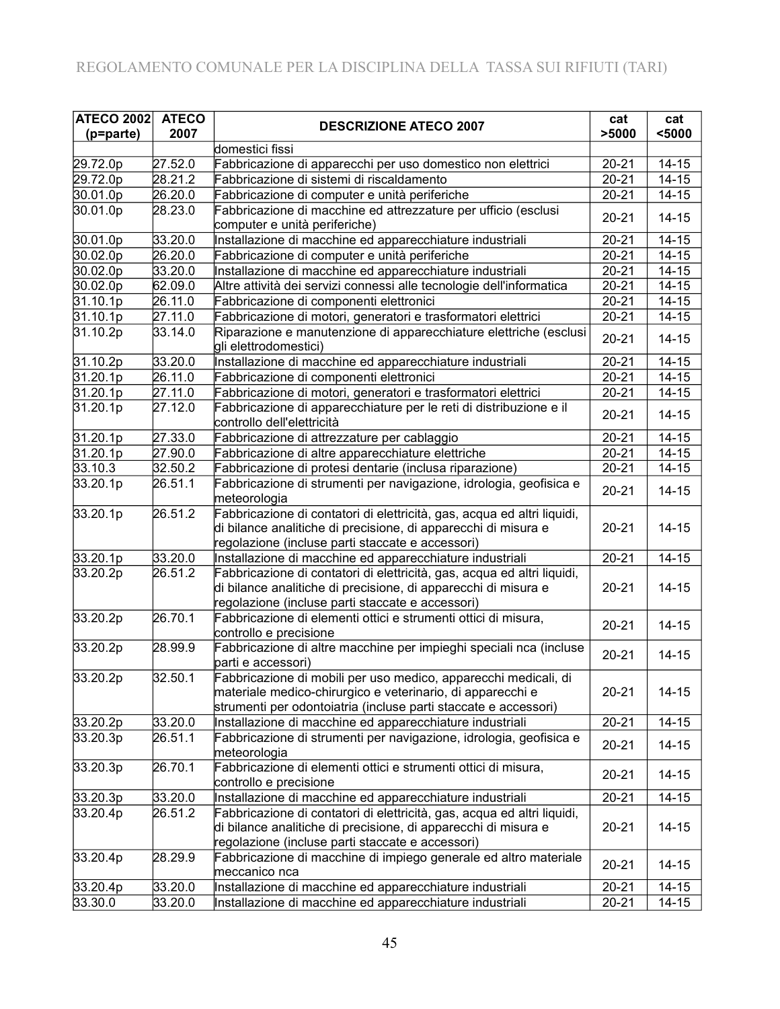| <b>ATECO 2002</b> | <b>ATECO</b> | <b>DESCRIZIONE ATECO 2007</b>                                                                                                                                                                    | cat       | cat       |
|-------------------|--------------|--------------------------------------------------------------------------------------------------------------------------------------------------------------------------------------------------|-----------|-----------|
| (p=parte)         | 2007         |                                                                                                                                                                                                  | >5000     | $5000$    |
|                   |              | domestici fissi                                                                                                                                                                                  |           |           |
| 29.72.0p          | 27.52.0      | Fabbricazione di apparecchi per uso domestico non elettrici                                                                                                                                      | $20 - 21$ | $14 - 15$ |
| 29.72.0p          | 28.21.2      | Fabbricazione di sistemi di riscaldamento                                                                                                                                                        | $20 - 21$ | $14 - 15$ |
| 30.01.0p          | 26.20.0      | Fabbricazione di computer e unità periferiche                                                                                                                                                    | $20 - 21$ | $14 - 15$ |
| 30.01.0p          | 28.23.0      | Fabbricazione di macchine ed attrezzature per ufficio (esclusi<br>computer e unità periferiche)                                                                                                  | $20 - 21$ | $14 - 15$ |
| 30.01.0p          | 33.20.0      | Installazione di macchine ed apparecchiature industriali                                                                                                                                         | $20 - 21$ | $14 - 15$ |
| 30.02.0p          | 26.20.0      | Fabbricazione di computer e unità periferiche                                                                                                                                                    | $20 - 21$ | $14 - 15$ |
| 30.02.0p          | 33.20.0      | Installazione di macchine ed apparecchiature industriali                                                                                                                                         | $20 - 21$ | $14 - 15$ |
| 30.02.0p          | 62.09.0      | Altre attività dei servizi connessi alle tecnologie dell'informatica                                                                                                                             | $20 - 21$ | $14 - 15$ |
| 31.10.1p          | 26.11.0      | Fabbricazione di componenti elettronici                                                                                                                                                          | $20 - 21$ | $14 - 15$ |
| 31.10.1p          | 27.11.0      | Fabbricazione di motori, generatori e trasformatori elettrici                                                                                                                                    | $20 - 21$ | $14 - 15$ |
| 31.10.2p          | 33.14.0      | Riparazione e manutenzione di apparecchiature elettriche (esclusi<br>gli elettrodomestici)                                                                                                       | $20 - 21$ | $14 - 15$ |
| 31.10.2p          | 33.20.0      | Installazione di macchine ed apparecchiature industriali                                                                                                                                         | $20 - 21$ | $14 - 15$ |
| 31.20.1p          | 26.11.0      | Fabbricazione di componenti elettronici                                                                                                                                                          | $20 - 21$ | $14 - 15$ |
| 31.20.1p          | 27.11.0      | Fabbricazione di motori, generatori e trasformatori elettrici                                                                                                                                    | $20 - 21$ | $14 - 15$ |
| 31.20.1p          | 27.12.0      | Fabbricazione di apparecchiature per le reti di distribuzione e il<br>controllo dell'elettricità                                                                                                 | $20 - 21$ | $14 - 15$ |
| 31.20.1p          | 27.33.0      | Fabbricazione di attrezzature per cablaggio                                                                                                                                                      | $20 - 21$ | $14 - 15$ |
| 31.20.1p          | 27.90.0      | Fabbricazione di altre apparecchiature elettriche                                                                                                                                                | $20 - 21$ | $14 - 15$ |
| 33.10.3           | 32.50.2      | Fabbricazione di protesi dentarie (inclusa riparazione)                                                                                                                                          | $20 - 21$ | $14 - 15$ |
| 33.20.1p          | 26.51.1      | Fabbricazione di strumenti per navigazione, idrologia, geofisica e<br>meteorologia                                                                                                               | $20 - 21$ | $14 - 15$ |
| 33.20.1p          | 26.51.2      | Fabbricazione di contatori di elettricità, gas, acqua ed altri liquidi,<br>di bilance analitiche di precisione, di apparecchi di misura e<br>regolazione (incluse parti staccate e accessori)    | $20 - 21$ | $14 - 15$ |
| 33.20.1p          | 33.20.0      | Installazione di macchine ed apparecchiature industriali                                                                                                                                         | $20 - 21$ | $14 - 15$ |
| 33.20.2p          | 26.51.2      | Fabbricazione di contatori di elettricità, gas, acqua ed altri liquidi,<br>di bilance analitiche di precisione, di apparecchi di misura e<br>regolazione (incluse parti staccate e accessori)    | $20 - 21$ | $14 - 15$ |
| 33.20.2p          | 26.70.1      | Fabbricazione di elementi ottici e strumenti ottici di misura,<br>controllo e precisione                                                                                                         | $20 - 21$ | $14 - 15$ |
| 33.20.2p          | 28.99.9      | Fabbricazione di altre macchine per impieghi speciali nca (incluse<br>parti e accessori)                                                                                                         | $20 - 21$ | $14 - 15$ |
| 33.20.2p          | 32.50.1      | Fabbricazione di mobili per uso medico, apparecchi medicali, di<br>materiale medico-chirurgico e veterinario, di apparecchi e<br>strumenti per odontoiatria (incluse parti staccate e accessori) | $20 - 21$ | $14 - 15$ |
| 33.20.2p          | 33.20.0      | Installazione di macchine ed apparecchiature industriali                                                                                                                                         | $20 - 21$ | $14 - 15$ |
| 33.20.3p          | 26.51.1      | Fabbricazione di strumenti per navigazione, idrologia, geofisica e<br>meteorologia                                                                                                               | $20 - 21$ | $14 - 15$ |
| 33.20.3p          | 26.70.1      | Fabbricazione di elementi ottici e strumenti ottici di misura,<br>controllo e precisione                                                                                                         | $20 - 21$ | $14 - 15$ |
| 33.20.3p          | 33.20.0      | Installazione di macchine ed apparecchiature industriali                                                                                                                                         | $20 - 21$ | $14 - 15$ |
| 33.20.4p          | 26.51.2      | Fabbricazione di contatori di elettricità, gas, acqua ed altri liquidi,<br>di bilance analitiche di precisione, di apparecchi di misura e<br>regolazione (incluse parti staccate e accessori)    | $20 - 21$ | $14 - 15$ |
| 33.20.4p          | 28.29.9      | Fabbricazione di macchine di impiego generale ed altro materiale<br>meccanico nca                                                                                                                | $20 - 21$ | $14 - 15$ |
| 33.20.4p          | 33.20.0      | Installazione di macchine ed apparecchiature industriali                                                                                                                                         | $20 - 21$ | $14 - 15$ |
| 33.30.0           | 33.20.0      | Installazione di macchine ed apparecchiature industriali                                                                                                                                         | $20 - 21$ | $14 - 15$ |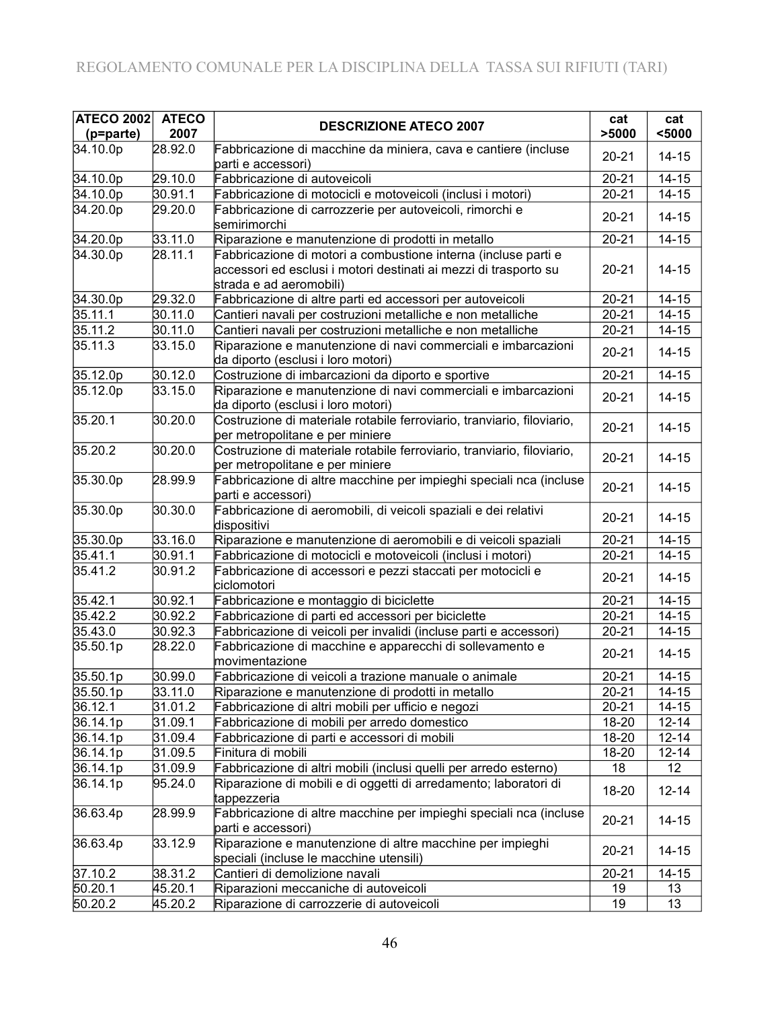| <b>ATECO 2002</b> | <b>ATECO</b> | <b>DESCRIZIONE ATECO 2007</b>                                                                                                                                 | cat       | cat       |
|-------------------|--------------|---------------------------------------------------------------------------------------------------------------------------------------------------------------|-----------|-----------|
| (p=parte)         | 2007         |                                                                                                                                                               | >5000     | $5000$    |
| 34.10.0p          | 28.92.0      | Fabbricazione di macchine da miniera, cava e cantiere (incluse<br>parti e accessori)                                                                          | $20 - 21$ | $14 - 15$ |
| 34.10.0p          | 29.10.0      | Fabbricazione di autoveicoli                                                                                                                                  | $20 - 21$ | $14 - 15$ |
| 34.10.0p          | 30.91.1      | Fabbricazione di motocicli e motoveicoli (inclusi i motori)                                                                                                   | $20 - 21$ | $14 - 15$ |
| 34.20.0p          | 29.20.0      | Fabbricazione di carrozzerie per autoveicoli, rimorchi e<br>semirimorchi                                                                                      | $20 - 21$ | $14 - 15$ |
| 34.20.0p          | 33.11.0      | Riparazione e manutenzione di prodotti in metallo                                                                                                             | $20 - 21$ | $14 - 15$ |
| 34.30.0p          | 28.11.1      | Fabbricazione di motori a combustione interna (incluse parti e<br>accessori ed esclusi i motori destinati ai mezzi di trasporto su<br>strada e ad aeromobili) | $20 - 21$ | $14 - 15$ |
| 34.30.0p          | 29.32.0      | Fabbricazione di altre parti ed accessori per autoveicoli                                                                                                     | $20 - 21$ | $14 - 15$ |
| 35.11.1           | 30.11.0      | Cantieri navali per costruzioni metalliche e non metalliche                                                                                                   | $20 - 21$ | $14 - 15$ |
| 35.11.2           | 30.11.0      | Cantieri navali per costruzioni metalliche e non metalliche                                                                                                   | $20 - 21$ | $14 - 15$ |
| 35.11.3           | 33.15.0      | Riparazione e manutenzione di navi commerciali e imbarcazioni<br>da diporto (esclusi i loro motori)                                                           | $20 - 21$ | $14 - 15$ |
| 35.12.0p          | 30.12.0      | Costruzione di imbarcazioni da diporto e sportive                                                                                                             | $20 - 21$ | $14 - 15$ |
| 35.12.0p          | 33.15.0      | Riparazione e manutenzione di navi commerciali e imbarcazioni<br>da diporto (esclusi i loro motori)                                                           | $20 - 21$ | $14 - 15$ |
| 35.20.1           | 30.20.0      | Costruzione di materiale rotabile ferroviario, tranviario, filoviario,<br>per metropolitane e per miniere                                                     | $20 - 21$ | $14 - 15$ |
| 35.20.2           | 30.20.0      | Costruzione di materiale rotabile ferroviario, tranviario, filoviario,<br>per metropolitane e per miniere                                                     | $20 - 21$ | $14 - 15$ |
| 35.30.0p          | 28.99.9      | Fabbricazione di altre macchine per impieghi speciali nca (incluse<br>parti e accessori)                                                                      | $20 - 21$ | $14 - 15$ |
| 35.30.0p          | 30.30.0      | Fabbricazione di aeromobili, di veicoli spaziali e dei relativi<br>dispositivi                                                                                | $20 - 21$ | $14 - 15$ |
| 35.30.0p          | 33.16.0      | Riparazione e manutenzione di aeromobili e di veicoli spaziali                                                                                                | $20 - 21$ | $14 - 15$ |
| 35.41.1           | 30.91.1      | Fabbricazione di motocicli e motoveicoli (inclusi i motori)                                                                                                   | $20 - 21$ | $14 - 15$ |
| 35.41.2           | 30.91.2      | Fabbricazione di accessori e pezzi staccati per motocicli e<br>ciclomotori                                                                                    | $20 - 21$ | $14 - 15$ |
| 35.42.1           | 30.92.1      | Fabbricazione e montaggio di biciclette                                                                                                                       | $20 - 21$ | $14 - 15$ |
| 35.42.2           | 30.92.2      | Fabbricazione di parti ed accessori per biciclette                                                                                                            | $20 - 21$ | $14 - 15$ |
| 35.43.0           | 30.92.3      | Fabbricazione di veicoli per invalidi (incluse parti e accessori)                                                                                             | $20 - 21$ | $14 - 15$ |
| 35.50.1p          | 28.22.0      | Fabbricazione di macchine e apparecchi di sollevamento e<br>movimentazione                                                                                    | $20 - 21$ | $14 - 15$ |
| 35.50.1p          | 30.99.0      | Fabbricazione di veicoli a trazione manuale o animale                                                                                                         | $20 - 21$ | $14 - 15$ |
| 35.50.1p          | 33.11.0      | Riparazione e manutenzione di prodotti in metallo                                                                                                             | $20 - 21$ | $14 - 15$ |
| 36.12.1           | 31.01.2      | Fabbricazione di altri mobili per ufficio e negozi                                                                                                            | $20 - 21$ | $14 - 15$ |
| 36.14.1p          | 31.09.1      | Fabbricazione di mobili per arredo domestico                                                                                                                  | 18-20     | $12 - 14$ |
| 36.14.1p          | 31.09.4      | Fabbricazione di parti e accessori di mobili                                                                                                                  | 18-20     | $12 - 14$ |
| 36.14.1p          | 31.09.5      | Finitura di mobili                                                                                                                                            | 18-20     | $12 - 14$ |
| 36.14.1p          | 31.09.9      | Fabbricazione di altri mobili (inclusi quelli per arredo esterno)                                                                                             | 18        | 12        |
| 36.14.1p          | 95.24.0      | Riparazione di mobili e di oggetti di arredamento; laboratori di<br>tappezzeria                                                                               | 18-20     | $12 - 14$ |
| 36.63.4p          | 28.99.9      | Fabbricazione di altre macchine per impieghi speciali nca (incluse<br>parti e accessori)                                                                      | $20 - 21$ | $14 - 15$ |
| 36.63.4p          | 33.12.9      | Riparazione e manutenzione di altre macchine per impieghi<br>speciali (incluse le macchine utensili)                                                          | $20 - 21$ | $14 - 15$ |
| 37.10.2           | 38.31.2      | Cantieri di demolizione navali                                                                                                                                | $20 - 21$ | $14 - 15$ |
| 50.20.1           | 45.20.1      | Riparazioni meccaniche di autoveicoli                                                                                                                         | 19        | 13        |
| 50.20.2           | 45.20.2      | Riparazione di carrozzerie di autoveicoli                                                                                                                     | 19        | 13        |